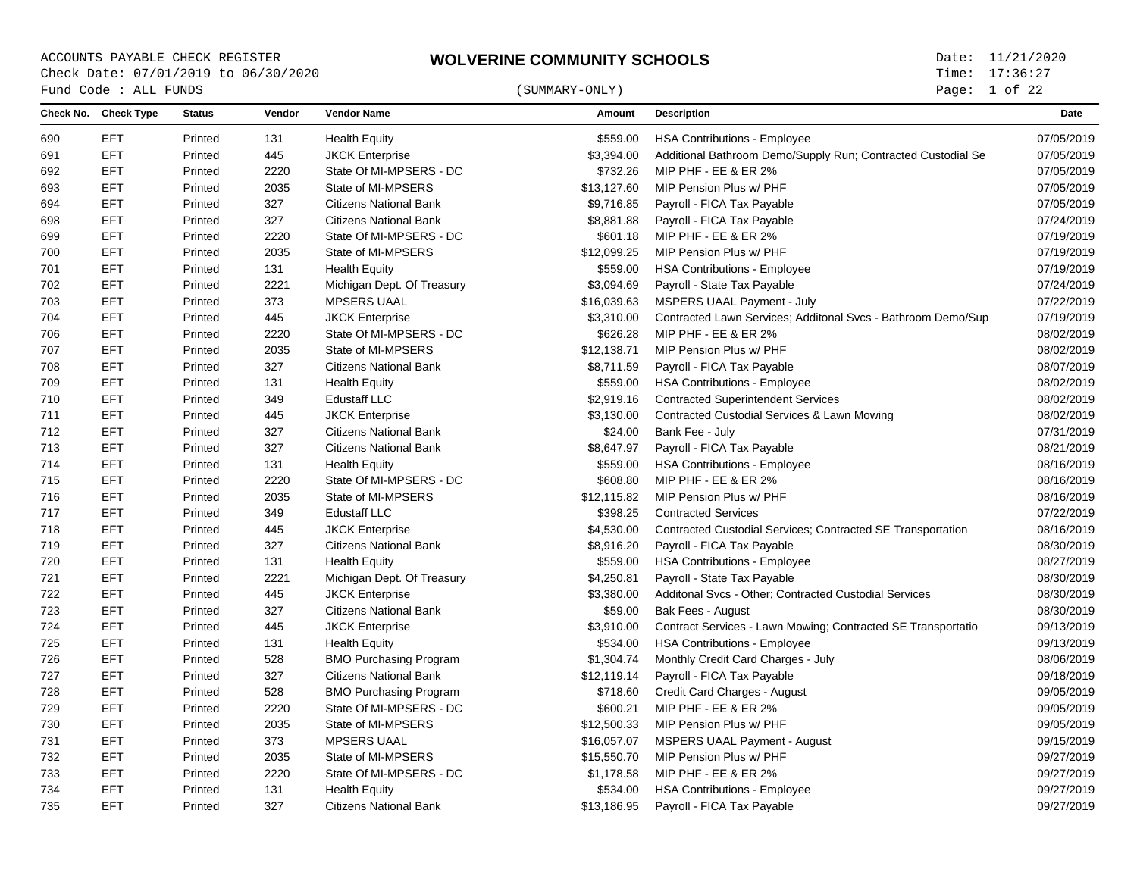Page: 1 of 22

| Check No. Check Type<br>Vendor<br><b>Status</b><br><b>Vendor Name</b><br>Amount<br><b>Description</b><br>Date<br>EFT<br><b>HSA Contributions - Employee</b><br>07/05/2019<br>Printed<br>131<br><b>Health Equity</b><br>\$559.00<br><b>EFT</b><br>07/05/2019<br>Printed<br>445<br><b>JKCK Enterprise</b><br>\$3,394.00<br>Additional Bathroom Demo/Supply Run; Contracted Custodial Se<br>691<br><b>EFT</b><br>2220<br>State Of MI-MPSERS - DC<br>\$732.26<br>MIP PHF - EE & ER 2%<br>07/05/2019<br>692<br>Printed<br><b>EFT</b><br>2035<br>\$13,127.60<br>MIP Pension Plus w/ PHF<br>07/05/2019<br>693<br>Printed<br>State of MI-MPSERS<br><b>EFT</b><br>327<br>Payroll - FICA Tax Payable<br>07/05/2019<br>Printed<br><b>Citizens National Bank</b><br>\$9,716.85<br>694<br><b>EFT</b><br>327<br><b>Citizens National Bank</b><br>\$8,881.88<br>Payroll - FICA Tax Payable<br>07/24/2019<br>698<br>Printed<br><b>EFT</b><br>2220<br>State Of MI-MPSERS - DC<br>\$601.18<br>MIP PHF - EE & ER 2%<br>07/19/2019<br>699<br>Printed<br><b>EFT</b><br>2035<br>07/19/2019<br>700<br>Printed<br>State of MI-MPSERS<br>\$12,099.25<br>MIP Pension Plus w/ PHF<br><b>EFT</b><br>Printed<br>131<br><b>Health Equity</b><br>\$559.00<br><b>HSA Contributions - Employee</b><br>07/19/2019<br><b>EFT</b><br>Printed<br>2221<br>\$3,094.69<br>Payroll - State Tax Payable<br>07/24/2019<br>702<br>Michigan Dept. Of Treasury<br><b>EFT</b><br>373<br>MSPERS UAAL Payment - July<br>07/22/2019<br>703<br>Printed<br><b>MPSERS UAAL</b><br>\$16,039.63<br><b>EFT</b><br>704<br>Printed<br>445<br>\$3,310.00<br>Contracted Lawn Services; Additonal Svcs - Bathroom Demo/Sup<br>07/19/2019<br><b>JKCK Enterprise</b><br>MIP PHF - EE & ER 2%<br><b>EFT</b><br>Printed<br>2220<br>State Of MI-MPSERS - DC<br>\$626.28<br>08/02/2019<br>706<br><b>EFT</b><br>2035<br>State of MI-MPSERS<br>\$12,138.71<br>MIP Pension Plus w/ PHF<br>08/02/2019<br>707<br>Printed<br><b>EFT</b><br>327<br>08/07/2019<br>Printed<br><b>Citizens National Bank</b><br>\$8,711.59<br>Payroll - FICA Tax Payable<br>708<br><b>EFT</b><br>Printed<br>131<br>\$559.00<br><b>HSA Contributions - Employee</b><br>08/02/2019<br><b>Health Equity</b><br><b>EFT</b><br>Printed<br>349<br><b>Edustaff LLC</b><br>\$2,919.16<br><b>Contracted Superintendent Services</b><br>08/02/2019<br><b>EFT</b><br>\$3,130.00<br>Printed<br>445<br><b>JKCK Enterprise</b><br>Contracted Custodial Services & Lawn Mowing<br>08/02/2019<br><b>EFT</b><br>Printed<br>327<br><b>Citizens National Bank</b><br>\$24.00<br>Bank Fee - July<br>07/31/2019<br><b>EFT</b><br>327<br>Payroll - FICA Tax Payable<br>Printed<br><b>Citizens National Bank</b><br>\$8,647.97<br>08/21/2019<br><b>EFT</b><br>\$559.00<br>08/16/2019<br>Printed<br>131<br><b>Health Equity</b><br><b>HSA Contributions - Employee</b><br><b>EFT</b><br>MIP PHF - EE & ER 2%<br>08/16/2019<br>Printed<br>2220<br>State Of MI-MPSERS - DC<br>\$608.80<br><b>EFT</b><br>2035<br>MIP Pension Plus w/ PHF<br>Printed<br>State of MI-MPSERS<br>\$12,115.82<br>08/16/2019<br><b>EFT</b><br><b>Edustaff LLC</b><br>\$398.25<br><b>Contracted Services</b><br>07/22/2019<br>Printed<br>349<br><b>EFT</b><br>Printed<br>445<br><b>JKCK Enterprise</b><br>\$4,530.00<br>Contracted Custodial Services; Contracted SE Transportation<br>08/16/2019<br><b>EFT</b><br>327<br>Payroll - FICA Tax Payable<br>08/30/2019<br>Printed<br><b>Citizens National Bank</b><br>\$8,916.20<br>720<br><b>EFT</b><br>Printed<br>131<br><b>Health Equity</b><br>\$559.00<br><b>HSA Contributions - Employee</b><br>08/27/2019<br><b>EFT</b><br>Printed<br>2221<br>Michigan Dept. Of Treasury<br>\$4,250.81<br>Payroll - State Tax Payable<br>08/30/2019<br><b>EFT</b><br>445<br>\$3,380.00<br>Additonal Svcs - Other; Contracted Custodial Services<br>08/30/2019<br>Printed<br><b>JKCK Enterprise</b><br><b>EFT</b><br>327<br>\$59.00<br>08/30/2019<br>723<br>Printed<br><b>Citizens National Bank</b><br>Bak Fees - August<br><b>EFT</b><br>09/13/2019<br>Printed<br>445<br><b>JKCK Enterprise</b><br>\$3,910.00<br>Contract Services - Lawn Mowing; Contracted SE Transportatio<br><b>EFT</b><br>131<br>\$534.00<br><b>HSA Contributions - Employee</b><br>09/13/2019<br>725<br>Printed<br><b>Health Equity</b><br><b>EFT</b><br>528<br>Monthly Credit Card Charges - July<br>08/06/2019<br>726<br>Printed<br><b>BMO Purchasing Program</b><br>\$1,304.74<br><b>EFT</b><br>327<br>727<br>Printed<br><b>Citizens National Bank</b><br>\$12,119.14<br>Payroll - FICA Tax Payable<br>09/18/2019<br><b>EFT</b><br>528<br>\$718.60<br>Credit Card Charges - August<br>09/05/2019<br>Printed<br><b>BMO Purchasing Program</b><br><b>EFT</b><br>2220<br>State Of MI-MPSERS - DC<br>\$600.21<br>MIP PHF - EE & ER 2%<br>09/05/2019<br>729<br>Printed<br><b>EFT</b><br>2035<br>09/05/2019<br>730<br>Printed<br>State of MI-MPSERS<br>\$12,500.33<br>MIP Pension Plus w/ PHF<br>373<br><b>EFT</b><br><b>MPSERS UAAL</b><br>\$16,057.07<br><b>MSPERS UAAL Payment - August</b><br>09/15/2019<br>Printed<br><b>EFT</b><br>Printed<br>2035<br>State of MI-MPSERS<br>MIP Pension Plus w/ PHF<br>09/27/2019<br>\$15,550.70<br>EFT<br>2220<br>State Of MI-MPSERS - DC<br>\$1,178.58<br>MIP PHF - EE & ER 2%<br>09/27/2019<br>Printed<br>734<br><b>EFT</b><br>Printed<br>131<br><b>Health Equity</b><br>\$534.00<br><b>HSA Contributions - Employee</b><br>09/27/2019<br><b>EFT</b><br>327<br>Payroll - FICA Tax Payable<br>09/27/2019<br>Printed<br><b>Citizens National Bank</b><br>\$13,186.95 |     | Fund Code : ALL FUNDS |  | (SUMMARY-ONLY) | Page: $1$ of 22 |  |
|---------------------------------------------------------------------------------------------------------------------------------------------------------------------------------------------------------------------------------------------------------------------------------------------------------------------------------------------------------------------------------------------------------------------------------------------------------------------------------------------------------------------------------------------------------------------------------------------------------------------------------------------------------------------------------------------------------------------------------------------------------------------------------------------------------------------------------------------------------------------------------------------------------------------------------------------------------------------------------------------------------------------------------------------------------------------------------------------------------------------------------------------------------------------------------------------------------------------------------------------------------------------------------------------------------------------------------------------------------------------------------------------------------------------------------------------------------------------------------------------------------------------------------------------------------------------------------------------------------------------------------------------------------------------------------------------------------------------------------------------------------------------------------------------------------------------------------------------------------------------------------------------------------------------------------------------------------------------------------------------------------------------------------------------------------------------------------------------------------------------------------------------------------------------------------------------------------------------------------------------------------------------------------------------------------------------------------------------------------------------------------------------------------------------------------------------------------------------------------------------------------------------------------------------------------------------------------------------------------------------------------------------------------------------------------------------------------------------------------------------------------------------------------------------------------------------------------------------------------------------------------------------------------------------------------------------------------------------------------------------------------------------------------------------------------------------------------------------------------------------------------------------------------------------------------------------------------------------------------------------------------------------------------------------------------------------------------------------------------------------------------------------------------------------------------------------------------------------------------------------------------------------------------------------------------------------------------------------------------------------------------------------------------------------------------------------------------------------------------------------------------------------------------------------------------------------------------------------------------------------------------------------------------------------------------------------------------------------------------------------------------------------------------------------------------------------------------------------------------------------------------------------------------------------------------------------------------------------------------------------------------------------------------------------------------------------------------------------------------------------------------------------------------------------------------------------------------------------------------------------------------------------------------------------------------------------------------------------------------------------------------------------------------------------------------------------------------------------------------------------------------------------------------------------------------------------------------------------------------------------------------------------------------------------------------------------------------------------------------------------------------------------------------------------------------------------------------------------------------------------------------------------------------------------------------------------------------------------------------------------------------------------------------------------------------------------------------------------------------------------------------------------------------------------------------------------------------------------------------------------------------------------------------------------------------------------|-----|-----------------------|--|----------------|-----------------|--|
|                                                                                                                                                                                                                                                                                                                                                                                                                                                                                                                                                                                                                                                                                                                                                                                                                                                                                                                                                                                                                                                                                                                                                                                                                                                                                                                                                                                                                                                                                                                                                                                                                                                                                                                                                                                                                                                                                                                                                                                                                                                                                                                                                                                                                                                                                                                                                                                                                                                                                                                                                                                                                                                                                                                                                                                                                                                                                                                                                                                                                                                                                                                                                                                                                                                                                                                                                                                                                                                                                                                                                                                                                                                                                                                                                                                                                                                                                                                                                                                                                                                                                                                                                                                                                                                                                                                                                                                                                                                                                                                                                                                                                                                                                                                                                                                                                                                                                                                                                                                                                                                                                                                                                                                                                                                                                                                                                                                                                                                                                                                                                                     |     |                       |  |                |                 |  |
|                                                                                                                                                                                                                                                                                                                                                                                                                                                                                                                                                                                                                                                                                                                                                                                                                                                                                                                                                                                                                                                                                                                                                                                                                                                                                                                                                                                                                                                                                                                                                                                                                                                                                                                                                                                                                                                                                                                                                                                                                                                                                                                                                                                                                                                                                                                                                                                                                                                                                                                                                                                                                                                                                                                                                                                                                                                                                                                                                                                                                                                                                                                                                                                                                                                                                                                                                                                                                                                                                                                                                                                                                                                                                                                                                                                                                                                                                                                                                                                                                                                                                                                                                                                                                                                                                                                                                                                                                                                                                                                                                                                                                                                                                                                                                                                                                                                                                                                                                                                                                                                                                                                                                                                                                                                                                                                                                                                                                                                                                                                                                                     | 690 |                       |  |                |                 |  |
|                                                                                                                                                                                                                                                                                                                                                                                                                                                                                                                                                                                                                                                                                                                                                                                                                                                                                                                                                                                                                                                                                                                                                                                                                                                                                                                                                                                                                                                                                                                                                                                                                                                                                                                                                                                                                                                                                                                                                                                                                                                                                                                                                                                                                                                                                                                                                                                                                                                                                                                                                                                                                                                                                                                                                                                                                                                                                                                                                                                                                                                                                                                                                                                                                                                                                                                                                                                                                                                                                                                                                                                                                                                                                                                                                                                                                                                                                                                                                                                                                                                                                                                                                                                                                                                                                                                                                                                                                                                                                                                                                                                                                                                                                                                                                                                                                                                                                                                                                                                                                                                                                                                                                                                                                                                                                                                                                                                                                                                                                                                                                                     |     |                       |  |                |                 |  |
|                                                                                                                                                                                                                                                                                                                                                                                                                                                                                                                                                                                                                                                                                                                                                                                                                                                                                                                                                                                                                                                                                                                                                                                                                                                                                                                                                                                                                                                                                                                                                                                                                                                                                                                                                                                                                                                                                                                                                                                                                                                                                                                                                                                                                                                                                                                                                                                                                                                                                                                                                                                                                                                                                                                                                                                                                                                                                                                                                                                                                                                                                                                                                                                                                                                                                                                                                                                                                                                                                                                                                                                                                                                                                                                                                                                                                                                                                                                                                                                                                                                                                                                                                                                                                                                                                                                                                                                                                                                                                                                                                                                                                                                                                                                                                                                                                                                                                                                                                                                                                                                                                                                                                                                                                                                                                                                                                                                                                                                                                                                                                                     |     |                       |  |                |                 |  |
|                                                                                                                                                                                                                                                                                                                                                                                                                                                                                                                                                                                                                                                                                                                                                                                                                                                                                                                                                                                                                                                                                                                                                                                                                                                                                                                                                                                                                                                                                                                                                                                                                                                                                                                                                                                                                                                                                                                                                                                                                                                                                                                                                                                                                                                                                                                                                                                                                                                                                                                                                                                                                                                                                                                                                                                                                                                                                                                                                                                                                                                                                                                                                                                                                                                                                                                                                                                                                                                                                                                                                                                                                                                                                                                                                                                                                                                                                                                                                                                                                                                                                                                                                                                                                                                                                                                                                                                                                                                                                                                                                                                                                                                                                                                                                                                                                                                                                                                                                                                                                                                                                                                                                                                                                                                                                                                                                                                                                                                                                                                                                                     |     |                       |  |                |                 |  |
|                                                                                                                                                                                                                                                                                                                                                                                                                                                                                                                                                                                                                                                                                                                                                                                                                                                                                                                                                                                                                                                                                                                                                                                                                                                                                                                                                                                                                                                                                                                                                                                                                                                                                                                                                                                                                                                                                                                                                                                                                                                                                                                                                                                                                                                                                                                                                                                                                                                                                                                                                                                                                                                                                                                                                                                                                                                                                                                                                                                                                                                                                                                                                                                                                                                                                                                                                                                                                                                                                                                                                                                                                                                                                                                                                                                                                                                                                                                                                                                                                                                                                                                                                                                                                                                                                                                                                                                                                                                                                                                                                                                                                                                                                                                                                                                                                                                                                                                                                                                                                                                                                                                                                                                                                                                                                                                                                                                                                                                                                                                                                                     |     |                       |  |                |                 |  |
|                                                                                                                                                                                                                                                                                                                                                                                                                                                                                                                                                                                                                                                                                                                                                                                                                                                                                                                                                                                                                                                                                                                                                                                                                                                                                                                                                                                                                                                                                                                                                                                                                                                                                                                                                                                                                                                                                                                                                                                                                                                                                                                                                                                                                                                                                                                                                                                                                                                                                                                                                                                                                                                                                                                                                                                                                                                                                                                                                                                                                                                                                                                                                                                                                                                                                                                                                                                                                                                                                                                                                                                                                                                                                                                                                                                                                                                                                                                                                                                                                                                                                                                                                                                                                                                                                                                                                                                                                                                                                                                                                                                                                                                                                                                                                                                                                                                                                                                                                                                                                                                                                                                                                                                                                                                                                                                                                                                                                                                                                                                                                                     |     |                       |  |                |                 |  |
|                                                                                                                                                                                                                                                                                                                                                                                                                                                                                                                                                                                                                                                                                                                                                                                                                                                                                                                                                                                                                                                                                                                                                                                                                                                                                                                                                                                                                                                                                                                                                                                                                                                                                                                                                                                                                                                                                                                                                                                                                                                                                                                                                                                                                                                                                                                                                                                                                                                                                                                                                                                                                                                                                                                                                                                                                                                                                                                                                                                                                                                                                                                                                                                                                                                                                                                                                                                                                                                                                                                                                                                                                                                                                                                                                                                                                                                                                                                                                                                                                                                                                                                                                                                                                                                                                                                                                                                                                                                                                                                                                                                                                                                                                                                                                                                                                                                                                                                                                                                                                                                                                                                                                                                                                                                                                                                                                                                                                                                                                                                                                                     |     |                       |  |                |                 |  |
|                                                                                                                                                                                                                                                                                                                                                                                                                                                                                                                                                                                                                                                                                                                                                                                                                                                                                                                                                                                                                                                                                                                                                                                                                                                                                                                                                                                                                                                                                                                                                                                                                                                                                                                                                                                                                                                                                                                                                                                                                                                                                                                                                                                                                                                                                                                                                                                                                                                                                                                                                                                                                                                                                                                                                                                                                                                                                                                                                                                                                                                                                                                                                                                                                                                                                                                                                                                                                                                                                                                                                                                                                                                                                                                                                                                                                                                                                                                                                                                                                                                                                                                                                                                                                                                                                                                                                                                                                                                                                                                                                                                                                                                                                                                                                                                                                                                                                                                                                                                                                                                                                                                                                                                                                                                                                                                                                                                                                                                                                                                                                                     |     |                       |  |                |                 |  |
|                                                                                                                                                                                                                                                                                                                                                                                                                                                                                                                                                                                                                                                                                                                                                                                                                                                                                                                                                                                                                                                                                                                                                                                                                                                                                                                                                                                                                                                                                                                                                                                                                                                                                                                                                                                                                                                                                                                                                                                                                                                                                                                                                                                                                                                                                                                                                                                                                                                                                                                                                                                                                                                                                                                                                                                                                                                                                                                                                                                                                                                                                                                                                                                                                                                                                                                                                                                                                                                                                                                                                                                                                                                                                                                                                                                                                                                                                                                                                                                                                                                                                                                                                                                                                                                                                                                                                                                                                                                                                                                                                                                                                                                                                                                                                                                                                                                                                                                                                                                                                                                                                                                                                                                                                                                                                                                                                                                                                                                                                                                                                                     | 701 |                       |  |                |                 |  |
|                                                                                                                                                                                                                                                                                                                                                                                                                                                                                                                                                                                                                                                                                                                                                                                                                                                                                                                                                                                                                                                                                                                                                                                                                                                                                                                                                                                                                                                                                                                                                                                                                                                                                                                                                                                                                                                                                                                                                                                                                                                                                                                                                                                                                                                                                                                                                                                                                                                                                                                                                                                                                                                                                                                                                                                                                                                                                                                                                                                                                                                                                                                                                                                                                                                                                                                                                                                                                                                                                                                                                                                                                                                                                                                                                                                                                                                                                                                                                                                                                                                                                                                                                                                                                                                                                                                                                                                                                                                                                                                                                                                                                                                                                                                                                                                                                                                                                                                                                                                                                                                                                                                                                                                                                                                                                                                                                                                                                                                                                                                                                                     |     |                       |  |                |                 |  |
|                                                                                                                                                                                                                                                                                                                                                                                                                                                                                                                                                                                                                                                                                                                                                                                                                                                                                                                                                                                                                                                                                                                                                                                                                                                                                                                                                                                                                                                                                                                                                                                                                                                                                                                                                                                                                                                                                                                                                                                                                                                                                                                                                                                                                                                                                                                                                                                                                                                                                                                                                                                                                                                                                                                                                                                                                                                                                                                                                                                                                                                                                                                                                                                                                                                                                                                                                                                                                                                                                                                                                                                                                                                                                                                                                                                                                                                                                                                                                                                                                                                                                                                                                                                                                                                                                                                                                                                                                                                                                                                                                                                                                                                                                                                                                                                                                                                                                                                                                                                                                                                                                                                                                                                                                                                                                                                                                                                                                                                                                                                                                                     |     |                       |  |                |                 |  |
|                                                                                                                                                                                                                                                                                                                                                                                                                                                                                                                                                                                                                                                                                                                                                                                                                                                                                                                                                                                                                                                                                                                                                                                                                                                                                                                                                                                                                                                                                                                                                                                                                                                                                                                                                                                                                                                                                                                                                                                                                                                                                                                                                                                                                                                                                                                                                                                                                                                                                                                                                                                                                                                                                                                                                                                                                                                                                                                                                                                                                                                                                                                                                                                                                                                                                                                                                                                                                                                                                                                                                                                                                                                                                                                                                                                                                                                                                                                                                                                                                                                                                                                                                                                                                                                                                                                                                                                                                                                                                                                                                                                                                                                                                                                                                                                                                                                                                                                                                                                                                                                                                                                                                                                                                                                                                                                                                                                                                                                                                                                                                                     |     |                       |  |                |                 |  |
|                                                                                                                                                                                                                                                                                                                                                                                                                                                                                                                                                                                                                                                                                                                                                                                                                                                                                                                                                                                                                                                                                                                                                                                                                                                                                                                                                                                                                                                                                                                                                                                                                                                                                                                                                                                                                                                                                                                                                                                                                                                                                                                                                                                                                                                                                                                                                                                                                                                                                                                                                                                                                                                                                                                                                                                                                                                                                                                                                                                                                                                                                                                                                                                                                                                                                                                                                                                                                                                                                                                                                                                                                                                                                                                                                                                                                                                                                                                                                                                                                                                                                                                                                                                                                                                                                                                                                                                                                                                                                                                                                                                                                                                                                                                                                                                                                                                                                                                                                                                                                                                                                                                                                                                                                                                                                                                                                                                                                                                                                                                                                                     |     |                       |  |                |                 |  |
|                                                                                                                                                                                                                                                                                                                                                                                                                                                                                                                                                                                                                                                                                                                                                                                                                                                                                                                                                                                                                                                                                                                                                                                                                                                                                                                                                                                                                                                                                                                                                                                                                                                                                                                                                                                                                                                                                                                                                                                                                                                                                                                                                                                                                                                                                                                                                                                                                                                                                                                                                                                                                                                                                                                                                                                                                                                                                                                                                                                                                                                                                                                                                                                                                                                                                                                                                                                                                                                                                                                                                                                                                                                                                                                                                                                                                                                                                                                                                                                                                                                                                                                                                                                                                                                                                                                                                                                                                                                                                                                                                                                                                                                                                                                                                                                                                                                                                                                                                                                                                                                                                                                                                                                                                                                                                                                                                                                                                                                                                                                                                                     |     |                       |  |                |                 |  |
|                                                                                                                                                                                                                                                                                                                                                                                                                                                                                                                                                                                                                                                                                                                                                                                                                                                                                                                                                                                                                                                                                                                                                                                                                                                                                                                                                                                                                                                                                                                                                                                                                                                                                                                                                                                                                                                                                                                                                                                                                                                                                                                                                                                                                                                                                                                                                                                                                                                                                                                                                                                                                                                                                                                                                                                                                                                                                                                                                                                                                                                                                                                                                                                                                                                                                                                                                                                                                                                                                                                                                                                                                                                                                                                                                                                                                                                                                                                                                                                                                                                                                                                                                                                                                                                                                                                                                                                                                                                                                                                                                                                                                                                                                                                                                                                                                                                                                                                                                                                                                                                                                                                                                                                                                                                                                                                                                                                                                                                                                                                                                                     |     |                       |  |                |                 |  |
|                                                                                                                                                                                                                                                                                                                                                                                                                                                                                                                                                                                                                                                                                                                                                                                                                                                                                                                                                                                                                                                                                                                                                                                                                                                                                                                                                                                                                                                                                                                                                                                                                                                                                                                                                                                                                                                                                                                                                                                                                                                                                                                                                                                                                                                                                                                                                                                                                                                                                                                                                                                                                                                                                                                                                                                                                                                                                                                                                                                                                                                                                                                                                                                                                                                                                                                                                                                                                                                                                                                                                                                                                                                                                                                                                                                                                                                                                                                                                                                                                                                                                                                                                                                                                                                                                                                                                                                                                                                                                                                                                                                                                                                                                                                                                                                                                                                                                                                                                                                                                                                                                                                                                                                                                                                                                                                                                                                                                                                                                                                                                                     | 709 |                       |  |                |                 |  |
|                                                                                                                                                                                                                                                                                                                                                                                                                                                                                                                                                                                                                                                                                                                                                                                                                                                                                                                                                                                                                                                                                                                                                                                                                                                                                                                                                                                                                                                                                                                                                                                                                                                                                                                                                                                                                                                                                                                                                                                                                                                                                                                                                                                                                                                                                                                                                                                                                                                                                                                                                                                                                                                                                                                                                                                                                                                                                                                                                                                                                                                                                                                                                                                                                                                                                                                                                                                                                                                                                                                                                                                                                                                                                                                                                                                                                                                                                                                                                                                                                                                                                                                                                                                                                                                                                                                                                                                                                                                                                                                                                                                                                                                                                                                                                                                                                                                                                                                                                                                                                                                                                                                                                                                                                                                                                                                                                                                                                                                                                                                                                                     | 710 |                       |  |                |                 |  |
|                                                                                                                                                                                                                                                                                                                                                                                                                                                                                                                                                                                                                                                                                                                                                                                                                                                                                                                                                                                                                                                                                                                                                                                                                                                                                                                                                                                                                                                                                                                                                                                                                                                                                                                                                                                                                                                                                                                                                                                                                                                                                                                                                                                                                                                                                                                                                                                                                                                                                                                                                                                                                                                                                                                                                                                                                                                                                                                                                                                                                                                                                                                                                                                                                                                                                                                                                                                                                                                                                                                                                                                                                                                                                                                                                                                                                                                                                                                                                                                                                                                                                                                                                                                                                                                                                                                                                                                                                                                                                                                                                                                                                                                                                                                                                                                                                                                                                                                                                                                                                                                                                                                                                                                                                                                                                                                                                                                                                                                                                                                                                                     | 711 |                       |  |                |                 |  |
|                                                                                                                                                                                                                                                                                                                                                                                                                                                                                                                                                                                                                                                                                                                                                                                                                                                                                                                                                                                                                                                                                                                                                                                                                                                                                                                                                                                                                                                                                                                                                                                                                                                                                                                                                                                                                                                                                                                                                                                                                                                                                                                                                                                                                                                                                                                                                                                                                                                                                                                                                                                                                                                                                                                                                                                                                                                                                                                                                                                                                                                                                                                                                                                                                                                                                                                                                                                                                                                                                                                                                                                                                                                                                                                                                                                                                                                                                                                                                                                                                                                                                                                                                                                                                                                                                                                                                                                                                                                                                                                                                                                                                                                                                                                                                                                                                                                                                                                                                                                                                                                                                                                                                                                                                                                                                                                                                                                                                                                                                                                                                                     | 712 |                       |  |                |                 |  |
|                                                                                                                                                                                                                                                                                                                                                                                                                                                                                                                                                                                                                                                                                                                                                                                                                                                                                                                                                                                                                                                                                                                                                                                                                                                                                                                                                                                                                                                                                                                                                                                                                                                                                                                                                                                                                                                                                                                                                                                                                                                                                                                                                                                                                                                                                                                                                                                                                                                                                                                                                                                                                                                                                                                                                                                                                                                                                                                                                                                                                                                                                                                                                                                                                                                                                                                                                                                                                                                                                                                                                                                                                                                                                                                                                                                                                                                                                                                                                                                                                                                                                                                                                                                                                                                                                                                                                                                                                                                                                                                                                                                                                                                                                                                                                                                                                                                                                                                                                                                                                                                                                                                                                                                                                                                                                                                                                                                                                                                                                                                                                                     | 713 |                       |  |                |                 |  |
|                                                                                                                                                                                                                                                                                                                                                                                                                                                                                                                                                                                                                                                                                                                                                                                                                                                                                                                                                                                                                                                                                                                                                                                                                                                                                                                                                                                                                                                                                                                                                                                                                                                                                                                                                                                                                                                                                                                                                                                                                                                                                                                                                                                                                                                                                                                                                                                                                                                                                                                                                                                                                                                                                                                                                                                                                                                                                                                                                                                                                                                                                                                                                                                                                                                                                                                                                                                                                                                                                                                                                                                                                                                                                                                                                                                                                                                                                                                                                                                                                                                                                                                                                                                                                                                                                                                                                                                                                                                                                                                                                                                                                                                                                                                                                                                                                                                                                                                                                                                                                                                                                                                                                                                                                                                                                                                                                                                                                                                                                                                                                                     | 714 |                       |  |                |                 |  |
|                                                                                                                                                                                                                                                                                                                                                                                                                                                                                                                                                                                                                                                                                                                                                                                                                                                                                                                                                                                                                                                                                                                                                                                                                                                                                                                                                                                                                                                                                                                                                                                                                                                                                                                                                                                                                                                                                                                                                                                                                                                                                                                                                                                                                                                                                                                                                                                                                                                                                                                                                                                                                                                                                                                                                                                                                                                                                                                                                                                                                                                                                                                                                                                                                                                                                                                                                                                                                                                                                                                                                                                                                                                                                                                                                                                                                                                                                                                                                                                                                                                                                                                                                                                                                                                                                                                                                                                                                                                                                                                                                                                                                                                                                                                                                                                                                                                                                                                                                                                                                                                                                                                                                                                                                                                                                                                                                                                                                                                                                                                                                                     | 715 |                       |  |                |                 |  |
|                                                                                                                                                                                                                                                                                                                                                                                                                                                                                                                                                                                                                                                                                                                                                                                                                                                                                                                                                                                                                                                                                                                                                                                                                                                                                                                                                                                                                                                                                                                                                                                                                                                                                                                                                                                                                                                                                                                                                                                                                                                                                                                                                                                                                                                                                                                                                                                                                                                                                                                                                                                                                                                                                                                                                                                                                                                                                                                                                                                                                                                                                                                                                                                                                                                                                                                                                                                                                                                                                                                                                                                                                                                                                                                                                                                                                                                                                                                                                                                                                                                                                                                                                                                                                                                                                                                                                                                                                                                                                                                                                                                                                                                                                                                                                                                                                                                                                                                                                                                                                                                                                                                                                                                                                                                                                                                                                                                                                                                                                                                                                                     | 716 |                       |  |                |                 |  |
|                                                                                                                                                                                                                                                                                                                                                                                                                                                                                                                                                                                                                                                                                                                                                                                                                                                                                                                                                                                                                                                                                                                                                                                                                                                                                                                                                                                                                                                                                                                                                                                                                                                                                                                                                                                                                                                                                                                                                                                                                                                                                                                                                                                                                                                                                                                                                                                                                                                                                                                                                                                                                                                                                                                                                                                                                                                                                                                                                                                                                                                                                                                                                                                                                                                                                                                                                                                                                                                                                                                                                                                                                                                                                                                                                                                                                                                                                                                                                                                                                                                                                                                                                                                                                                                                                                                                                                                                                                                                                                                                                                                                                                                                                                                                                                                                                                                                                                                                                                                                                                                                                                                                                                                                                                                                                                                                                                                                                                                                                                                                                                     | 717 |                       |  |                |                 |  |
|                                                                                                                                                                                                                                                                                                                                                                                                                                                                                                                                                                                                                                                                                                                                                                                                                                                                                                                                                                                                                                                                                                                                                                                                                                                                                                                                                                                                                                                                                                                                                                                                                                                                                                                                                                                                                                                                                                                                                                                                                                                                                                                                                                                                                                                                                                                                                                                                                                                                                                                                                                                                                                                                                                                                                                                                                                                                                                                                                                                                                                                                                                                                                                                                                                                                                                                                                                                                                                                                                                                                                                                                                                                                                                                                                                                                                                                                                                                                                                                                                                                                                                                                                                                                                                                                                                                                                                                                                                                                                                                                                                                                                                                                                                                                                                                                                                                                                                                                                                                                                                                                                                                                                                                                                                                                                                                                                                                                                                                                                                                                                                     | 718 |                       |  |                |                 |  |
|                                                                                                                                                                                                                                                                                                                                                                                                                                                                                                                                                                                                                                                                                                                                                                                                                                                                                                                                                                                                                                                                                                                                                                                                                                                                                                                                                                                                                                                                                                                                                                                                                                                                                                                                                                                                                                                                                                                                                                                                                                                                                                                                                                                                                                                                                                                                                                                                                                                                                                                                                                                                                                                                                                                                                                                                                                                                                                                                                                                                                                                                                                                                                                                                                                                                                                                                                                                                                                                                                                                                                                                                                                                                                                                                                                                                                                                                                                                                                                                                                                                                                                                                                                                                                                                                                                                                                                                                                                                                                                                                                                                                                                                                                                                                                                                                                                                                                                                                                                                                                                                                                                                                                                                                                                                                                                                                                                                                                                                                                                                                                                     | 719 |                       |  |                |                 |  |
|                                                                                                                                                                                                                                                                                                                                                                                                                                                                                                                                                                                                                                                                                                                                                                                                                                                                                                                                                                                                                                                                                                                                                                                                                                                                                                                                                                                                                                                                                                                                                                                                                                                                                                                                                                                                                                                                                                                                                                                                                                                                                                                                                                                                                                                                                                                                                                                                                                                                                                                                                                                                                                                                                                                                                                                                                                                                                                                                                                                                                                                                                                                                                                                                                                                                                                                                                                                                                                                                                                                                                                                                                                                                                                                                                                                                                                                                                                                                                                                                                                                                                                                                                                                                                                                                                                                                                                                                                                                                                                                                                                                                                                                                                                                                                                                                                                                                                                                                                                                                                                                                                                                                                                                                                                                                                                                                                                                                                                                                                                                                                                     |     |                       |  |                |                 |  |
|                                                                                                                                                                                                                                                                                                                                                                                                                                                                                                                                                                                                                                                                                                                                                                                                                                                                                                                                                                                                                                                                                                                                                                                                                                                                                                                                                                                                                                                                                                                                                                                                                                                                                                                                                                                                                                                                                                                                                                                                                                                                                                                                                                                                                                                                                                                                                                                                                                                                                                                                                                                                                                                                                                                                                                                                                                                                                                                                                                                                                                                                                                                                                                                                                                                                                                                                                                                                                                                                                                                                                                                                                                                                                                                                                                                                                                                                                                                                                                                                                                                                                                                                                                                                                                                                                                                                                                                                                                                                                                                                                                                                                                                                                                                                                                                                                                                                                                                                                                                                                                                                                                                                                                                                                                                                                                                                                                                                                                                                                                                                                                     | 721 |                       |  |                |                 |  |
|                                                                                                                                                                                                                                                                                                                                                                                                                                                                                                                                                                                                                                                                                                                                                                                                                                                                                                                                                                                                                                                                                                                                                                                                                                                                                                                                                                                                                                                                                                                                                                                                                                                                                                                                                                                                                                                                                                                                                                                                                                                                                                                                                                                                                                                                                                                                                                                                                                                                                                                                                                                                                                                                                                                                                                                                                                                                                                                                                                                                                                                                                                                                                                                                                                                                                                                                                                                                                                                                                                                                                                                                                                                                                                                                                                                                                                                                                                                                                                                                                                                                                                                                                                                                                                                                                                                                                                                                                                                                                                                                                                                                                                                                                                                                                                                                                                                                                                                                                                                                                                                                                                                                                                                                                                                                                                                                                                                                                                                                                                                                                                     | 722 |                       |  |                |                 |  |
|                                                                                                                                                                                                                                                                                                                                                                                                                                                                                                                                                                                                                                                                                                                                                                                                                                                                                                                                                                                                                                                                                                                                                                                                                                                                                                                                                                                                                                                                                                                                                                                                                                                                                                                                                                                                                                                                                                                                                                                                                                                                                                                                                                                                                                                                                                                                                                                                                                                                                                                                                                                                                                                                                                                                                                                                                                                                                                                                                                                                                                                                                                                                                                                                                                                                                                                                                                                                                                                                                                                                                                                                                                                                                                                                                                                                                                                                                                                                                                                                                                                                                                                                                                                                                                                                                                                                                                                                                                                                                                                                                                                                                                                                                                                                                                                                                                                                                                                                                                                                                                                                                                                                                                                                                                                                                                                                                                                                                                                                                                                                                                     |     |                       |  |                |                 |  |
|                                                                                                                                                                                                                                                                                                                                                                                                                                                                                                                                                                                                                                                                                                                                                                                                                                                                                                                                                                                                                                                                                                                                                                                                                                                                                                                                                                                                                                                                                                                                                                                                                                                                                                                                                                                                                                                                                                                                                                                                                                                                                                                                                                                                                                                                                                                                                                                                                                                                                                                                                                                                                                                                                                                                                                                                                                                                                                                                                                                                                                                                                                                                                                                                                                                                                                                                                                                                                                                                                                                                                                                                                                                                                                                                                                                                                                                                                                                                                                                                                                                                                                                                                                                                                                                                                                                                                                                                                                                                                                                                                                                                                                                                                                                                                                                                                                                                                                                                                                                                                                                                                                                                                                                                                                                                                                                                                                                                                                                                                                                                                                     | 724 |                       |  |                |                 |  |
|                                                                                                                                                                                                                                                                                                                                                                                                                                                                                                                                                                                                                                                                                                                                                                                                                                                                                                                                                                                                                                                                                                                                                                                                                                                                                                                                                                                                                                                                                                                                                                                                                                                                                                                                                                                                                                                                                                                                                                                                                                                                                                                                                                                                                                                                                                                                                                                                                                                                                                                                                                                                                                                                                                                                                                                                                                                                                                                                                                                                                                                                                                                                                                                                                                                                                                                                                                                                                                                                                                                                                                                                                                                                                                                                                                                                                                                                                                                                                                                                                                                                                                                                                                                                                                                                                                                                                                                                                                                                                                                                                                                                                                                                                                                                                                                                                                                                                                                                                                                                                                                                                                                                                                                                                                                                                                                                                                                                                                                                                                                                                                     |     |                       |  |                |                 |  |
|                                                                                                                                                                                                                                                                                                                                                                                                                                                                                                                                                                                                                                                                                                                                                                                                                                                                                                                                                                                                                                                                                                                                                                                                                                                                                                                                                                                                                                                                                                                                                                                                                                                                                                                                                                                                                                                                                                                                                                                                                                                                                                                                                                                                                                                                                                                                                                                                                                                                                                                                                                                                                                                                                                                                                                                                                                                                                                                                                                                                                                                                                                                                                                                                                                                                                                                                                                                                                                                                                                                                                                                                                                                                                                                                                                                                                                                                                                                                                                                                                                                                                                                                                                                                                                                                                                                                                                                                                                                                                                                                                                                                                                                                                                                                                                                                                                                                                                                                                                                                                                                                                                                                                                                                                                                                                                                                                                                                                                                                                                                                                                     |     |                       |  |                |                 |  |
|                                                                                                                                                                                                                                                                                                                                                                                                                                                                                                                                                                                                                                                                                                                                                                                                                                                                                                                                                                                                                                                                                                                                                                                                                                                                                                                                                                                                                                                                                                                                                                                                                                                                                                                                                                                                                                                                                                                                                                                                                                                                                                                                                                                                                                                                                                                                                                                                                                                                                                                                                                                                                                                                                                                                                                                                                                                                                                                                                                                                                                                                                                                                                                                                                                                                                                                                                                                                                                                                                                                                                                                                                                                                                                                                                                                                                                                                                                                                                                                                                                                                                                                                                                                                                                                                                                                                                                                                                                                                                                                                                                                                                                                                                                                                                                                                                                                                                                                                                                                                                                                                                                                                                                                                                                                                                                                                                                                                                                                                                                                                                                     |     |                       |  |                |                 |  |
|                                                                                                                                                                                                                                                                                                                                                                                                                                                                                                                                                                                                                                                                                                                                                                                                                                                                                                                                                                                                                                                                                                                                                                                                                                                                                                                                                                                                                                                                                                                                                                                                                                                                                                                                                                                                                                                                                                                                                                                                                                                                                                                                                                                                                                                                                                                                                                                                                                                                                                                                                                                                                                                                                                                                                                                                                                                                                                                                                                                                                                                                                                                                                                                                                                                                                                                                                                                                                                                                                                                                                                                                                                                                                                                                                                                                                                                                                                                                                                                                                                                                                                                                                                                                                                                                                                                                                                                                                                                                                                                                                                                                                                                                                                                                                                                                                                                                                                                                                                                                                                                                                                                                                                                                                                                                                                                                                                                                                                                                                                                                                                     | 728 |                       |  |                |                 |  |
|                                                                                                                                                                                                                                                                                                                                                                                                                                                                                                                                                                                                                                                                                                                                                                                                                                                                                                                                                                                                                                                                                                                                                                                                                                                                                                                                                                                                                                                                                                                                                                                                                                                                                                                                                                                                                                                                                                                                                                                                                                                                                                                                                                                                                                                                                                                                                                                                                                                                                                                                                                                                                                                                                                                                                                                                                                                                                                                                                                                                                                                                                                                                                                                                                                                                                                                                                                                                                                                                                                                                                                                                                                                                                                                                                                                                                                                                                                                                                                                                                                                                                                                                                                                                                                                                                                                                                                                                                                                                                                                                                                                                                                                                                                                                                                                                                                                                                                                                                                                                                                                                                                                                                                                                                                                                                                                                                                                                                                                                                                                                                                     |     |                       |  |                |                 |  |
|                                                                                                                                                                                                                                                                                                                                                                                                                                                                                                                                                                                                                                                                                                                                                                                                                                                                                                                                                                                                                                                                                                                                                                                                                                                                                                                                                                                                                                                                                                                                                                                                                                                                                                                                                                                                                                                                                                                                                                                                                                                                                                                                                                                                                                                                                                                                                                                                                                                                                                                                                                                                                                                                                                                                                                                                                                                                                                                                                                                                                                                                                                                                                                                                                                                                                                                                                                                                                                                                                                                                                                                                                                                                                                                                                                                                                                                                                                                                                                                                                                                                                                                                                                                                                                                                                                                                                                                                                                                                                                                                                                                                                                                                                                                                                                                                                                                                                                                                                                                                                                                                                                                                                                                                                                                                                                                                                                                                                                                                                                                                                                     |     |                       |  |                |                 |  |
|                                                                                                                                                                                                                                                                                                                                                                                                                                                                                                                                                                                                                                                                                                                                                                                                                                                                                                                                                                                                                                                                                                                                                                                                                                                                                                                                                                                                                                                                                                                                                                                                                                                                                                                                                                                                                                                                                                                                                                                                                                                                                                                                                                                                                                                                                                                                                                                                                                                                                                                                                                                                                                                                                                                                                                                                                                                                                                                                                                                                                                                                                                                                                                                                                                                                                                                                                                                                                                                                                                                                                                                                                                                                                                                                                                                                                                                                                                                                                                                                                                                                                                                                                                                                                                                                                                                                                                                                                                                                                                                                                                                                                                                                                                                                                                                                                                                                                                                                                                                                                                                                                                                                                                                                                                                                                                                                                                                                                                                                                                                                                                     | 731 |                       |  |                |                 |  |
|                                                                                                                                                                                                                                                                                                                                                                                                                                                                                                                                                                                                                                                                                                                                                                                                                                                                                                                                                                                                                                                                                                                                                                                                                                                                                                                                                                                                                                                                                                                                                                                                                                                                                                                                                                                                                                                                                                                                                                                                                                                                                                                                                                                                                                                                                                                                                                                                                                                                                                                                                                                                                                                                                                                                                                                                                                                                                                                                                                                                                                                                                                                                                                                                                                                                                                                                                                                                                                                                                                                                                                                                                                                                                                                                                                                                                                                                                                                                                                                                                                                                                                                                                                                                                                                                                                                                                                                                                                                                                                                                                                                                                                                                                                                                                                                                                                                                                                                                                                                                                                                                                                                                                                                                                                                                                                                                                                                                                                                                                                                                                                     | 732 |                       |  |                |                 |  |
|                                                                                                                                                                                                                                                                                                                                                                                                                                                                                                                                                                                                                                                                                                                                                                                                                                                                                                                                                                                                                                                                                                                                                                                                                                                                                                                                                                                                                                                                                                                                                                                                                                                                                                                                                                                                                                                                                                                                                                                                                                                                                                                                                                                                                                                                                                                                                                                                                                                                                                                                                                                                                                                                                                                                                                                                                                                                                                                                                                                                                                                                                                                                                                                                                                                                                                                                                                                                                                                                                                                                                                                                                                                                                                                                                                                                                                                                                                                                                                                                                                                                                                                                                                                                                                                                                                                                                                                                                                                                                                                                                                                                                                                                                                                                                                                                                                                                                                                                                                                                                                                                                                                                                                                                                                                                                                                                                                                                                                                                                                                                                                     | 733 |                       |  |                |                 |  |
|                                                                                                                                                                                                                                                                                                                                                                                                                                                                                                                                                                                                                                                                                                                                                                                                                                                                                                                                                                                                                                                                                                                                                                                                                                                                                                                                                                                                                                                                                                                                                                                                                                                                                                                                                                                                                                                                                                                                                                                                                                                                                                                                                                                                                                                                                                                                                                                                                                                                                                                                                                                                                                                                                                                                                                                                                                                                                                                                                                                                                                                                                                                                                                                                                                                                                                                                                                                                                                                                                                                                                                                                                                                                                                                                                                                                                                                                                                                                                                                                                                                                                                                                                                                                                                                                                                                                                                                                                                                                                                                                                                                                                                                                                                                                                                                                                                                                                                                                                                                                                                                                                                                                                                                                                                                                                                                                                                                                                                                                                                                                                                     |     |                       |  |                |                 |  |
|                                                                                                                                                                                                                                                                                                                                                                                                                                                                                                                                                                                                                                                                                                                                                                                                                                                                                                                                                                                                                                                                                                                                                                                                                                                                                                                                                                                                                                                                                                                                                                                                                                                                                                                                                                                                                                                                                                                                                                                                                                                                                                                                                                                                                                                                                                                                                                                                                                                                                                                                                                                                                                                                                                                                                                                                                                                                                                                                                                                                                                                                                                                                                                                                                                                                                                                                                                                                                                                                                                                                                                                                                                                                                                                                                                                                                                                                                                                                                                                                                                                                                                                                                                                                                                                                                                                                                                                                                                                                                                                                                                                                                                                                                                                                                                                                                                                                                                                                                                                                                                                                                                                                                                                                                                                                                                                                                                                                                                                                                                                                                                     | 735 |                       |  |                |                 |  |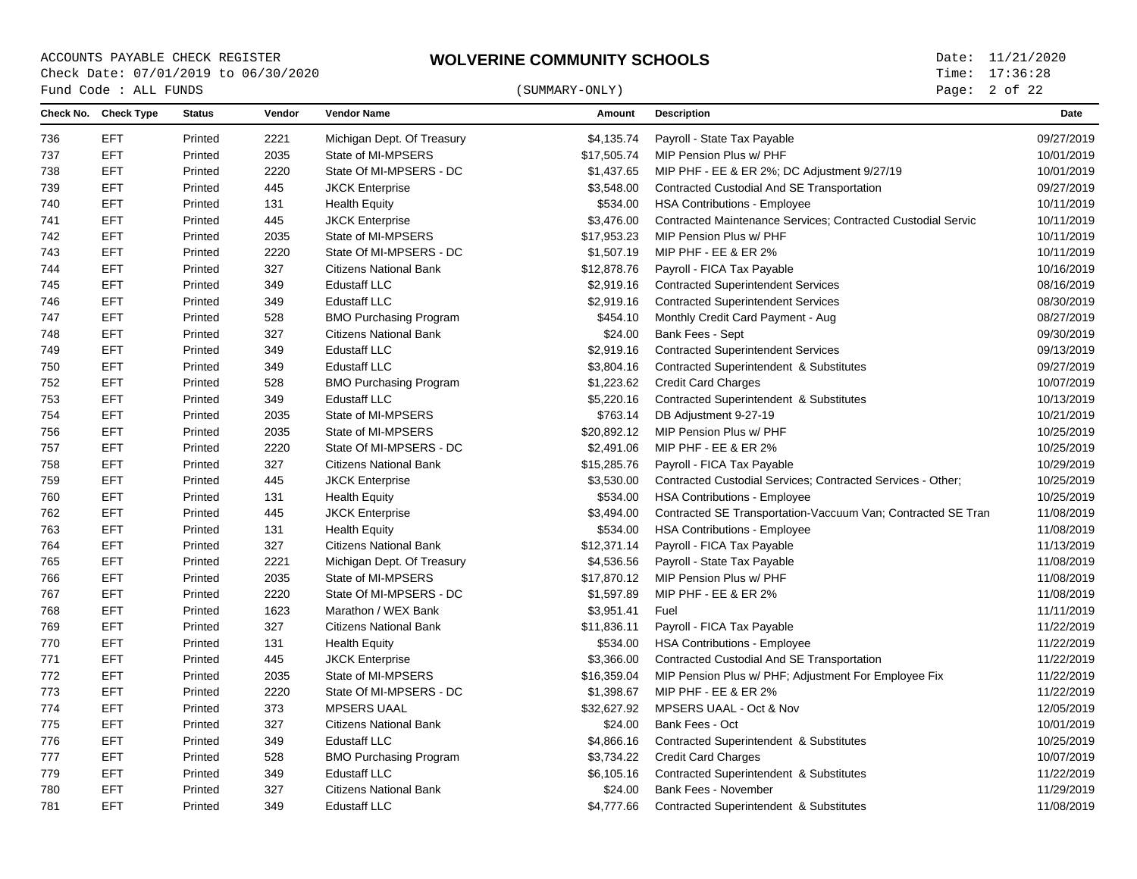ACCOUNTS PAYABLE CHECK REGISTER **WOLVERINE COMMUNITY SCHOOLS** Date: 11/21/2020<br>Check Date: 07/01/2019 to 06/30/2020 **WOLVERINE COMMUNITY SCHOOLS** Time: 17:36:28 Check Date: 07/01/2019 to 06/30/2020  $\begin{array}{cccc}\n\text{Fund Code}: \text{ALL FUNDS}\n\end{array} \tag{SUMMARY-ONLY}$ 

Page: 2 of 22

| Check No. | <b>Check Type</b> | <b>Status</b> | Vendor | <b>Vendor Name</b>            | Amount      | <b>Description</b>                                                  | Date       |
|-----------|-------------------|---------------|--------|-------------------------------|-------------|---------------------------------------------------------------------|------------|
| 736       | <b>EFT</b>        | Printed       | 2221   | Michigan Dept. Of Treasury    | \$4,135.74  | Payroll - State Tax Payable                                         | 09/27/2019 |
| 737       | <b>EFT</b>        | Printed       | 2035   | State of MI-MPSERS            | \$17.505.74 | MIP Pension Plus w/ PHF                                             | 10/01/2019 |
| 738       | <b>EFT</b>        | Printed       | 2220   | State Of MI-MPSERS - DC       | \$1,437.65  | MIP PHF - EE & ER 2%; DC Adjustment 9/27/19                         | 10/01/2019 |
| 739       | <b>EFT</b>        | Printed       | 445    | <b>JKCK Enterprise</b>        | \$3,548.00  | Contracted Custodial And SE Transportation                          | 09/27/2019 |
| 740       | <b>EFT</b>        | Printed       | 131    | <b>Health Equity</b>          | \$534.00    | <b>HSA Contributions - Employee</b>                                 | 10/11/2019 |
| 741       | <b>EFT</b>        | Printed       | 445    | <b>JKCK Enterprise</b>        | \$3,476.00  | <b>Contracted Maintenance Services: Contracted Custodial Servic</b> | 10/11/2019 |
| 742       | <b>EFT</b>        | Printed       | 2035   | State of MI-MPSERS            | \$17,953.23 | MIP Pension Plus w/ PHF                                             | 10/11/2019 |
| 743       | <b>EFT</b>        | Printed       | 2220   | State Of MI-MPSERS - DC       | \$1,507.19  | MIP PHF - EE & ER 2%                                                | 10/11/2019 |
| 744       | <b>EFT</b>        | Printed       | 327    | <b>Citizens National Bank</b> | \$12,878.76 | Payroll - FICA Tax Payable                                          | 10/16/2019 |
| 745       | <b>EFT</b>        | Printed       | 349    | <b>Edustaff LLC</b>           | \$2,919.16  | <b>Contracted Superintendent Services</b>                           | 08/16/2019 |
| 746       | <b>EFT</b>        | Printed       | 349    | <b>Edustaff LLC</b>           | \$2,919.16  | <b>Contracted Superintendent Services</b>                           | 08/30/2019 |
| 747       | <b>EFT</b>        | Printed       | 528    | <b>BMO Purchasing Program</b> | \$454.10    | Monthly Credit Card Payment - Aug                                   | 08/27/2019 |
| 748       | <b>EFT</b>        | Printed       | 327    | <b>Citizens National Bank</b> | \$24.00     | Bank Fees - Sept                                                    | 09/30/2019 |
| 749       | <b>EFT</b>        | Printed       | 349    | <b>Edustaff LLC</b>           | \$2,919.16  | <b>Contracted Superintendent Services</b>                           | 09/13/2019 |
| 750       | <b>EFT</b>        | Printed       | 349    | <b>Edustaff LLC</b>           | \$3,804.16  | Contracted Superintendent & Substitutes                             | 09/27/2019 |
| 752       | <b>EFT</b>        | Printed       | 528    | <b>BMO Purchasing Program</b> | \$1,223.62  | <b>Credit Card Charges</b>                                          | 10/07/2019 |
| 753       | <b>EFT</b>        | Printed       | 349    | <b>Edustaff LLC</b>           | \$5,220.16  | Contracted Superintendent & Substitutes                             | 10/13/2019 |
| 754       | <b>EFT</b>        | Printed       | 2035   | State of MI-MPSERS            | \$763.14    | DB Adjustment 9-27-19                                               | 10/21/2019 |
| 756       | <b>EFT</b>        | Printed       | 2035   | State of MI-MPSERS            | \$20,892.12 | MIP Pension Plus w/ PHF                                             | 10/25/2019 |
| 757       | EFT               | Printed       | 2220   | State Of MI-MPSERS - DC       | \$2,491.06  | MIP PHF - EE & ER 2%                                                | 10/25/2019 |
| 758       | <b>EFT</b>        | Printed       | 327    | <b>Citizens National Bank</b> | \$15,285.76 | Payroll - FICA Tax Payable                                          | 10/29/2019 |
| 759       | <b>EFT</b>        | Printed       | 445    | <b>JKCK Enterprise</b>        | \$3,530.00  | Contracted Custodial Services: Contracted Services - Other:         | 10/25/2019 |
| 760       | <b>EFT</b>        | Printed       | 131    | <b>Health Equity</b>          | \$534.00    | <b>HSA Contributions - Employee</b>                                 | 10/25/2019 |
| 762       | <b>EFT</b>        | Printed       | 445    | <b>JKCK Enterprise</b>        | \$3,494.00  | Contracted SE Transportation-Vaccuum Van; Contracted SE Tran        | 11/08/2019 |
| 763       | <b>EFT</b>        | Printed       | 131    | <b>Health Equity</b>          | \$534.00    | <b>HSA Contributions - Employee</b>                                 | 11/08/2019 |
| 764       | <b>EFT</b>        | Printed       | 327    | <b>Citizens National Bank</b> | \$12,371.14 | Payroll - FICA Tax Payable                                          | 11/13/2019 |
| 765       | <b>EFT</b>        | Printed       | 2221   | Michigan Dept. Of Treasury    | \$4,536.56  | Payroll - State Tax Payable                                         | 11/08/2019 |
| 766       | <b>EFT</b>        | Printed       | 2035   | State of MI-MPSERS            | \$17,870.12 | MIP Pension Plus w/ PHF                                             | 11/08/2019 |
| 767       | <b>EFT</b>        | Printed       | 2220   | State Of MI-MPSERS - DC       | \$1,597.89  | MIP PHF - EE & ER 2%                                                | 11/08/2019 |
| 768       | <b>EFT</b>        | Printed       | 1623   | Marathon / WEX Bank           | \$3,951.41  | Fuel                                                                | 11/11/2019 |
| 769       | <b>EFT</b>        | Printed       | 327    | <b>Citizens National Bank</b> | \$11,836.11 | Payroll - FICA Tax Payable                                          | 11/22/2019 |
| 770       | <b>EFT</b>        | Printed       | 131    | <b>Health Equity</b>          | \$534.00    | <b>HSA Contributions - Employee</b>                                 | 11/22/2019 |
| 771       | <b>EFT</b>        | Printed       | 445    | <b>JKCK Enterprise</b>        | \$3,366.00  | <b>Contracted Custodial And SE Transportation</b>                   | 11/22/2019 |
| 772       | <b>EFT</b>        | Printed       | 2035   | State of MI-MPSERS            | \$16,359.04 | MIP Pension Plus w/ PHF; Adjustment For Employee Fix                | 11/22/2019 |
| 773       | <b>EFT</b>        | Printed       | 2220   | State Of MI-MPSERS - DC       | \$1,398.67  | MIP PHF - EE & ER 2%                                                | 11/22/2019 |
| 774       | <b>EFT</b>        | Printed       | 373    | <b>MPSERS UAAL</b>            | \$32,627.92 | MPSERS UAAL - Oct & Nov                                             | 12/05/2019 |
| 775       | <b>EFT</b>        | Printed       | 327    | <b>Citizens National Bank</b> | \$24.00     | Bank Fees - Oct                                                     | 10/01/2019 |
| 776       | <b>EFT</b>        | Printed       | 349    | <b>Edustaff LLC</b>           | \$4,866.16  | Contracted Superintendent & Substitutes                             | 10/25/2019 |
| 777       | <b>EFT</b>        | Printed       | 528    | <b>BMO Purchasing Program</b> | \$3,734.22  | <b>Credit Card Charges</b>                                          | 10/07/2019 |
| 779       | <b>EFT</b>        | Printed       | 349    | <b>Edustaff LLC</b>           | \$6,105.16  | <b>Contracted Superintendent &amp; Substitutes</b>                  | 11/22/2019 |
| 780       | EFT               | Printed       | 327    | <b>Citizens National Bank</b> | \$24.00     | Bank Fees - November                                                | 11/29/2019 |
| 781       | <b>EFT</b>        | Printed       | 349    | <b>Edustaff LLC</b>           | \$4,777.66  | <b>Contracted Superintendent &amp; Substitutes</b>                  | 11/08/2019 |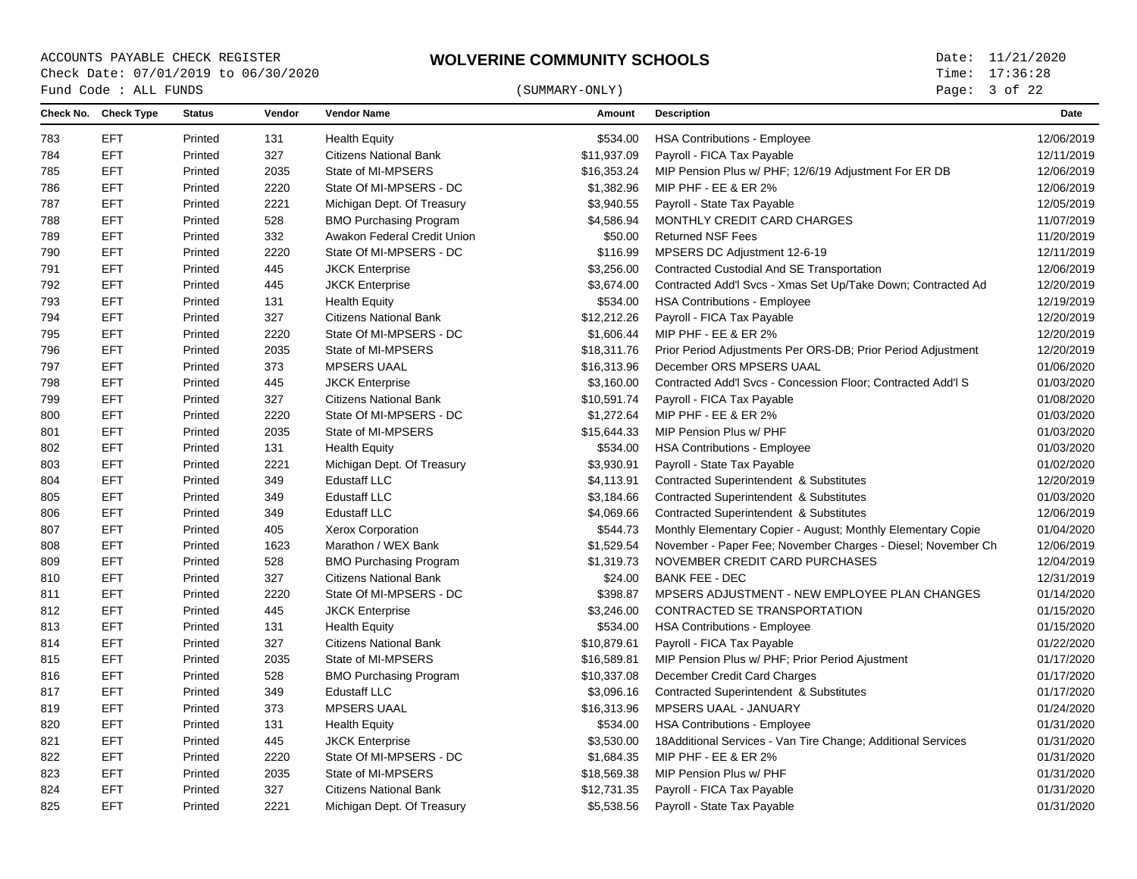ACCOUNTS PAYABLE CHECK REGISTER **WOLVERINE COMMUNITY SCHOOLS** Date: 11/21/2020<br>Check Date: 07/01/2019 to 06/30/2020 **WOLVERINE COMMUNITY SCHOOLS** Time: 17:36:28 Check Date: 07/01/2019 to 06/30/2020  $\begin{array}{cccc}\n\text{Fund Code}: \text{ALL FUNDS}\n\end{array} \tag{SUMMARY-ONLY}$ 

Page: 3 of 22

|     | Check No. Check Type | <b>Status</b> | Vendor | <b>Vendor Name</b>            | Amount      | <b>Description</b>                                           | Date       |
|-----|----------------------|---------------|--------|-------------------------------|-------------|--------------------------------------------------------------|------------|
| 783 | EFT                  | Printed       | 131    | <b>Health Equity</b>          | \$534.00    | <b>HSA Contributions - Employee</b>                          | 12/06/2019 |
| 784 | <b>EFT</b>           | Printed       | 327    | <b>Citizens National Bank</b> | \$11,937.09 | Payroll - FICA Tax Payable                                   | 12/11/2019 |
| 785 | <b>EFT</b>           | Printed       | 2035   | State of MI-MPSERS            | \$16,353.24 | MIP Pension Plus w/ PHF; 12/6/19 Adjustment For ER DB        | 12/06/2019 |
| 786 | <b>EFT</b>           | Printed       | 2220   | State Of MI-MPSERS - DC       | \$1,382.96  | MIP PHF - EE & ER 2%                                         | 12/06/2019 |
| 787 | <b>EFT</b>           | Printed       | 2221   | Michigan Dept. Of Treasury    | \$3,940.55  | Payroll - State Tax Payable                                  | 12/05/2019 |
| 788 | <b>EFT</b>           | Printed       | 528    | <b>BMO Purchasing Program</b> | \$4,586.94  | MONTHLY CREDIT CARD CHARGES                                  | 11/07/2019 |
| 789 | <b>EFT</b>           | Printed       | 332    | Awakon Federal Credit Union   | \$50.00     | <b>Returned NSF Fees</b>                                     | 11/20/2019 |
| 790 | <b>EFT</b>           | Printed       | 2220   | State Of MI-MPSERS - DC       | \$116.99    | MPSERS DC Adjustment 12-6-19                                 | 12/11/2019 |
| 791 | <b>EFT</b>           | Printed       | 445    | <b>JKCK Enterprise</b>        | \$3,256.00  | <b>Contracted Custodial And SE Transportation</b>            | 12/06/2019 |
| 792 | <b>EFT</b>           | Printed       | 445    | <b>JKCK Enterprise</b>        | \$3,674.00  | Contracted Add'l Svcs - Xmas Set Up/Take Down; Contracted Ad | 12/20/2019 |
| 793 | <b>EFT</b>           | Printed       | 131    | <b>Health Equity</b>          | \$534.00    | <b>HSA Contributions - Employee</b>                          | 12/19/2019 |
| 794 | <b>EFT</b>           | Printed       | 327    | <b>Citizens National Bank</b> | \$12,212.26 | Payroll - FICA Tax Payable                                   | 12/20/2019 |
| 795 | <b>EFT</b>           | Printed       | 2220   | State Of MI-MPSERS - DC       | \$1,606.44  | MIP PHF - EE & ER 2%                                         | 12/20/2019 |
| 796 | <b>EFT</b>           | Printed       | 2035   | State of MI-MPSERS            | \$18,311.76 | Prior Period Adjustments Per ORS-DB; Prior Period Adjustment | 12/20/2019 |
| 797 | <b>EFT</b>           | Printed       | 373    | <b>MPSERS UAAL</b>            | \$16,313.96 | December ORS MPSERS UAAL                                     | 01/06/2020 |
| 798 | <b>EFT</b>           | Printed       | 445    | <b>JKCK Enterprise</b>        | \$3,160.00  | Contracted Add'l Svcs - Concession Floor; Contracted Add'l S | 01/03/2020 |
| 799 | <b>EFT</b>           | Printed       | 327    | <b>Citizens National Bank</b> | \$10,591.74 | Payroll - FICA Tax Payable                                   | 01/08/2020 |
| 800 | <b>EFT</b>           | Printed       | 2220   | State Of MI-MPSERS - DC       | \$1,272.64  | MIP PHF - EE & ER 2%                                         | 01/03/2020 |
| 801 | <b>EFT</b>           | Printed       | 2035   | State of MI-MPSERS            | \$15,644.33 | MIP Pension Plus w/ PHF                                      | 01/03/2020 |
| 802 | <b>EFT</b>           | Printed       | 131    | <b>Health Equity</b>          | \$534.00    | <b>HSA Contributions - Employee</b>                          | 01/03/2020 |
| 803 | <b>EFT</b>           | Printed       | 2221   | Michigan Dept. Of Treasury    | \$3,930.91  | Payroll - State Tax Payable                                  | 01/02/2020 |
| 804 | <b>EFT</b>           | Printed       | 349    | <b>Edustaff LLC</b>           | \$4,113.91  | Contracted Superintendent & Substitutes                      | 12/20/2019 |
| 805 | <b>EFT</b>           | Printed       | 349    | Edustaff LLC                  | \$3,184.66  | Contracted Superintendent & Substitutes                      | 01/03/2020 |
| 806 | <b>EFT</b>           | Printed       | 349    | <b>Edustaff LLC</b>           | \$4,069.66  | <b>Contracted Superintendent &amp; Substitutes</b>           | 12/06/2019 |
| 807 | <b>EFT</b>           | Printed       | 405    | Xerox Corporation             | \$544.73    | Monthly Elementary Copier - August; Monthly Elementary Copie | 01/04/2020 |
| 808 | <b>EFT</b>           | Printed       | 1623   | Marathon / WEX Bank           | \$1,529.54  | November - Paper Fee; November Charges - Diesel; November Ch | 12/06/2019 |
| 809 | <b>EFT</b>           | Printed       | 528    | <b>BMO Purchasing Program</b> | \$1,319.73  | NOVEMBER CREDIT CARD PURCHASES                               | 12/04/2019 |
| 810 | <b>EFT</b>           | Printed       | 327    | <b>Citizens National Bank</b> | \$24.00     | <b>BANK FEE - DEC</b>                                        | 12/31/2019 |
| 811 | <b>EFT</b>           | Printed       | 2220   | State Of MI-MPSERS - DC       | \$398.87    | MPSERS ADJUSTMENT - NEW EMPLOYEE PLAN CHANGES                | 01/14/2020 |
| 812 | <b>EFT</b>           | Printed       | 445    | <b>JKCK Enterprise</b>        | \$3,246.00  | CONTRACTED SE TRANSPORTATION                                 | 01/15/2020 |
| 813 | <b>EFT</b>           | Printed       | 131    | <b>Health Equity</b>          | \$534.00    | <b>HSA Contributions - Employee</b>                          | 01/15/2020 |
| 814 | <b>EFT</b>           | Printed       | 327    | <b>Citizens National Bank</b> | \$10,879.61 | Payroll - FICA Tax Payable                                   | 01/22/2020 |
| 815 | <b>EFT</b>           | Printed       | 2035   | State of MI-MPSERS            | \$16,589.81 | MIP Pension Plus w/ PHF; Prior Period Ajustment              | 01/17/2020 |
| 816 | <b>EFT</b>           | Printed       | 528    | <b>BMO Purchasing Program</b> | \$10,337.08 | December Credit Card Charges                                 | 01/17/2020 |
| 817 | <b>EFT</b>           | Printed       | 349    | <b>Edustaff LLC</b>           | \$3,096.16  | Contracted Superintendent & Substitutes                      | 01/17/2020 |
| 819 | <b>EFT</b>           | Printed       | 373    | <b>MPSERS UAAL</b>            | \$16,313.96 | MPSERS UAAL - JANUARY                                        | 01/24/2020 |
| 820 | <b>EFT</b>           | Printed       | 131    | <b>Health Equity</b>          | \$534.00    | <b>HSA Contributions - Employee</b>                          | 01/31/2020 |
| 821 | EFT                  | Printed       | 445    | <b>JKCK Enterprise</b>        | \$3,530.00  | 18Additional Services - Van Tire Change; Additional Services | 01/31/2020 |
| 822 | <b>EFT</b>           | Printed       | 2220   | State Of MI-MPSERS - DC       | \$1,684.35  | MIP PHF - EE & ER 2%                                         | 01/31/2020 |
| 823 | <b>EFT</b>           | Printed       | 2035   | State of MI-MPSERS            | \$18,569.38 | MIP Pension Plus w/ PHF                                      | 01/31/2020 |
| 824 | <b>EFT</b>           | Printed       | 327    | <b>Citizens National Bank</b> | \$12,731.35 | Payroll - FICA Tax Payable                                   | 01/31/2020 |
| 825 | <b>EFT</b>           | Printed       | 2221   | Michigan Dept. Of Treasury    | \$5,538.56  | Payroll - State Tax Payable                                  | 01/31/2020 |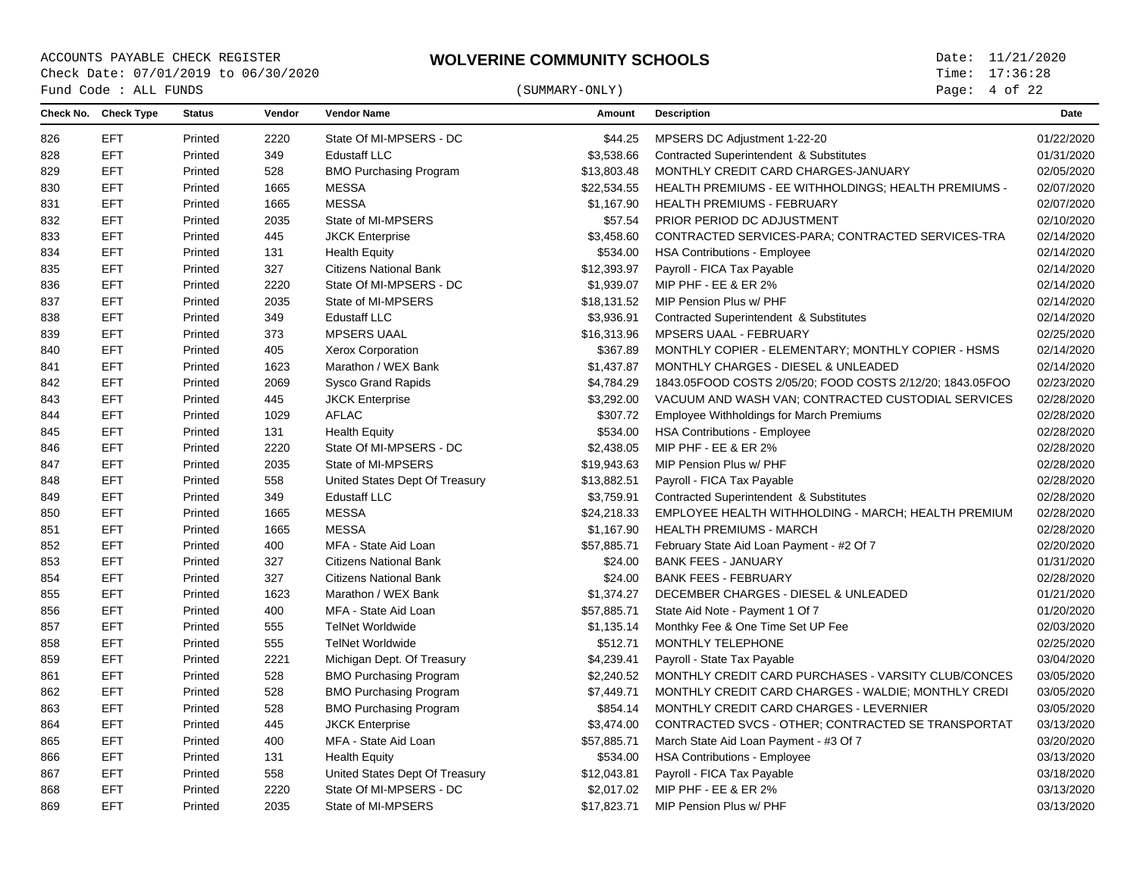## $\begin{array}{cccc}\n\text{Fund Code}: \text{ALL FUNDS}\n\end{array} \tag{SUMMARY-ONLY}$

Page: of 22

|     | Check No. Check Type | <b>Status</b> | Vendor | <b>Vendor Name</b>             | Amount      | <b>Description</b>                                        | Date       |
|-----|----------------------|---------------|--------|--------------------------------|-------------|-----------------------------------------------------------|------------|
| 826 | <b>EFT</b>           | Printed       | 2220   | State Of MI-MPSERS - DC        | \$44.25     | MPSERS DC Adjustment 1-22-20                              | 01/22/2020 |
| 828 | <b>EFT</b>           | Printed       | 349    | <b>Edustaff LLC</b>            | \$3,538.66  | <b>Contracted Superintendent &amp; Substitutes</b>        | 01/31/2020 |
| 829 | <b>EFT</b>           | Printed       | 528    | <b>BMO Purchasing Program</b>  | \$13,803.48 | MONTHLY CREDIT CARD CHARGES-JANUARY                       | 02/05/2020 |
| 830 | <b>EFT</b>           | Printed       | 1665   | <b>MESSA</b>                   | \$22,534.55 | HEALTH PREMIUMS - EE WITHHOLDINGS; HEALTH PREMIUMS -      | 02/07/2020 |
| 831 | <b>EFT</b>           | Printed       | 1665   | <b>MESSA</b>                   | \$1,167.90  | HEALTH PREMIUMS - FEBRUARY                                | 02/07/2020 |
| 832 | <b>EFT</b>           | Printed       | 2035   | State of MI-MPSERS             | \$57.54     | PRIOR PERIOD DC ADJUSTMENT                                | 02/10/2020 |
| 833 | <b>EFT</b>           | Printed       | 445    | <b>JKCK Enterprise</b>         | \$3,458.60  | CONTRACTED SERVICES-PARA; CONTRACTED SERVICES-TRA         | 02/14/2020 |
| 834 | <b>EFT</b>           | Printed       | 131    | <b>Health Equity</b>           | \$534.00    | <b>HSA Contributions - Employee</b>                       | 02/14/2020 |
| 835 | <b>EFT</b>           | Printed       | 327    | <b>Citizens National Bank</b>  | \$12,393.97 | Payroll - FICA Tax Payable                                | 02/14/2020 |
| 836 | <b>EFT</b>           | Printed       | 2220   | State Of MI-MPSERS - DC        | \$1,939.07  | MIP PHF - EE & ER 2%                                      | 02/14/2020 |
| 837 | <b>EFT</b>           | Printed       | 2035   | State of MI-MPSERS             | \$18,131.52 | MIP Pension Plus w/ PHF                                   | 02/14/2020 |
| 838 | <b>EFT</b>           | Printed       | 349    | <b>Edustaff LLC</b>            | \$3,936.91  | <b>Contracted Superintendent &amp; Substitutes</b>        | 02/14/2020 |
| 839 | <b>EFT</b>           | Printed       | 373    | <b>MPSERS UAAL</b>             | \$16,313.96 | MPSERS UAAL - FEBRUARY                                    | 02/25/2020 |
| 840 | <b>EFT</b>           | Printed       | 405    | <b>Xerox Corporation</b>       | \$367.89    | MONTHLY COPIER - ELEMENTARY; MONTHLY COPIER - HSMS        | 02/14/2020 |
| 841 | <b>EFT</b>           | Printed       | 1623   | Marathon / WEX Bank            | \$1,437.87  | MONTHLY CHARGES - DIESEL & UNLEADED                       | 02/14/2020 |
| 842 | <b>EFT</b>           | Printed       | 2069   | <b>Sysco Grand Rapids</b>      | \$4,784.29  | 1843.05FOOD COSTS 2/05/20; FOOD COSTS 2/12/20; 1843.05FOO | 02/23/2020 |
| 843 | <b>EFT</b>           | Printed       | 445    | <b>JKCK Enterprise</b>         | \$3,292.00  | VACUUM AND WASH VAN; CONTRACTED CUSTODIAL SERVICES        | 02/28/2020 |
| 844 | <b>EFT</b>           | Printed       | 1029   | <b>AFLAC</b>                   | \$307.72    | <b>Employee Withholdings for March Premiums</b>           | 02/28/2020 |
| 845 | <b>EFT</b>           | Printed       | 131    | <b>Health Equity</b>           | \$534.00    | <b>HSA Contributions - Employee</b>                       | 02/28/2020 |
| 846 | <b>EFT</b>           | Printed       | 2220   | State Of MI-MPSERS - DC        | \$2,438.05  | MIP PHF - EE & ER 2%                                      | 02/28/2020 |
| 847 | <b>EFT</b>           | Printed       | 2035   | State of MI-MPSERS             | \$19,943.63 | MIP Pension Plus w/ PHF                                   | 02/28/2020 |
| 848 | <b>EFT</b>           | Printed       | 558    | United States Dept Of Treasury | \$13,882.51 | Payroll - FICA Tax Payable                                | 02/28/2020 |
| 849 | <b>EFT</b>           | Printed       | 349    | <b>Edustaff LLC</b>            | \$3,759.91  | Contracted Superintendent & Substitutes                   | 02/28/2020 |
| 850 | <b>EFT</b>           | Printed       | 1665   | <b>MESSA</b>                   | \$24,218.33 | EMPLOYEE HEALTH WITHHOLDING - MARCH; HEALTH PREMIUM       | 02/28/2020 |
| 851 | <b>EFT</b>           | Printed       | 1665   | <b>MESSA</b>                   | \$1,167.90  | <b>HEALTH PREMIUMS - MARCH</b>                            | 02/28/2020 |
| 852 | <b>EFT</b>           | Printed       | 400    | MFA - State Aid Loan           | \$57,885.71 | February State Aid Loan Payment - #2 Of 7                 | 02/20/2020 |
| 853 | <b>EFT</b>           | Printed       | 327    | <b>Citizens National Bank</b>  | \$24.00     | <b>BANK FEES - JANUARY</b>                                | 01/31/2020 |
| 854 | <b>EFT</b>           | Printed       | 327    | <b>Citizens National Bank</b>  | \$24.00     | <b>BANK FEES - FEBRUARY</b>                               | 02/28/2020 |
| 855 | <b>EFT</b>           | Printed       | 1623   | Marathon / WEX Bank            | \$1,374.27  | DECEMBER CHARGES - DIESEL & UNLEADED                      | 01/21/2020 |
| 856 | <b>EFT</b>           | Printed       | 400    | MFA - State Aid Loan           | \$57,885.71 | State Aid Note - Payment 1 Of 7                           | 01/20/2020 |
| 857 | <b>EFT</b>           | Printed       | 555    | <b>TelNet Worldwide</b>        | \$1,135.14  | Monthky Fee & One Time Set UP Fee                         | 02/03/2020 |
| 858 | <b>EFT</b>           | Printed       | 555    | <b>TelNet Worldwide</b>        | \$512.71    | MONTHLY TELEPHONE                                         | 02/25/2020 |
| 859 | <b>EFT</b>           | Printed       | 2221   | Michigan Dept. Of Treasury     | \$4,239.41  | Payroll - State Tax Payable                               | 03/04/2020 |
| 861 | <b>EFT</b>           | Printed       | 528    | <b>BMO Purchasing Program</b>  | \$2,240.52  | MONTHLY CREDIT CARD PURCHASES - VARSITY CLUB/CONCES       | 03/05/2020 |
| 862 | <b>EFT</b>           | Printed       | 528    | <b>BMO Purchasing Program</b>  | \$7,449.71  | MONTHLY CREDIT CARD CHARGES - WALDIE; MONTHLY CREDI       | 03/05/2020 |
| 863 | <b>EFT</b>           | Printed       | 528    | <b>BMO Purchasing Program</b>  | \$854.14    | MONTHLY CREDIT CARD CHARGES - LEVERNIER                   | 03/05/2020 |
| 864 | <b>EFT</b>           | Printed       | 445    | <b>JKCK Enterprise</b>         | \$3,474.00  | CONTRACTED SVCS - OTHER; CONTRACTED SE TRANSPORTAT        | 03/13/2020 |
| 865 | <b>EFT</b>           | Printed       | 400    | MFA - State Aid Loan           | \$57,885.71 | March State Aid Loan Payment - #3 Of 7                    | 03/20/2020 |
| 866 | <b>EFT</b>           | Printed       | 131    | <b>Health Equity</b>           | \$534.00    | <b>HSA Contributions - Employee</b>                       | 03/13/2020 |
| 867 | <b>EFT</b>           | Printed       | 558    | United States Dept Of Treasury | \$12,043.81 | Payroll - FICA Tax Payable                                | 03/18/2020 |
| 868 | <b>EFT</b>           | Printed       | 2220   | State Of MI-MPSERS - DC        | \$2,017.02  | MIP PHF - EE & ER 2%                                      | 03/13/2020 |
| 869 | <b>EFT</b>           | Printed       | 2035   | State of MI-MPSERS             | \$17,823.71 | MIP Pension Plus w/ PHF                                   | 03/13/2020 |
|     |                      |               |        |                                |             |                                                           |            |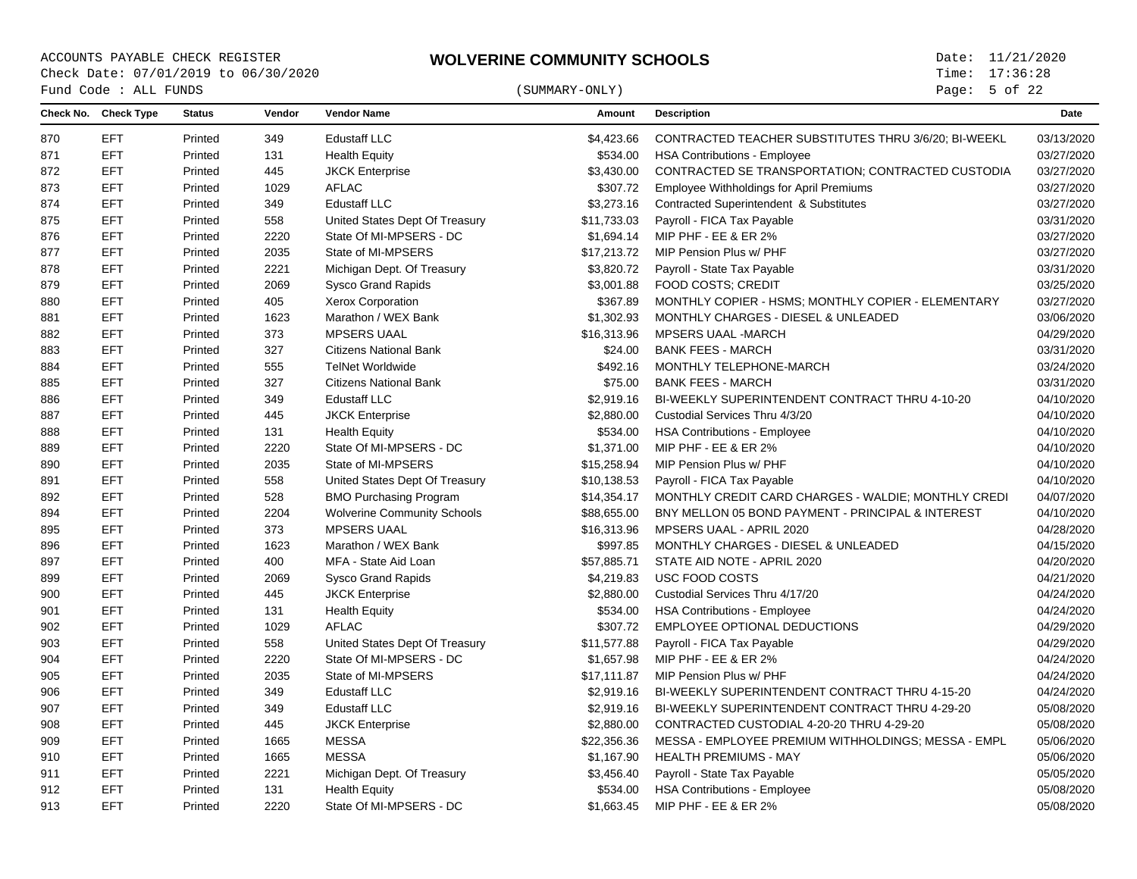Page: 5 of 22

| Check No. Check Type<br>Vendor<br><b>Vendor Name</b><br><b>Description</b><br>Date<br><b>Status</b><br>Amount<br><b>EFT</b><br><b>Edustaff LLC</b><br>CONTRACTED TEACHER SUBSTITUTES THRU 3/6/20; BI-WEEKL<br>Printed<br>349<br>\$4,423.66<br><b>EFT</b><br>Printed<br>131<br><b>Health Equity</b><br>\$534.00<br><b>HSA Contributions - Employee</b><br><b>EFT</b><br>445<br><b>JKCK Enterprise</b><br>\$3,430.00<br>CONTRACTED SE TRANSPORTATION; CONTRACTED CUSTODIA<br>03/27/2020<br>Printed<br><b>EFT</b><br>1029<br><b>AFLAC</b><br>\$307.72<br>Printed<br><b>Employee Withholdings for April Premiums</b><br><b>EFT</b><br>349<br><b>Edustaff LLC</b><br>\$3,273.16<br>Contracted Superintendent & Substitutes<br>Printed<br>\$11,733.03<br><b>EFT</b><br>558<br>United States Dept Of Treasury<br>Payroll - FICA Tax Payable<br>Printed<br><b>EFT</b><br>Printed<br>2220<br>State Of MI-MPSERS - DC<br>\$1,694.14<br>MIP PHF - EE & ER 2%<br><b>EFT</b><br>2035<br>\$17,213.72<br>MIP Pension Plus w/ PHF<br>877<br>Printed<br>State of MI-MPSERS<br>\$3,820.72<br><b>EFT</b><br>Printed<br>2221<br>Michigan Dept. Of Treasury<br>Payroll - State Tax Payable<br><b>EFT</b><br>Printed<br>2069<br>\$3,001.88<br><b>FOOD COSTS: CREDIT</b><br><b>Sysco Grand Rapids</b><br><b>EFT</b><br>405<br>\$367.89<br>MONTHLY COPIER - HSMS; MONTHLY COPIER - ELEMENTARY<br>880<br>Printed<br>Xerox Corporation<br><b>EFT</b><br>\$1,302.93<br>Printed<br>1623<br>Marathon / WEX Bank<br>MONTHLY CHARGES - DIESEL & UNLEADED<br>881<br><b>EFT</b><br>Printed<br>373<br><b>MPSERS UAAL</b><br>\$16,313.96<br><b>MPSERS UAAL -MARCH</b><br><b>EFT</b><br>Printed<br>327<br><b>Citizens National Bank</b><br>\$24.00<br><b>BANK FEES - MARCH</b><br>883<br><b>EFT</b><br>555<br><b>TelNet Worldwide</b><br>\$492.16<br>MONTHLY TELEPHONE-MARCH<br>884<br>Printed<br><b>EFT</b><br>327<br>\$75.00<br><b>BANK FEES - MARCH</b><br>885<br>Printed<br><b>Citizens National Bank</b><br><b>EFT</b><br>BI-WEEKLY SUPERINTENDENT CONTRACT THRU 4-10-20<br>886<br>Printed<br>349<br><b>Edustaff LLC</b><br>\$2,919.16<br><b>EFT</b><br>445<br><b>JKCK Enterprise</b><br>\$2,880.00<br>Custodial Services Thru 4/3/20<br>887<br>Printed<br><b>EFT</b><br>131<br>Printed<br><b>Health Equity</b><br>\$534.00<br><b>HSA Contributions - Employee</b><br><b>EFT</b><br>2220<br>State Of MI-MPSERS - DC<br>\$1,371.00<br>MIP PHF - EE & ER 2%<br>889<br>Printed<br>890<br><b>EFT</b><br>Printed<br>2035<br>State of MI-MPSERS<br>\$15,258.94<br>MIP Pension Plus w/ PHF<br><b>EFT</b><br>Printed<br>558<br>Payroll - FICA Tax Payable<br>United States Dept Of Treasury<br>\$10,138.53<br><b>EFT</b><br>Printed<br>528<br><b>BMO Purchasing Program</b><br>MONTHLY CREDIT CARD CHARGES - WALDIE; MONTHLY CREDI<br>892<br>\$14,354.17<br>894<br><b>EFT</b><br>Printed<br>2204<br><b>Wolverine Community Schools</b><br>\$88,655.00<br>BNY MELLON 05 BOND PAYMENT - PRINCIPAL & INTEREST<br>373<br><b>MPSERS UAAL</b><br>895<br>EFT<br>Printed<br>\$16,313.96<br>MPSERS UAAL - APRIL 2020<br>EFT<br>Printed<br>1623<br>Marathon / WEX Bank<br>\$997.85<br>MONTHLY CHARGES - DIESEL & UNLEADED<br>896<br><b>EFT</b><br>897<br>Printed<br>400<br>MFA - State Aid Loan<br>\$57,885.71<br>STATE AID NOTE - APRIL 2020<br>USC FOOD COSTS<br>EFT<br>Printed<br>2069<br><b>Sysco Grand Rapids</b><br>\$4,219.83<br><b>EFT</b><br>445<br>\$2,880.00<br>04/24/2020<br>900<br>Printed<br><b>JKCK Enterprise</b><br>Custodial Services Thru 4/17/20<br>901<br><b>EFT</b><br>Printed<br>131<br><b>Health Equity</b><br>\$534.00<br><b>HSA Contributions - Employee</b><br><b>AFLAC</b><br>\$307.72<br><b>EFT</b><br>1029<br>EMPLOYEE OPTIONAL DEDUCTIONS<br>902<br>Printed<br><b>EFT</b><br>558<br>United States Dept Of Treasury<br>\$11,577.88<br>Payroll - FICA Tax Payable<br>04/29/2020<br>903<br>Printed<br><b>EFT</b><br>2220<br>904<br>Printed<br>State Of MI-MPSERS - DC<br>\$1,657.98<br>MIP PHF - EE & ER 2%<br><b>EFT</b><br>Printed<br>2035<br>State of MI-MPSERS<br>\$17,111.87<br>MIP Pension Plus w/ PHF<br>905<br>906<br><b>EFT</b><br>349<br><b>Edustaff LLC</b><br>\$2,919.16<br>04/24/2020<br>Printed<br>BI-WEEKLY SUPERINTENDENT CONTRACT THRU 4-15-20<br><b>EFT</b><br>349<br>907<br>Printed<br><b>Edustaff LLC</b><br>\$2,919.16<br>BI-WEEKLY SUPERINTENDENT CONTRACT THRU 4-29-20<br><b>EFT</b><br>908<br>Printed<br>445<br><b>JKCK Enterprise</b><br>\$2,880.00<br>CONTRACTED CUSTODIAL 4-20-20 THRU 4-29-20<br><b>EFT</b><br>1665<br><b>MESSA</b><br>\$22,356.36<br>MESSA - EMPLOYEE PREMIUM WITHHOLDINGS; MESSA - EMPL<br>Printed<br><b>MESSA</b><br><b>EFT</b><br><b>HEALTH PREMIUMS - MAY</b><br>Printed<br>1665<br>\$1,167.90<br><b>EFT</b><br>2221<br>Printed<br>Michigan Dept. Of Treasury<br>\$3,456.40<br>Payroll - State Tax Payable<br><b>EFT</b><br>Printed<br>131<br><b>Health Equity</b><br>\$534.00<br><b>HSA Contributions - Employee</b><br>EFT<br>\$1,663.45 MIP PHF - EE & ER 2%<br>2220<br>State Of MI-MPSERS - DC<br>Printed |     | Fund Code : ALL FUNDS |  | (SUMMARY-ONLY) | Page: $5$ of 22 |  |
|-------------------------------------------------------------------------------------------------------------------------------------------------------------------------------------------------------------------------------------------------------------------------------------------------------------------------------------------------------------------------------------------------------------------------------------------------------------------------------------------------------------------------------------------------------------------------------------------------------------------------------------------------------------------------------------------------------------------------------------------------------------------------------------------------------------------------------------------------------------------------------------------------------------------------------------------------------------------------------------------------------------------------------------------------------------------------------------------------------------------------------------------------------------------------------------------------------------------------------------------------------------------------------------------------------------------------------------------------------------------------------------------------------------------------------------------------------------------------------------------------------------------------------------------------------------------------------------------------------------------------------------------------------------------------------------------------------------------------------------------------------------------------------------------------------------------------------------------------------------------------------------------------------------------------------------------------------------------------------------------------------------------------------------------------------------------------------------------------------------------------------------------------------------------------------------------------------------------------------------------------------------------------------------------------------------------------------------------------------------------------------------------------------------------------------------------------------------------------------------------------------------------------------------------------------------------------------------------------------------------------------------------------------------------------------------------------------------------------------------------------------------------------------------------------------------------------------------------------------------------------------------------------------------------------------------------------------------------------------------------------------------------------------------------------------------------------------------------------------------------------------------------------------------------------------------------------------------------------------------------------------------------------------------------------------------------------------------------------------------------------------------------------------------------------------------------------------------------------------------------------------------------------------------------------------------------------------------------------------------------------------------------------------------------------------------------------------------------------------------------------------------------------------------------------------------------------------------------------------------------------------------------------------------------------------------------------------------------------------------------------------------------------------------------------------------------------------------------------------------------------------------------------------------------------------------------------------------------------------------------------------------------------------------------------------------------------------------------------------------------------------------------------------------------------------------------------------------------------------------------------------------------------------------------------------------------------------------------------------------------------------------------------------------------------------------------------------------------------------------------------------------------------------------------------------------------------------------------------------------------------------------------------------------------------------------------------------------------------------------------------------------------------------------------|-----|-----------------------|--|----------------|-----------------|--|
|                                                                                                                                                                                                                                                                                                                                                                                                                                                                                                                                                                                                                                                                                                                                                                                                                                                                                                                                                                                                                                                                                                                                                                                                                                                                                                                                                                                                                                                                                                                                                                                                                                                                                                                                                                                                                                                                                                                                                                                                                                                                                                                                                                                                                                                                                                                                                                                                                                                                                                                                                                                                                                                                                                                                                                                                                                                                                                                                                                                                                                                                                                                                                                                                                                                                                                                                                                                                                                                                                                                                                                                                                                                                                                                                                                                                                                                                                                                                                                                                                                                                                                                                                                                                                                                                                                                                                                                                                                                                                                                                                                                                                                                                                                                                                                                                                                                                                                                                                                                                                                           |     |                       |  |                |                 |  |
|                                                                                                                                                                                                                                                                                                                                                                                                                                                                                                                                                                                                                                                                                                                                                                                                                                                                                                                                                                                                                                                                                                                                                                                                                                                                                                                                                                                                                                                                                                                                                                                                                                                                                                                                                                                                                                                                                                                                                                                                                                                                                                                                                                                                                                                                                                                                                                                                                                                                                                                                                                                                                                                                                                                                                                                                                                                                                                                                                                                                                                                                                                                                                                                                                                                                                                                                                                                                                                                                                                                                                                                                                                                                                                                                                                                                                                                                                                                                                                                                                                                                                                                                                                                                                                                                                                                                                                                                                                                                                                                                                                                                                                                                                                                                                                                                                                                                                                                                                                                                                                           | 870 |                       |  |                | 03/13/2020      |  |
|                                                                                                                                                                                                                                                                                                                                                                                                                                                                                                                                                                                                                                                                                                                                                                                                                                                                                                                                                                                                                                                                                                                                                                                                                                                                                                                                                                                                                                                                                                                                                                                                                                                                                                                                                                                                                                                                                                                                                                                                                                                                                                                                                                                                                                                                                                                                                                                                                                                                                                                                                                                                                                                                                                                                                                                                                                                                                                                                                                                                                                                                                                                                                                                                                                                                                                                                                                                                                                                                                                                                                                                                                                                                                                                                                                                                                                                                                                                                                                                                                                                                                                                                                                                                                                                                                                                                                                                                                                                                                                                                                                                                                                                                                                                                                                                                                                                                                                                                                                                                                                           | 871 |                       |  |                | 03/27/2020      |  |
|                                                                                                                                                                                                                                                                                                                                                                                                                                                                                                                                                                                                                                                                                                                                                                                                                                                                                                                                                                                                                                                                                                                                                                                                                                                                                                                                                                                                                                                                                                                                                                                                                                                                                                                                                                                                                                                                                                                                                                                                                                                                                                                                                                                                                                                                                                                                                                                                                                                                                                                                                                                                                                                                                                                                                                                                                                                                                                                                                                                                                                                                                                                                                                                                                                                                                                                                                                                                                                                                                                                                                                                                                                                                                                                                                                                                                                                                                                                                                                                                                                                                                                                                                                                                                                                                                                                                                                                                                                                                                                                                                                                                                                                                                                                                                                                                                                                                                                                                                                                                                                           | 872 |                       |  |                |                 |  |
|                                                                                                                                                                                                                                                                                                                                                                                                                                                                                                                                                                                                                                                                                                                                                                                                                                                                                                                                                                                                                                                                                                                                                                                                                                                                                                                                                                                                                                                                                                                                                                                                                                                                                                                                                                                                                                                                                                                                                                                                                                                                                                                                                                                                                                                                                                                                                                                                                                                                                                                                                                                                                                                                                                                                                                                                                                                                                                                                                                                                                                                                                                                                                                                                                                                                                                                                                                                                                                                                                                                                                                                                                                                                                                                                                                                                                                                                                                                                                                                                                                                                                                                                                                                                                                                                                                                                                                                                                                                                                                                                                                                                                                                                                                                                                                                                                                                                                                                                                                                                                                           | 873 |                       |  |                | 03/27/2020      |  |
|                                                                                                                                                                                                                                                                                                                                                                                                                                                                                                                                                                                                                                                                                                                                                                                                                                                                                                                                                                                                                                                                                                                                                                                                                                                                                                                                                                                                                                                                                                                                                                                                                                                                                                                                                                                                                                                                                                                                                                                                                                                                                                                                                                                                                                                                                                                                                                                                                                                                                                                                                                                                                                                                                                                                                                                                                                                                                                                                                                                                                                                                                                                                                                                                                                                                                                                                                                                                                                                                                                                                                                                                                                                                                                                                                                                                                                                                                                                                                                                                                                                                                                                                                                                                                                                                                                                                                                                                                                                                                                                                                                                                                                                                                                                                                                                                                                                                                                                                                                                                                                           | 874 |                       |  |                | 03/27/2020      |  |
|                                                                                                                                                                                                                                                                                                                                                                                                                                                                                                                                                                                                                                                                                                                                                                                                                                                                                                                                                                                                                                                                                                                                                                                                                                                                                                                                                                                                                                                                                                                                                                                                                                                                                                                                                                                                                                                                                                                                                                                                                                                                                                                                                                                                                                                                                                                                                                                                                                                                                                                                                                                                                                                                                                                                                                                                                                                                                                                                                                                                                                                                                                                                                                                                                                                                                                                                                                                                                                                                                                                                                                                                                                                                                                                                                                                                                                                                                                                                                                                                                                                                                                                                                                                                                                                                                                                                                                                                                                                                                                                                                                                                                                                                                                                                                                                                                                                                                                                                                                                                                                           | 875 |                       |  |                | 03/31/2020      |  |
|                                                                                                                                                                                                                                                                                                                                                                                                                                                                                                                                                                                                                                                                                                                                                                                                                                                                                                                                                                                                                                                                                                                                                                                                                                                                                                                                                                                                                                                                                                                                                                                                                                                                                                                                                                                                                                                                                                                                                                                                                                                                                                                                                                                                                                                                                                                                                                                                                                                                                                                                                                                                                                                                                                                                                                                                                                                                                                                                                                                                                                                                                                                                                                                                                                                                                                                                                                                                                                                                                                                                                                                                                                                                                                                                                                                                                                                                                                                                                                                                                                                                                                                                                                                                                                                                                                                                                                                                                                                                                                                                                                                                                                                                                                                                                                                                                                                                                                                                                                                                                                           | 876 |                       |  |                | 03/27/2020      |  |
|                                                                                                                                                                                                                                                                                                                                                                                                                                                                                                                                                                                                                                                                                                                                                                                                                                                                                                                                                                                                                                                                                                                                                                                                                                                                                                                                                                                                                                                                                                                                                                                                                                                                                                                                                                                                                                                                                                                                                                                                                                                                                                                                                                                                                                                                                                                                                                                                                                                                                                                                                                                                                                                                                                                                                                                                                                                                                                                                                                                                                                                                                                                                                                                                                                                                                                                                                                                                                                                                                                                                                                                                                                                                                                                                                                                                                                                                                                                                                                                                                                                                                                                                                                                                                                                                                                                                                                                                                                                                                                                                                                                                                                                                                                                                                                                                                                                                                                                                                                                                                                           |     |                       |  |                | 03/27/2020      |  |
|                                                                                                                                                                                                                                                                                                                                                                                                                                                                                                                                                                                                                                                                                                                                                                                                                                                                                                                                                                                                                                                                                                                                                                                                                                                                                                                                                                                                                                                                                                                                                                                                                                                                                                                                                                                                                                                                                                                                                                                                                                                                                                                                                                                                                                                                                                                                                                                                                                                                                                                                                                                                                                                                                                                                                                                                                                                                                                                                                                                                                                                                                                                                                                                                                                                                                                                                                                                                                                                                                                                                                                                                                                                                                                                                                                                                                                                                                                                                                                                                                                                                                                                                                                                                                                                                                                                                                                                                                                                                                                                                                                                                                                                                                                                                                                                                                                                                                                                                                                                                                                           | 878 |                       |  |                | 03/31/2020      |  |
|                                                                                                                                                                                                                                                                                                                                                                                                                                                                                                                                                                                                                                                                                                                                                                                                                                                                                                                                                                                                                                                                                                                                                                                                                                                                                                                                                                                                                                                                                                                                                                                                                                                                                                                                                                                                                                                                                                                                                                                                                                                                                                                                                                                                                                                                                                                                                                                                                                                                                                                                                                                                                                                                                                                                                                                                                                                                                                                                                                                                                                                                                                                                                                                                                                                                                                                                                                                                                                                                                                                                                                                                                                                                                                                                                                                                                                                                                                                                                                                                                                                                                                                                                                                                                                                                                                                                                                                                                                                                                                                                                                                                                                                                                                                                                                                                                                                                                                                                                                                                                                           | 879 |                       |  |                | 03/25/2020      |  |
|                                                                                                                                                                                                                                                                                                                                                                                                                                                                                                                                                                                                                                                                                                                                                                                                                                                                                                                                                                                                                                                                                                                                                                                                                                                                                                                                                                                                                                                                                                                                                                                                                                                                                                                                                                                                                                                                                                                                                                                                                                                                                                                                                                                                                                                                                                                                                                                                                                                                                                                                                                                                                                                                                                                                                                                                                                                                                                                                                                                                                                                                                                                                                                                                                                                                                                                                                                                                                                                                                                                                                                                                                                                                                                                                                                                                                                                                                                                                                                                                                                                                                                                                                                                                                                                                                                                                                                                                                                                                                                                                                                                                                                                                                                                                                                                                                                                                                                                                                                                                                                           |     |                       |  |                | 03/27/2020      |  |
|                                                                                                                                                                                                                                                                                                                                                                                                                                                                                                                                                                                                                                                                                                                                                                                                                                                                                                                                                                                                                                                                                                                                                                                                                                                                                                                                                                                                                                                                                                                                                                                                                                                                                                                                                                                                                                                                                                                                                                                                                                                                                                                                                                                                                                                                                                                                                                                                                                                                                                                                                                                                                                                                                                                                                                                                                                                                                                                                                                                                                                                                                                                                                                                                                                                                                                                                                                                                                                                                                                                                                                                                                                                                                                                                                                                                                                                                                                                                                                                                                                                                                                                                                                                                                                                                                                                                                                                                                                                                                                                                                                                                                                                                                                                                                                                                                                                                                                                                                                                                                                           |     |                       |  |                | 03/06/2020      |  |
|                                                                                                                                                                                                                                                                                                                                                                                                                                                                                                                                                                                                                                                                                                                                                                                                                                                                                                                                                                                                                                                                                                                                                                                                                                                                                                                                                                                                                                                                                                                                                                                                                                                                                                                                                                                                                                                                                                                                                                                                                                                                                                                                                                                                                                                                                                                                                                                                                                                                                                                                                                                                                                                                                                                                                                                                                                                                                                                                                                                                                                                                                                                                                                                                                                                                                                                                                                                                                                                                                                                                                                                                                                                                                                                                                                                                                                                                                                                                                                                                                                                                                                                                                                                                                                                                                                                                                                                                                                                                                                                                                                                                                                                                                                                                                                                                                                                                                                                                                                                                                                           | 882 |                       |  |                | 04/29/2020      |  |
|                                                                                                                                                                                                                                                                                                                                                                                                                                                                                                                                                                                                                                                                                                                                                                                                                                                                                                                                                                                                                                                                                                                                                                                                                                                                                                                                                                                                                                                                                                                                                                                                                                                                                                                                                                                                                                                                                                                                                                                                                                                                                                                                                                                                                                                                                                                                                                                                                                                                                                                                                                                                                                                                                                                                                                                                                                                                                                                                                                                                                                                                                                                                                                                                                                                                                                                                                                                                                                                                                                                                                                                                                                                                                                                                                                                                                                                                                                                                                                                                                                                                                                                                                                                                                                                                                                                                                                                                                                                                                                                                                                                                                                                                                                                                                                                                                                                                                                                                                                                                                                           |     |                       |  |                | 03/31/2020      |  |
|                                                                                                                                                                                                                                                                                                                                                                                                                                                                                                                                                                                                                                                                                                                                                                                                                                                                                                                                                                                                                                                                                                                                                                                                                                                                                                                                                                                                                                                                                                                                                                                                                                                                                                                                                                                                                                                                                                                                                                                                                                                                                                                                                                                                                                                                                                                                                                                                                                                                                                                                                                                                                                                                                                                                                                                                                                                                                                                                                                                                                                                                                                                                                                                                                                                                                                                                                                                                                                                                                                                                                                                                                                                                                                                                                                                                                                                                                                                                                                                                                                                                                                                                                                                                                                                                                                                                                                                                                                                                                                                                                                                                                                                                                                                                                                                                                                                                                                                                                                                                                                           |     |                       |  |                | 03/24/2020      |  |
|                                                                                                                                                                                                                                                                                                                                                                                                                                                                                                                                                                                                                                                                                                                                                                                                                                                                                                                                                                                                                                                                                                                                                                                                                                                                                                                                                                                                                                                                                                                                                                                                                                                                                                                                                                                                                                                                                                                                                                                                                                                                                                                                                                                                                                                                                                                                                                                                                                                                                                                                                                                                                                                                                                                                                                                                                                                                                                                                                                                                                                                                                                                                                                                                                                                                                                                                                                                                                                                                                                                                                                                                                                                                                                                                                                                                                                                                                                                                                                                                                                                                                                                                                                                                                                                                                                                                                                                                                                                                                                                                                                                                                                                                                                                                                                                                                                                                                                                                                                                                                                           |     |                       |  |                | 03/31/2020      |  |
|                                                                                                                                                                                                                                                                                                                                                                                                                                                                                                                                                                                                                                                                                                                                                                                                                                                                                                                                                                                                                                                                                                                                                                                                                                                                                                                                                                                                                                                                                                                                                                                                                                                                                                                                                                                                                                                                                                                                                                                                                                                                                                                                                                                                                                                                                                                                                                                                                                                                                                                                                                                                                                                                                                                                                                                                                                                                                                                                                                                                                                                                                                                                                                                                                                                                                                                                                                                                                                                                                                                                                                                                                                                                                                                                                                                                                                                                                                                                                                                                                                                                                                                                                                                                                                                                                                                                                                                                                                                                                                                                                                                                                                                                                                                                                                                                                                                                                                                                                                                                                                           |     |                       |  |                | 04/10/2020      |  |
|                                                                                                                                                                                                                                                                                                                                                                                                                                                                                                                                                                                                                                                                                                                                                                                                                                                                                                                                                                                                                                                                                                                                                                                                                                                                                                                                                                                                                                                                                                                                                                                                                                                                                                                                                                                                                                                                                                                                                                                                                                                                                                                                                                                                                                                                                                                                                                                                                                                                                                                                                                                                                                                                                                                                                                                                                                                                                                                                                                                                                                                                                                                                                                                                                                                                                                                                                                                                                                                                                                                                                                                                                                                                                                                                                                                                                                                                                                                                                                                                                                                                                                                                                                                                                                                                                                                                                                                                                                                                                                                                                                                                                                                                                                                                                                                                                                                                                                                                                                                                                                           |     |                       |  |                | 04/10/2020      |  |
|                                                                                                                                                                                                                                                                                                                                                                                                                                                                                                                                                                                                                                                                                                                                                                                                                                                                                                                                                                                                                                                                                                                                                                                                                                                                                                                                                                                                                                                                                                                                                                                                                                                                                                                                                                                                                                                                                                                                                                                                                                                                                                                                                                                                                                                                                                                                                                                                                                                                                                                                                                                                                                                                                                                                                                                                                                                                                                                                                                                                                                                                                                                                                                                                                                                                                                                                                                                                                                                                                                                                                                                                                                                                                                                                                                                                                                                                                                                                                                                                                                                                                                                                                                                                                                                                                                                                                                                                                                                                                                                                                                                                                                                                                                                                                                                                                                                                                                                                                                                                                                           | 888 |                       |  |                | 04/10/2020      |  |
|                                                                                                                                                                                                                                                                                                                                                                                                                                                                                                                                                                                                                                                                                                                                                                                                                                                                                                                                                                                                                                                                                                                                                                                                                                                                                                                                                                                                                                                                                                                                                                                                                                                                                                                                                                                                                                                                                                                                                                                                                                                                                                                                                                                                                                                                                                                                                                                                                                                                                                                                                                                                                                                                                                                                                                                                                                                                                                                                                                                                                                                                                                                                                                                                                                                                                                                                                                                                                                                                                                                                                                                                                                                                                                                                                                                                                                                                                                                                                                                                                                                                                                                                                                                                                                                                                                                                                                                                                                                                                                                                                                                                                                                                                                                                                                                                                                                                                                                                                                                                                                           |     |                       |  |                | 04/10/2020      |  |
|                                                                                                                                                                                                                                                                                                                                                                                                                                                                                                                                                                                                                                                                                                                                                                                                                                                                                                                                                                                                                                                                                                                                                                                                                                                                                                                                                                                                                                                                                                                                                                                                                                                                                                                                                                                                                                                                                                                                                                                                                                                                                                                                                                                                                                                                                                                                                                                                                                                                                                                                                                                                                                                                                                                                                                                                                                                                                                                                                                                                                                                                                                                                                                                                                                                                                                                                                                                                                                                                                                                                                                                                                                                                                                                                                                                                                                                                                                                                                                                                                                                                                                                                                                                                                                                                                                                                                                                                                                                                                                                                                                                                                                                                                                                                                                                                                                                                                                                                                                                                                                           |     |                       |  |                | 04/10/2020      |  |
|                                                                                                                                                                                                                                                                                                                                                                                                                                                                                                                                                                                                                                                                                                                                                                                                                                                                                                                                                                                                                                                                                                                                                                                                                                                                                                                                                                                                                                                                                                                                                                                                                                                                                                                                                                                                                                                                                                                                                                                                                                                                                                                                                                                                                                                                                                                                                                                                                                                                                                                                                                                                                                                                                                                                                                                                                                                                                                                                                                                                                                                                                                                                                                                                                                                                                                                                                                                                                                                                                                                                                                                                                                                                                                                                                                                                                                                                                                                                                                                                                                                                                                                                                                                                                                                                                                                                                                                                                                                                                                                                                                                                                                                                                                                                                                                                                                                                                                                                                                                                                                           | 891 |                       |  |                | 04/10/2020      |  |
|                                                                                                                                                                                                                                                                                                                                                                                                                                                                                                                                                                                                                                                                                                                                                                                                                                                                                                                                                                                                                                                                                                                                                                                                                                                                                                                                                                                                                                                                                                                                                                                                                                                                                                                                                                                                                                                                                                                                                                                                                                                                                                                                                                                                                                                                                                                                                                                                                                                                                                                                                                                                                                                                                                                                                                                                                                                                                                                                                                                                                                                                                                                                                                                                                                                                                                                                                                                                                                                                                                                                                                                                                                                                                                                                                                                                                                                                                                                                                                                                                                                                                                                                                                                                                                                                                                                                                                                                                                                                                                                                                                                                                                                                                                                                                                                                                                                                                                                                                                                                                                           |     |                       |  |                | 04/07/2020      |  |
|                                                                                                                                                                                                                                                                                                                                                                                                                                                                                                                                                                                                                                                                                                                                                                                                                                                                                                                                                                                                                                                                                                                                                                                                                                                                                                                                                                                                                                                                                                                                                                                                                                                                                                                                                                                                                                                                                                                                                                                                                                                                                                                                                                                                                                                                                                                                                                                                                                                                                                                                                                                                                                                                                                                                                                                                                                                                                                                                                                                                                                                                                                                                                                                                                                                                                                                                                                                                                                                                                                                                                                                                                                                                                                                                                                                                                                                                                                                                                                                                                                                                                                                                                                                                                                                                                                                                                                                                                                                                                                                                                                                                                                                                                                                                                                                                                                                                                                                                                                                                                                           |     |                       |  |                | 04/10/2020      |  |
|                                                                                                                                                                                                                                                                                                                                                                                                                                                                                                                                                                                                                                                                                                                                                                                                                                                                                                                                                                                                                                                                                                                                                                                                                                                                                                                                                                                                                                                                                                                                                                                                                                                                                                                                                                                                                                                                                                                                                                                                                                                                                                                                                                                                                                                                                                                                                                                                                                                                                                                                                                                                                                                                                                                                                                                                                                                                                                                                                                                                                                                                                                                                                                                                                                                                                                                                                                                                                                                                                                                                                                                                                                                                                                                                                                                                                                                                                                                                                                                                                                                                                                                                                                                                                                                                                                                                                                                                                                                                                                                                                                                                                                                                                                                                                                                                                                                                                                                                                                                                                                           |     |                       |  |                | 04/28/2020      |  |
|                                                                                                                                                                                                                                                                                                                                                                                                                                                                                                                                                                                                                                                                                                                                                                                                                                                                                                                                                                                                                                                                                                                                                                                                                                                                                                                                                                                                                                                                                                                                                                                                                                                                                                                                                                                                                                                                                                                                                                                                                                                                                                                                                                                                                                                                                                                                                                                                                                                                                                                                                                                                                                                                                                                                                                                                                                                                                                                                                                                                                                                                                                                                                                                                                                                                                                                                                                                                                                                                                                                                                                                                                                                                                                                                                                                                                                                                                                                                                                                                                                                                                                                                                                                                                                                                                                                                                                                                                                                                                                                                                                                                                                                                                                                                                                                                                                                                                                                                                                                                                                           |     |                       |  |                | 04/15/2020      |  |
|                                                                                                                                                                                                                                                                                                                                                                                                                                                                                                                                                                                                                                                                                                                                                                                                                                                                                                                                                                                                                                                                                                                                                                                                                                                                                                                                                                                                                                                                                                                                                                                                                                                                                                                                                                                                                                                                                                                                                                                                                                                                                                                                                                                                                                                                                                                                                                                                                                                                                                                                                                                                                                                                                                                                                                                                                                                                                                                                                                                                                                                                                                                                                                                                                                                                                                                                                                                                                                                                                                                                                                                                                                                                                                                                                                                                                                                                                                                                                                                                                                                                                                                                                                                                                                                                                                                                                                                                                                                                                                                                                                                                                                                                                                                                                                                                                                                                                                                                                                                                                                           |     |                       |  |                | 04/20/2020      |  |
|                                                                                                                                                                                                                                                                                                                                                                                                                                                                                                                                                                                                                                                                                                                                                                                                                                                                                                                                                                                                                                                                                                                                                                                                                                                                                                                                                                                                                                                                                                                                                                                                                                                                                                                                                                                                                                                                                                                                                                                                                                                                                                                                                                                                                                                                                                                                                                                                                                                                                                                                                                                                                                                                                                                                                                                                                                                                                                                                                                                                                                                                                                                                                                                                                                                                                                                                                                                                                                                                                                                                                                                                                                                                                                                                                                                                                                                                                                                                                                                                                                                                                                                                                                                                                                                                                                                                                                                                                                                                                                                                                                                                                                                                                                                                                                                                                                                                                                                                                                                                                                           | 899 |                       |  |                | 04/21/2020      |  |
|                                                                                                                                                                                                                                                                                                                                                                                                                                                                                                                                                                                                                                                                                                                                                                                                                                                                                                                                                                                                                                                                                                                                                                                                                                                                                                                                                                                                                                                                                                                                                                                                                                                                                                                                                                                                                                                                                                                                                                                                                                                                                                                                                                                                                                                                                                                                                                                                                                                                                                                                                                                                                                                                                                                                                                                                                                                                                                                                                                                                                                                                                                                                                                                                                                                                                                                                                                                                                                                                                                                                                                                                                                                                                                                                                                                                                                                                                                                                                                                                                                                                                                                                                                                                                                                                                                                                                                                                                                                                                                                                                                                                                                                                                                                                                                                                                                                                                                                                                                                                                                           |     |                       |  |                |                 |  |
|                                                                                                                                                                                                                                                                                                                                                                                                                                                                                                                                                                                                                                                                                                                                                                                                                                                                                                                                                                                                                                                                                                                                                                                                                                                                                                                                                                                                                                                                                                                                                                                                                                                                                                                                                                                                                                                                                                                                                                                                                                                                                                                                                                                                                                                                                                                                                                                                                                                                                                                                                                                                                                                                                                                                                                                                                                                                                                                                                                                                                                                                                                                                                                                                                                                                                                                                                                                                                                                                                                                                                                                                                                                                                                                                                                                                                                                                                                                                                                                                                                                                                                                                                                                                                                                                                                                                                                                                                                                                                                                                                                                                                                                                                                                                                                                                                                                                                                                                                                                                                                           |     |                       |  |                | 04/24/2020      |  |
|                                                                                                                                                                                                                                                                                                                                                                                                                                                                                                                                                                                                                                                                                                                                                                                                                                                                                                                                                                                                                                                                                                                                                                                                                                                                                                                                                                                                                                                                                                                                                                                                                                                                                                                                                                                                                                                                                                                                                                                                                                                                                                                                                                                                                                                                                                                                                                                                                                                                                                                                                                                                                                                                                                                                                                                                                                                                                                                                                                                                                                                                                                                                                                                                                                                                                                                                                                                                                                                                                                                                                                                                                                                                                                                                                                                                                                                                                                                                                                                                                                                                                                                                                                                                                                                                                                                                                                                                                                                                                                                                                                                                                                                                                                                                                                                                                                                                                                                                                                                                                                           |     |                       |  |                | 04/29/2020      |  |
|                                                                                                                                                                                                                                                                                                                                                                                                                                                                                                                                                                                                                                                                                                                                                                                                                                                                                                                                                                                                                                                                                                                                                                                                                                                                                                                                                                                                                                                                                                                                                                                                                                                                                                                                                                                                                                                                                                                                                                                                                                                                                                                                                                                                                                                                                                                                                                                                                                                                                                                                                                                                                                                                                                                                                                                                                                                                                                                                                                                                                                                                                                                                                                                                                                                                                                                                                                                                                                                                                                                                                                                                                                                                                                                                                                                                                                                                                                                                                                                                                                                                                                                                                                                                                                                                                                                                                                                                                                                                                                                                                                                                                                                                                                                                                                                                                                                                                                                                                                                                                                           |     |                       |  |                |                 |  |
|                                                                                                                                                                                                                                                                                                                                                                                                                                                                                                                                                                                                                                                                                                                                                                                                                                                                                                                                                                                                                                                                                                                                                                                                                                                                                                                                                                                                                                                                                                                                                                                                                                                                                                                                                                                                                                                                                                                                                                                                                                                                                                                                                                                                                                                                                                                                                                                                                                                                                                                                                                                                                                                                                                                                                                                                                                                                                                                                                                                                                                                                                                                                                                                                                                                                                                                                                                                                                                                                                                                                                                                                                                                                                                                                                                                                                                                                                                                                                                                                                                                                                                                                                                                                                                                                                                                                                                                                                                                                                                                                                                                                                                                                                                                                                                                                                                                                                                                                                                                                                                           |     |                       |  |                | 04/24/2020      |  |
|                                                                                                                                                                                                                                                                                                                                                                                                                                                                                                                                                                                                                                                                                                                                                                                                                                                                                                                                                                                                                                                                                                                                                                                                                                                                                                                                                                                                                                                                                                                                                                                                                                                                                                                                                                                                                                                                                                                                                                                                                                                                                                                                                                                                                                                                                                                                                                                                                                                                                                                                                                                                                                                                                                                                                                                                                                                                                                                                                                                                                                                                                                                                                                                                                                                                                                                                                                                                                                                                                                                                                                                                                                                                                                                                                                                                                                                                                                                                                                                                                                                                                                                                                                                                                                                                                                                                                                                                                                                                                                                                                                                                                                                                                                                                                                                                                                                                                                                                                                                                                                           |     |                       |  |                | 04/24/2020      |  |
|                                                                                                                                                                                                                                                                                                                                                                                                                                                                                                                                                                                                                                                                                                                                                                                                                                                                                                                                                                                                                                                                                                                                                                                                                                                                                                                                                                                                                                                                                                                                                                                                                                                                                                                                                                                                                                                                                                                                                                                                                                                                                                                                                                                                                                                                                                                                                                                                                                                                                                                                                                                                                                                                                                                                                                                                                                                                                                                                                                                                                                                                                                                                                                                                                                                                                                                                                                                                                                                                                                                                                                                                                                                                                                                                                                                                                                                                                                                                                                                                                                                                                                                                                                                                                                                                                                                                                                                                                                                                                                                                                                                                                                                                                                                                                                                                                                                                                                                                                                                                                                           |     |                       |  |                |                 |  |
|                                                                                                                                                                                                                                                                                                                                                                                                                                                                                                                                                                                                                                                                                                                                                                                                                                                                                                                                                                                                                                                                                                                                                                                                                                                                                                                                                                                                                                                                                                                                                                                                                                                                                                                                                                                                                                                                                                                                                                                                                                                                                                                                                                                                                                                                                                                                                                                                                                                                                                                                                                                                                                                                                                                                                                                                                                                                                                                                                                                                                                                                                                                                                                                                                                                                                                                                                                                                                                                                                                                                                                                                                                                                                                                                                                                                                                                                                                                                                                                                                                                                                                                                                                                                                                                                                                                                                                                                                                                                                                                                                                                                                                                                                                                                                                                                                                                                                                                                                                                                                                           |     |                       |  |                | 05/08/2020      |  |
|                                                                                                                                                                                                                                                                                                                                                                                                                                                                                                                                                                                                                                                                                                                                                                                                                                                                                                                                                                                                                                                                                                                                                                                                                                                                                                                                                                                                                                                                                                                                                                                                                                                                                                                                                                                                                                                                                                                                                                                                                                                                                                                                                                                                                                                                                                                                                                                                                                                                                                                                                                                                                                                                                                                                                                                                                                                                                                                                                                                                                                                                                                                                                                                                                                                                                                                                                                                                                                                                                                                                                                                                                                                                                                                                                                                                                                                                                                                                                                                                                                                                                                                                                                                                                                                                                                                                                                                                                                                                                                                                                                                                                                                                                                                                                                                                                                                                                                                                                                                                                                           |     |                       |  |                | 05/08/2020      |  |
|                                                                                                                                                                                                                                                                                                                                                                                                                                                                                                                                                                                                                                                                                                                                                                                                                                                                                                                                                                                                                                                                                                                                                                                                                                                                                                                                                                                                                                                                                                                                                                                                                                                                                                                                                                                                                                                                                                                                                                                                                                                                                                                                                                                                                                                                                                                                                                                                                                                                                                                                                                                                                                                                                                                                                                                                                                                                                                                                                                                                                                                                                                                                                                                                                                                                                                                                                                                                                                                                                                                                                                                                                                                                                                                                                                                                                                                                                                                                                                                                                                                                                                                                                                                                                                                                                                                                                                                                                                                                                                                                                                                                                                                                                                                                                                                                                                                                                                                                                                                                                                           | 909 |                       |  |                | 05/06/2020      |  |
|                                                                                                                                                                                                                                                                                                                                                                                                                                                                                                                                                                                                                                                                                                                                                                                                                                                                                                                                                                                                                                                                                                                                                                                                                                                                                                                                                                                                                                                                                                                                                                                                                                                                                                                                                                                                                                                                                                                                                                                                                                                                                                                                                                                                                                                                                                                                                                                                                                                                                                                                                                                                                                                                                                                                                                                                                                                                                                                                                                                                                                                                                                                                                                                                                                                                                                                                                                                                                                                                                                                                                                                                                                                                                                                                                                                                                                                                                                                                                                                                                                                                                                                                                                                                                                                                                                                                                                                                                                                                                                                                                                                                                                                                                                                                                                                                                                                                                                                                                                                                                                           | 910 |                       |  |                | 05/06/2020      |  |
|                                                                                                                                                                                                                                                                                                                                                                                                                                                                                                                                                                                                                                                                                                                                                                                                                                                                                                                                                                                                                                                                                                                                                                                                                                                                                                                                                                                                                                                                                                                                                                                                                                                                                                                                                                                                                                                                                                                                                                                                                                                                                                                                                                                                                                                                                                                                                                                                                                                                                                                                                                                                                                                                                                                                                                                                                                                                                                                                                                                                                                                                                                                                                                                                                                                                                                                                                                                                                                                                                                                                                                                                                                                                                                                                                                                                                                                                                                                                                                                                                                                                                                                                                                                                                                                                                                                                                                                                                                                                                                                                                                                                                                                                                                                                                                                                                                                                                                                                                                                                                                           | 911 |                       |  |                | 05/05/2020      |  |
|                                                                                                                                                                                                                                                                                                                                                                                                                                                                                                                                                                                                                                                                                                                                                                                                                                                                                                                                                                                                                                                                                                                                                                                                                                                                                                                                                                                                                                                                                                                                                                                                                                                                                                                                                                                                                                                                                                                                                                                                                                                                                                                                                                                                                                                                                                                                                                                                                                                                                                                                                                                                                                                                                                                                                                                                                                                                                                                                                                                                                                                                                                                                                                                                                                                                                                                                                                                                                                                                                                                                                                                                                                                                                                                                                                                                                                                                                                                                                                                                                                                                                                                                                                                                                                                                                                                                                                                                                                                                                                                                                                                                                                                                                                                                                                                                                                                                                                                                                                                                                                           | 912 |                       |  |                | 05/08/2020      |  |
|                                                                                                                                                                                                                                                                                                                                                                                                                                                                                                                                                                                                                                                                                                                                                                                                                                                                                                                                                                                                                                                                                                                                                                                                                                                                                                                                                                                                                                                                                                                                                                                                                                                                                                                                                                                                                                                                                                                                                                                                                                                                                                                                                                                                                                                                                                                                                                                                                                                                                                                                                                                                                                                                                                                                                                                                                                                                                                                                                                                                                                                                                                                                                                                                                                                                                                                                                                                                                                                                                                                                                                                                                                                                                                                                                                                                                                                                                                                                                                                                                                                                                                                                                                                                                                                                                                                                                                                                                                                                                                                                                                                                                                                                                                                                                                                                                                                                                                                                                                                                                                           | 913 |                       |  |                | 05/08/2020      |  |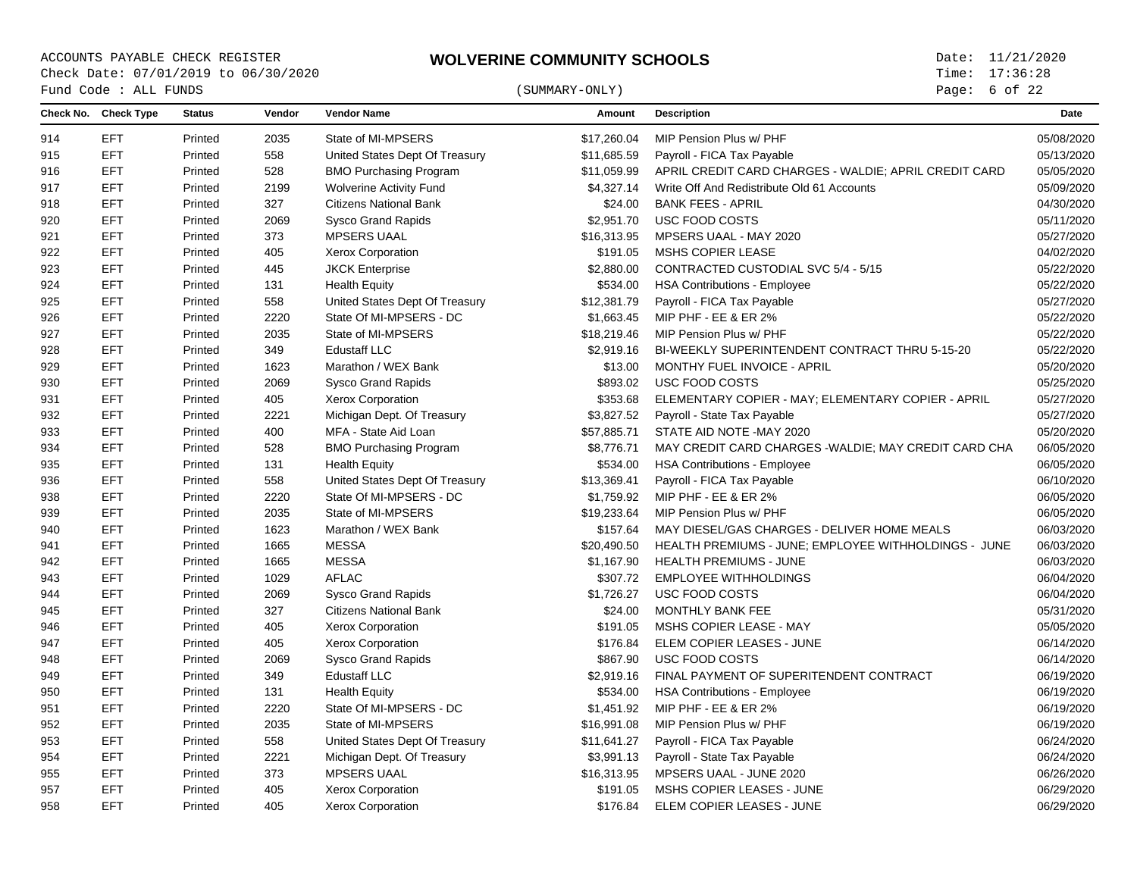Page: of 22

|     | Fund Code : ALL FUNDS |               |        |                                | (SUMMARY-ONLY) |                                                       | Page: $6$ of 22 |  |
|-----|-----------------------|---------------|--------|--------------------------------|----------------|-------------------------------------------------------|-----------------|--|
|     | Check No. Check Type  | <b>Status</b> | Vendor | <b>Vendor Name</b>             | Amount         | <b>Description</b>                                    | Date            |  |
| 914 | EFT                   | Printed       | 2035   | State of MI-MPSERS             | \$17,260.04    | MIP Pension Plus w/ PHF                               | 05/08/2020      |  |
| 915 | <b>EFT</b>            | Printed       | 558    | United States Dept Of Treasury | \$11,685.59    | Payroll - FICA Tax Payable                            | 05/13/2020      |  |
| 916 | <b>EFT</b>            | Printed       | 528    | <b>BMO Purchasing Program</b>  | \$11,059.99    | APRIL CREDIT CARD CHARGES - WALDIE; APRIL CREDIT CARD | 05/05/2020      |  |
| 917 | <b>EFT</b>            | Printed       | 2199   | <b>Wolverine Activity Fund</b> | \$4,327.14     | Write Off And Redistribute Old 61 Accounts            | 05/09/2020      |  |
| 918 | <b>EFT</b>            | Printed       | 327    | <b>Citizens National Bank</b>  | \$24.00        | <b>BANK FEES - APRIL</b>                              | 04/30/2020      |  |
| 920 | <b>EFT</b>            | Printed       | 2069   | <b>Sysco Grand Rapids</b>      | \$2,951.70     | USC FOOD COSTS                                        | 05/11/2020      |  |
| 921 | <b>EFT</b>            | Printed       | 373    | <b>MPSERS UAAL</b>             | \$16,313.95    | MPSERS UAAL - MAY 2020                                | 05/27/2020      |  |
| 922 | <b>EFT</b>            | Printed       | 405    | Xerox Corporation              | \$191.05       | MSHS COPIER LEASE                                     | 04/02/2020      |  |
| 923 | <b>EFT</b>            | Printed       | 445    | <b>JKCK Enterprise</b>         | \$2,880.00     | CONTRACTED CUSTODIAL SVC 5/4 - 5/15                   | 05/22/2020      |  |
| 924 | <b>EFT</b>            | Printed       | 131    | <b>Health Equity</b>           | \$534.00       | <b>HSA Contributions - Employee</b>                   | 05/22/2020      |  |
| 925 | <b>EFT</b>            | Printed       | 558    | United States Dept Of Treasury | \$12,381.79    | Payroll - FICA Tax Payable                            | 05/27/2020      |  |
| 926 | <b>EFT</b>            | Printed       | 2220   | State Of MI-MPSERS - DC        | \$1,663.45     | MIP PHF - EE & ER 2%                                  | 05/22/2020      |  |
| 927 | <b>EFT</b>            | Printed       | 2035   | State of MI-MPSERS             | \$18,219.46    | MIP Pension Plus w/ PHF                               | 05/22/2020      |  |
| 928 | <b>EFT</b>            | Printed       | 349    | <b>Edustaff LLC</b>            | \$2,919.16     | BI-WEEKLY SUPERINTENDENT CONTRACT THRU 5-15-20        | 05/22/2020      |  |
| 929 | <b>EFT</b>            | Printed       | 1623   | Marathon / WEX Bank            | \$13.00        | MONTHY FUEL INVOICE - APRIL                           | 05/20/2020      |  |
| 930 | <b>EFT</b>            | Printed       | 2069   | <b>Sysco Grand Rapids</b>      | \$893.02       | USC FOOD COSTS                                        | 05/25/2020      |  |
| 931 | <b>EFT</b>            | Printed       | 405    | <b>Xerox Corporation</b>       | \$353.68       | ELEMENTARY COPIER - MAY; ELEMENTARY COPIER - APRIL    | 05/27/2020      |  |
| 932 | <b>EFT</b>            | Printed       | 2221   | Michigan Dept. Of Treasury     | \$3,827.52     | Payroll - State Tax Payable                           | 05/27/2020      |  |
| 933 | <b>EFT</b>            | Printed       | 400    | MFA - State Aid Loan           | \$57,885.71    | STATE AID NOTE - MAY 2020                             | 05/20/2020      |  |
| 934 | <b>EFT</b>            | Printed       | 528    | <b>BMO Purchasing Program</b>  | \$8,776.71     | MAY CREDIT CARD CHARGES - WALDIE; MAY CREDIT CARD CHA | 06/05/2020      |  |
| 935 | <b>EFT</b>            | Printed       | 131    | <b>Health Equity</b>           | \$534.00       | <b>HSA Contributions - Employee</b>                   | 06/05/2020      |  |
| 936 | <b>EFT</b>            | Printed       | 558    | United States Dept Of Treasury | \$13,369.41    | Payroll - FICA Tax Payable                            | 06/10/2020      |  |
| 938 | <b>EFT</b>            | Printed       | 2220   | State Of MI-MPSERS - DC        | \$1,759.92     | MIP PHF - EE & ER 2%                                  | 06/05/2020      |  |
| 939 | <b>EFT</b>            | Printed       | 2035   | State of MI-MPSERS             | \$19,233.64    | MIP Pension Plus w/ PHF                               | 06/05/2020      |  |
| 940 | EFT                   | Printed       | 1623   | Marathon / WEX Bank            | \$157.64       | MAY DIESEL/GAS CHARGES - DELIVER HOME MEALS           | 06/03/2020      |  |
| 941 | <b>EFT</b>            | Printed       | 1665   | <b>MESSA</b>                   | \$20,490.50    | HEALTH PREMIUMS - JUNE; EMPLOYEE WITHHOLDINGS - JUNE  | 06/03/2020      |  |
| 942 | <b>EFT</b>            | Printed       | 1665   | <b>MESSA</b>                   | \$1,167.90     | <b>HEALTH PREMIUMS - JUNE</b>                         | 06/03/2020      |  |
| 943 | <b>EFT</b>            | Printed       | 1029   | <b>AFLAC</b>                   | \$307.72       | <b>EMPLOYEE WITHHOLDINGS</b>                          | 06/04/2020      |  |
| 944 | <b>EFT</b>            | Printed       | 2069   | <b>Sysco Grand Rapids</b>      | \$1,726.27     | USC FOOD COSTS                                        | 06/04/2020      |  |
| 945 | <b>EFT</b>            | Printed       | 327    | <b>Citizens National Bank</b>  | \$24.00        | MONTHLY BANK FEE                                      | 05/31/2020      |  |
| 946 | <b>EFT</b>            | Printed       | 405    | <b>Xerox Corporation</b>       | \$191.05       | MSHS COPIER LEASE - MAY                               | 05/05/2020      |  |
| 947 | <b>EFT</b>            | Printed       | 405    | Xerox Corporation              | \$176.84       | ELEM COPIER LEASES - JUNE                             | 06/14/2020      |  |
| 948 | <b>EFT</b>            | Printed       | 2069   | <b>Sysco Grand Rapids</b>      | \$867.90       | USC FOOD COSTS                                        | 06/14/2020      |  |
| 949 | <b>EFT</b>            | Printed       | 349    | <b>Edustaff LLC</b>            | \$2,919.16     | FINAL PAYMENT OF SUPERITENDENT CONTRACT               | 06/19/2020      |  |
| 950 | <b>EFT</b>            | Printed       | 131    | <b>Health Equity</b>           | \$534.00       | <b>HSA Contributions - Employee</b>                   | 06/19/2020      |  |
| 951 | <b>EFT</b>            | Printed       | 2220   | State Of MI-MPSERS - DC        | \$1,451.92     | MIP PHF - EE & ER 2%                                  | 06/19/2020      |  |
| 952 | <b>EFT</b>            | Printed       | 2035   | State of MI-MPSERS             | \$16,991.08    | MIP Pension Plus w/ PHF                               | 06/19/2020      |  |
| 953 | <b>EFT</b>            | Printed       | 558    | United States Dept Of Treasury | \$11,641.27    | Payroll - FICA Tax Payable                            | 06/24/2020      |  |
| 954 | <b>EFT</b>            | Printed       | 2221   | Michigan Dept. Of Treasury     | \$3,991.13     | Payroll - State Tax Payable                           | 06/24/2020      |  |
| 955 | <b>EFT</b>            | Printed       | 373    | <b>MPSERS UAAL</b>             | \$16,313.95    | MPSERS UAAL - JUNE 2020                               | 06/26/2020      |  |
| 957 | <b>EFT</b>            | Printed       | 405    | <b>Xerox Corporation</b>       | \$191.05       | MSHS COPIER LEASES - JUNE                             | 06/29/2020      |  |
| 958 | <b>EFT</b>            | Printed       | 405    | <b>Xerox Corporation</b>       | \$176.84       | ELEM COPIER LEASES - JUNE                             | 06/29/2020      |  |
|     |                       |               |        |                                |                |                                                       |                 |  |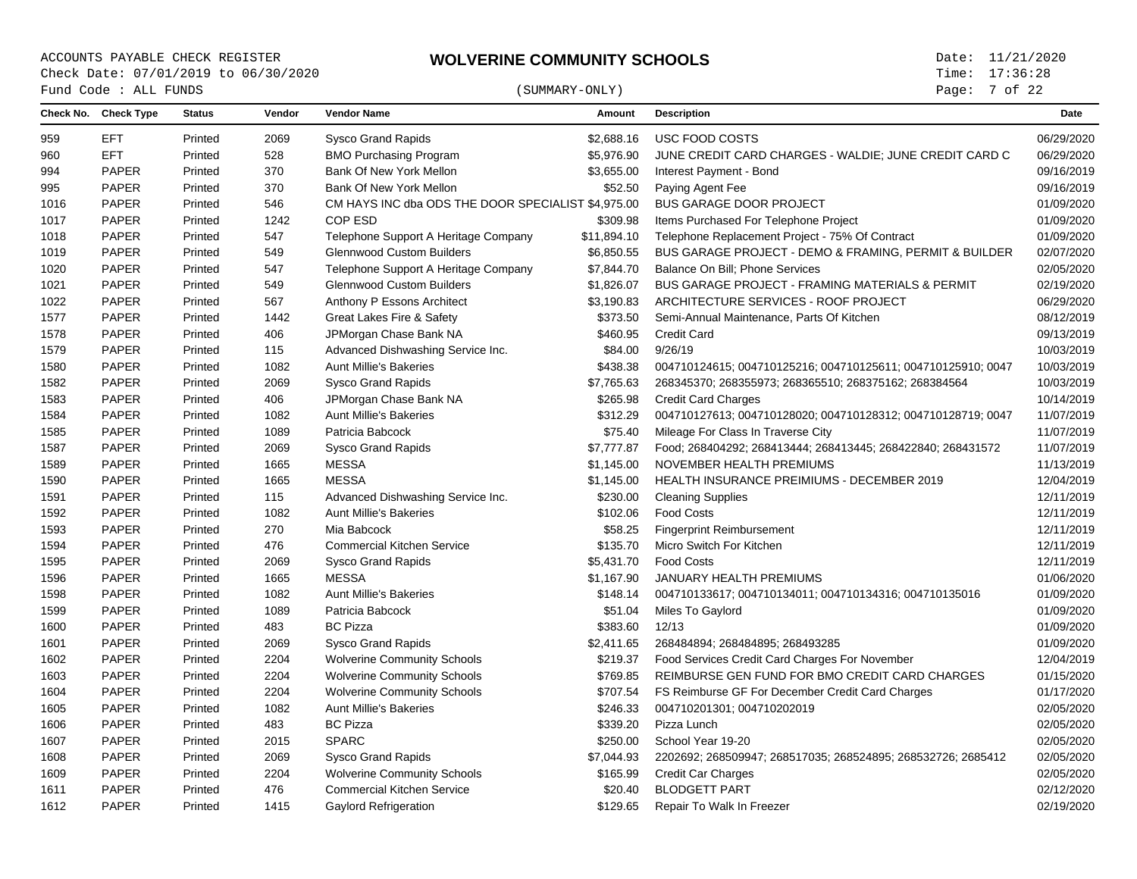# $\begin{array}{cccc}\n\text{Fund Code}: \text{ALL FUNDS}\n\end{array} \tag{SUMMARY-ONLY}$

Page: 7 of 22

| <b>EFT</b><br><b>Sysco Grand Rapids</b><br>USC FOOD COSTS<br>Printed<br>2069<br>\$2.688.16<br>959<br><b>EFT</b><br>Printed<br>528<br>JUNE CREDIT CARD CHARGES - WALDIE; JUNE CREDIT CARD C<br>960<br><b>BMO Purchasing Program</b><br>\$5,976.90<br><b>PAPER</b><br>370<br>994<br>Printed<br>Bank Of New York Mellon<br>\$3,655.00<br>Interest Payment - Bond<br><b>PAPER</b><br>370<br>Bank Of New York Mellon<br>\$52.50<br>995<br>Printed<br>Paying Agent Fee<br><b>PAPER</b><br>Printed<br>546<br>CM HAYS INC dba ODS THE DOOR SPECIALIST \$4,975.00<br><b>BUS GARAGE DOOR PROJECT</b><br>1016<br>COP ESD<br><b>PAPER</b><br>Printed<br>1242<br>\$309.98<br>Items Purchased For Telephone Project<br>1017<br><b>PAPER</b><br>Printed<br>547<br>Telephone Support A Heritage Company<br>\$11,894.10<br>Telephone Replacement Project - 75% Of Contract<br>1018<br><b>PAPER</b><br>549<br><b>Glennwood Custom Builders</b><br>\$6,850.55<br>BUS GARAGE PROJECT - DEMO & FRAMING, PERMIT & BUILDER<br>1019<br>Printed<br><b>PAPER</b><br>Printed<br>547<br>Telephone Support A Heritage Company<br>\$7.844.70<br>Balance On Bill: Phone Services<br>1020<br><b>PAPER</b><br>549<br><b>Glennwood Custom Builders</b><br>\$1,826.07<br><b>BUS GARAGE PROJECT - FRAMING MATERIALS &amp; PERMIT</b><br>1021<br>Printed<br><b>PAPER</b><br>567<br>Anthony P Essons Architect<br>\$3,190.83<br>ARCHITECTURE SERVICES - ROOF PROJECT<br>1022<br>Printed | 06/29/2020<br>06/29/2020<br>09/16/2019<br>09/16/2019<br>01/09/2020<br>01/09/2020<br>01/09/2020<br>02/07/2020<br>02/05/2020<br>02/19/2020<br>06/29/2020 |
|---------------------------------------------------------------------------------------------------------------------------------------------------------------------------------------------------------------------------------------------------------------------------------------------------------------------------------------------------------------------------------------------------------------------------------------------------------------------------------------------------------------------------------------------------------------------------------------------------------------------------------------------------------------------------------------------------------------------------------------------------------------------------------------------------------------------------------------------------------------------------------------------------------------------------------------------------------------------------------------------------------------------------------------------------------------------------------------------------------------------------------------------------------------------------------------------------------------------------------------------------------------------------------------------------------------------------------------------------------------------------------------------------------------------------------------------------|--------------------------------------------------------------------------------------------------------------------------------------------------------|
|                                                                                                                                                                                                                                                                                                                                                                                                                                                                                                                                                                                                                                                                                                                                                                                                                                                                                                                                                                                                                                                                                                                                                                                                                                                                                                                                                                                                                                                   |                                                                                                                                                        |
|                                                                                                                                                                                                                                                                                                                                                                                                                                                                                                                                                                                                                                                                                                                                                                                                                                                                                                                                                                                                                                                                                                                                                                                                                                                                                                                                                                                                                                                   |                                                                                                                                                        |
|                                                                                                                                                                                                                                                                                                                                                                                                                                                                                                                                                                                                                                                                                                                                                                                                                                                                                                                                                                                                                                                                                                                                                                                                                                                                                                                                                                                                                                                   |                                                                                                                                                        |
|                                                                                                                                                                                                                                                                                                                                                                                                                                                                                                                                                                                                                                                                                                                                                                                                                                                                                                                                                                                                                                                                                                                                                                                                                                                                                                                                                                                                                                                   |                                                                                                                                                        |
|                                                                                                                                                                                                                                                                                                                                                                                                                                                                                                                                                                                                                                                                                                                                                                                                                                                                                                                                                                                                                                                                                                                                                                                                                                                                                                                                                                                                                                                   |                                                                                                                                                        |
|                                                                                                                                                                                                                                                                                                                                                                                                                                                                                                                                                                                                                                                                                                                                                                                                                                                                                                                                                                                                                                                                                                                                                                                                                                                                                                                                                                                                                                                   |                                                                                                                                                        |
|                                                                                                                                                                                                                                                                                                                                                                                                                                                                                                                                                                                                                                                                                                                                                                                                                                                                                                                                                                                                                                                                                                                                                                                                                                                                                                                                                                                                                                                   |                                                                                                                                                        |
|                                                                                                                                                                                                                                                                                                                                                                                                                                                                                                                                                                                                                                                                                                                                                                                                                                                                                                                                                                                                                                                                                                                                                                                                                                                                                                                                                                                                                                                   |                                                                                                                                                        |
|                                                                                                                                                                                                                                                                                                                                                                                                                                                                                                                                                                                                                                                                                                                                                                                                                                                                                                                                                                                                                                                                                                                                                                                                                                                                                                                                                                                                                                                   |                                                                                                                                                        |
|                                                                                                                                                                                                                                                                                                                                                                                                                                                                                                                                                                                                                                                                                                                                                                                                                                                                                                                                                                                                                                                                                                                                                                                                                                                                                                                                                                                                                                                   |                                                                                                                                                        |
|                                                                                                                                                                                                                                                                                                                                                                                                                                                                                                                                                                                                                                                                                                                                                                                                                                                                                                                                                                                                                                                                                                                                                                                                                                                                                                                                                                                                                                                   |                                                                                                                                                        |
| <b>PAPER</b><br>1442<br>Printed<br>Great Lakes Fire & Safety<br>\$373.50<br>Semi-Annual Maintenance, Parts Of Kitchen<br>1577                                                                                                                                                                                                                                                                                                                                                                                                                                                                                                                                                                                                                                                                                                                                                                                                                                                                                                                                                                                                                                                                                                                                                                                                                                                                                                                     | 08/12/2019                                                                                                                                             |
| <b>PAPER</b><br>406<br>\$460.95<br>Printed<br>JPMorgan Chase Bank NA<br><b>Credit Card</b><br>1578                                                                                                                                                                                                                                                                                                                                                                                                                                                                                                                                                                                                                                                                                                                                                                                                                                                                                                                                                                                                                                                                                                                                                                                                                                                                                                                                                | 09/13/2019                                                                                                                                             |
| <b>PAPER</b><br>115<br>Advanced Dishwashing Service Inc.<br>\$84.00<br>9/26/19<br>1579<br>Printed                                                                                                                                                                                                                                                                                                                                                                                                                                                                                                                                                                                                                                                                                                                                                                                                                                                                                                                                                                                                                                                                                                                                                                                                                                                                                                                                                 | 10/03/2019                                                                                                                                             |
| <b>PAPER</b><br>1082<br>1580<br>Printed<br><b>Aunt Millie's Bakeries</b><br>\$438.38<br>004710124615; 004710125216; 004710125611; 004710125910; 0047                                                                                                                                                                                                                                                                                                                                                                                                                                                                                                                                                                                                                                                                                                                                                                                                                                                                                                                                                                                                                                                                                                                                                                                                                                                                                              | 10/03/2019                                                                                                                                             |
| <b>PAPER</b><br>Printed<br>2069<br>\$7,765.63<br>1582<br><b>Sysco Grand Rapids</b><br>268345370; 268355973; 268365510; 268375162; 268384564                                                                                                                                                                                                                                                                                                                                                                                                                                                                                                                                                                                                                                                                                                                                                                                                                                                                                                                                                                                                                                                                                                                                                                                                                                                                                                       | 10/03/2019                                                                                                                                             |
| <b>PAPER</b><br>1583<br>Printed<br>406<br>\$265.98<br><b>Credit Card Charges</b><br>JPMorgan Chase Bank NA                                                                                                                                                                                                                                                                                                                                                                                                                                                                                                                                                                                                                                                                                                                                                                                                                                                                                                                                                                                                                                                                                                                                                                                                                                                                                                                                        | 10/14/2019                                                                                                                                             |
| <b>PAPER</b><br><b>Aunt Millie's Bakeries</b><br>\$312.29<br>1584<br>Printed<br>1082<br>004710127613; 004710128020; 004710128312; 004710128719; 0047                                                                                                                                                                                                                                                                                                                                                                                                                                                                                                                                                                                                                                                                                                                                                                                                                                                                                                                                                                                                                                                                                                                                                                                                                                                                                              | 11/07/2019                                                                                                                                             |
| <b>PAPER</b><br>1585<br>Printed<br>1089<br>Patricia Babcock<br>\$75.40<br>Mileage For Class In Traverse City                                                                                                                                                                                                                                                                                                                                                                                                                                                                                                                                                                                                                                                                                                                                                                                                                                                                                                                                                                                                                                                                                                                                                                                                                                                                                                                                      | 11/07/2019                                                                                                                                             |
| <b>PAPER</b><br>Printed<br>2069<br>\$7,777.87<br>Food; 268404292; 268413444; 268413445; 268422840; 268431572<br>1587<br><b>Sysco Grand Rapids</b>                                                                                                                                                                                                                                                                                                                                                                                                                                                                                                                                                                                                                                                                                                                                                                                                                                                                                                                                                                                                                                                                                                                                                                                                                                                                                                 | 11/07/2019                                                                                                                                             |
| <b>MESSA</b><br><b>PAPER</b><br>Printed<br>1665<br>NOVEMBER HEALTH PREMIUMS<br>1589<br>\$1,145.00                                                                                                                                                                                                                                                                                                                                                                                                                                                                                                                                                                                                                                                                                                                                                                                                                                                                                                                                                                                                                                                                                                                                                                                                                                                                                                                                                 | 11/13/2019                                                                                                                                             |
| <b>PAPER</b><br>Printed<br>1665<br><b>MESSA</b><br>\$1,145.00<br>HEALTH INSURANCE PREIMIUMS - DECEMBER 2019<br>1590                                                                                                                                                                                                                                                                                                                                                                                                                                                                                                                                                                                                                                                                                                                                                                                                                                                                                                                                                                                                                                                                                                                                                                                                                                                                                                                               | 12/04/2019                                                                                                                                             |
| <b>PAPER</b><br>Printed<br>115<br>Advanced Dishwashing Service Inc.<br>\$230.00<br><b>Cleaning Supplies</b><br>1591                                                                                                                                                                                                                                                                                                                                                                                                                                                                                                                                                                                                                                                                                                                                                                                                                                                                                                                                                                                                                                                                                                                                                                                                                                                                                                                               | 12/11/2019                                                                                                                                             |
| <b>PAPER</b><br>1082<br>\$102.06<br><b>Food Costs</b><br>Printed<br><b>Aunt Millie's Bakeries</b><br>1592                                                                                                                                                                                                                                                                                                                                                                                                                                                                                                                                                                                                                                                                                                                                                                                                                                                                                                                                                                                                                                                                                                                                                                                                                                                                                                                                         | 12/11/2019                                                                                                                                             |
| <b>PAPER</b><br>270<br>Mia Babcock<br>\$58.25<br><b>Fingerprint Reimbursement</b><br>Printed<br>1593                                                                                                                                                                                                                                                                                                                                                                                                                                                                                                                                                                                                                                                                                                                                                                                                                                                                                                                                                                                                                                                                                                                                                                                                                                                                                                                                              | 12/11/2019                                                                                                                                             |
| <b>PAPER</b><br>476<br>\$135.70<br>Micro Switch For Kitchen<br>1594<br>Printed<br><b>Commercial Kitchen Service</b>                                                                                                                                                                                                                                                                                                                                                                                                                                                                                                                                                                                                                                                                                                                                                                                                                                                                                                                                                                                                                                                                                                                                                                                                                                                                                                                               | 12/11/2019                                                                                                                                             |
| <b>PAPER</b><br>2069<br>\$5,431.70<br><b>Food Costs</b><br>1595<br>Printed<br><b>Sysco Grand Rapids</b>                                                                                                                                                                                                                                                                                                                                                                                                                                                                                                                                                                                                                                                                                                                                                                                                                                                                                                                                                                                                                                                                                                                                                                                                                                                                                                                                           | 12/11/2019                                                                                                                                             |
| <b>PAPER</b><br><b>MESSA</b><br>\$1,167.90<br><b>JANUARY HEALTH PREMIUMS</b><br>1596<br>Printed<br>1665                                                                                                                                                                                                                                                                                                                                                                                                                                                                                                                                                                                                                                                                                                                                                                                                                                                                                                                                                                                                                                                                                                                                                                                                                                                                                                                                           | 01/06/2020                                                                                                                                             |
| PAPER<br>Printed<br>1082<br><b>Aunt Millie's Bakeries</b><br>\$148.14<br>004710133617; 004710134011; 004710134316; 004710135016<br>1598                                                                                                                                                                                                                                                                                                                                                                                                                                                                                                                                                                                                                                                                                                                                                                                                                                                                                                                                                                                                                                                                                                                                                                                                                                                                                                           | 01/09/2020                                                                                                                                             |
| PAPER<br>Printed<br>1089<br>Patricia Babcock<br>\$51.04<br>Miles To Gaylord<br>1599                                                                                                                                                                                                                                                                                                                                                                                                                                                                                                                                                                                                                                                                                                                                                                                                                                                                                                                                                                                                                                                                                                                                                                                                                                                                                                                                                               | 01/09/2020                                                                                                                                             |
| <b>PAPER</b><br>483<br><b>BC Pizza</b><br>\$383.60<br>12/13<br>1600<br>Printed                                                                                                                                                                                                                                                                                                                                                                                                                                                                                                                                                                                                                                                                                                                                                                                                                                                                                                                                                                                                                                                                                                                                                                                                                                                                                                                                                                    | 01/09/2020                                                                                                                                             |
| <b>PAPER</b><br>1601<br>Printed<br>2069<br><b>Sysco Grand Rapids</b><br>\$2,411.65<br>268484894; 268484895; 268493285                                                                                                                                                                                                                                                                                                                                                                                                                                                                                                                                                                                                                                                                                                                                                                                                                                                                                                                                                                                                                                                                                                                                                                                                                                                                                                                             | 01/09/2020                                                                                                                                             |
| <b>PAPER</b><br>2204<br>Printed<br><b>Wolverine Community Schools</b><br>\$219.37<br>Food Services Credit Card Charges For November<br>1602                                                                                                                                                                                                                                                                                                                                                                                                                                                                                                                                                                                                                                                                                                                                                                                                                                                                                                                                                                                                                                                                                                                                                                                                                                                                                                       | 12/04/2019                                                                                                                                             |
| <b>PAPER</b><br>Printed<br>2204<br><b>Wolverine Community Schools</b><br>\$769.85<br>REIMBURSE GEN FUND FOR BMO CREDIT CARD CHARGES<br>1603                                                                                                                                                                                                                                                                                                                                                                                                                                                                                                                                                                                                                                                                                                                                                                                                                                                                                                                                                                                                                                                                                                                                                                                                                                                                                                       | 01/15/2020                                                                                                                                             |
| <b>PAPER</b><br>1604<br>Printed<br>2204<br><b>Wolverine Community Schools</b><br>\$707.54<br>FS Reimburse GF For December Credit Card Charges                                                                                                                                                                                                                                                                                                                                                                                                                                                                                                                                                                                                                                                                                                                                                                                                                                                                                                                                                                                                                                                                                                                                                                                                                                                                                                     | 01/17/2020                                                                                                                                             |
| <b>PAPER</b><br>Printed<br>1082<br><b>Aunt Millie's Bakeries</b><br>\$246.33<br>004710201301; 004710202019<br>1605                                                                                                                                                                                                                                                                                                                                                                                                                                                                                                                                                                                                                                                                                                                                                                                                                                                                                                                                                                                                                                                                                                                                                                                                                                                                                                                                | 02/05/2020                                                                                                                                             |
| <b>PAPER</b><br><b>BC Pizza</b><br>Printed<br>483<br>\$339.20<br>Pizza Lunch<br>1606                                                                                                                                                                                                                                                                                                                                                                                                                                                                                                                                                                                                                                                                                                                                                                                                                                                                                                                                                                                                                                                                                                                                                                                                                                                                                                                                                              | 02/05/2020                                                                                                                                             |
| <b>PAPER</b><br><b>SPARC</b><br>Printed<br>2015<br>\$250.00<br>School Year 19-20<br>1607                                                                                                                                                                                                                                                                                                                                                                                                                                                                                                                                                                                                                                                                                                                                                                                                                                                                                                                                                                                                                                                                                                                                                                                                                                                                                                                                                          | 02/05/2020                                                                                                                                             |
| <b>PAPER</b><br>Printed<br>2069<br>1608<br><b>Sysco Grand Rapids</b><br>\$7,044.93<br>2202692; 268509947; 268517035; 268524895; 268532726; 2685412                                                                                                                                                                                                                                                                                                                                                                                                                                                                                                                                                                                                                                                                                                                                                                                                                                                                                                                                                                                                                                                                                                                                                                                                                                                                                                | 02/05/2020                                                                                                                                             |
| <b>PAPER</b><br>2204<br><b>Wolverine Community Schools</b><br>\$165.99<br><b>Credit Car Charges</b><br>1609<br>Printed                                                                                                                                                                                                                                                                                                                                                                                                                                                                                                                                                                                                                                                                                                                                                                                                                                                                                                                                                                                                                                                                                                                                                                                                                                                                                                                            | 02/05/2020                                                                                                                                             |
| <b>PAPER</b><br>476<br><b>Commercial Kitchen Service</b><br><b>BLODGETT PART</b><br>1611<br>Printed<br>\$20.40                                                                                                                                                                                                                                                                                                                                                                                                                                                                                                                                                                                                                                                                                                                                                                                                                                                                                                                                                                                                                                                                                                                                                                                                                                                                                                                                    | 02/12/2020                                                                                                                                             |
| <b>PAPER</b><br>1415<br>Repair To Walk In Freezer<br>1612<br>Printed<br>Gaylord Refrigeration<br>\$129.65                                                                                                                                                                                                                                                                                                                                                                                                                                                                                                                                                                                                                                                                                                                                                                                                                                                                                                                                                                                                                                                                                                                                                                                                                                                                                                                                         | 02/19/2020                                                                                                                                             |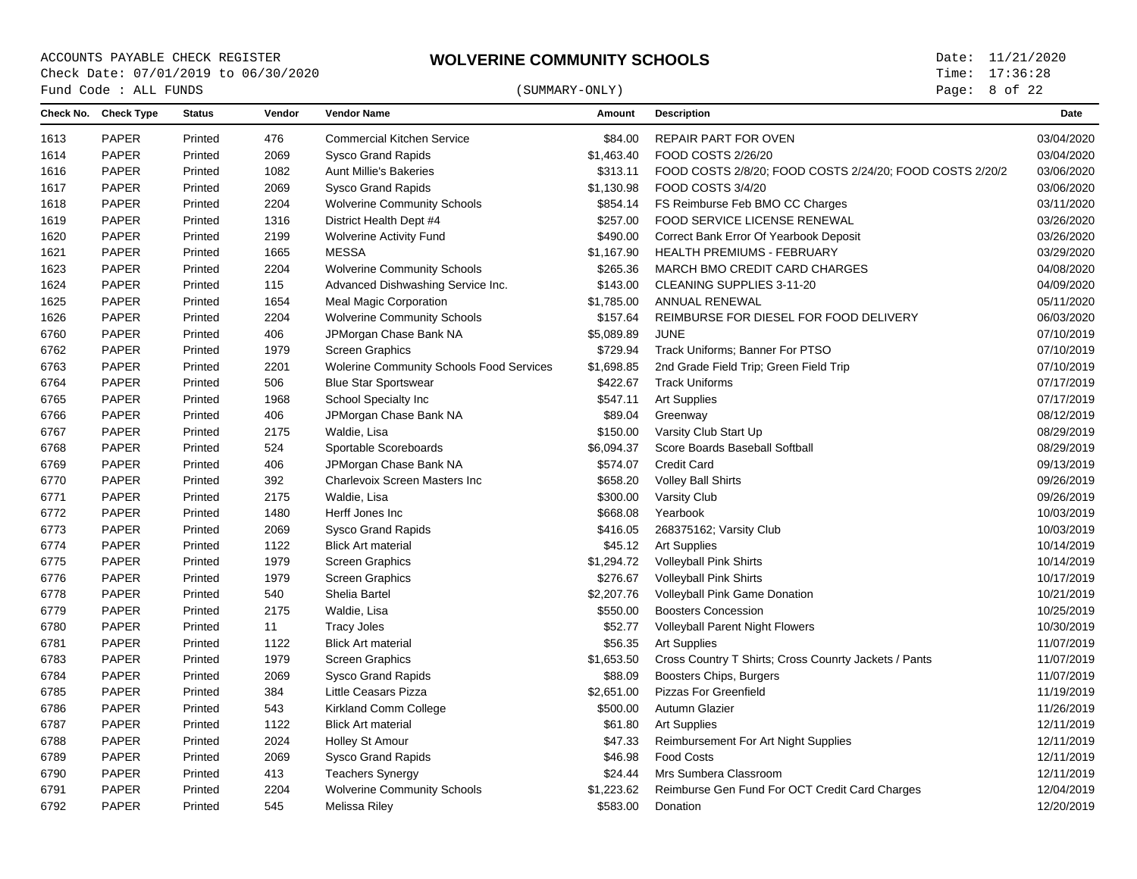ACCOUNTS PAYABLE CHECK REGISTER **WOLVERINE COMMUNITY SCHOOLS** Date: 11/21/2020<br>Check Date: 07/01/2019 to 06/30/2020 **WOLVERINE COMMUNITY SCHOOLS** Time: 17:36:28 Check Date: 07/01/2019 to 06/30/2020  $\begin{array}{cccc}\n\text{Fund Code}: \text{ALL FUNDS}\n\end{array} \tag{SUMMARY-ONLY}$ 

Page: of 22

|      | Check No. Check Type | <b>Status</b> | Vendor | <b>Vendor Name</b>                              | Amount     | <b>Description</b>                                       | Date       |
|------|----------------------|---------------|--------|-------------------------------------------------|------------|----------------------------------------------------------|------------|
| 1613 | <b>PAPER</b>         | Printed       | 476    | <b>Commercial Kitchen Service</b>               | \$84.00    | REPAIR PART FOR OVEN                                     | 03/04/2020 |
| 1614 | <b>PAPER</b>         | Printed       | 2069   | <b>Sysco Grand Rapids</b>                       | \$1,463.40 | FOOD COSTS 2/26/20                                       | 03/04/2020 |
| 1616 | <b>PAPER</b>         | Printed       | 1082   | <b>Aunt Millie's Bakeries</b>                   | \$313.11   | FOOD COSTS 2/8/20; FOOD COSTS 2/24/20; FOOD COSTS 2/20/2 | 03/06/2020 |
| 1617 | <b>PAPER</b>         | Printed       | 2069   | <b>Sysco Grand Rapids</b>                       | \$1,130.98 | FOOD COSTS 3/4/20                                        | 03/06/2020 |
| 1618 | <b>PAPER</b>         | Printed       | 2204   | <b>Wolverine Community Schools</b>              | \$854.14   | FS Reimburse Feb BMO CC Charges                          | 03/11/2020 |
| 1619 | <b>PAPER</b>         | Printed       | 1316   | District Health Dept #4                         | \$257.00   | FOOD SERVICE LICENSE RENEWAL                             | 03/26/2020 |
| 1620 | <b>PAPER</b>         | Printed       | 2199   | <b>Wolverine Activity Fund</b>                  | \$490.00   | Correct Bank Error Of Yearbook Deposit                   | 03/26/2020 |
| 1621 | <b>PAPER</b>         | Printed       | 1665   | <b>MESSA</b>                                    | \$1,167.90 | <b>HEALTH PREMIUMS - FEBRUARY</b>                        | 03/29/2020 |
| 1623 | <b>PAPER</b>         | Printed       | 2204   | <b>Wolverine Community Schools</b>              | \$265.36   | MARCH BMO CREDIT CARD CHARGES                            | 04/08/2020 |
| 1624 | <b>PAPER</b>         | Printed       | 115    | Advanced Dishwashing Service Inc.               | \$143.00   | CLEANING SUPPLIES 3-11-20                                | 04/09/2020 |
| 1625 | PAPER                | Printed       | 1654   | <b>Meal Magic Corporation</b>                   | \$1,785.00 | ANNUAL RENEWAL                                           | 05/11/2020 |
| 1626 | PAPER                | Printed       | 2204   | <b>Wolverine Community Schools</b>              | \$157.64   | REIMBURSE FOR DIESEL FOR FOOD DELIVERY                   | 06/03/2020 |
| 6760 | <b>PAPER</b>         | Printed       | 406    | JPMorgan Chase Bank NA                          | \$5,089.89 | <b>JUNE</b>                                              | 07/10/2019 |
| 6762 | <b>PAPER</b>         | Printed       | 1979   | <b>Screen Graphics</b>                          | \$729.94   | Track Uniforms: Banner For PTSO                          | 07/10/2019 |
| 6763 | <b>PAPER</b>         | Printed       | 2201   | <b>Wolerine Community Schools Food Services</b> | \$1,698.85 | 2nd Grade Field Trip; Green Field Trip                   | 07/10/2019 |
| 6764 | <b>PAPER</b>         | Printed       | 506    | <b>Blue Star Sportswear</b>                     | \$422.67   | <b>Track Uniforms</b>                                    | 07/17/2019 |
| 6765 | PAPER                | Printed       | 1968   | School Specialty Inc                            | \$547.11   | Art Supplies                                             | 07/17/2019 |
| 6766 | <b>PAPER</b>         | Printed       | 406    | JPMorgan Chase Bank NA                          | \$89.04    | Greenway                                                 | 08/12/2019 |
| 6767 | PAPER                | Printed       | 2175   | Waldie, Lisa                                    | \$150.00   | Varsity Club Start Up                                    | 08/29/2019 |
| 6768 | <b>PAPER</b>         | Printed       | 524    | Sportable Scoreboards                           | \$6,094.37 | Score Boards Baseball Softball                           | 08/29/2019 |
| 6769 | <b>PAPER</b>         | Printed       | 406    | JPMorgan Chase Bank NA                          | \$574.07   | <b>Credit Card</b>                                       | 09/13/2019 |
| 6770 | <b>PAPER</b>         | Printed       | 392    | <b>Charlevoix Screen Masters Inc</b>            | \$658.20   | <b>Volley Ball Shirts</b>                                | 09/26/2019 |
| 6771 | <b>PAPER</b>         | Printed       | 2175   | Waldie, Lisa                                    | \$300.00   | Varsity Club                                             | 09/26/2019 |
| 6772 | <b>PAPER</b>         | Printed       | 1480   | Herff Jones Inc                                 | \$668.08   | Yearbook                                                 | 10/03/2019 |
| 6773 | <b>PAPER</b>         | Printed       | 2069   | <b>Sysco Grand Rapids</b>                       | \$416.05   | 268375162; Varsity Club                                  | 10/03/2019 |
| 6774 | <b>PAPER</b>         | Printed       | 1122   | <b>Blick Art material</b>                       | \$45.12    | <b>Art Supplies</b>                                      | 10/14/2019 |
| 6775 | <b>PAPER</b>         | Printed       | 1979   | <b>Screen Graphics</b>                          | \$1,294.72 | <b>Volleyball Pink Shirts</b>                            | 10/14/2019 |
| 6776 | <b>PAPER</b>         | Printed       | 1979   | <b>Screen Graphics</b>                          | \$276.67   | <b>Volleyball Pink Shirts</b>                            | 10/17/2019 |
| 6778 | PAPER                | Printed       | 540    | Shelia Bartel                                   | \$2,207.76 | Volleyball Pink Game Donation                            | 10/21/2019 |
| 6779 | <b>PAPER</b>         | Printed       | 2175   | Waldie, Lisa                                    | \$550.00   | <b>Boosters Concession</b>                               | 10/25/2019 |
| 6780 | PAPER                | Printed       | 11     | <b>Tracy Joles</b>                              | \$52.77    | <b>Volleyball Parent Night Flowers</b>                   | 10/30/2019 |
| 6781 | <b>PAPER</b>         | Printed       | 1122   | <b>Blick Art material</b>                       | \$56.35    | Art Supplies                                             | 11/07/2019 |
| 6783 | <b>PAPER</b>         | Printed       | 1979   | <b>Screen Graphics</b>                          | \$1,653.50 | Cross Country T Shirts; Cross Counrty Jackets / Pants    | 11/07/2019 |
| 6784 | PAPER                | Printed       | 2069   | <b>Sysco Grand Rapids</b>                       | \$88.09    | Boosters Chips, Burgers                                  | 11/07/2019 |
| 6785 | <b>PAPER</b>         | Printed       | 384    | <b>Little Ceasars Pizza</b>                     | \$2,651.00 | <b>Pizzas For Greenfield</b>                             | 11/19/2019 |
| 6786 | <b>PAPER</b>         | Printed       | 543    | Kirkland Comm College                           | \$500.00   | Autumn Glazier                                           | 11/26/2019 |
| 6787 | <b>PAPER</b>         | Printed       | 1122   | <b>Blick Art material</b>                       | \$61.80    | <b>Art Supplies</b>                                      | 12/11/2019 |
| 6788 | <b>PAPER</b>         | Printed       | 2024   | <b>Holley St Amour</b>                          | \$47.33    | Reimbursement For Art Night Supplies                     | 12/11/2019 |
| 6789 | <b>PAPER</b>         | Printed       | 2069   | Sysco Grand Rapids                              | \$46.98    | <b>Food Costs</b>                                        | 12/11/2019 |
| 6790 | PAPER                | Printed       | 413    | <b>Teachers Synergy</b>                         | \$24.44    | Mrs Sumbera Classroom                                    | 12/11/2019 |
| 6791 | <b>PAPER</b>         | Printed       | 2204   | <b>Wolverine Community Schools</b>              | \$1,223.62 | Reimburse Gen Fund For OCT Credit Card Charges           | 12/04/2019 |
| 6792 | <b>PAPER</b>         | Printed       | 545    | Melissa Riley                                   | \$583.00   | Donation                                                 | 12/20/2019 |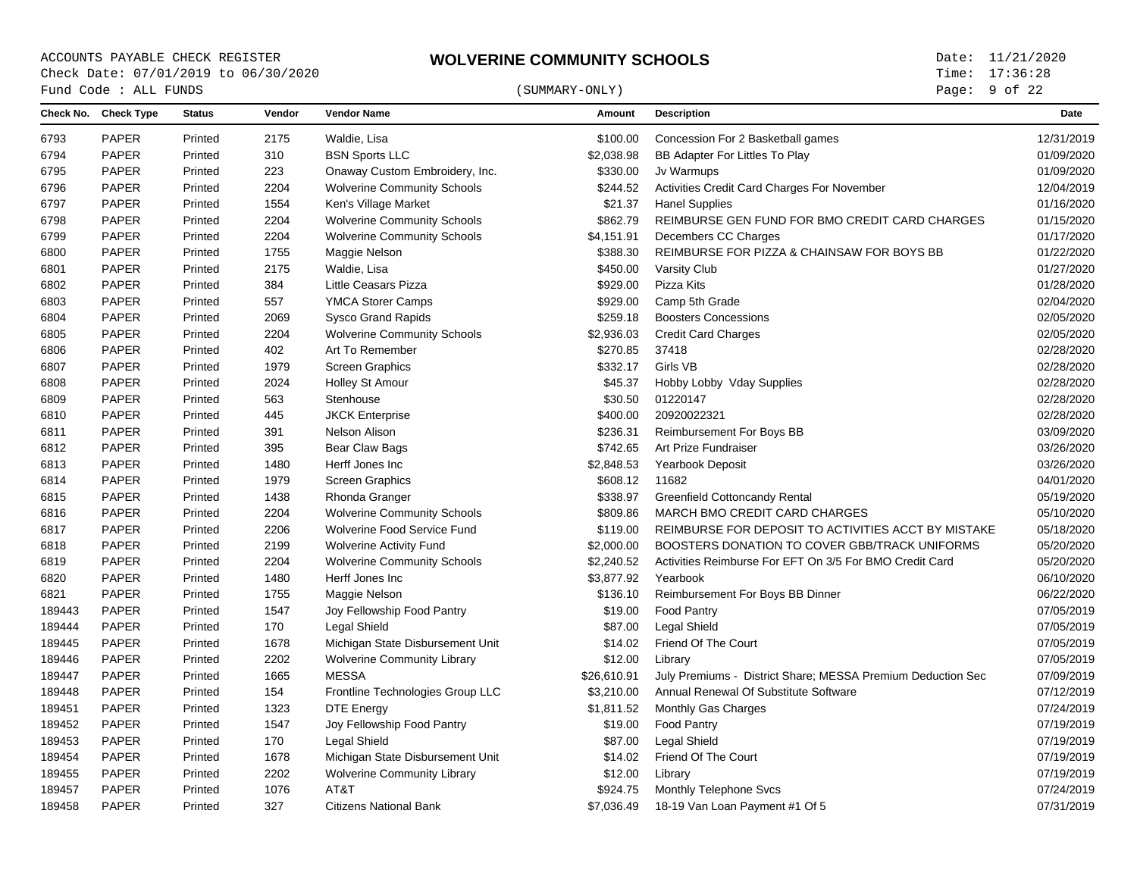Page: 9 of 22

| Check No. Check Type<br>Vendor<br><b>Status</b><br><b>Vendor Name</b><br>Amount<br><b>Description</b><br>Date<br>Concession For 2 Basketball games<br><b>PAPER</b><br>Printed<br>2175<br>Waldie, Lisa<br>\$100.00<br><b>PAPER</b><br>310<br><b>BSN Sports LLC</b><br>\$2,038.98<br>BB Adapter For Littles To Play<br>Printed<br><b>PAPER</b><br>223<br>Onaway Custom Embroidery, Inc.<br>\$330.00<br>Jv Warmups<br>6795<br>Printed<br><b>PAPER</b><br>2204<br>\$244.52<br>Activities Credit Card Charges For November<br>Printed<br><b>Wolverine Community Schools</b><br><b>PAPER</b><br>1554<br>\$21.37<br>Ken's Village Market<br><b>Hanel Supplies</b><br>Printed<br><b>PAPER</b><br>2204<br><b>Wolverine Community Schools</b><br>\$862.79<br>REIMBURSE GEN FUND FOR BMO CREDIT CARD CHARGES<br>Printed<br><b>PAPER</b><br>2204<br>Printed<br><b>Wolverine Community Schools</b><br>\$4,151.91<br>Decembers CC Charges<br><b>PAPER</b><br>Printed<br>1755<br>\$388.30<br>REIMBURSE FOR PIZZA & CHAINSAW FOR BOYS BB<br>6800<br>Maggie Nelson<br><b>PAPER</b><br>2175<br>Waldie, Lisa<br>\$450.00<br><b>Varsity Club</b><br>6801<br>Printed<br><b>PAPER</b><br>384<br><b>Little Ceasars Pizza</b><br>\$929.00<br>Pizza Kits<br>Printed<br><b>PAPER</b><br>557<br>\$929.00<br>6803<br>Printed<br><b>YMCA Storer Camps</b><br>Camp 5th Grade<br>\$259.18<br><b>PAPER</b><br>2069<br><b>Boosters Concessions</b><br>Printed<br><b>Sysco Grand Rapids</b><br><b>PAPER</b><br>Printed<br>2204<br><b>Wolverine Community Schools</b><br>\$2,936.03<br><b>Credit Card Charges</b><br>6805<br><b>PAPER</b><br>402<br>\$270.85<br>6806<br>Printed<br>Art To Remember<br>37418<br>1979<br>\$332.17<br>Girls VB<br><b>PAPER</b><br>Printed<br><b>Screen Graphics</b><br><b>PAPER</b><br>Printed<br>2024<br><b>Holley St Amour</b><br>\$45.37<br>Hobby Lobby Vday Supplies<br>6808<br><b>PAPER</b><br>Printed<br>563<br>Stenhouse<br>\$30.50<br>01220147<br>20920022321<br><b>PAPER</b><br>445<br><b>JKCK Enterprise</b><br>\$400.00<br>Printed<br><b>PAPER</b><br>Printed<br>391<br>Nelson Alison<br>\$236.31<br><b>Reimbursement For Boys BB</b><br>PAPER<br>395<br>\$742.65<br>Art Prize Fundraiser<br>Printed<br>Bear Claw Bags<br><b>PAPER</b><br>1480<br>\$2,848.53<br>Herff Jones Inc<br>Yearbook Deposit<br>6813<br>Printed<br><b>PAPER</b><br>11682<br>Printed<br>1979<br><b>Screen Graphics</b><br>\$608.12<br><b>PAPER</b><br>1438<br>Printed<br>Rhonda Granger<br>\$338.97<br><b>Greenfield Cottoncandy Rental</b><br><b>PAPER</b><br>2204<br>\$809.86<br>MARCH BMO CREDIT CARD CHARGES<br>Printed<br><b>Wolverine Community Schools</b><br>6816<br><b>PAPER</b><br>Printed<br>2206<br>Wolverine Food Service Fund<br>\$119.00<br>REIMBURSE FOR DEPOSIT TO ACTIVITIES ACCT BY MISTAKE<br><b>PAPER</b><br>2199<br><b>Wolverine Activity Fund</b><br>\$2,000.00<br>BOOSTERS DONATION TO COVER GBB/TRACK UNIFORMS<br>Printed<br>PAPER<br>2204<br>\$2,240.52<br>Activities Reimburse For EFT On 3/5 For BMO Credit Card<br>Printed<br><b>Wolverine Community Schools</b><br>6819<br>Herff Jones Inc<br><b>PAPER</b><br>Printed<br>1480<br>\$3,877.92<br>Yearbook<br>6820<br><b>PAPER</b><br>\$136.10<br>Printed<br>1755<br>Maggie Nelson<br>Reimbursement For Boys BB Dinner<br>PAPER<br>189443<br>Printed<br>1547<br>Joy Fellowship Food Pantry<br>\$19.00<br><b>Food Pantry</b><br><b>PAPER</b><br>\$87.00<br>Legal Shield<br>189444<br>Printed<br>170<br><b>Legal Shield</b><br>PAPER<br>1678<br>Michigan State Disbursement Unit<br>\$14.02<br>Friend Of The Court<br>189445<br>Printed<br>PAPER<br>2202<br>\$12.00<br>189446<br>Printed<br><b>Wolverine Community Library</b><br>Library<br><b>MESSA</b><br><b>PAPER</b><br>Printed<br>1665<br>\$26,610.91<br>July Premiums - District Share; MESSA Premium Deduction Sec<br>189447<br>PAPER<br>154<br>Frontline Technologies Group LLC<br>\$3,210.00<br>Annual Renewal Of Substitute Software<br>189448<br>Printed<br><b>PAPER</b><br>1323<br>\$1,811.52<br>Monthly Gas Charges<br>189451<br>Printed<br><b>DTE Energy</b><br>1547<br>189452<br><b>PAPER</b><br>Printed<br>Joy Fellowship Food Pantry<br>\$19.00<br><b>Food Pantry</b><br>189453<br><b>PAPER</b><br>170<br><b>Legal Shield</b><br>\$87.00<br><b>Legal Shield</b><br>Printed<br><b>PAPER</b><br>1678<br>Michigan State Disbursement Unit<br>\$14.02<br>Friend Of The Court<br>189454<br>Printed<br>2202<br>\$12.00<br>189455<br><b>PAPER</b><br>Printed<br><b>Wolverine Community Library</b><br>Library<br>189457<br><b>PAPER</b><br>Printed<br>1076<br>AT&T<br>\$924.75<br><b>Monthly Telephone Svcs</b><br><b>PAPER</b><br>327<br>189458<br>Printed<br><b>Citizens National Bank</b><br>\$7,036.49<br>18-19 Van Loan Payment #1 Of 5 |      | Fund Code : ALL FUNDS |  | (SUMMARY-ONLY) | Page: 9 of 22 |  |
|-------------------------------------------------------------------------------------------------------------------------------------------------------------------------------------------------------------------------------------------------------------------------------------------------------------------------------------------------------------------------------------------------------------------------------------------------------------------------------------------------------------------------------------------------------------------------------------------------------------------------------------------------------------------------------------------------------------------------------------------------------------------------------------------------------------------------------------------------------------------------------------------------------------------------------------------------------------------------------------------------------------------------------------------------------------------------------------------------------------------------------------------------------------------------------------------------------------------------------------------------------------------------------------------------------------------------------------------------------------------------------------------------------------------------------------------------------------------------------------------------------------------------------------------------------------------------------------------------------------------------------------------------------------------------------------------------------------------------------------------------------------------------------------------------------------------------------------------------------------------------------------------------------------------------------------------------------------------------------------------------------------------------------------------------------------------------------------------------------------------------------------------------------------------------------------------------------------------------------------------------------------------------------------------------------------------------------------------------------------------------------------------------------------------------------------------------------------------------------------------------------------------------------------------------------------------------------------------------------------------------------------------------------------------------------------------------------------------------------------------------------------------------------------------------------------------------------------------------------------------------------------------------------------------------------------------------------------------------------------------------------------------------------------------------------------------------------------------------------------------------------------------------------------------------------------------------------------------------------------------------------------------------------------------------------------------------------------------------------------------------------------------------------------------------------------------------------------------------------------------------------------------------------------------------------------------------------------------------------------------------------------------------------------------------------------------------------------------------------------------------------------------------------------------------------------------------------------------------------------------------------------------------------------------------------------------------------------------------------------------------------------------------------------------------------------------------------------------------------------------------------------------------------------------------------------------------------------------------------------------------------------------------------------------------------------------------------------------------------------------------------------------------------------------------------------------------------------------------------------------------------------------------------------------------------------------------------------------------------------------------------------------------------------------------------------------------------------------------------------------------------------|------|-----------------------|--|----------------|---------------|--|
|                                                                                                                                                                                                                                                                                                                                                                                                                                                                                                                                                                                                                                                                                                                                                                                                                                                                                                                                                                                                                                                                                                                                                                                                                                                                                                                                                                                                                                                                                                                                                                                                                                                                                                                                                                                                                                                                                                                                                                                                                                                                                                                                                                                                                                                                                                                                                                                                                                                                                                                                                                                                                                                                                                                                                                                                                                                                                                                                                                                                                                                                                                                                                                                                                                                                                                                                                                                                                                                                                                                                                                                                                                                                                                                                                                                                                                                                                                                                                                                                                                                                                                                                                                                                                                                                                                                                                                                                                                                                                                                                                                                                                                                                                                                                                             |      |                       |  |                |               |  |
|                                                                                                                                                                                                                                                                                                                                                                                                                                                                                                                                                                                                                                                                                                                                                                                                                                                                                                                                                                                                                                                                                                                                                                                                                                                                                                                                                                                                                                                                                                                                                                                                                                                                                                                                                                                                                                                                                                                                                                                                                                                                                                                                                                                                                                                                                                                                                                                                                                                                                                                                                                                                                                                                                                                                                                                                                                                                                                                                                                                                                                                                                                                                                                                                                                                                                                                                                                                                                                                                                                                                                                                                                                                                                                                                                                                                                                                                                                                                                                                                                                                                                                                                                                                                                                                                                                                                                                                                                                                                                                                                                                                                                                                                                                                                                             | 6793 |                       |  |                | 12/31/2019    |  |
|                                                                                                                                                                                                                                                                                                                                                                                                                                                                                                                                                                                                                                                                                                                                                                                                                                                                                                                                                                                                                                                                                                                                                                                                                                                                                                                                                                                                                                                                                                                                                                                                                                                                                                                                                                                                                                                                                                                                                                                                                                                                                                                                                                                                                                                                                                                                                                                                                                                                                                                                                                                                                                                                                                                                                                                                                                                                                                                                                                                                                                                                                                                                                                                                                                                                                                                                                                                                                                                                                                                                                                                                                                                                                                                                                                                                                                                                                                                                                                                                                                                                                                                                                                                                                                                                                                                                                                                                                                                                                                                                                                                                                                                                                                                                                             | 6794 |                       |  |                | 01/09/2020    |  |
|                                                                                                                                                                                                                                                                                                                                                                                                                                                                                                                                                                                                                                                                                                                                                                                                                                                                                                                                                                                                                                                                                                                                                                                                                                                                                                                                                                                                                                                                                                                                                                                                                                                                                                                                                                                                                                                                                                                                                                                                                                                                                                                                                                                                                                                                                                                                                                                                                                                                                                                                                                                                                                                                                                                                                                                                                                                                                                                                                                                                                                                                                                                                                                                                                                                                                                                                                                                                                                                                                                                                                                                                                                                                                                                                                                                                                                                                                                                                                                                                                                                                                                                                                                                                                                                                                                                                                                                                                                                                                                                                                                                                                                                                                                                                                             |      |                       |  |                | 01/09/2020    |  |
|                                                                                                                                                                                                                                                                                                                                                                                                                                                                                                                                                                                                                                                                                                                                                                                                                                                                                                                                                                                                                                                                                                                                                                                                                                                                                                                                                                                                                                                                                                                                                                                                                                                                                                                                                                                                                                                                                                                                                                                                                                                                                                                                                                                                                                                                                                                                                                                                                                                                                                                                                                                                                                                                                                                                                                                                                                                                                                                                                                                                                                                                                                                                                                                                                                                                                                                                                                                                                                                                                                                                                                                                                                                                                                                                                                                                                                                                                                                                                                                                                                                                                                                                                                                                                                                                                                                                                                                                                                                                                                                                                                                                                                                                                                                                                             | 6796 |                       |  |                | 12/04/2019    |  |
|                                                                                                                                                                                                                                                                                                                                                                                                                                                                                                                                                                                                                                                                                                                                                                                                                                                                                                                                                                                                                                                                                                                                                                                                                                                                                                                                                                                                                                                                                                                                                                                                                                                                                                                                                                                                                                                                                                                                                                                                                                                                                                                                                                                                                                                                                                                                                                                                                                                                                                                                                                                                                                                                                                                                                                                                                                                                                                                                                                                                                                                                                                                                                                                                                                                                                                                                                                                                                                                                                                                                                                                                                                                                                                                                                                                                                                                                                                                                                                                                                                                                                                                                                                                                                                                                                                                                                                                                                                                                                                                                                                                                                                                                                                                                                             | 6797 |                       |  |                | 01/16/2020    |  |
|                                                                                                                                                                                                                                                                                                                                                                                                                                                                                                                                                                                                                                                                                                                                                                                                                                                                                                                                                                                                                                                                                                                                                                                                                                                                                                                                                                                                                                                                                                                                                                                                                                                                                                                                                                                                                                                                                                                                                                                                                                                                                                                                                                                                                                                                                                                                                                                                                                                                                                                                                                                                                                                                                                                                                                                                                                                                                                                                                                                                                                                                                                                                                                                                                                                                                                                                                                                                                                                                                                                                                                                                                                                                                                                                                                                                                                                                                                                                                                                                                                                                                                                                                                                                                                                                                                                                                                                                                                                                                                                                                                                                                                                                                                                                                             | 6798 |                       |  |                | 01/15/2020    |  |
|                                                                                                                                                                                                                                                                                                                                                                                                                                                                                                                                                                                                                                                                                                                                                                                                                                                                                                                                                                                                                                                                                                                                                                                                                                                                                                                                                                                                                                                                                                                                                                                                                                                                                                                                                                                                                                                                                                                                                                                                                                                                                                                                                                                                                                                                                                                                                                                                                                                                                                                                                                                                                                                                                                                                                                                                                                                                                                                                                                                                                                                                                                                                                                                                                                                                                                                                                                                                                                                                                                                                                                                                                                                                                                                                                                                                                                                                                                                                                                                                                                                                                                                                                                                                                                                                                                                                                                                                                                                                                                                                                                                                                                                                                                                                                             | 6799 |                       |  |                | 01/17/2020    |  |
|                                                                                                                                                                                                                                                                                                                                                                                                                                                                                                                                                                                                                                                                                                                                                                                                                                                                                                                                                                                                                                                                                                                                                                                                                                                                                                                                                                                                                                                                                                                                                                                                                                                                                                                                                                                                                                                                                                                                                                                                                                                                                                                                                                                                                                                                                                                                                                                                                                                                                                                                                                                                                                                                                                                                                                                                                                                                                                                                                                                                                                                                                                                                                                                                                                                                                                                                                                                                                                                                                                                                                                                                                                                                                                                                                                                                                                                                                                                                                                                                                                                                                                                                                                                                                                                                                                                                                                                                                                                                                                                                                                                                                                                                                                                                                             |      |                       |  |                | 01/22/2020    |  |
|                                                                                                                                                                                                                                                                                                                                                                                                                                                                                                                                                                                                                                                                                                                                                                                                                                                                                                                                                                                                                                                                                                                                                                                                                                                                                                                                                                                                                                                                                                                                                                                                                                                                                                                                                                                                                                                                                                                                                                                                                                                                                                                                                                                                                                                                                                                                                                                                                                                                                                                                                                                                                                                                                                                                                                                                                                                                                                                                                                                                                                                                                                                                                                                                                                                                                                                                                                                                                                                                                                                                                                                                                                                                                                                                                                                                                                                                                                                                                                                                                                                                                                                                                                                                                                                                                                                                                                                                                                                                                                                                                                                                                                                                                                                                                             |      |                       |  |                | 01/27/2020    |  |
|                                                                                                                                                                                                                                                                                                                                                                                                                                                                                                                                                                                                                                                                                                                                                                                                                                                                                                                                                                                                                                                                                                                                                                                                                                                                                                                                                                                                                                                                                                                                                                                                                                                                                                                                                                                                                                                                                                                                                                                                                                                                                                                                                                                                                                                                                                                                                                                                                                                                                                                                                                                                                                                                                                                                                                                                                                                                                                                                                                                                                                                                                                                                                                                                                                                                                                                                                                                                                                                                                                                                                                                                                                                                                                                                                                                                                                                                                                                                                                                                                                                                                                                                                                                                                                                                                                                                                                                                                                                                                                                                                                                                                                                                                                                                                             | 6802 |                       |  |                | 01/28/2020    |  |
|                                                                                                                                                                                                                                                                                                                                                                                                                                                                                                                                                                                                                                                                                                                                                                                                                                                                                                                                                                                                                                                                                                                                                                                                                                                                                                                                                                                                                                                                                                                                                                                                                                                                                                                                                                                                                                                                                                                                                                                                                                                                                                                                                                                                                                                                                                                                                                                                                                                                                                                                                                                                                                                                                                                                                                                                                                                                                                                                                                                                                                                                                                                                                                                                                                                                                                                                                                                                                                                                                                                                                                                                                                                                                                                                                                                                                                                                                                                                                                                                                                                                                                                                                                                                                                                                                                                                                                                                                                                                                                                                                                                                                                                                                                                                                             |      |                       |  |                | 02/04/2020    |  |
|                                                                                                                                                                                                                                                                                                                                                                                                                                                                                                                                                                                                                                                                                                                                                                                                                                                                                                                                                                                                                                                                                                                                                                                                                                                                                                                                                                                                                                                                                                                                                                                                                                                                                                                                                                                                                                                                                                                                                                                                                                                                                                                                                                                                                                                                                                                                                                                                                                                                                                                                                                                                                                                                                                                                                                                                                                                                                                                                                                                                                                                                                                                                                                                                                                                                                                                                                                                                                                                                                                                                                                                                                                                                                                                                                                                                                                                                                                                                                                                                                                                                                                                                                                                                                                                                                                                                                                                                                                                                                                                                                                                                                                                                                                                                                             | 6804 |                       |  |                | 02/05/2020    |  |
|                                                                                                                                                                                                                                                                                                                                                                                                                                                                                                                                                                                                                                                                                                                                                                                                                                                                                                                                                                                                                                                                                                                                                                                                                                                                                                                                                                                                                                                                                                                                                                                                                                                                                                                                                                                                                                                                                                                                                                                                                                                                                                                                                                                                                                                                                                                                                                                                                                                                                                                                                                                                                                                                                                                                                                                                                                                                                                                                                                                                                                                                                                                                                                                                                                                                                                                                                                                                                                                                                                                                                                                                                                                                                                                                                                                                                                                                                                                                                                                                                                                                                                                                                                                                                                                                                                                                                                                                                                                                                                                                                                                                                                                                                                                                                             |      |                       |  |                | 02/05/2020    |  |
|                                                                                                                                                                                                                                                                                                                                                                                                                                                                                                                                                                                                                                                                                                                                                                                                                                                                                                                                                                                                                                                                                                                                                                                                                                                                                                                                                                                                                                                                                                                                                                                                                                                                                                                                                                                                                                                                                                                                                                                                                                                                                                                                                                                                                                                                                                                                                                                                                                                                                                                                                                                                                                                                                                                                                                                                                                                                                                                                                                                                                                                                                                                                                                                                                                                                                                                                                                                                                                                                                                                                                                                                                                                                                                                                                                                                                                                                                                                                                                                                                                                                                                                                                                                                                                                                                                                                                                                                                                                                                                                                                                                                                                                                                                                                                             |      |                       |  |                | 02/28/2020    |  |
|                                                                                                                                                                                                                                                                                                                                                                                                                                                                                                                                                                                                                                                                                                                                                                                                                                                                                                                                                                                                                                                                                                                                                                                                                                                                                                                                                                                                                                                                                                                                                                                                                                                                                                                                                                                                                                                                                                                                                                                                                                                                                                                                                                                                                                                                                                                                                                                                                                                                                                                                                                                                                                                                                                                                                                                                                                                                                                                                                                                                                                                                                                                                                                                                                                                                                                                                                                                                                                                                                                                                                                                                                                                                                                                                                                                                                                                                                                                                                                                                                                                                                                                                                                                                                                                                                                                                                                                                                                                                                                                                                                                                                                                                                                                                                             | 6807 |                       |  |                | 02/28/2020    |  |
|                                                                                                                                                                                                                                                                                                                                                                                                                                                                                                                                                                                                                                                                                                                                                                                                                                                                                                                                                                                                                                                                                                                                                                                                                                                                                                                                                                                                                                                                                                                                                                                                                                                                                                                                                                                                                                                                                                                                                                                                                                                                                                                                                                                                                                                                                                                                                                                                                                                                                                                                                                                                                                                                                                                                                                                                                                                                                                                                                                                                                                                                                                                                                                                                                                                                                                                                                                                                                                                                                                                                                                                                                                                                                                                                                                                                                                                                                                                                                                                                                                                                                                                                                                                                                                                                                                                                                                                                                                                                                                                                                                                                                                                                                                                                                             |      |                       |  |                | 02/28/2020    |  |
|                                                                                                                                                                                                                                                                                                                                                                                                                                                                                                                                                                                                                                                                                                                                                                                                                                                                                                                                                                                                                                                                                                                                                                                                                                                                                                                                                                                                                                                                                                                                                                                                                                                                                                                                                                                                                                                                                                                                                                                                                                                                                                                                                                                                                                                                                                                                                                                                                                                                                                                                                                                                                                                                                                                                                                                                                                                                                                                                                                                                                                                                                                                                                                                                                                                                                                                                                                                                                                                                                                                                                                                                                                                                                                                                                                                                                                                                                                                                                                                                                                                                                                                                                                                                                                                                                                                                                                                                                                                                                                                                                                                                                                                                                                                                                             | 6809 |                       |  |                | 02/28/2020    |  |
|                                                                                                                                                                                                                                                                                                                                                                                                                                                                                                                                                                                                                                                                                                                                                                                                                                                                                                                                                                                                                                                                                                                                                                                                                                                                                                                                                                                                                                                                                                                                                                                                                                                                                                                                                                                                                                                                                                                                                                                                                                                                                                                                                                                                                                                                                                                                                                                                                                                                                                                                                                                                                                                                                                                                                                                                                                                                                                                                                                                                                                                                                                                                                                                                                                                                                                                                                                                                                                                                                                                                                                                                                                                                                                                                                                                                                                                                                                                                                                                                                                                                                                                                                                                                                                                                                                                                                                                                                                                                                                                                                                                                                                                                                                                                                             | 6810 |                       |  |                | 02/28/2020    |  |
|                                                                                                                                                                                                                                                                                                                                                                                                                                                                                                                                                                                                                                                                                                                                                                                                                                                                                                                                                                                                                                                                                                                                                                                                                                                                                                                                                                                                                                                                                                                                                                                                                                                                                                                                                                                                                                                                                                                                                                                                                                                                                                                                                                                                                                                                                                                                                                                                                                                                                                                                                                                                                                                                                                                                                                                                                                                                                                                                                                                                                                                                                                                                                                                                                                                                                                                                                                                                                                                                                                                                                                                                                                                                                                                                                                                                                                                                                                                                                                                                                                                                                                                                                                                                                                                                                                                                                                                                                                                                                                                                                                                                                                                                                                                                                             | 6811 |                       |  |                | 03/09/2020    |  |
|                                                                                                                                                                                                                                                                                                                                                                                                                                                                                                                                                                                                                                                                                                                                                                                                                                                                                                                                                                                                                                                                                                                                                                                                                                                                                                                                                                                                                                                                                                                                                                                                                                                                                                                                                                                                                                                                                                                                                                                                                                                                                                                                                                                                                                                                                                                                                                                                                                                                                                                                                                                                                                                                                                                                                                                                                                                                                                                                                                                                                                                                                                                                                                                                                                                                                                                                                                                                                                                                                                                                                                                                                                                                                                                                                                                                                                                                                                                                                                                                                                                                                                                                                                                                                                                                                                                                                                                                                                                                                                                                                                                                                                                                                                                                                             | 6812 |                       |  |                | 03/26/2020    |  |
|                                                                                                                                                                                                                                                                                                                                                                                                                                                                                                                                                                                                                                                                                                                                                                                                                                                                                                                                                                                                                                                                                                                                                                                                                                                                                                                                                                                                                                                                                                                                                                                                                                                                                                                                                                                                                                                                                                                                                                                                                                                                                                                                                                                                                                                                                                                                                                                                                                                                                                                                                                                                                                                                                                                                                                                                                                                                                                                                                                                                                                                                                                                                                                                                                                                                                                                                                                                                                                                                                                                                                                                                                                                                                                                                                                                                                                                                                                                                                                                                                                                                                                                                                                                                                                                                                                                                                                                                                                                                                                                                                                                                                                                                                                                                                             |      |                       |  |                | 03/26/2020    |  |
|                                                                                                                                                                                                                                                                                                                                                                                                                                                                                                                                                                                                                                                                                                                                                                                                                                                                                                                                                                                                                                                                                                                                                                                                                                                                                                                                                                                                                                                                                                                                                                                                                                                                                                                                                                                                                                                                                                                                                                                                                                                                                                                                                                                                                                                                                                                                                                                                                                                                                                                                                                                                                                                                                                                                                                                                                                                                                                                                                                                                                                                                                                                                                                                                                                                                                                                                                                                                                                                                                                                                                                                                                                                                                                                                                                                                                                                                                                                                                                                                                                                                                                                                                                                                                                                                                                                                                                                                                                                                                                                                                                                                                                                                                                                                                             | 6814 |                       |  |                | 04/01/2020    |  |
|                                                                                                                                                                                                                                                                                                                                                                                                                                                                                                                                                                                                                                                                                                                                                                                                                                                                                                                                                                                                                                                                                                                                                                                                                                                                                                                                                                                                                                                                                                                                                                                                                                                                                                                                                                                                                                                                                                                                                                                                                                                                                                                                                                                                                                                                                                                                                                                                                                                                                                                                                                                                                                                                                                                                                                                                                                                                                                                                                                                                                                                                                                                                                                                                                                                                                                                                                                                                                                                                                                                                                                                                                                                                                                                                                                                                                                                                                                                                                                                                                                                                                                                                                                                                                                                                                                                                                                                                                                                                                                                                                                                                                                                                                                                                                             | 6815 |                       |  |                | 05/19/2020    |  |
|                                                                                                                                                                                                                                                                                                                                                                                                                                                                                                                                                                                                                                                                                                                                                                                                                                                                                                                                                                                                                                                                                                                                                                                                                                                                                                                                                                                                                                                                                                                                                                                                                                                                                                                                                                                                                                                                                                                                                                                                                                                                                                                                                                                                                                                                                                                                                                                                                                                                                                                                                                                                                                                                                                                                                                                                                                                                                                                                                                                                                                                                                                                                                                                                                                                                                                                                                                                                                                                                                                                                                                                                                                                                                                                                                                                                                                                                                                                                                                                                                                                                                                                                                                                                                                                                                                                                                                                                                                                                                                                                                                                                                                                                                                                                                             |      |                       |  |                | 05/10/2020    |  |
|                                                                                                                                                                                                                                                                                                                                                                                                                                                                                                                                                                                                                                                                                                                                                                                                                                                                                                                                                                                                                                                                                                                                                                                                                                                                                                                                                                                                                                                                                                                                                                                                                                                                                                                                                                                                                                                                                                                                                                                                                                                                                                                                                                                                                                                                                                                                                                                                                                                                                                                                                                                                                                                                                                                                                                                                                                                                                                                                                                                                                                                                                                                                                                                                                                                                                                                                                                                                                                                                                                                                                                                                                                                                                                                                                                                                                                                                                                                                                                                                                                                                                                                                                                                                                                                                                                                                                                                                                                                                                                                                                                                                                                                                                                                                                             | 6817 |                       |  |                | 05/18/2020    |  |
|                                                                                                                                                                                                                                                                                                                                                                                                                                                                                                                                                                                                                                                                                                                                                                                                                                                                                                                                                                                                                                                                                                                                                                                                                                                                                                                                                                                                                                                                                                                                                                                                                                                                                                                                                                                                                                                                                                                                                                                                                                                                                                                                                                                                                                                                                                                                                                                                                                                                                                                                                                                                                                                                                                                                                                                                                                                                                                                                                                                                                                                                                                                                                                                                                                                                                                                                                                                                                                                                                                                                                                                                                                                                                                                                                                                                                                                                                                                                                                                                                                                                                                                                                                                                                                                                                                                                                                                                                                                                                                                                                                                                                                                                                                                                                             | 6818 |                       |  |                | 05/20/2020    |  |
|                                                                                                                                                                                                                                                                                                                                                                                                                                                                                                                                                                                                                                                                                                                                                                                                                                                                                                                                                                                                                                                                                                                                                                                                                                                                                                                                                                                                                                                                                                                                                                                                                                                                                                                                                                                                                                                                                                                                                                                                                                                                                                                                                                                                                                                                                                                                                                                                                                                                                                                                                                                                                                                                                                                                                                                                                                                                                                                                                                                                                                                                                                                                                                                                                                                                                                                                                                                                                                                                                                                                                                                                                                                                                                                                                                                                                                                                                                                                                                                                                                                                                                                                                                                                                                                                                                                                                                                                                                                                                                                                                                                                                                                                                                                                                             |      |                       |  |                | 05/20/2020    |  |
|                                                                                                                                                                                                                                                                                                                                                                                                                                                                                                                                                                                                                                                                                                                                                                                                                                                                                                                                                                                                                                                                                                                                                                                                                                                                                                                                                                                                                                                                                                                                                                                                                                                                                                                                                                                                                                                                                                                                                                                                                                                                                                                                                                                                                                                                                                                                                                                                                                                                                                                                                                                                                                                                                                                                                                                                                                                                                                                                                                                                                                                                                                                                                                                                                                                                                                                                                                                                                                                                                                                                                                                                                                                                                                                                                                                                                                                                                                                                                                                                                                                                                                                                                                                                                                                                                                                                                                                                                                                                                                                                                                                                                                                                                                                                                             |      |                       |  |                | 06/10/2020    |  |
|                                                                                                                                                                                                                                                                                                                                                                                                                                                                                                                                                                                                                                                                                                                                                                                                                                                                                                                                                                                                                                                                                                                                                                                                                                                                                                                                                                                                                                                                                                                                                                                                                                                                                                                                                                                                                                                                                                                                                                                                                                                                                                                                                                                                                                                                                                                                                                                                                                                                                                                                                                                                                                                                                                                                                                                                                                                                                                                                                                                                                                                                                                                                                                                                                                                                                                                                                                                                                                                                                                                                                                                                                                                                                                                                                                                                                                                                                                                                                                                                                                                                                                                                                                                                                                                                                                                                                                                                                                                                                                                                                                                                                                                                                                                                                             | 6821 |                       |  |                | 06/22/2020    |  |
|                                                                                                                                                                                                                                                                                                                                                                                                                                                                                                                                                                                                                                                                                                                                                                                                                                                                                                                                                                                                                                                                                                                                                                                                                                                                                                                                                                                                                                                                                                                                                                                                                                                                                                                                                                                                                                                                                                                                                                                                                                                                                                                                                                                                                                                                                                                                                                                                                                                                                                                                                                                                                                                                                                                                                                                                                                                                                                                                                                                                                                                                                                                                                                                                                                                                                                                                                                                                                                                                                                                                                                                                                                                                                                                                                                                                                                                                                                                                                                                                                                                                                                                                                                                                                                                                                                                                                                                                                                                                                                                                                                                                                                                                                                                                                             |      |                       |  |                | 07/05/2019    |  |
|                                                                                                                                                                                                                                                                                                                                                                                                                                                                                                                                                                                                                                                                                                                                                                                                                                                                                                                                                                                                                                                                                                                                                                                                                                                                                                                                                                                                                                                                                                                                                                                                                                                                                                                                                                                                                                                                                                                                                                                                                                                                                                                                                                                                                                                                                                                                                                                                                                                                                                                                                                                                                                                                                                                                                                                                                                                                                                                                                                                                                                                                                                                                                                                                                                                                                                                                                                                                                                                                                                                                                                                                                                                                                                                                                                                                                                                                                                                                                                                                                                                                                                                                                                                                                                                                                                                                                                                                                                                                                                                                                                                                                                                                                                                                                             |      |                       |  |                | 07/05/2019    |  |
|                                                                                                                                                                                                                                                                                                                                                                                                                                                                                                                                                                                                                                                                                                                                                                                                                                                                                                                                                                                                                                                                                                                                                                                                                                                                                                                                                                                                                                                                                                                                                                                                                                                                                                                                                                                                                                                                                                                                                                                                                                                                                                                                                                                                                                                                                                                                                                                                                                                                                                                                                                                                                                                                                                                                                                                                                                                                                                                                                                                                                                                                                                                                                                                                                                                                                                                                                                                                                                                                                                                                                                                                                                                                                                                                                                                                                                                                                                                                                                                                                                                                                                                                                                                                                                                                                                                                                                                                                                                                                                                                                                                                                                                                                                                                                             |      |                       |  |                | 07/05/2019    |  |
|                                                                                                                                                                                                                                                                                                                                                                                                                                                                                                                                                                                                                                                                                                                                                                                                                                                                                                                                                                                                                                                                                                                                                                                                                                                                                                                                                                                                                                                                                                                                                                                                                                                                                                                                                                                                                                                                                                                                                                                                                                                                                                                                                                                                                                                                                                                                                                                                                                                                                                                                                                                                                                                                                                                                                                                                                                                                                                                                                                                                                                                                                                                                                                                                                                                                                                                                                                                                                                                                                                                                                                                                                                                                                                                                                                                                                                                                                                                                                                                                                                                                                                                                                                                                                                                                                                                                                                                                                                                                                                                                                                                                                                                                                                                                                             |      |                       |  |                | 07/05/2019    |  |
|                                                                                                                                                                                                                                                                                                                                                                                                                                                                                                                                                                                                                                                                                                                                                                                                                                                                                                                                                                                                                                                                                                                                                                                                                                                                                                                                                                                                                                                                                                                                                                                                                                                                                                                                                                                                                                                                                                                                                                                                                                                                                                                                                                                                                                                                                                                                                                                                                                                                                                                                                                                                                                                                                                                                                                                                                                                                                                                                                                                                                                                                                                                                                                                                                                                                                                                                                                                                                                                                                                                                                                                                                                                                                                                                                                                                                                                                                                                                                                                                                                                                                                                                                                                                                                                                                                                                                                                                                                                                                                                                                                                                                                                                                                                                                             |      |                       |  |                | 07/09/2019    |  |
|                                                                                                                                                                                                                                                                                                                                                                                                                                                                                                                                                                                                                                                                                                                                                                                                                                                                                                                                                                                                                                                                                                                                                                                                                                                                                                                                                                                                                                                                                                                                                                                                                                                                                                                                                                                                                                                                                                                                                                                                                                                                                                                                                                                                                                                                                                                                                                                                                                                                                                                                                                                                                                                                                                                                                                                                                                                                                                                                                                                                                                                                                                                                                                                                                                                                                                                                                                                                                                                                                                                                                                                                                                                                                                                                                                                                                                                                                                                                                                                                                                                                                                                                                                                                                                                                                                                                                                                                                                                                                                                                                                                                                                                                                                                                                             |      |                       |  |                | 07/12/2019    |  |
|                                                                                                                                                                                                                                                                                                                                                                                                                                                                                                                                                                                                                                                                                                                                                                                                                                                                                                                                                                                                                                                                                                                                                                                                                                                                                                                                                                                                                                                                                                                                                                                                                                                                                                                                                                                                                                                                                                                                                                                                                                                                                                                                                                                                                                                                                                                                                                                                                                                                                                                                                                                                                                                                                                                                                                                                                                                                                                                                                                                                                                                                                                                                                                                                                                                                                                                                                                                                                                                                                                                                                                                                                                                                                                                                                                                                                                                                                                                                                                                                                                                                                                                                                                                                                                                                                                                                                                                                                                                                                                                                                                                                                                                                                                                                                             |      |                       |  |                | 07/24/2019    |  |
|                                                                                                                                                                                                                                                                                                                                                                                                                                                                                                                                                                                                                                                                                                                                                                                                                                                                                                                                                                                                                                                                                                                                                                                                                                                                                                                                                                                                                                                                                                                                                                                                                                                                                                                                                                                                                                                                                                                                                                                                                                                                                                                                                                                                                                                                                                                                                                                                                                                                                                                                                                                                                                                                                                                                                                                                                                                                                                                                                                                                                                                                                                                                                                                                                                                                                                                                                                                                                                                                                                                                                                                                                                                                                                                                                                                                                                                                                                                                                                                                                                                                                                                                                                                                                                                                                                                                                                                                                                                                                                                                                                                                                                                                                                                                                             |      |                       |  |                | 07/19/2019    |  |
|                                                                                                                                                                                                                                                                                                                                                                                                                                                                                                                                                                                                                                                                                                                                                                                                                                                                                                                                                                                                                                                                                                                                                                                                                                                                                                                                                                                                                                                                                                                                                                                                                                                                                                                                                                                                                                                                                                                                                                                                                                                                                                                                                                                                                                                                                                                                                                                                                                                                                                                                                                                                                                                                                                                                                                                                                                                                                                                                                                                                                                                                                                                                                                                                                                                                                                                                                                                                                                                                                                                                                                                                                                                                                                                                                                                                                                                                                                                                                                                                                                                                                                                                                                                                                                                                                                                                                                                                                                                                                                                                                                                                                                                                                                                                                             |      |                       |  |                | 07/19/2019    |  |
|                                                                                                                                                                                                                                                                                                                                                                                                                                                                                                                                                                                                                                                                                                                                                                                                                                                                                                                                                                                                                                                                                                                                                                                                                                                                                                                                                                                                                                                                                                                                                                                                                                                                                                                                                                                                                                                                                                                                                                                                                                                                                                                                                                                                                                                                                                                                                                                                                                                                                                                                                                                                                                                                                                                                                                                                                                                                                                                                                                                                                                                                                                                                                                                                                                                                                                                                                                                                                                                                                                                                                                                                                                                                                                                                                                                                                                                                                                                                                                                                                                                                                                                                                                                                                                                                                                                                                                                                                                                                                                                                                                                                                                                                                                                                                             |      |                       |  |                | 07/19/2019    |  |
|                                                                                                                                                                                                                                                                                                                                                                                                                                                                                                                                                                                                                                                                                                                                                                                                                                                                                                                                                                                                                                                                                                                                                                                                                                                                                                                                                                                                                                                                                                                                                                                                                                                                                                                                                                                                                                                                                                                                                                                                                                                                                                                                                                                                                                                                                                                                                                                                                                                                                                                                                                                                                                                                                                                                                                                                                                                                                                                                                                                                                                                                                                                                                                                                                                                                                                                                                                                                                                                                                                                                                                                                                                                                                                                                                                                                                                                                                                                                                                                                                                                                                                                                                                                                                                                                                                                                                                                                                                                                                                                                                                                                                                                                                                                                                             |      |                       |  |                | 07/19/2019    |  |
|                                                                                                                                                                                                                                                                                                                                                                                                                                                                                                                                                                                                                                                                                                                                                                                                                                                                                                                                                                                                                                                                                                                                                                                                                                                                                                                                                                                                                                                                                                                                                                                                                                                                                                                                                                                                                                                                                                                                                                                                                                                                                                                                                                                                                                                                                                                                                                                                                                                                                                                                                                                                                                                                                                                                                                                                                                                                                                                                                                                                                                                                                                                                                                                                                                                                                                                                                                                                                                                                                                                                                                                                                                                                                                                                                                                                                                                                                                                                                                                                                                                                                                                                                                                                                                                                                                                                                                                                                                                                                                                                                                                                                                                                                                                                                             |      |                       |  |                | 07/24/2019    |  |
|                                                                                                                                                                                                                                                                                                                                                                                                                                                                                                                                                                                                                                                                                                                                                                                                                                                                                                                                                                                                                                                                                                                                                                                                                                                                                                                                                                                                                                                                                                                                                                                                                                                                                                                                                                                                                                                                                                                                                                                                                                                                                                                                                                                                                                                                                                                                                                                                                                                                                                                                                                                                                                                                                                                                                                                                                                                                                                                                                                                                                                                                                                                                                                                                                                                                                                                                                                                                                                                                                                                                                                                                                                                                                                                                                                                                                                                                                                                                                                                                                                                                                                                                                                                                                                                                                                                                                                                                                                                                                                                                                                                                                                                                                                                                                             |      |                       |  |                | 07/31/2019    |  |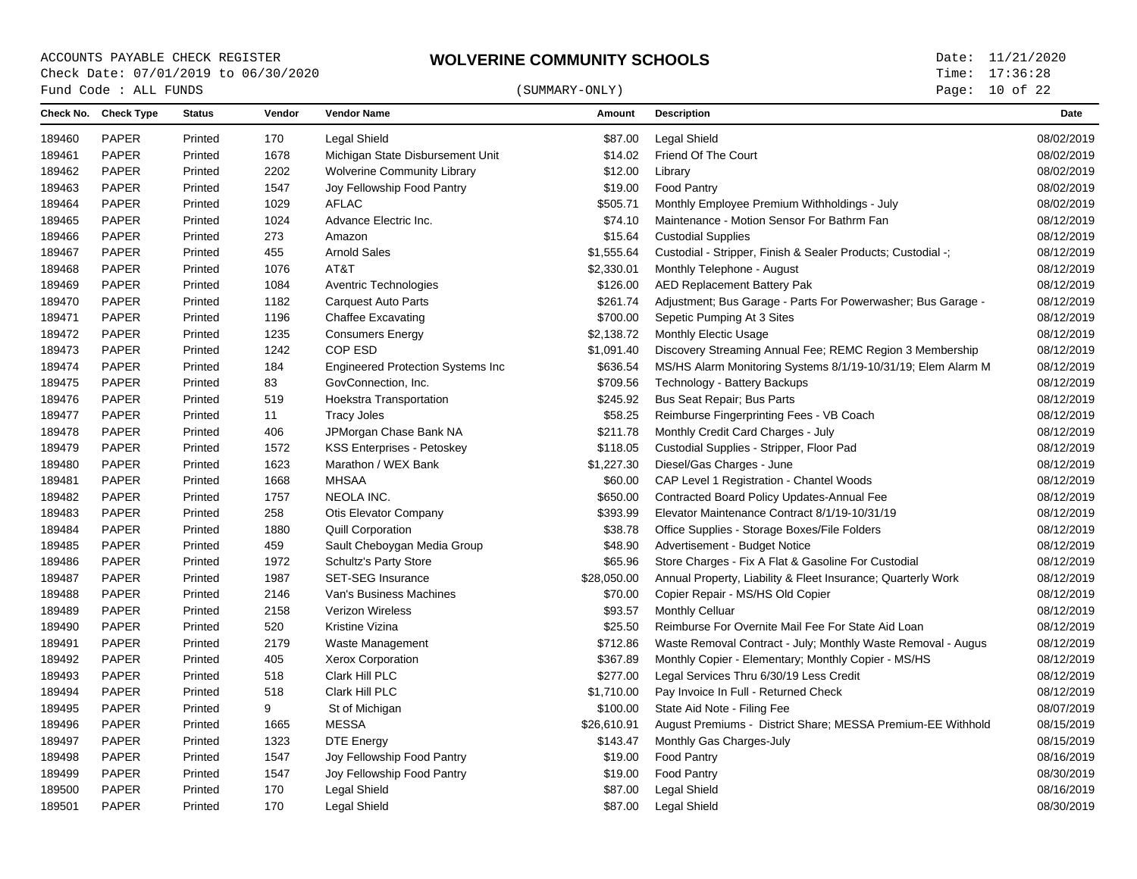## $\begin{array}{cccc}\n\text{Fund Code}: \text{ALL FUNDS}\n\end{array} \tag{SUMMARY-ONLY}$

Page: 10 of 22

|        | Check No. Check Type | <b>Status</b> | Vendor | <b>Vendor Name</b>                        | Amount      | <b>Description</b>                                           | Date       |
|--------|----------------------|---------------|--------|-------------------------------------------|-------------|--------------------------------------------------------------|------------|
| 189460 | <b>PAPER</b>         | Printed       | 170    | <b>Legal Shield</b>                       | \$87.00     | <b>Legal Shield</b>                                          | 08/02/2019 |
| 189461 | <b>PAPER</b>         | Printed       | 1678   | Michigan State Disbursement Unit          | \$14.02     | Friend Of The Court                                          | 08/02/2019 |
| 189462 | PAPER                | Printed       | 2202   | <b>Wolverine Community Library</b>        | \$12.00     | Library                                                      | 08/02/2019 |
| 189463 | <b>PAPER</b>         | Printed       | 1547   | Joy Fellowship Food Pantry                | \$19.00     | <b>Food Pantry</b>                                           | 08/02/2019 |
| 189464 | <b>PAPER</b>         | Printed       | 1029   | <b>AFLAC</b>                              | \$505.71    | Monthly Employee Premium Withholdings - July                 | 08/02/2019 |
| 189465 | <b>PAPER</b>         | Printed       | 1024   | Advance Electric Inc.                     | \$74.10     | Maintenance - Motion Sensor For Bathrm Fan                   | 08/12/2019 |
| 189466 | <b>PAPER</b>         | Printed       | 273    | Amazon                                    | \$15.64     | <b>Custodial Supplies</b>                                    | 08/12/2019 |
| 189467 | <b>PAPER</b>         | Printed       | 455    | <b>Arnold Sales</b>                       | \$1,555.64  | Custodial - Stripper, Finish & Sealer Products; Custodial -; | 08/12/2019 |
| 189468 | <b>PAPER</b>         | Printed       | 1076   | AT&T                                      | \$2,330.01  | Monthly Telephone - August                                   | 08/12/2019 |
| 189469 | <b>PAPER</b>         | Printed       | 1084   | Aventric Technologies                     | \$126.00    | <b>AED Replacement Battery Pak</b>                           | 08/12/2019 |
| 189470 | <b>PAPER</b>         | Printed       | 1182   | <b>Carquest Auto Parts</b>                | \$261.74    | Adjustment; Bus Garage - Parts For Powerwasher; Bus Garage - | 08/12/2019 |
| 189471 | <b>PAPER</b>         | Printed       | 1196   | <b>Chaffee Excavating</b>                 | \$700.00    | Sepetic Pumping At 3 Sites                                   | 08/12/2019 |
| 189472 | <b>PAPER</b>         | Printed       | 1235   | <b>Consumers Energy</b>                   | \$2,138.72  | Monthly Electic Usage                                        | 08/12/2019 |
| 189473 | <b>PAPER</b>         | Printed       | 1242   | COP ESD                                   | \$1,091.40  | Discovery Streaming Annual Fee; REMC Region 3 Membership     | 08/12/2019 |
| 189474 | <b>PAPER</b>         | Printed       | 184    | <b>Engineered Protection Systems Inc.</b> | \$636.54    | MS/HS Alarm Monitoring Systems 8/1/19-10/31/19; Elem Alarm M | 08/12/2019 |
| 189475 | <b>PAPER</b>         | Printed       | 83     | GovConnection, Inc.                       | \$709.56    | Technology - Battery Backups                                 | 08/12/2019 |
| 189476 | <b>PAPER</b>         | Printed       | 519    | Hoekstra Transportation                   | \$245.92    | Bus Seat Repair; Bus Parts                                   | 08/12/2019 |
| 189477 | <b>PAPER</b>         | Printed       | 11     | <b>Tracy Joles</b>                        | \$58.25     | Reimburse Fingerprinting Fees - VB Coach                     | 08/12/2019 |
| 189478 | <b>PAPER</b>         | Printed       | 406    | JPMorgan Chase Bank NA                    | \$211.78    | Monthly Credit Card Charges - July                           | 08/12/2019 |
| 189479 | <b>PAPER</b>         | Printed       | 1572   | <b>KSS Enterprises - Petoskey</b>         | \$118.05    | Custodial Supplies - Stripper, Floor Pad                     | 08/12/2019 |
| 189480 | <b>PAPER</b>         | Printed       | 1623   | Marathon / WEX Bank                       | \$1,227.30  | Diesel/Gas Charges - June                                    | 08/12/2019 |
| 189481 | <b>PAPER</b>         | Printed       | 1668   | <b>MHSAA</b>                              | \$60.00     | CAP Level 1 Registration - Chantel Woods                     | 08/12/2019 |
| 189482 | <b>PAPER</b>         | Printed       | 1757   | NEOLA INC.                                | \$650.00    | Contracted Board Policy Updates-Annual Fee                   | 08/12/2019 |
| 189483 | <b>PAPER</b>         | Printed       | 258    | Otis Elevator Company                     | \$393.99    | Elevator Maintenance Contract 8/1/19-10/31/19                | 08/12/2019 |
| 189484 | <b>PAPER</b>         | Printed       | 1880   | <b>Quill Corporation</b>                  | \$38.78     | Office Supplies - Storage Boxes/File Folders                 | 08/12/2019 |
| 189485 | <b>PAPER</b>         | Printed       | 459    | Sault Cheboygan Media Group               | \$48.90     | Advertisement - Budget Notice                                | 08/12/2019 |
| 189486 | <b>PAPER</b>         | Printed       | 1972   | <b>Schultz's Party Store</b>              | \$65.96     | Store Charges - Fix A Flat & Gasoline For Custodial          | 08/12/2019 |
| 189487 | <b>PAPER</b>         | Printed       | 1987   | <b>SET-SEG Insurance</b>                  | \$28,050.00 | Annual Property, Liability & Fleet Insurance; Quarterly Work | 08/12/2019 |
| 189488 | <b>PAPER</b>         | Printed       | 2146   | Van's Business Machines                   | \$70.00     | Copier Repair - MS/HS Old Copier                             | 08/12/2019 |
| 189489 | <b>PAPER</b>         | Printed       | 2158   | <b>Verizon Wireless</b>                   | \$93.57     | Monthly Celluar                                              | 08/12/2019 |
| 189490 | <b>PAPER</b>         | Printed       | 520    | Kristine Vizina                           | \$25.50     | Reimburse For Overnite Mail Fee For State Aid Loan           | 08/12/2019 |
| 189491 | <b>PAPER</b>         | Printed       | 2179   | Waste Management                          | \$712.86    | Waste Removal Contract - July; Monthly Waste Removal - Augus | 08/12/2019 |
| 189492 | <b>PAPER</b>         | Printed       | 405    | Xerox Corporation                         | \$367.89    | Monthly Copier - Elementary; Monthly Copier - MS/HS          | 08/12/2019 |
| 189493 | <b>PAPER</b>         | Printed       | 518    | Clark Hill PLC                            | \$277.00    | Legal Services Thru 6/30/19 Less Credit                      | 08/12/2019 |
| 189494 | <b>PAPER</b>         | Printed       | 518    | Clark Hill PLC                            | \$1,710.00  | Pay Invoice In Full - Returned Check                         | 08/12/2019 |
| 189495 | <b>PAPER</b>         | Printed       | 9      | St of Michigan                            | \$100.00    | State Aid Note - Filing Fee                                  | 08/07/2019 |
| 189496 | <b>PAPER</b>         | Printed       | 1665   | MESSA                                     | \$26,610.91 | August Premiums - District Share; MESSA Premium-EE Withhold  | 08/15/2019 |
| 189497 | <b>PAPER</b>         | Printed       | 1323   | <b>DTE Energy</b>                         | \$143.47    | Monthly Gas Charges-July                                     | 08/15/2019 |
| 189498 | <b>PAPER</b>         | Printed       | 1547   | Joy Fellowship Food Pantry                | \$19.00     | Food Pantry                                                  | 08/16/2019 |
| 189499 | <b>PAPER</b>         | Printed       | 1547   | Joy Fellowship Food Pantry                | \$19.00     | <b>Food Pantry</b>                                           | 08/30/2019 |
| 189500 | <b>PAPER</b>         | Printed       | 170    | Legal Shield                              | \$87.00     | <b>Legal Shield</b>                                          | 08/16/2019 |
| 189501 | <b>PAPER</b>         | Printed       | 170    | <b>Legal Shield</b>                       | \$87.00     | <b>Legal Shield</b>                                          | 08/30/2019 |
|        |                      |               |        |                                           |             |                                                              |            |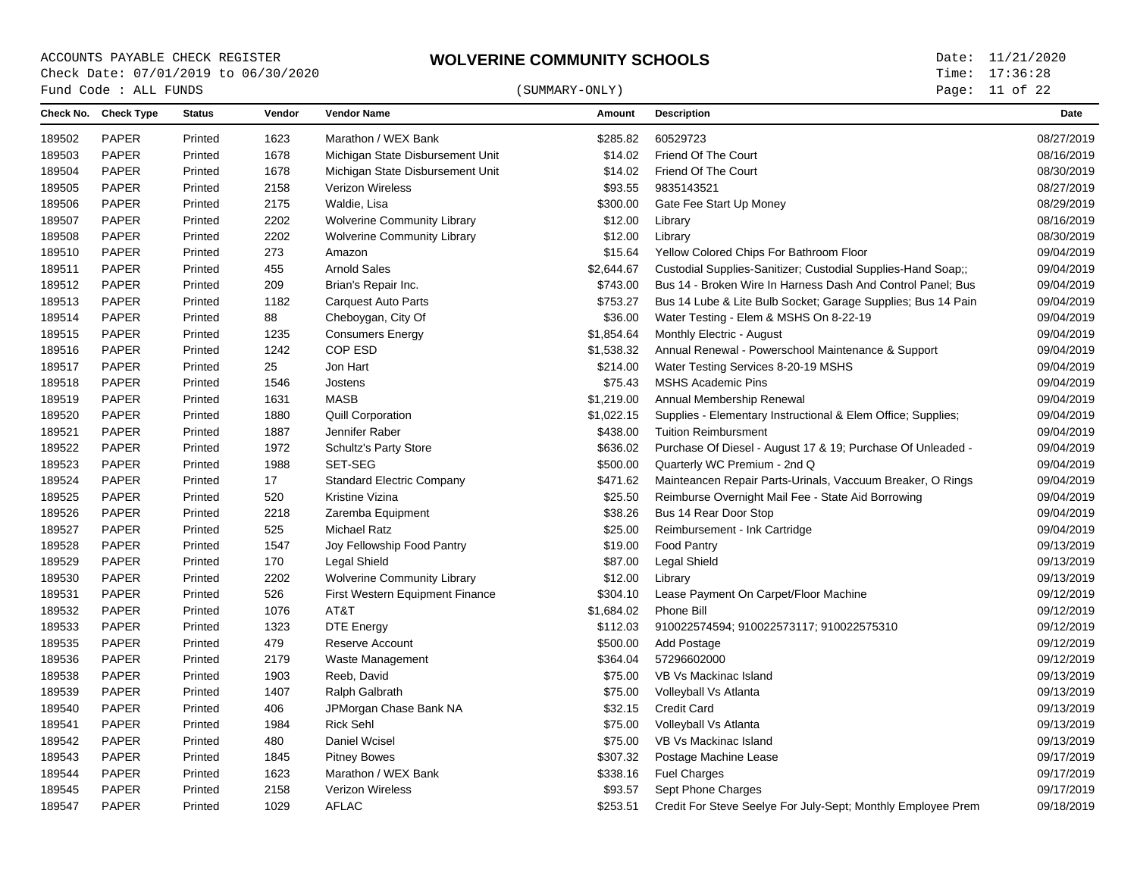# $\begin{array}{cccc}\n\text{Fund Code}: \text{ALL FUNDS}\n\end{array} \tag{SUMMARY-ONLY}$

Page: 11 of 22

|        | Check No. Check Type | <b>Status</b> | Vendor | <b>Vendor Name</b>                 | Amount     | <b>Description</b>                                           | Date       |
|--------|----------------------|---------------|--------|------------------------------------|------------|--------------------------------------------------------------|------------|
| 189502 | <b>PAPER</b>         | Printed       | 1623   | Marathon / WEX Bank                | \$285.82   | 60529723                                                     | 08/27/2019 |
| 189503 | <b>PAPER</b>         | Printed       | 1678   | Michigan State Disbursement Unit   | \$14.02    | Friend Of The Court                                          | 08/16/2019 |
| 189504 | <b>PAPER</b>         | Printed       | 1678   | Michigan State Disbursement Unit   | \$14.02    | Friend Of The Court                                          | 08/30/2019 |
| 189505 | <b>PAPER</b>         | Printed       | 2158   | Verizon Wireless                   | \$93.55    | 9835143521                                                   | 08/27/2019 |
| 189506 | <b>PAPER</b>         | Printed       | 2175   | Waldie, Lisa                       | \$300.00   | Gate Fee Start Up Money                                      | 08/29/2019 |
| 189507 | <b>PAPER</b>         | Printed       | 2202   | <b>Wolverine Community Library</b> | \$12.00    | Library                                                      | 08/16/2019 |
| 189508 | <b>PAPER</b>         | Printed       | 2202   | <b>Wolverine Community Library</b> | \$12.00    | Library                                                      | 08/30/2019 |
| 189510 | <b>PAPER</b>         | Printed       | 273    | Amazon                             | \$15.64    | Yellow Colored Chips For Bathroom Floor                      | 09/04/2019 |
| 189511 | <b>PAPER</b>         | Printed       | 455    | <b>Arnold Sales</b>                | \$2,644.67 | Custodial Supplies-Sanitizer; Custodial Supplies-Hand Soap;; | 09/04/2019 |
| 189512 | <b>PAPER</b>         | Printed       | 209    | Brian's Repair Inc.                | \$743.00   | Bus 14 - Broken Wire In Harness Dash And Control Panel: Bus  | 09/04/2019 |
| 189513 | <b>PAPER</b>         | Printed       | 1182   | <b>Carquest Auto Parts</b>         | \$753.27   | Bus 14 Lube & Lite Bulb Socket; Garage Supplies; Bus 14 Pain | 09/04/2019 |
| 189514 | <b>PAPER</b>         | Printed       | 88     | Cheboygan, City Of                 | \$36.00    | Water Testing - Elem & MSHS On 8-22-19                       | 09/04/2019 |
| 189515 | <b>PAPER</b>         | Printed       | 1235   | <b>Consumers Energy</b>            | \$1,854.64 | Monthly Electric - August                                    | 09/04/2019 |
| 189516 | <b>PAPER</b>         | Printed       | 1242   | COP ESD                            | \$1,538.32 | Annual Renewal - Powerschool Maintenance & Support           | 09/04/2019 |
| 189517 | <b>PAPER</b>         | Printed       | 25     | Jon Hart                           | \$214.00   | Water Testing Services 8-20-19 MSHS                          | 09/04/2019 |
| 189518 | <b>PAPER</b>         | Printed       | 1546   | Jostens                            | \$75.43    | <b>MSHS Academic Pins</b>                                    | 09/04/2019 |
| 189519 | <b>PAPER</b>         | Printed       | 1631   | <b>MASB</b>                        | \$1,219.00 | Annual Membership Renewal                                    | 09/04/2019 |
| 189520 | <b>PAPER</b>         | Printed       | 1880   | <b>Quill Corporation</b>           | \$1,022.15 | Supplies - Elementary Instructional & Elem Office; Supplies; | 09/04/2019 |
| 189521 | <b>PAPER</b>         | Printed       | 1887   | Jennifer Raber                     | \$438.00   | <b>Tuition Reimbursment</b>                                  | 09/04/2019 |
| 189522 | <b>PAPER</b>         | Printed       | 1972   | <b>Schultz's Party Store</b>       | \$636.02   | Purchase Of Diesel - August 17 & 19; Purchase Of Unleaded -  | 09/04/2019 |
| 189523 | <b>PAPER</b>         | Printed       | 1988   | SET-SEG                            | \$500.00   | Quarterly WC Premium - 2nd Q                                 | 09/04/2019 |
| 189524 | <b>PAPER</b>         | Printed       | 17     | <b>Standard Electric Company</b>   | \$471.62   | Mainteancen Repair Parts-Urinals, Vaccuum Breaker, O Rings   | 09/04/2019 |
| 189525 | <b>PAPER</b>         | Printed       | 520    | Kristine Vizina                    | \$25.50    | Reimburse Overnight Mail Fee - State Aid Borrowing           | 09/04/2019 |
| 189526 | <b>PAPER</b>         | Printed       | 2218   | Zaremba Equipment                  | \$38.26    | Bus 14 Rear Door Stop                                        | 09/04/2019 |
| 189527 | <b>PAPER</b>         | Printed       | 525    | <b>Michael Ratz</b>                | \$25.00    | Reimbursement - Ink Cartridge                                | 09/04/2019 |
| 189528 | <b>PAPER</b>         | Printed       | 1547   | Joy Fellowship Food Pantry         | \$19.00    | Food Pantry                                                  | 09/13/2019 |
| 189529 | <b>PAPER</b>         | Printed       | 170    | <b>Legal Shield</b>                | \$87.00    | Legal Shield                                                 | 09/13/2019 |
| 189530 | <b>PAPER</b>         | Printed       | 2202   | <b>Wolverine Community Library</b> | \$12.00    | Library                                                      | 09/13/2019 |
| 189531 | <b>PAPER</b>         | Printed       | 526    | First Western Equipment Finance    | \$304.10   | Lease Payment On Carpet/Floor Machine                        | 09/12/2019 |
| 189532 | <b>PAPER</b>         | Printed       | 1076   | AT&T                               | \$1,684.02 | Phone Bill                                                   | 09/12/2019 |
| 189533 | <b>PAPER</b>         | Printed       | 1323   | <b>DTE Energy</b>                  | \$112.03   | 910022574594; 910022573117; 910022575310                     | 09/12/2019 |
| 189535 | <b>PAPER</b>         | Printed       | 479    | Reserve Account                    | \$500.00   | Add Postage                                                  | 09/12/2019 |
| 189536 | <b>PAPER</b>         | Printed       | 2179   | Waste Management                   | \$364.04   | 57296602000                                                  | 09/12/2019 |
| 189538 | <b>PAPER</b>         | Printed       | 1903   | Reeb, David                        | \$75.00    | VB Vs Mackinac Island                                        | 09/13/2019 |
| 189539 | <b>PAPER</b>         | Printed       | 1407   | Ralph Galbrath                     | \$75.00    | Volleyball Vs Atlanta                                        | 09/13/2019 |
| 189540 | <b>PAPER</b>         | Printed       | 406    | JPMorgan Chase Bank NA             | \$32.15    | <b>Credit Card</b>                                           | 09/13/2019 |
| 189541 | <b>PAPER</b>         | Printed       | 1984   | <b>Rick Sehl</b>                   | \$75.00    | Volleyball Vs Atlanta                                        | 09/13/2019 |
| 189542 | <b>PAPER</b>         | Printed       | 480    | Daniel Wcisel                      | \$75.00    | VB Vs Mackinac Island                                        | 09/13/2019 |
| 189543 | <b>PAPER</b>         | Printed       | 1845   | <b>Pitney Bowes</b>                | \$307.32   | Postage Machine Lease                                        | 09/17/2019 |
| 189544 | <b>PAPER</b>         | Printed       | 1623   | Marathon / WEX Bank                | \$338.16   | <b>Fuel Charges</b>                                          | 09/17/2019 |
| 189545 | <b>PAPER</b>         | Printed       | 2158   | Verizon Wireless                   | \$93.57    | Sept Phone Charges                                           | 09/17/2019 |
| 189547 | <b>PAPER</b>         | Printed       | 1029   | <b>AFLAC</b>                       | \$253.51   | Credit For Steve Seelye For July-Sept; Monthly Employee Prem | 09/18/2019 |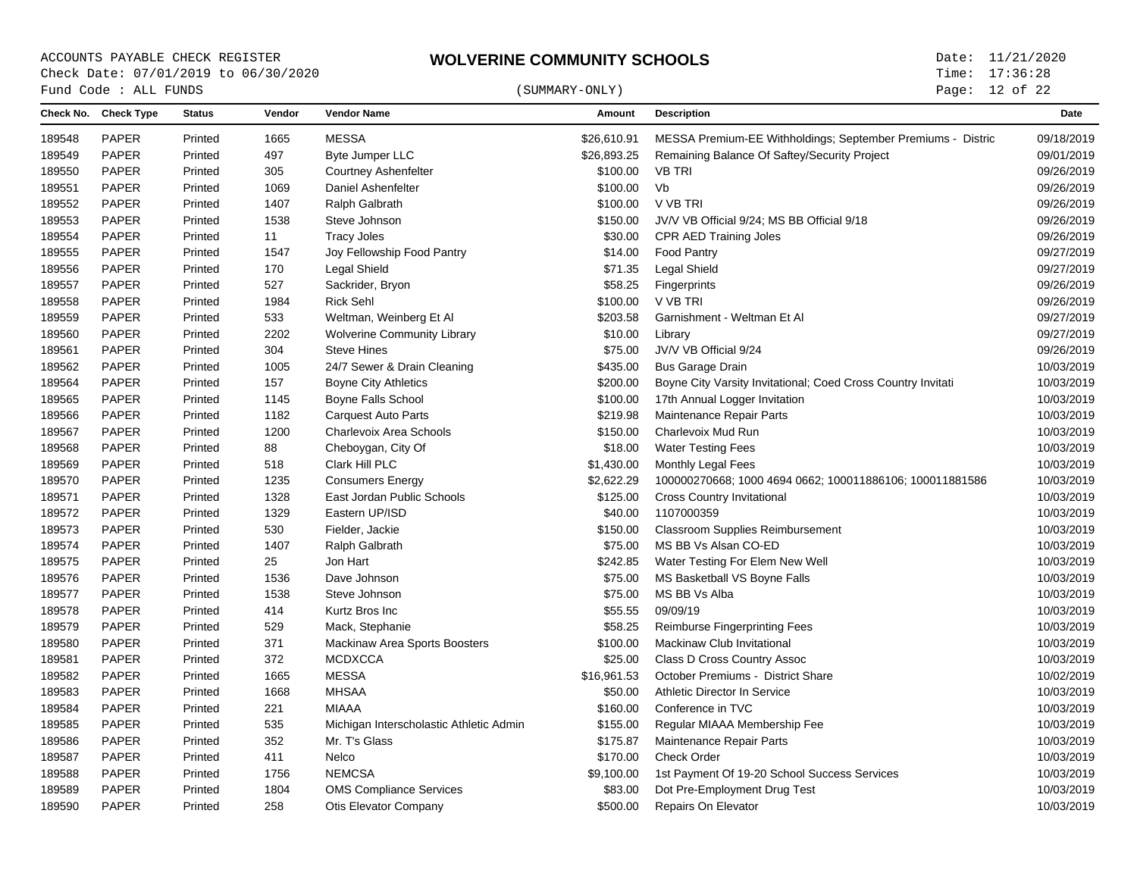## $\begin{array}{cccc}\n\text{Fund Code}: \text{ALL FUNDS}\n\end{array} \tag{SUMMARY-ONLY}$

Page: 12 of 22

| 189548 | <b>PAPER</b>           |         |      |                                         |             |                                                              |            |
|--------|------------------------|---------|------|-----------------------------------------|-------------|--------------------------------------------------------------|------------|
|        |                        | Printed | 1665 | <b>MESSA</b>                            | \$26,610.91 | MESSA Premium-EE Withholdings; September Premiums - Distric  | 09/18/2019 |
|        | <b>PAPER</b><br>189549 | Printed | 497  | <b>Byte Jumper LLC</b>                  | \$26,893.25 | Remaining Balance Of Saftey/Security Project                 | 09/01/2019 |
| 189550 | <b>PAPER</b>           | Printed | 305  | <b>Courtney Ashenfelter</b>             | \$100.00    | <b>VB TRI</b>                                                | 09/26/2019 |
| 189551 | PAPER                  | Printed | 1069 | Daniel Ashenfelter                      | \$100.00    | Vb                                                           | 09/26/2019 |
| 189552 | <b>PAPER</b>           | Printed | 1407 | Ralph Galbrath                          | \$100.00    | V VB TRI                                                     | 09/26/2019 |
| 189553 | <b>PAPER</b>           | Printed | 1538 | Steve Johnson                           | \$150.00    | JV/V VB Official 9/24; MS BB Official 9/18                   | 09/26/2019 |
| 189554 | <b>PAPER</b>           | Printed | 11   | <b>Tracy Joles</b>                      | \$30.00     | <b>CPR AED Training Joles</b>                                | 09/26/2019 |
| 189555 | <b>PAPER</b>           | Printed | 1547 | Joy Fellowship Food Pantry              | \$14.00     | <b>Food Pantry</b>                                           | 09/27/2019 |
|        | <b>PAPER</b><br>189556 | Printed | 170  | <b>Legal Shield</b>                     | \$71.35     | Legal Shield                                                 | 09/27/2019 |
| 189557 | <b>PAPER</b>           | Printed | 527  | Sackrider, Bryon                        | \$58.25     | Fingerprints                                                 | 09/26/2019 |
| 189558 | <b>PAPER</b>           | Printed | 1984 | <b>Rick Sehl</b>                        | \$100.00    | V VB TRI                                                     | 09/26/2019 |
| 189559 | <b>PAPER</b>           | Printed | 533  | Weltman, Weinberg Et Al                 | \$203.58    | Garnishment - Weltman Et Al                                  | 09/27/2019 |
| 189560 | <b>PAPER</b>           | Printed | 2202 | <b>Wolverine Community Library</b>      | \$10.00     | Library                                                      | 09/27/2019 |
| 189561 | <b>PAPER</b>           | Printed | 304  | <b>Steve Hines</b>                      | \$75.00     | JV/V VB Official 9/24                                        | 09/26/2019 |
| 189562 | <b>PAPER</b>           | Printed | 1005 | 24/7 Sewer & Drain Cleaning             | \$435.00    | <b>Bus Garage Drain</b>                                      | 10/03/2019 |
| 189564 | <b>PAPER</b>           | Printed | 157  | <b>Boyne City Athletics</b>             | \$200.00    | Boyne City Varsity Invitational; Coed Cross Country Invitati | 10/03/2019 |
| 189565 | <b>PAPER</b>           | Printed | 1145 | <b>Boyne Falls School</b>               | \$100.00    | 17th Annual Logger Invitation                                | 10/03/2019 |
| 189566 | <b>PAPER</b>           | Printed | 1182 | <b>Carquest Auto Parts</b>              | \$219.98    | Maintenance Repair Parts                                     | 10/03/2019 |
| 189567 | <b>PAPER</b>           | Printed | 1200 | Charlevoix Area Schools                 | \$150.00    | Charlevoix Mud Run                                           | 10/03/2019 |
| 189568 | <b>PAPER</b>           | Printed | 88   | Cheboygan, City Of                      | \$18.00     | <b>Water Testing Fees</b>                                    | 10/03/2019 |
| 189569 | <b>PAPER</b>           | Printed | 518  | Clark Hill PLC                          | \$1,430.00  | Monthly Legal Fees                                           | 10/03/2019 |
|        | 189570<br><b>PAPER</b> | Printed | 1235 | <b>Consumers Energy</b>                 | \$2,622.29  | 100000270668; 1000 4694 0662; 100011886106; 100011881586     | 10/03/2019 |
| 189571 | <b>PAPER</b>           | Printed | 1328 | East Jordan Public Schools              | \$125.00    | <b>Cross Country Invitational</b>                            | 10/03/2019 |
| 189572 | <b>PAPER</b>           | Printed | 1329 | Eastern UP/ISD                          | \$40.00     | 1107000359                                                   | 10/03/2019 |
|        | 189573<br><b>PAPER</b> | Printed | 530  | Fielder, Jackie                         | \$150.00    | <b>Classroom Supplies Reimbursement</b>                      | 10/03/2019 |
| 189574 | <b>PAPER</b>           | Printed | 1407 | Ralph Galbrath                          | \$75.00     | MS BB Vs Alsan CO-ED                                         | 10/03/2019 |
| 189575 | <b>PAPER</b>           | Printed | 25   | Jon Hart                                | \$242.85    | Water Testing For Elem New Well                              | 10/03/2019 |
|        | 189576<br><b>PAPER</b> | Printed | 1536 | Dave Johnson                            | \$75.00     | MS Basketball VS Boyne Falls                                 | 10/03/2019 |
| 189577 | <b>PAPER</b>           | Printed | 1538 | Steve Johnson                           | \$75.00     | MS BB Vs Alba                                                | 10/03/2019 |
| 189578 | <b>PAPER</b>           | Printed | 414  | Kurtz Bros Inc                          | \$55.55     | 09/09/19                                                     | 10/03/2019 |
| 189579 | <b>PAPER</b>           | Printed | 529  | Mack, Stephanie                         | \$58.25     | <b>Reimburse Fingerprinting Fees</b>                         | 10/03/2019 |
| 189580 | <b>PAPER</b>           | Printed | 371  | Mackinaw Area Sports Boosters           | \$100.00    | Mackinaw Club Invitational                                   | 10/03/2019 |
| 189581 | <b>PAPER</b>           | Printed | 372  | <b>MCDXCCA</b>                          | \$25.00     | Class D Cross Country Assoc                                  | 10/03/2019 |
| 189582 | <b>PAPER</b>           | Printed | 1665 | <b>MESSA</b>                            | \$16,961.53 | October Premiums - District Share                            | 10/02/2019 |
| 189583 | <b>PAPER</b>           | Printed | 1668 | <b>MHSAA</b>                            | \$50.00     | Athletic Director In Service                                 | 10/03/2019 |
| 189584 | <b>PAPER</b>           | Printed | 221  | MIAAA                                   | \$160.00    | Conference in TVC                                            | 10/03/2019 |
| 189585 | PAPER                  | Printed | 535  | Michigan Interscholastic Athletic Admin | \$155.00    | Regular MIAAA Membership Fee                                 | 10/03/2019 |
|        | 189586<br><b>PAPER</b> | Printed | 352  | Mr. T's Glass                           | \$175.87    | Maintenance Repair Parts                                     | 10/03/2019 |
| 189587 | <b>PAPER</b>           | Printed | 411  | Nelco                                   | \$170.00    | <b>Check Order</b>                                           | 10/03/2019 |
| 189588 | <b>PAPER</b>           | Printed | 1756 | <b>NEMCSA</b>                           | \$9,100.00  | 1st Payment Of 19-20 School Success Services                 | 10/03/2019 |
| 189589 | <b>PAPER</b>           | Printed | 1804 | <b>OMS Compliance Services</b>          | \$83.00     | Dot Pre-Employment Drug Test                                 | 10/03/2019 |
| 189590 | <b>PAPER</b>           | Printed | 258  | Otis Elevator Company                   | \$500.00    | Repairs On Elevator                                          | 10/03/2019 |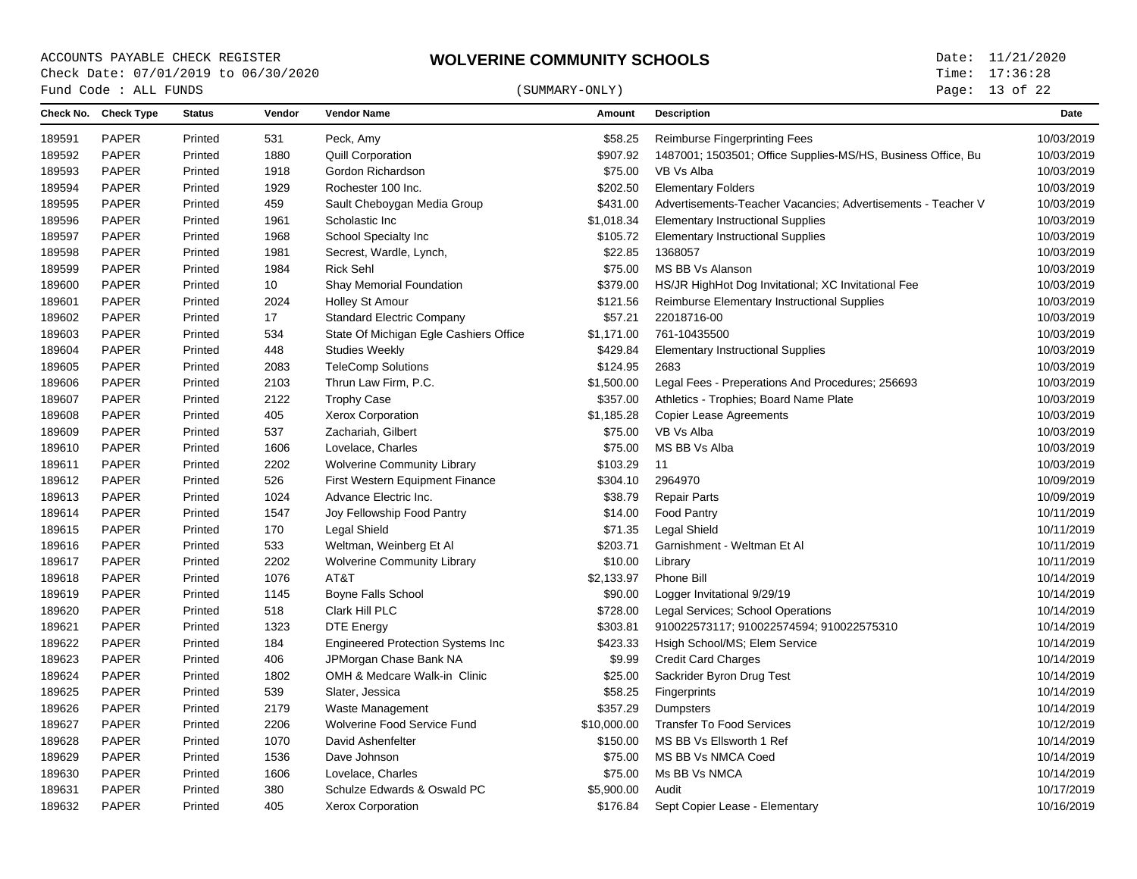## $\begin{array}{cccc}\n\text{Fund Code}: \text{ALL FUNDS}\n\end{array} \tag{SUMMARY-ONLY}$

Page: 13 of 22

|        | Check No. Check Type | <b>Status</b> | Vendor | <b>Vendor Name</b>                       | Amount      | <b>Description</b>                                           | Date       |
|--------|----------------------|---------------|--------|------------------------------------------|-------------|--------------------------------------------------------------|------------|
| 189591 | PAPER                | Printed       | 531    | Peck, Amy                                | \$58.25     | <b>Reimburse Fingerprinting Fees</b>                         | 10/03/2019 |
| 189592 | PAPER                | Printed       | 1880   | <b>Quill Corporation</b>                 | \$907.92    | 1487001; 1503501; Office Supplies-MS/HS, Business Office, Bu | 10/03/2019 |
| 189593 | <b>PAPER</b>         | Printed       | 1918   | Gordon Richardson                        | \$75.00     | VB Vs Alba                                                   | 10/03/2019 |
| 189594 | PAPER                | Printed       | 1929   | Rochester 100 Inc.                       | \$202.50    | <b>Elementary Folders</b>                                    | 10/03/2019 |
| 189595 | <b>PAPER</b>         | Printed       | 459    | Sault Cheboygan Media Group              | \$431.00    | Advertisements-Teacher Vacancies; Advertisements - Teacher V | 10/03/2019 |
| 189596 | PAPER                | Printed       | 1961   | Scholastic Inc                           | \$1,018.34  | <b>Elementary Instructional Supplies</b>                     | 10/03/2019 |
| 189597 | PAPER                | Printed       | 1968   | School Specialty Inc                     | \$105.72    | <b>Elementary Instructional Supplies</b>                     | 10/03/2019 |
| 189598 | <b>PAPER</b>         | Printed       | 1981   | Secrest, Wardle, Lynch,                  | \$22.85     | 1368057                                                      | 10/03/2019 |
| 189599 | PAPER                | Printed       | 1984   | <b>Rick Sehl</b>                         | \$75.00     | MS BB Vs Alanson                                             | 10/03/2019 |
| 189600 | PAPER                | Printed       | 10     | Shay Memorial Foundation                 | \$379.00    | HS/JR HighHot Dog Invitational; XC Invitational Fee          | 10/03/2019 |
| 189601 | PAPER                | Printed       | 2024   | <b>Holley St Amour</b>                   | \$121.56    | Reimburse Elementary Instructional Supplies                  | 10/03/2019 |
| 189602 | PAPER                | Printed       | 17     | <b>Standard Electric Company</b>         | \$57.21     | 22018716-00                                                  | 10/03/2019 |
| 189603 | <b>PAPER</b>         | Printed       | 534    | State Of Michigan Egle Cashiers Office   | \$1,171.00  | 761-10435500                                                 | 10/03/2019 |
| 189604 | PAPER                | Printed       | 448    | <b>Studies Weekly</b>                    | \$429.84    | <b>Elementary Instructional Supplies</b>                     | 10/03/2019 |
| 189605 | PAPER                | Printed       | 2083   | <b>TeleComp Solutions</b>                | \$124.95    | 2683                                                         | 10/03/2019 |
| 189606 | PAPER                | Printed       | 2103   | Thrun Law Firm, P.C.                     | \$1,500.00  | Legal Fees - Preperations And Procedures; 256693             | 10/03/2019 |
| 189607 | PAPER                | Printed       | 2122   | <b>Trophy Case</b>                       | \$357.00    | Athletics - Trophies; Board Name Plate                       | 10/03/2019 |
| 189608 | <b>PAPER</b>         | Printed       | 405    | <b>Xerox Corporation</b>                 | \$1,185.28  | <b>Copier Lease Agreements</b>                               | 10/03/2019 |
| 189609 | <b>PAPER</b>         | Printed       | 537    | Zachariah, Gilbert                       | \$75.00     | VB Vs Alba                                                   | 10/03/2019 |
| 189610 | PAPER                | Printed       | 1606   | Lovelace, Charles                        | \$75.00     | MS BB Vs Alba                                                | 10/03/2019 |
| 189611 | PAPER                | Printed       | 2202   | <b>Wolverine Community Library</b>       | \$103.29    | 11                                                           | 10/03/2019 |
| 189612 | PAPER                | Printed       | 526    | First Western Equipment Finance          | \$304.10    | 2964970                                                      | 10/09/2019 |
| 189613 | PAPER                | Printed       | 1024   | Advance Electric Inc.                    | \$38.79     | <b>Repair Parts</b>                                          | 10/09/2019 |
| 189614 | PAPER                | Printed       | 1547   | Joy Fellowship Food Pantry               | \$14.00     | <b>Food Pantry</b>                                           | 10/11/2019 |
| 189615 | PAPER                | Printed       | 170    | Legal Shield                             | \$71.35     | <b>Legal Shield</b>                                          | 10/11/2019 |
| 189616 | <b>PAPER</b>         | Printed       | 533    | Weltman, Weinberg Et Al                  | \$203.71    | Garnishment - Weltman Et Al                                  | 10/11/2019 |
| 189617 | <b>PAPER</b>         | Printed       | 2202   | <b>Wolverine Community Library</b>       | \$10.00     | Library                                                      | 10/11/2019 |
| 189618 | PAPER                | Printed       | 1076   | AT&T                                     | \$2,133.97  | Phone Bill                                                   | 10/14/2019 |
| 189619 | PAPER                | Printed       | 1145   | Boyne Falls School                       | \$90.00     | Logger Invitational 9/29/19                                  | 10/14/2019 |
| 189620 | PAPER                | Printed       | 518    | Clark Hill PLC                           | \$728.00    | Legal Services; School Operations                            | 10/14/2019 |
| 189621 | <b>PAPER</b>         | Printed       | 1323   | <b>DTE Energy</b>                        | \$303.81    | 910022573117; 910022574594; 910022575310                     | 10/14/2019 |
| 189622 | <b>PAPER</b>         | Printed       | 184    | <b>Engineered Protection Systems Inc</b> | \$423.33    | Hsigh School/MS; Elem Service                                | 10/14/2019 |
| 189623 | <b>PAPER</b>         | Printed       | 406    | JPMorgan Chase Bank NA                   | \$9.99      | <b>Credit Card Charges</b>                                   | 10/14/2019 |
| 189624 | PAPER                | Printed       | 1802   | OMH & Medcare Walk-in Clinic             | \$25.00     | Sackrider Byron Drug Test                                    | 10/14/2019 |
| 189625 | PAPER                | Printed       | 539    | Slater, Jessica                          | \$58.25     | Fingerprints                                                 | 10/14/2019 |
| 189626 | <b>PAPER</b>         | Printed       | 2179   | Waste Management                         | \$357.29    | Dumpsters                                                    | 10/14/2019 |
| 189627 | PAPER                | Printed       | 2206   | Wolverine Food Service Fund              | \$10,000.00 | <b>Transfer To Food Services</b>                             | 10/12/2019 |
| 189628 | PAPER                | Printed       | 1070   | David Ashenfelter                        | \$150.00    | MS BB Vs Ellsworth 1 Ref                                     | 10/14/2019 |
| 189629 | PAPER                | Printed       | 1536   | Dave Johnson                             | \$75.00     | MS BB Vs NMCA Coed                                           | 10/14/2019 |
| 189630 | PAPER                | Printed       | 1606   | Lovelace, Charles                        | \$75.00     | Ms BB Vs NMCA                                                | 10/14/2019 |
| 189631 | PAPER                | Printed       | 380    | Schulze Edwards & Oswald PC              | \$5,900.00  | Audit                                                        | 10/17/2019 |
| 189632 | PAPER                | Printed       | 405    | <b>Xerox Corporation</b>                 | \$176.84    | Sept Copier Lease - Elementary                               | 10/16/2019 |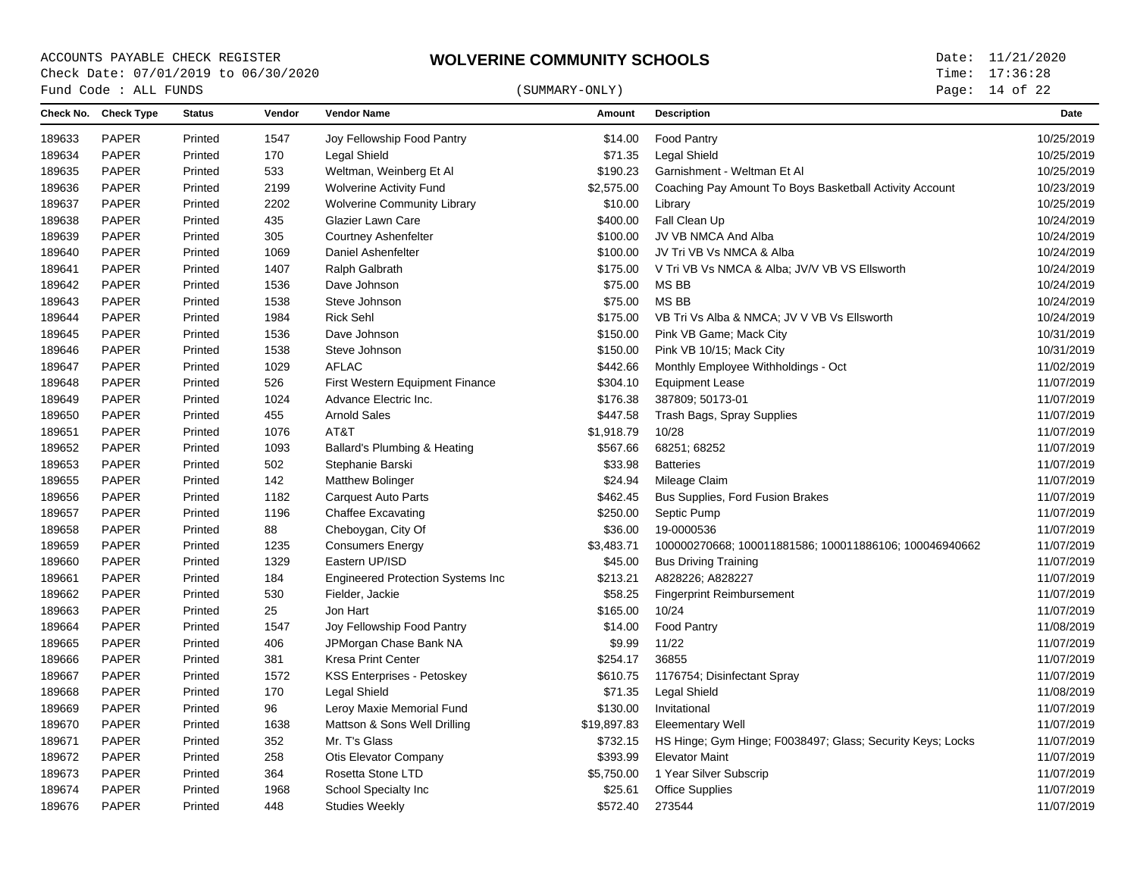# $\begin{array}{cccc}\n\text{Fund Code}: \text{ALL FUNDS}\n\end{array} \tag{SUMMARY-ONLY}$

Page: 14 of 22

|        | Check No. Check Type | <b>Status</b> | Vendor | <b>Vendor Name</b>                       | Amount      | <b>Description</b>                                         | Date       |
|--------|----------------------|---------------|--------|------------------------------------------|-------------|------------------------------------------------------------|------------|
| 189633 | PAPER                | Printed       | 1547   | Joy Fellowship Food Pantry               | \$14.00     | <b>Food Pantry</b>                                         | 10/25/2019 |
| 189634 | PAPER                | Printed       | 170    | Legal Shield                             | \$71.35     | <b>Legal Shield</b>                                        | 10/25/2019 |
| 189635 | PAPER                | Printed       | 533    | Weltman, Weinberg Et Al                  | \$190.23    | Garnishment - Weltman Et Al                                | 10/25/2019 |
| 189636 | PAPER                | Printed       | 2199   | <b>Wolverine Activity Fund</b>           | \$2,575.00  | Coaching Pay Amount To Boys Basketball Activity Account    | 10/23/2019 |
| 189637 | <b>PAPER</b>         | Printed       | 2202   | <b>Wolverine Community Library</b>       | \$10.00     | Library                                                    | 10/25/2019 |
| 189638 | <b>PAPER</b>         | Printed       | 435    | Glazier Lawn Care                        | \$400.00    | Fall Clean Up                                              | 10/24/2019 |
| 189639 | PAPER                | Printed       | 305    | <b>Courtney Ashenfelter</b>              | \$100.00    | JV VB NMCA And Alba                                        | 10/24/2019 |
| 189640 | PAPER                | Printed       | 1069   | Daniel Ashenfelter                       | \$100.00    | JV Tri VB Vs NMCA & Alba                                   | 10/24/2019 |
| 189641 | <b>PAPER</b>         | Printed       | 1407   | <b>Ralph Galbrath</b>                    | \$175.00    | V Tri VB Vs NMCA & Alba; JV/V VB VS Ellsworth              | 10/24/2019 |
| 189642 | <b>PAPER</b>         | Printed       | 1536   | Dave Johnson                             | \$75.00     | MS BB                                                      | 10/24/2019 |
| 189643 | <b>PAPER</b>         | Printed       | 1538   | Steve Johnson                            | \$75.00     | <b>MSBB</b>                                                | 10/24/2019 |
| 189644 | <b>PAPER</b>         | Printed       | 1984   | <b>Rick Sehl</b>                         | \$175.00    | VB Tri Vs Alba & NMCA; JV V VB Vs Ellsworth                | 10/24/2019 |
| 189645 | <b>PAPER</b>         | Printed       | 1536   | Dave Johnson                             | \$150.00    | Pink VB Game; Mack City                                    | 10/31/2019 |
| 189646 | PAPER                | Printed       | 1538   | Steve Johnson                            | \$150.00    | Pink VB 10/15; Mack City                                   | 10/31/2019 |
| 189647 | PAPER                | Printed       | 1029   | <b>AFLAC</b>                             | \$442.66    | Monthly Employee Withholdings - Oct                        | 11/02/2019 |
| 189648 | <b>PAPER</b>         | Printed       | 526    | First Western Equipment Finance          | \$304.10    | <b>Equipment Lease</b>                                     | 11/07/2019 |
| 189649 | <b>PAPER</b>         | Printed       | 1024   | Advance Electric Inc.                    | \$176.38    | 387809; 50173-01                                           | 11/07/2019 |
| 189650 | PAPER                | Printed       | 455    | <b>Arnold Sales</b>                      | \$447.58    | Trash Bags, Spray Supplies                                 | 11/07/2019 |
| 189651 | <b>PAPER</b>         | Printed       | 1076   | AT&T                                     | \$1,918.79  | 10/28                                                      | 11/07/2019 |
| 189652 | PAPER                | Printed       | 1093   | Ballard's Plumbing & Heating             | \$567.66    | 68251; 68252                                               | 11/07/2019 |
| 189653 | <b>PAPER</b>         | Printed       | 502    | Stephanie Barski                         | \$33.98     | <b>Batteries</b>                                           | 11/07/2019 |
| 189655 | PAPER                | Printed       | 142    | <b>Matthew Bolinger</b>                  | \$24.94     | Mileage Claim                                              | 11/07/2019 |
| 189656 | PAPER                | Printed       | 1182   | <b>Carquest Auto Parts</b>               | \$462.45    | Bus Supplies, Ford Fusion Brakes                           | 11/07/2019 |
| 189657 | PAPER                | Printed       | 1196   | <b>Chaffee Excavating</b>                | \$250.00    | Septic Pump                                                | 11/07/2019 |
| 189658 | <b>PAPER</b>         | Printed       | 88     | Cheboygan, City Of                       | \$36.00     | 19-0000536                                                 | 11/07/2019 |
| 189659 | <b>PAPER</b>         | Printed       | 1235   | <b>Consumers Energy</b>                  | \$3,483.71  | 100000270668; 100011881586; 100011886106; 100046940662     | 11/07/2019 |
| 189660 | <b>PAPER</b>         | Printed       | 1329   | Eastern UP/ISD                           | \$45.00     | <b>Bus Driving Training</b>                                | 11/07/2019 |
| 189661 | <b>PAPER</b>         | Printed       | 184    | <b>Engineered Protection Systems Inc</b> | \$213.21    | A828226; A828227                                           | 11/07/2019 |
| 189662 | <b>PAPER</b>         | Printed       | 530    | Fielder, Jackie                          | \$58.25     | <b>Fingerprint Reimbursement</b>                           | 11/07/2019 |
| 189663 | <b>PAPER</b>         | Printed       | 25     | Jon Hart                                 | \$165.00    | 10/24                                                      | 11/07/2019 |
| 189664 | <b>PAPER</b>         | Printed       | 1547   | Joy Fellowship Food Pantry               | \$14.00     | Food Pantry                                                | 11/08/2019 |
| 189665 | PAPER                | Printed       | 406    | JPMorgan Chase Bank NA                   | \$9.99      | 11/22                                                      | 11/07/2019 |
| 189666 | PAPER                | Printed       | 381    | <b>Kresa Print Center</b>                | \$254.17    | 36855                                                      | 11/07/2019 |
| 189667 | PAPER                | Printed       | 1572   | KSS Enterprises - Petoskey               | \$610.75    | 1176754; Disinfectant Spray                                | 11/07/2019 |
| 189668 | <b>PAPER</b>         | Printed       | 170    | Legal Shield                             | \$71.35     | Legal Shield                                               | 11/08/2019 |
| 189669 | <b>PAPER</b>         | Printed       | 96     | Leroy Maxie Memorial Fund                | \$130.00    | Invitational                                               | 11/07/2019 |
| 189670 | PAPER                | Printed       | 1638   | Mattson & Sons Well Drilling             | \$19,897.83 | <b>Eleementary Well</b>                                    | 11/07/2019 |
| 189671 | <b>PAPER</b>         | Printed       | 352    | Mr. T's Glass                            | \$732.15    | HS Hinge; Gym Hinge; F0038497; Glass; Security Keys; Locks | 11/07/2019 |
| 189672 | <b>PAPER</b>         | Printed       | 258    | Otis Elevator Company                    | \$393.99    | <b>Elevator Maint</b>                                      | 11/07/2019 |
| 189673 | PAPER                | Printed       | 364    | Rosetta Stone LTD                        | \$5,750.00  | 1 Year Silver Subscrip                                     | 11/07/2019 |
| 189674 | PAPER                | Printed       | 1968   | School Specialty Inc                     | \$25.61     | <b>Office Supplies</b>                                     | 11/07/2019 |
| 189676 | <b>PAPER</b>         | Printed       | 448    | <b>Studies Weekly</b>                    | \$572.40    | 273544                                                     | 11/07/2019 |
|        |                      |               |        |                                          |             |                                                            |            |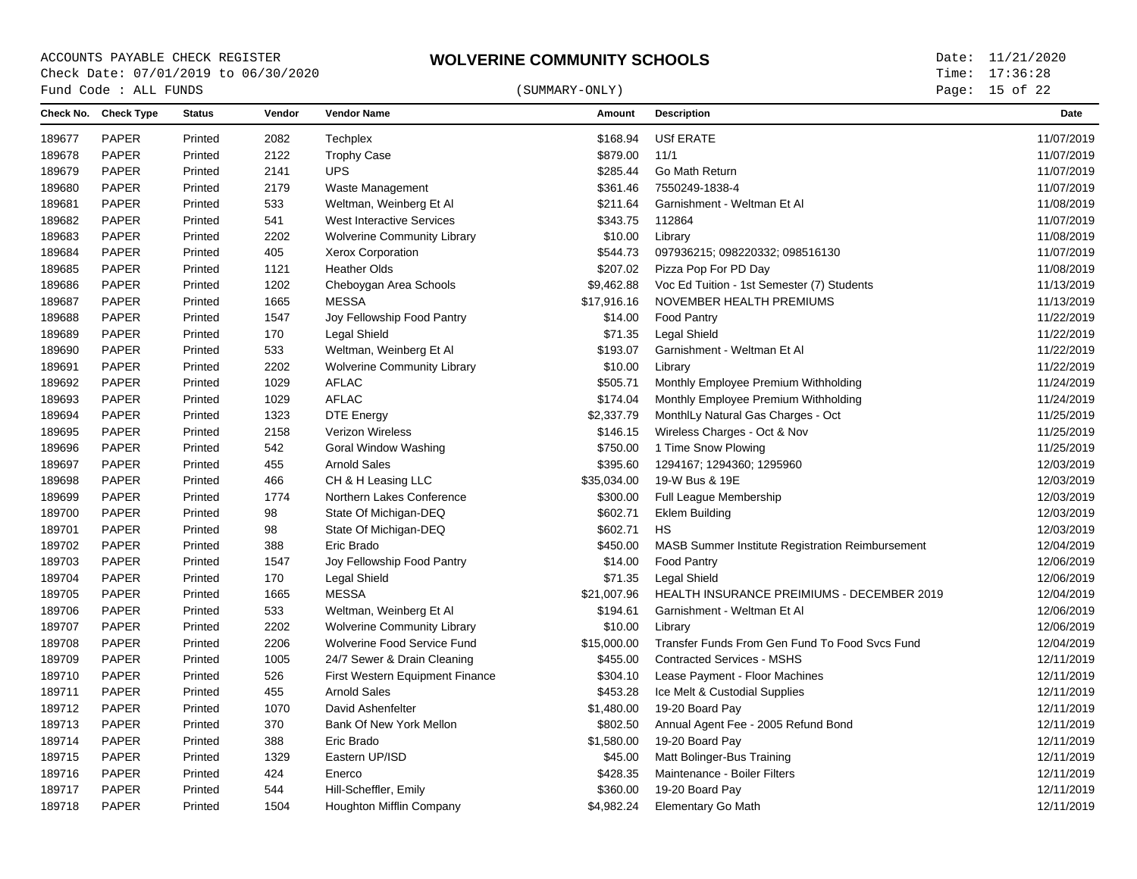Page: 15 of 22

|        | Fund Code : ALL FUNDS |               |        |                                        | (SUMMARY-ONLY) |                                                         | Page: 15 of 22 |
|--------|-----------------------|---------------|--------|----------------------------------------|----------------|---------------------------------------------------------|----------------|
|        | Check No. Check Type  | <b>Status</b> | Vendor | <b>Vendor Name</b>                     | Amount         | <b>Description</b>                                      | <b>Date</b>    |
| 189677 | PAPER                 | Printed       | 2082   | Techplex                               | \$168.94       | <b>USf ERATE</b>                                        | 11/07/2019     |
| 189678 | PAPER                 | Printed       | 2122   | <b>Trophy Case</b>                     | \$879.00       | 11/1                                                    | 11/07/2019     |
| 189679 | PAPER                 | Printed       | 2141   | <b>UPS</b>                             | \$285.44       | Go Math Return                                          | 11/07/2019     |
| 189680 | PAPER                 | Printed       | 2179   | Waste Management                       | \$361.46       | 7550249-1838-4                                          | 11/07/2019     |
| 189681 | PAPER                 | Printed       | 533    | Weltman, Weinberg Et Al                | \$211.64       | Garnishment - Weltman Et Al                             | 11/08/2019     |
| 189682 | PAPER                 | Printed       | 541    | <b>West Interactive Services</b>       | \$343.75       | 112864                                                  | 11/07/2019     |
| 189683 | PAPER                 | Printed       | 2202   | <b>Wolverine Community Library</b>     | \$10.00        | Library                                                 | 11/08/2019     |
| 189684 | PAPER                 | Printed       | 405    | Xerox Corporation                      | \$544.73       | 097936215; 098220332; 098516130                         | 11/07/2019     |
| 189685 | PAPER                 | Printed       | 1121   | <b>Heather Olds</b>                    | \$207.02       | Pizza Pop For PD Day                                    | 11/08/2019     |
| 189686 | PAPER                 | Printed       | 1202   | Cheboygan Area Schools                 | \$9,462.88     | Voc Ed Tuition - 1st Semester (7) Students              | 11/13/2019     |
| 189687 | PAPER                 | Printed       | 1665   | <b>MESSA</b>                           | \$17,916.16    | NOVEMBER HEALTH PREMIUMS                                | 11/13/2019     |
| 189688 | PAPER                 | Printed       | 1547   | Joy Fellowship Food Pantry             | \$14.00        | <b>Food Pantry</b>                                      | 11/22/2019     |
| 189689 | PAPER                 | Printed       | 170    | Legal Shield                           | \$71.35        | Legal Shield                                            | 11/22/2019     |
| 189690 | PAPER                 | Printed       | 533    | Weltman, Weinberg Et Al                | \$193.07       | Garnishment - Weltman Et Al                             | 11/22/2019     |
| 189691 | PAPER                 | Printed       | 2202   | <b>Wolverine Community Library</b>     | \$10.00        | Library                                                 | 11/22/2019     |
| 189692 | PAPER                 | Printed       | 1029   | <b>AFLAC</b>                           | \$505.71       | Monthly Employee Premium Withholding                    | 11/24/2019     |
| 189693 | PAPER                 | Printed       | 1029   | <b>AFLAC</b>                           | \$174.04       | Monthly Employee Premium Withholding                    | 11/24/2019     |
| 189694 | PAPER                 | Printed       | 1323   | <b>DTE Energy</b>                      | \$2,337.79     | MonthlLy Natural Gas Charges - Oct                      | 11/25/2019     |
| 189695 | PAPER                 | Printed       | 2158   | <b>Verizon Wireless</b>                | \$146.15       | Wireless Charges - Oct & Nov                            | 11/25/2019     |
| 189696 | PAPER                 | Printed       | 542    | Goral Window Washing                   | \$750.00       | 1 Time Snow Plowing                                     | 11/25/2019     |
| 189697 | PAPER                 | Printed       | 455    | <b>Arnold Sales</b>                    | \$395.60       | 1294167; 1294360; 1295960                               | 12/03/2019     |
| 189698 | PAPER                 | Printed       | 466    | CH & H Leasing LLC                     | \$35,034.00    | 19-W Bus & 19E                                          | 12/03/2019     |
| 189699 | PAPER                 | Printed       | 1774   | Northern Lakes Conference              | \$300.00       | Full League Membership                                  | 12/03/2019     |
| 189700 | PAPER                 | Printed       | 98     | State Of Michigan-DEQ                  | \$602.71       | <b>Eklem Building</b>                                   | 12/03/2019     |
| 189701 | PAPER                 | Printed       | 98     | State Of Michigan-DEQ                  | \$602.71       | HS                                                      | 12/03/2019     |
| 189702 | PAPER                 | Printed       | 388    | Eric Brado                             | \$450.00       | <b>MASB Summer Institute Registration Reimbursement</b> | 12/04/2019     |
| 189703 | PAPER                 | Printed       | 1547   | Joy Fellowship Food Pantry             | \$14.00        | <b>Food Pantry</b>                                      | 12/06/2019     |
| 189704 | PAPER                 | Printed       | 170    | Legal Shield                           | \$71.35        | <b>Legal Shield</b>                                     | 12/06/2019     |
| 189705 | PAPER                 | Printed       | 1665   | <b>MESSA</b>                           | \$21,007.96    | HEALTH INSURANCE PREIMIUMS - DECEMBER 2019              | 12/04/2019     |
| 189706 | PAPER                 | Printed       | 533    | Weltman, Weinberg Et Al                | \$194.61       | Garnishment - Weltman Et Al                             | 12/06/2019     |
| 189707 | PAPER                 | Printed       | 2202   | <b>Wolverine Community Library</b>     | \$10.00        | Library                                                 | 12/06/2019     |
| 189708 | PAPER                 | Printed       | 2206   | Wolverine Food Service Fund            | \$15,000.00    | Transfer Funds From Gen Fund To Food Svcs Fund          | 12/04/2019     |
| 189709 | PAPER                 | Printed       | 1005   | 24/7 Sewer & Drain Cleaning            | \$455.00       | <b>Contracted Services - MSHS</b>                       | 12/11/2019     |
| 189710 | PAPER                 | Printed       | 526    | <b>First Western Equipment Finance</b> | \$304.10       | Lease Payment - Floor Machines                          | 12/11/2019     |
| 189711 | PAPER                 | Printed       | 455    | <b>Arnold Sales</b>                    | \$453.28       | Ice Melt & Custodial Supplies                           | 12/11/2019     |
| 189712 | PAPER                 | Printed       | 1070   | David Ashenfelter                      | \$1,480.00     | 19-20 Board Pay                                         | 12/11/2019     |
| 189713 | PAPER                 | Printed       | 370    | Bank Of New York Mellon                | \$802.50       | Annual Agent Fee - 2005 Refund Bond                     | 12/11/2019     |
| 189714 | PAPER                 | Printed       | 388    | Eric Brado                             | \$1,580.00     | 19-20 Board Pay                                         | 12/11/2019     |
| 189715 | PAPER                 | Printed       | 1329   | Eastern UP/ISD                         | \$45.00        | Matt Bolinger-Bus Training                              | 12/11/2019     |
| 189716 | PAPER                 | Printed       | 424    | Enerco                                 | \$428.35       | Maintenance - Boiler Filters                            | 12/11/2019     |
| 189717 | PAPER                 | Printed       | 544    | Hill-Scheffler, Emily                  | \$360.00       | 19-20 Board Pay                                         | 12/11/2019     |
| 189718 | PAPER                 | Printed       | 1504   | <b>Houghton Mifflin Company</b>        | \$4,982.24     | <b>Elementary Go Math</b>                               | 12/11/2019     |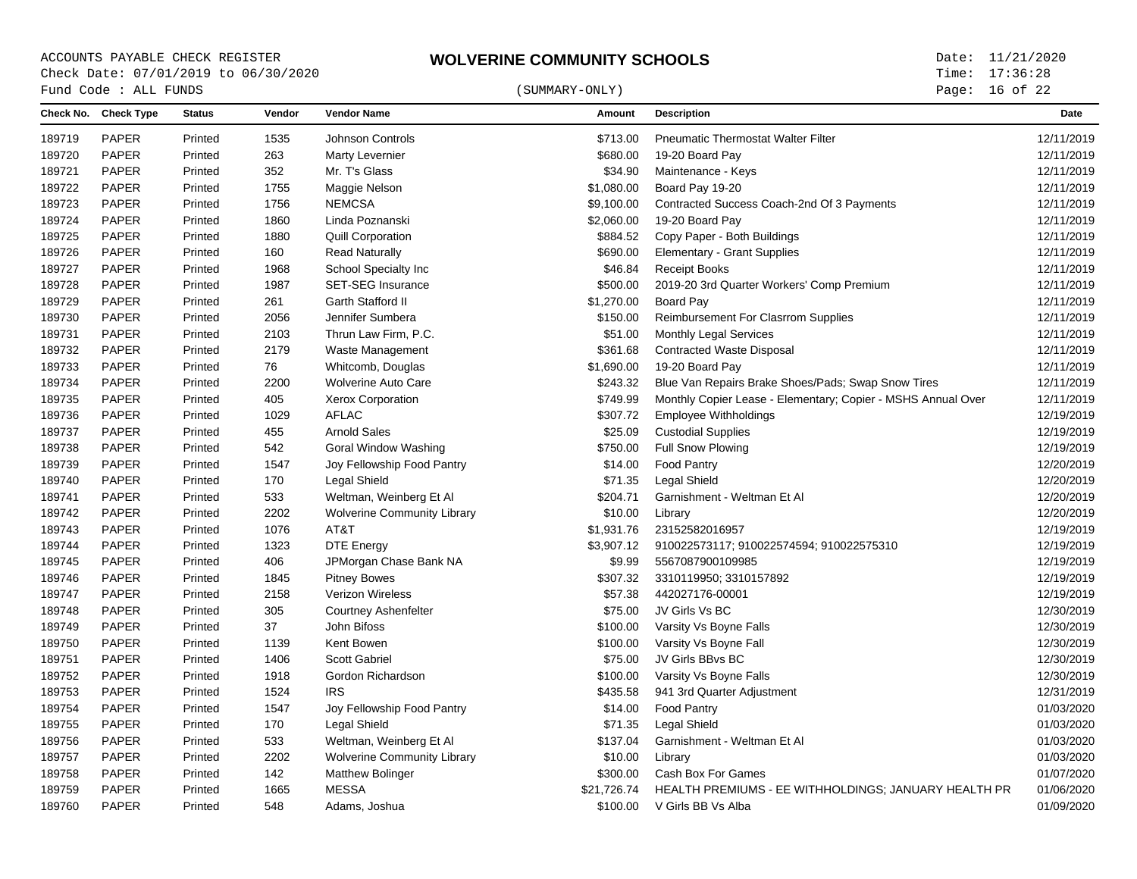Page: 16 of 22

|        | Fund Code : ALL FUNDS |               |        |                                    | (SUMMARY-ONLY) | Page: 16 of 22                                               |            |
|--------|-----------------------|---------------|--------|------------------------------------|----------------|--------------------------------------------------------------|------------|
|        | Check No. Check Type  | <b>Status</b> | Vendor | <b>Vendor Name</b>                 | Amount         | <b>Description</b>                                           | Date       |
| 189719 | <b>PAPER</b>          | Printed       | 1535   | <b>Johnson Controls</b>            | \$713.00       | <b>Pneumatic Thermostat Walter Filter</b>                    | 12/11/2019 |
| 189720 | <b>PAPER</b>          | Printed       | 263    | Marty Levernier                    | \$680.00       | 19-20 Board Pay                                              | 12/11/2019 |
| 189721 | <b>PAPER</b>          | Printed       | 352    | Mr. T's Glass                      | \$34.90        | Maintenance - Keys                                           | 12/11/2019 |
| 189722 | PAPER                 | Printed       | 1755   | Maggie Nelson                      | \$1,080.00     | Board Pay 19-20                                              | 12/11/2019 |
| 189723 | <b>PAPER</b>          | Printed       | 1756   | <b>NEMCSA</b>                      | \$9,100.00     | Contracted Success Coach-2nd Of 3 Payments                   | 12/11/2019 |
| 189724 | <b>PAPER</b>          | Printed       | 1860   | Linda Poznanski                    | \$2,060.00     | 19-20 Board Pay                                              | 12/11/2019 |
| 189725 | <b>PAPER</b>          | Printed       | 1880   | <b>Quill Corporation</b>           | \$884.52       | Copy Paper - Both Buildings                                  | 12/11/2019 |
| 189726 | PAPER                 | Printed       | 160    | <b>Read Naturally</b>              | \$690.00       | <b>Elementary - Grant Supplies</b>                           | 12/11/2019 |
| 189727 | <b>PAPER</b>          | Printed       | 1968   | School Specialty Inc               | \$46.84        | <b>Receipt Books</b>                                         | 12/11/2019 |
| 189728 | <b>PAPER</b>          | Printed       | 1987   | <b>SET-SEG Insurance</b>           | \$500.00       | 2019-20 3rd Quarter Workers' Comp Premium                    | 12/11/2019 |
| 189729 | <b>PAPER</b>          | Printed       | 261    | Garth Stafford II                  | \$1,270.00     | Board Pay                                                    | 12/11/2019 |
| 189730 | <b>PAPER</b>          | Printed       | 2056   | Jennifer Sumbera                   | \$150.00       | <b>Reimbursement For Clasrrom Supplies</b>                   | 12/11/2019 |
| 189731 | PAPER                 | Printed       | 2103   | Thrun Law Firm, P.C.               | \$51.00        | Monthly Legal Services                                       | 12/11/2019 |
| 189732 | <b>PAPER</b>          | Printed       | 2179   | Waste Management                   | \$361.68       | Contracted Waste Disposal                                    | 12/11/2019 |
| 189733 | <b>PAPER</b>          | Printed       | 76     | Whitcomb, Douglas                  | \$1,690.00     | 19-20 Board Pay                                              | 12/11/2019 |
| 189734 | <b>PAPER</b>          | Printed       | 2200   | <b>Wolverine Auto Care</b>         | \$243.32       | Blue Van Repairs Brake Shoes/Pads; Swap Snow Tires           | 12/11/2019 |
| 189735 | <b>PAPER</b>          | Printed       | 405    | <b>Xerox Corporation</b>           | \$749.99       | Monthly Copier Lease - Elementary; Copier - MSHS Annual Over | 12/11/2019 |
| 189736 | PAPER                 | Printed       | 1029   | <b>AFLAC</b>                       | \$307.72       | Employee Withholdings                                        | 12/19/2019 |
| 189737 | PAPER                 | Printed       | 455    | <b>Arnold Sales</b>                | \$25.09        | <b>Custodial Supplies</b>                                    | 12/19/2019 |
| 189738 | <b>PAPER</b>          | Printed       | 542    | Goral Window Washing               | \$750.00       | Full Snow Plowing                                            | 12/19/2019 |
| 189739 | <b>PAPER</b>          | Printed       | 1547   | Joy Fellowship Food Pantry         | \$14.00        | <b>Food Pantry</b>                                           | 12/20/2019 |
| 189740 | <b>PAPER</b>          | Printed       | 170    | Legal Shield                       | \$71.35        | Legal Shield                                                 | 12/20/2019 |
| 189741 | <b>PAPER</b>          | Printed       | 533    | Weltman, Weinberg Et Al            | \$204.71       | Garnishment - Weltman Et Al                                  | 12/20/2019 |
| 189742 | <b>PAPER</b>          | Printed       | 2202   | <b>Wolverine Community Library</b> | \$10.00        | Library                                                      | 12/20/2019 |
| 189743 | <b>PAPER</b>          | Printed       | 1076   | AT&T                               | \$1,931.76     | 23152582016957                                               | 12/19/2019 |
| 189744 | <b>PAPER</b>          | Printed       | 1323   | <b>DTE Energy</b>                  | \$3,907.12     | 910022573117; 910022574594; 910022575310                     | 12/19/2019 |
| 189745 | <b>PAPER</b>          | Printed       | 406    | JPMorgan Chase Bank NA             | \$9.99         | 5567087900109985                                             | 12/19/2019 |
| 189746 | <b>PAPER</b>          | Printed       | 1845   | <b>Pitney Bowes</b>                | \$307.32       | 3310119950; 3310157892                                       | 12/19/2019 |
| 189747 | PAPER                 | Printed       | 2158   | Verizon Wireless                   | \$57.38        | 442027176-00001                                              | 12/19/2019 |
| 189748 | <b>PAPER</b>          | Printed       | 305    | <b>Courtney Ashenfelter</b>        | \$75.00        | JV Girls Vs BC                                               | 12/30/2019 |
| 189749 | <b>PAPER</b>          | Printed       | 37     | John Bifoss                        | \$100.00       | Varsity Vs Boyne Falls                                       | 12/30/2019 |
| 189750 | <b>PAPER</b>          | Printed       | 1139   | Kent Bowen                         | \$100.00       | Varsity Vs Boyne Fall                                        | 12/30/2019 |
| 189751 | <b>PAPER</b>          | Printed       | 1406   | <b>Scott Gabriel</b>               | \$75.00        | JV Girls BBvs BC                                             | 12/30/2019 |
| 189752 | PAPER                 | Printed       | 1918   | Gordon Richardson                  | \$100.00       | Varsity Vs Boyne Falls                                       | 12/30/2019 |
| 189753 | PAPER                 | Printed       | 1524   | <b>IRS</b>                         | \$435.58       | 941 3rd Quarter Adjustment                                   | 12/31/2019 |
| 189754 | <b>PAPER</b>          | Printed       | 1547   | Joy Fellowship Food Pantry         | \$14.00        | <b>Food Pantry</b>                                           | 01/03/2020 |
| 189755 | <b>PAPER</b>          | Printed       | 170    | Legal Shield                       | \$71.35        | Legal Shield                                                 | 01/03/2020 |
| 189756 | <b>PAPER</b>          | Printed       | 533    | Weltman, Weinberg Et Al            | \$137.04       | Garnishment - Weltman Et Al                                  | 01/03/2020 |
| 189757 | <b>PAPER</b>          | Printed       | 2202   | <b>Wolverine Community Library</b> | \$10.00        | Library                                                      | 01/03/2020 |
| 189758 | PAPER                 | Printed       | 142    | <b>Matthew Bolinger</b>            | \$300.00       | Cash Box For Games                                           | 01/07/2020 |
| 189759 | <b>PAPER</b>          | Printed       | 1665   | <b>MESSA</b>                       | \$21,726.74    | HEALTH PREMIUMS - EE WITHHOLDINGS; JANUARY HEALTH PR         | 01/06/2020 |
| 189760 | <b>PAPER</b>          | Printed       | 548    | Adams, Joshua                      |                | \$100.00 V Girls BB Vs Alba                                  | 01/09/2020 |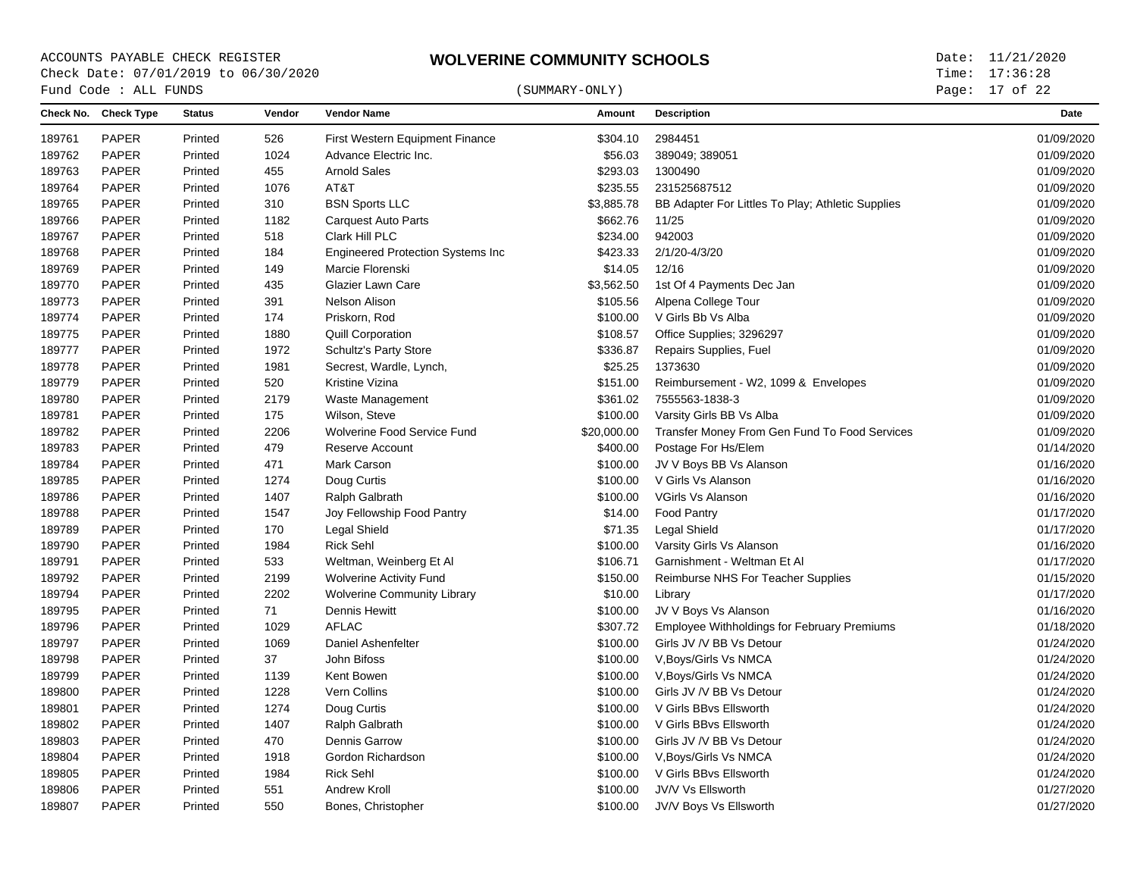# $\begin{array}{cccc}\n\text{Fund Code}: \text{ALL FUNDS}\n\end{array} \tag{SUMMARY-ONLY}$

Page: 17 of 22

|        | Check No. Check Type | <b>Status</b> | Vendor | <b>Vendor Name</b>                        | Amount      | <b>Description</b>                                 | Date       |
|--------|----------------------|---------------|--------|-------------------------------------------|-------------|----------------------------------------------------|------------|
| 189761 | <b>PAPER</b>         | Printed       | 526    | First Western Equipment Finance           | \$304.10    | 2984451                                            | 01/09/2020 |
| 189762 | <b>PAPER</b>         | Printed       | 1024   | Advance Electric Inc.                     | \$56.03     | 389049; 389051                                     | 01/09/2020 |
| 189763 | PAPER                | Printed       | 455    | Arnold Sales                              | \$293.03    | 1300490                                            | 01/09/2020 |
| 189764 | <b>PAPER</b>         | Printed       | 1076   | AT&T                                      | \$235.55    | 231525687512                                       | 01/09/2020 |
| 189765 | <b>PAPER</b>         | Printed       | 310    | <b>BSN Sports LLC</b>                     | \$3,885.78  | BB Adapter For Littles To Play; Athletic Supplies  | 01/09/2020 |
| 189766 | PAPER                | Printed       | 1182   | <b>Carquest Auto Parts</b>                | \$662.76    | 11/25                                              | 01/09/2020 |
| 189767 | <b>PAPER</b>         | Printed       | 518    | Clark Hill PLC                            | \$234.00    | 942003                                             | 01/09/2020 |
| 189768 | PAPER                | Printed       | 184    | <b>Engineered Protection Systems Inc.</b> | \$423.33    | 2/1/20-4/3/20                                      | 01/09/2020 |
| 189769 | <b>PAPER</b>         | Printed       | 149    | Marcie Florenski                          | \$14.05     | 12/16                                              | 01/09/2020 |
| 189770 | <b>PAPER</b>         | Printed       | 435    | Glazier Lawn Care                         | \$3,562.50  | 1st Of 4 Payments Dec Jan                          | 01/09/2020 |
| 189773 | <b>PAPER</b>         | Printed       | 391    | Nelson Alison                             | \$105.56    | Alpena College Tour                                | 01/09/2020 |
| 189774 | <b>PAPER</b>         | Printed       | 174    | Priskorn, Rod                             | \$100.00    | V Girls Bb Vs Alba                                 | 01/09/2020 |
| 189775 | <b>PAPER</b>         | Printed       | 1880   | <b>Quill Corporation</b>                  | \$108.57    | Office Supplies; 3296297                           | 01/09/2020 |
| 189777 | <b>PAPER</b>         | Printed       | 1972   | <b>Schultz's Party Store</b>              | \$336.87    | Repairs Supplies, Fuel                             | 01/09/2020 |
| 189778 | PAPER                | Printed       | 1981   | Secrest, Wardle, Lynch,                   | \$25.25     | 1373630                                            | 01/09/2020 |
| 189779 | <b>PAPER</b>         | Printed       | 520    | Kristine Vizina                           | \$151.00    | Reimbursement - W2, 1099 & Envelopes               | 01/09/2020 |
| 189780 | <b>PAPER</b>         | Printed       | 2179   | Waste Management                          | \$361.02    | 7555563-1838-3                                     | 01/09/2020 |
| 189781 | <b>PAPER</b>         | Printed       | 175    | Wilson, Steve                             | \$100.00    | Varsity Girls BB Vs Alba                           | 01/09/2020 |
| 189782 | PAPER                | Printed       | 2206   | Wolverine Food Service Fund               | \$20,000.00 | Transfer Money From Gen Fund To Food Services      | 01/09/2020 |
| 189783 | PAPER                | Printed       | 479    | Reserve Account                           | \$400.00    | Postage For Hs/Elem                                | 01/14/2020 |
| 189784 | <b>PAPER</b>         | Printed       | 471    | Mark Carson                               | \$100.00    | JV V Boys BB Vs Alanson                            | 01/16/2020 |
| 189785 | <b>PAPER</b>         | Printed       | 1274   | Doug Curtis                               | \$100.00    | V Girls Vs Alanson                                 | 01/16/2020 |
| 189786 | PAPER                | Printed       | 1407   | Ralph Galbrath                            | \$100.00    | <b>VGirls Vs Alanson</b>                           | 01/16/2020 |
| 189788 | <b>PAPER</b>         | Printed       | 1547   | Joy Fellowship Food Pantry                | \$14.00     | <b>Food Pantry</b>                                 | 01/17/2020 |
| 189789 | PAPER                | Printed       | 170    | Legal Shield                              | \$71.35     | <b>Legal Shield</b>                                | 01/17/2020 |
| 189790 | PAPER                | Printed       | 1984   | Rick Sehl                                 | \$100.00    | Varsity Girls Vs Alanson                           | 01/16/2020 |
| 189791 | <b>PAPER</b>         | Printed       | 533    | Weltman, Weinberg Et Al                   | \$106.71    | Garnishment - Weltman Et Al                        | 01/17/2020 |
| 189792 | PAPER                | Printed       | 2199   | <b>Wolverine Activity Fund</b>            | \$150.00    | Reimburse NHS For Teacher Supplies                 | 01/15/2020 |
| 189794 | <b>PAPER</b>         | Printed       | 2202   | <b>Wolverine Community Library</b>        | \$10.00     | Library                                            | 01/17/2020 |
| 189795 | PAPER                | Printed       | 71     | Dennis Hewitt                             | \$100.00    | JV V Boys Vs Alanson                               | 01/16/2020 |
| 189796 | <b>PAPER</b>         | Printed       | 1029   | <b>AFLAC</b>                              | \$307.72    | <b>Employee Withholdings for February Premiums</b> | 01/18/2020 |
| 189797 | <b>PAPER</b>         | Printed       | 1069   | Daniel Ashenfelter                        | \$100.00    | Girls JV /V BB Vs Detour                           | 01/24/2020 |
| 189798 | <b>PAPER</b>         | Printed       | 37     | John Bifoss                               | \$100.00    | V, Boys/Girls Vs NMCA                              | 01/24/2020 |
| 189799 | <b>PAPER</b>         | Printed       | 1139   | Kent Bowen                                | \$100.00    | V, Boys/Girls Vs NMCA                              | 01/24/2020 |
| 189800 | <b>PAPER</b>         | Printed       | 1228   | Vern Collins                              | \$100.00    | Girls JV /V BB Vs Detour                           | 01/24/2020 |
| 189801 | <b>PAPER</b>         | Printed       | 1274   | Doug Curtis                               | \$100.00    | V Girls BBvs Ellsworth                             | 01/24/2020 |
| 189802 | <b>PAPER</b>         | Printed       | 1407   | Ralph Galbrath                            | \$100.00    | V Girls BBvs Ellsworth                             | 01/24/2020 |
| 189803 | PAPER                | Printed       | 470    | Dennis Garrow                             | \$100.00    | Girls JV /V BB Vs Detour                           | 01/24/2020 |
| 189804 | <b>PAPER</b>         | Printed       | 1918   | Gordon Richardson                         | \$100.00    | V, Boys/Girls Vs NMCA                              | 01/24/2020 |
| 189805 | <b>PAPER</b>         | Printed       | 1984   | Rick Sehl                                 | \$100.00    | V Girls BBvs Ellsworth                             | 01/24/2020 |
| 189806 | PAPER                | Printed       | 551    | Andrew Kroll                              | \$100.00    | JV/V Vs Ellsworth                                  | 01/27/2020 |
| 189807 | <b>PAPER</b>         | Printed       | 550    | Bones, Christopher                        | \$100.00    | JV/V Boys Vs Ellsworth                             | 01/27/2020 |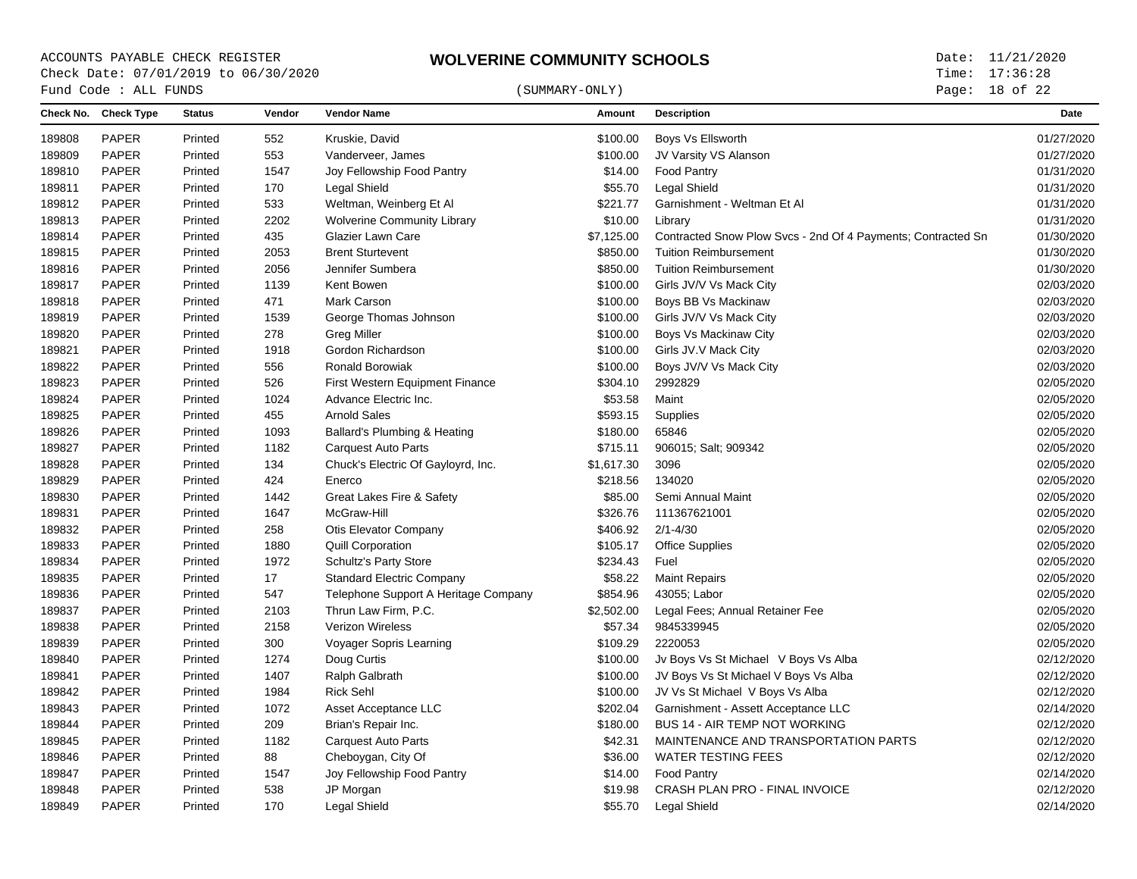## $\begin{array}{cccc}\n\text{Fund Code}: \text{ALL FUNDS}\n\end{array} \tag{SUMMARY-ONLY}$

Page: 18 of 22

| <b>PAPER</b><br>Printed<br>552<br>Kruskie, David<br>\$100.00<br>Boys Vs Ellsworth<br>189808<br><b>PAPER</b><br>553<br>\$100.00<br>189809<br>Printed<br>Vanderveer, James<br>JV Varsity VS Alanson<br><b>PAPER</b><br>\$14.00<br>189810<br>Printed<br>1547<br>Joy Fellowship Food Pantry<br><b>Food Pantry</b><br><b>Legal Shield</b><br>189811<br><b>PAPER</b><br>Printed<br>170<br>Legal Shield<br>\$55.70<br><b>PAPER</b><br>\$221.77<br>189812<br>Printed<br>533<br>Weltman, Weinberg Et Al<br>Garnishment - Weltman Et Al<br><b>PAPER</b><br>2202<br>\$10.00<br>189813<br>Printed<br><b>Wolverine Community Library</b><br>Library<br>189814<br><b>PAPER</b><br>435<br>Glazier Lawn Care<br>\$7,125.00<br>Contracted Snow Plow Svcs - 2nd Of 4 Payments; Contracted Sn<br>Printed<br><b>PAPER</b><br>2053<br><b>Brent Sturtevent</b><br>\$850.00<br><b>Tuition Reimbursement</b><br>189815<br>Printed<br>189816<br><b>PAPER</b><br>Printed<br>2056<br>Jennifer Sumbera<br>\$850.00<br><b>Tuition Reimbursement</b><br>189817<br><b>PAPER</b><br>1139<br>Kent Bowen<br>\$100.00<br>Girls JV/V Vs Mack City<br>Printed<br><b>PAPER</b><br>471<br>\$100.00<br>189818<br><b>Mark Carson</b><br>Boys BB Vs Mackinaw<br>Printed<br><b>PAPER</b><br>1539<br>189819<br>Printed<br>George Thomas Johnson<br>\$100.00<br>Girls JV/V Vs Mack City<br><b>PAPER</b><br>189820<br>Printed<br>278<br><b>Greg Miller</b><br>\$100.00<br>Boys Vs Mackinaw City<br>189821<br><b>PAPER</b><br>Printed<br>1918<br>Gordon Richardson<br>\$100.00<br>Girls JV.V Mack City<br><b>PAPER</b><br>189822<br>556<br>Ronald Borowiak<br>\$100.00<br>Boys JV/V Vs Mack City<br>Printed<br><b>PAPER</b><br>189823<br>Printed<br>526<br>\$304.10<br>2992829<br><b>First Western Equipment Finance</b><br><b>PAPER</b><br>1024<br>Advance Electric Inc.<br>\$53.58<br>Maint<br>189824<br>Printed<br><b>Arnold Sales</b><br>189825<br><b>PAPER</b><br>455<br>\$593.15<br>Supplies<br>Printed<br><b>PAPER</b><br>65846<br>Printed<br>1093<br>Ballard's Plumbing & Heating<br>\$180.00<br>189826<br><b>PAPER</b><br>189827<br>Printed<br>1182<br><b>Carquest Auto Parts</b><br>\$715.11<br>906015; Salt; 909342<br><b>PAPER</b><br>189828<br>134<br>Chuck's Electric Of Gayloyrd, Inc.<br>\$1,617.30<br>3096<br>Printed<br><b>PAPER</b><br>424<br>\$218.56<br>134020<br>189829<br>Printed<br>Enerco<br><b>PAPER</b><br>1442<br>Great Lakes Fire & Safety<br>Semi Annual Maint<br>189830<br>Printed<br>\$85.00<br><b>PAPER</b><br>1647<br>McGraw-Hill<br>\$326.76<br>111367621001<br>189831<br>Printed<br><b>PAPER</b><br>258<br><b>Otis Elevator Company</b><br>\$406.92<br>$2/1 - 4/30$<br>189832<br>Printed<br><b>PAPER</b><br>189833<br>Printed<br>1880<br><b>Quill Corporation</b><br>\$105.17<br><b>Office Supplies</b><br>189834<br><b>PAPER</b><br>1972<br><b>Schultz's Party Store</b><br>\$234.43<br>Fuel<br>Printed<br><b>PAPER</b><br>17<br><b>Standard Electric Company</b><br>\$58.22<br>189835<br>Printed<br><b>Maint Repairs</b><br><b>PAPER</b><br>Printed<br>547<br>Telephone Support A Heritage Company<br>\$854.96<br>43055; Labor<br>189836<br>189837<br><b>PAPER</b><br>Printed<br>2103<br>Thrun Law Firm, P.C.<br>\$2,502.00<br>Legal Fees; Annual Retainer Fee<br><b>PAPER</b><br><b>Verizon Wireless</b><br>\$57.34<br>9845339945<br>189838<br>Printed<br>2158<br><b>PAPER</b><br>2220053<br>189839<br>Printed<br>300<br>Voyager Sopris Learning<br>\$109.29<br><b>PAPER</b><br>189840<br>Printed<br>1274<br>Doug Curtis<br>\$100.00<br>Jv Boys Vs St Michael V Boys Vs Alba<br><b>PAPER</b><br>1407<br>\$100.00<br>189841<br>Printed<br>Ralph Galbrath<br>JV Boys Vs St Michael V Boys Vs Alba<br><b>PAPER</b><br><b>Rick Sehl</b><br>1984<br>\$100.00<br>JV Vs St Michael V Boys Vs Alba<br>189842<br>Printed<br><b>PAPER</b><br>1072<br>\$202.04<br>Garnishment - Assett Acceptance LLC<br>189843<br>Printed<br>Asset Acceptance LLC<br><b>PAPER</b><br>209<br><b>BUS 14 - AIR TEMP NOT WORKING</b><br>189844<br>Printed<br>Brian's Repair Inc.<br>\$180.00<br><b>PAPER</b><br>1182<br><b>Carquest Auto Parts</b><br>\$42.31<br>MAINTENANCE AND TRANSPORTATION PARTS<br>189845<br>Printed<br><b>PAPER</b><br>88<br><b>WATER TESTING FEES</b><br>Printed<br>Cheboygan, City Of<br>\$36.00<br>189846<br>189847<br><b>PAPER</b><br>1547<br>Joy Fellowship Food Pantry<br>\$14.00<br><b>Food Pantry</b><br>Printed<br>189848<br><b>PAPER</b><br>538<br>JP Morgan<br>\$19.98<br>CRASH PLAN PRO - FINAL INVOICE<br>Printed |        | Check No. Check Type | <b>Status</b> | Vendor | <b>Vendor Name</b> | Amount  | <b>Description</b> | <b>Date</b> |
|-----------------------------------------------------------------------------------------------------------------------------------------------------------------------------------------------------------------------------------------------------------------------------------------------------------------------------------------------------------------------------------------------------------------------------------------------------------------------------------------------------------------------------------------------------------------------------------------------------------------------------------------------------------------------------------------------------------------------------------------------------------------------------------------------------------------------------------------------------------------------------------------------------------------------------------------------------------------------------------------------------------------------------------------------------------------------------------------------------------------------------------------------------------------------------------------------------------------------------------------------------------------------------------------------------------------------------------------------------------------------------------------------------------------------------------------------------------------------------------------------------------------------------------------------------------------------------------------------------------------------------------------------------------------------------------------------------------------------------------------------------------------------------------------------------------------------------------------------------------------------------------------------------------------------------------------------------------------------------------------------------------------------------------------------------------------------------------------------------------------------------------------------------------------------------------------------------------------------------------------------------------------------------------------------------------------------------------------------------------------------------------------------------------------------------------------------------------------------------------------------------------------------------------------------------------------------------------------------------------------------------------------------------------------------------------------------------------------------------------------------------------------------------------------------------------------------------------------------------------------------------------------------------------------------------------------------------------------------------------------------------------------------------------------------------------------------------------------------------------------------------------------------------------------------------------------------------------------------------------------------------------------------------------------------------------------------------------------------------------------------------------------------------------------------------------------------------------------------------------------------------------------------------------------------------------------------------------------------------------------------------------------------------------------------------------------------------------------------------------------------------------------------------------------------------------------------------------------------------------------------------------------------------------------------------------------------------------------------------------------------------------------------------------------------------------------------------------------------------------------------------------------------------------------------------------------------------------------------------------------------------------------------------------------------------------------------------------------------------------------------------------------------------------------------------------------------------------------------------------------------------------------|--------|----------------------|---------------|--------|--------------------|---------|--------------------|-------------|
|                                                                                                                                                                                                                                                                                                                                                                                                                                                                                                                                                                                                                                                                                                                                                                                                                                                                                                                                                                                                                                                                                                                                                                                                                                                                                                                                                                                                                                                                                                                                                                                                                                                                                                                                                                                                                                                                                                                                                                                                                                                                                                                                                                                                                                                                                                                                                                                                                                                                                                                                                                                                                                                                                                                                                                                                                                                                                                                                                                                                                                                                                                                                                                                                                                                                                                                                                                                                                                                                                                                                                                                                                                                                                                                                                                                                                                                                                                                                                                                                                                                                                                                                                                                                                                                                                                                                                                                                                                                                                                                 |        |                      |               |        |                    |         |                    | 01/27/2020  |
|                                                                                                                                                                                                                                                                                                                                                                                                                                                                                                                                                                                                                                                                                                                                                                                                                                                                                                                                                                                                                                                                                                                                                                                                                                                                                                                                                                                                                                                                                                                                                                                                                                                                                                                                                                                                                                                                                                                                                                                                                                                                                                                                                                                                                                                                                                                                                                                                                                                                                                                                                                                                                                                                                                                                                                                                                                                                                                                                                                                                                                                                                                                                                                                                                                                                                                                                                                                                                                                                                                                                                                                                                                                                                                                                                                                                                                                                                                                                                                                                                                                                                                                                                                                                                                                                                                                                                                                                                                                                                                                 |        |                      |               |        |                    |         |                    | 01/27/2020  |
|                                                                                                                                                                                                                                                                                                                                                                                                                                                                                                                                                                                                                                                                                                                                                                                                                                                                                                                                                                                                                                                                                                                                                                                                                                                                                                                                                                                                                                                                                                                                                                                                                                                                                                                                                                                                                                                                                                                                                                                                                                                                                                                                                                                                                                                                                                                                                                                                                                                                                                                                                                                                                                                                                                                                                                                                                                                                                                                                                                                                                                                                                                                                                                                                                                                                                                                                                                                                                                                                                                                                                                                                                                                                                                                                                                                                                                                                                                                                                                                                                                                                                                                                                                                                                                                                                                                                                                                                                                                                                                                 |        |                      |               |        |                    |         |                    | 01/31/2020  |
|                                                                                                                                                                                                                                                                                                                                                                                                                                                                                                                                                                                                                                                                                                                                                                                                                                                                                                                                                                                                                                                                                                                                                                                                                                                                                                                                                                                                                                                                                                                                                                                                                                                                                                                                                                                                                                                                                                                                                                                                                                                                                                                                                                                                                                                                                                                                                                                                                                                                                                                                                                                                                                                                                                                                                                                                                                                                                                                                                                                                                                                                                                                                                                                                                                                                                                                                                                                                                                                                                                                                                                                                                                                                                                                                                                                                                                                                                                                                                                                                                                                                                                                                                                                                                                                                                                                                                                                                                                                                                                                 |        |                      |               |        |                    |         |                    | 01/31/2020  |
|                                                                                                                                                                                                                                                                                                                                                                                                                                                                                                                                                                                                                                                                                                                                                                                                                                                                                                                                                                                                                                                                                                                                                                                                                                                                                                                                                                                                                                                                                                                                                                                                                                                                                                                                                                                                                                                                                                                                                                                                                                                                                                                                                                                                                                                                                                                                                                                                                                                                                                                                                                                                                                                                                                                                                                                                                                                                                                                                                                                                                                                                                                                                                                                                                                                                                                                                                                                                                                                                                                                                                                                                                                                                                                                                                                                                                                                                                                                                                                                                                                                                                                                                                                                                                                                                                                                                                                                                                                                                                                                 |        |                      |               |        |                    |         |                    | 01/31/2020  |
|                                                                                                                                                                                                                                                                                                                                                                                                                                                                                                                                                                                                                                                                                                                                                                                                                                                                                                                                                                                                                                                                                                                                                                                                                                                                                                                                                                                                                                                                                                                                                                                                                                                                                                                                                                                                                                                                                                                                                                                                                                                                                                                                                                                                                                                                                                                                                                                                                                                                                                                                                                                                                                                                                                                                                                                                                                                                                                                                                                                                                                                                                                                                                                                                                                                                                                                                                                                                                                                                                                                                                                                                                                                                                                                                                                                                                                                                                                                                                                                                                                                                                                                                                                                                                                                                                                                                                                                                                                                                                                                 |        |                      |               |        |                    |         |                    | 01/31/2020  |
|                                                                                                                                                                                                                                                                                                                                                                                                                                                                                                                                                                                                                                                                                                                                                                                                                                                                                                                                                                                                                                                                                                                                                                                                                                                                                                                                                                                                                                                                                                                                                                                                                                                                                                                                                                                                                                                                                                                                                                                                                                                                                                                                                                                                                                                                                                                                                                                                                                                                                                                                                                                                                                                                                                                                                                                                                                                                                                                                                                                                                                                                                                                                                                                                                                                                                                                                                                                                                                                                                                                                                                                                                                                                                                                                                                                                                                                                                                                                                                                                                                                                                                                                                                                                                                                                                                                                                                                                                                                                                                                 |        |                      |               |        |                    |         |                    | 01/30/2020  |
|                                                                                                                                                                                                                                                                                                                                                                                                                                                                                                                                                                                                                                                                                                                                                                                                                                                                                                                                                                                                                                                                                                                                                                                                                                                                                                                                                                                                                                                                                                                                                                                                                                                                                                                                                                                                                                                                                                                                                                                                                                                                                                                                                                                                                                                                                                                                                                                                                                                                                                                                                                                                                                                                                                                                                                                                                                                                                                                                                                                                                                                                                                                                                                                                                                                                                                                                                                                                                                                                                                                                                                                                                                                                                                                                                                                                                                                                                                                                                                                                                                                                                                                                                                                                                                                                                                                                                                                                                                                                                                                 |        |                      |               |        |                    |         |                    | 01/30/2020  |
|                                                                                                                                                                                                                                                                                                                                                                                                                                                                                                                                                                                                                                                                                                                                                                                                                                                                                                                                                                                                                                                                                                                                                                                                                                                                                                                                                                                                                                                                                                                                                                                                                                                                                                                                                                                                                                                                                                                                                                                                                                                                                                                                                                                                                                                                                                                                                                                                                                                                                                                                                                                                                                                                                                                                                                                                                                                                                                                                                                                                                                                                                                                                                                                                                                                                                                                                                                                                                                                                                                                                                                                                                                                                                                                                                                                                                                                                                                                                                                                                                                                                                                                                                                                                                                                                                                                                                                                                                                                                                                                 |        |                      |               |        |                    |         |                    | 01/30/2020  |
|                                                                                                                                                                                                                                                                                                                                                                                                                                                                                                                                                                                                                                                                                                                                                                                                                                                                                                                                                                                                                                                                                                                                                                                                                                                                                                                                                                                                                                                                                                                                                                                                                                                                                                                                                                                                                                                                                                                                                                                                                                                                                                                                                                                                                                                                                                                                                                                                                                                                                                                                                                                                                                                                                                                                                                                                                                                                                                                                                                                                                                                                                                                                                                                                                                                                                                                                                                                                                                                                                                                                                                                                                                                                                                                                                                                                                                                                                                                                                                                                                                                                                                                                                                                                                                                                                                                                                                                                                                                                                                                 |        |                      |               |        |                    |         |                    | 02/03/2020  |
|                                                                                                                                                                                                                                                                                                                                                                                                                                                                                                                                                                                                                                                                                                                                                                                                                                                                                                                                                                                                                                                                                                                                                                                                                                                                                                                                                                                                                                                                                                                                                                                                                                                                                                                                                                                                                                                                                                                                                                                                                                                                                                                                                                                                                                                                                                                                                                                                                                                                                                                                                                                                                                                                                                                                                                                                                                                                                                                                                                                                                                                                                                                                                                                                                                                                                                                                                                                                                                                                                                                                                                                                                                                                                                                                                                                                                                                                                                                                                                                                                                                                                                                                                                                                                                                                                                                                                                                                                                                                                                                 |        |                      |               |        |                    |         |                    | 02/03/2020  |
|                                                                                                                                                                                                                                                                                                                                                                                                                                                                                                                                                                                                                                                                                                                                                                                                                                                                                                                                                                                                                                                                                                                                                                                                                                                                                                                                                                                                                                                                                                                                                                                                                                                                                                                                                                                                                                                                                                                                                                                                                                                                                                                                                                                                                                                                                                                                                                                                                                                                                                                                                                                                                                                                                                                                                                                                                                                                                                                                                                                                                                                                                                                                                                                                                                                                                                                                                                                                                                                                                                                                                                                                                                                                                                                                                                                                                                                                                                                                                                                                                                                                                                                                                                                                                                                                                                                                                                                                                                                                                                                 |        |                      |               |        |                    |         |                    | 02/03/2020  |
|                                                                                                                                                                                                                                                                                                                                                                                                                                                                                                                                                                                                                                                                                                                                                                                                                                                                                                                                                                                                                                                                                                                                                                                                                                                                                                                                                                                                                                                                                                                                                                                                                                                                                                                                                                                                                                                                                                                                                                                                                                                                                                                                                                                                                                                                                                                                                                                                                                                                                                                                                                                                                                                                                                                                                                                                                                                                                                                                                                                                                                                                                                                                                                                                                                                                                                                                                                                                                                                                                                                                                                                                                                                                                                                                                                                                                                                                                                                                                                                                                                                                                                                                                                                                                                                                                                                                                                                                                                                                                                                 |        |                      |               |        |                    |         |                    | 02/03/2020  |
|                                                                                                                                                                                                                                                                                                                                                                                                                                                                                                                                                                                                                                                                                                                                                                                                                                                                                                                                                                                                                                                                                                                                                                                                                                                                                                                                                                                                                                                                                                                                                                                                                                                                                                                                                                                                                                                                                                                                                                                                                                                                                                                                                                                                                                                                                                                                                                                                                                                                                                                                                                                                                                                                                                                                                                                                                                                                                                                                                                                                                                                                                                                                                                                                                                                                                                                                                                                                                                                                                                                                                                                                                                                                                                                                                                                                                                                                                                                                                                                                                                                                                                                                                                                                                                                                                                                                                                                                                                                                                                                 |        |                      |               |        |                    |         |                    | 02/03/2020  |
|                                                                                                                                                                                                                                                                                                                                                                                                                                                                                                                                                                                                                                                                                                                                                                                                                                                                                                                                                                                                                                                                                                                                                                                                                                                                                                                                                                                                                                                                                                                                                                                                                                                                                                                                                                                                                                                                                                                                                                                                                                                                                                                                                                                                                                                                                                                                                                                                                                                                                                                                                                                                                                                                                                                                                                                                                                                                                                                                                                                                                                                                                                                                                                                                                                                                                                                                                                                                                                                                                                                                                                                                                                                                                                                                                                                                                                                                                                                                                                                                                                                                                                                                                                                                                                                                                                                                                                                                                                                                                                                 |        |                      |               |        |                    |         |                    | 02/03/2020  |
|                                                                                                                                                                                                                                                                                                                                                                                                                                                                                                                                                                                                                                                                                                                                                                                                                                                                                                                                                                                                                                                                                                                                                                                                                                                                                                                                                                                                                                                                                                                                                                                                                                                                                                                                                                                                                                                                                                                                                                                                                                                                                                                                                                                                                                                                                                                                                                                                                                                                                                                                                                                                                                                                                                                                                                                                                                                                                                                                                                                                                                                                                                                                                                                                                                                                                                                                                                                                                                                                                                                                                                                                                                                                                                                                                                                                                                                                                                                                                                                                                                                                                                                                                                                                                                                                                                                                                                                                                                                                                                                 |        |                      |               |        |                    |         |                    | 02/05/2020  |
|                                                                                                                                                                                                                                                                                                                                                                                                                                                                                                                                                                                                                                                                                                                                                                                                                                                                                                                                                                                                                                                                                                                                                                                                                                                                                                                                                                                                                                                                                                                                                                                                                                                                                                                                                                                                                                                                                                                                                                                                                                                                                                                                                                                                                                                                                                                                                                                                                                                                                                                                                                                                                                                                                                                                                                                                                                                                                                                                                                                                                                                                                                                                                                                                                                                                                                                                                                                                                                                                                                                                                                                                                                                                                                                                                                                                                                                                                                                                                                                                                                                                                                                                                                                                                                                                                                                                                                                                                                                                                                                 |        |                      |               |        |                    |         |                    | 02/05/2020  |
|                                                                                                                                                                                                                                                                                                                                                                                                                                                                                                                                                                                                                                                                                                                                                                                                                                                                                                                                                                                                                                                                                                                                                                                                                                                                                                                                                                                                                                                                                                                                                                                                                                                                                                                                                                                                                                                                                                                                                                                                                                                                                                                                                                                                                                                                                                                                                                                                                                                                                                                                                                                                                                                                                                                                                                                                                                                                                                                                                                                                                                                                                                                                                                                                                                                                                                                                                                                                                                                                                                                                                                                                                                                                                                                                                                                                                                                                                                                                                                                                                                                                                                                                                                                                                                                                                                                                                                                                                                                                                                                 |        |                      |               |        |                    |         |                    | 02/05/2020  |
|                                                                                                                                                                                                                                                                                                                                                                                                                                                                                                                                                                                                                                                                                                                                                                                                                                                                                                                                                                                                                                                                                                                                                                                                                                                                                                                                                                                                                                                                                                                                                                                                                                                                                                                                                                                                                                                                                                                                                                                                                                                                                                                                                                                                                                                                                                                                                                                                                                                                                                                                                                                                                                                                                                                                                                                                                                                                                                                                                                                                                                                                                                                                                                                                                                                                                                                                                                                                                                                                                                                                                                                                                                                                                                                                                                                                                                                                                                                                                                                                                                                                                                                                                                                                                                                                                                                                                                                                                                                                                                                 |        |                      |               |        |                    |         |                    | 02/05/2020  |
|                                                                                                                                                                                                                                                                                                                                                                                                                                                                                                                                                                                                                                                                                                                                                                                                                                                                                                                                                                                                                                                                                                                                                                                                                                                                                                                                                                                                                                                                                                                                                                                                                                                                                                                                                                                                                                                                                                                                                                                                                                                                                                                                                                                                                                                                                                                                                                                                                                                                                                                                                                                                                                                                                                                                                                                                                                                                                                                                                                                                                                                                                                                                                                                                                                                                                                                                                                                                                                                                                                                                                                                                                                                                                                                                                                                                                                                                                                                                                                                                                                                                                                                                                                                                                                                                                                                                                                                                                                                                                                                 |        |                      |               |        |                    |         |                    | 02/05/2020  |
|                                                                                                                                                                                                                                                                                                                                                                                                                                                                                                                                                                                                                                                                                                                                                                                                                                                                                                                                                                                                                                                                                                                                                                                                                                                                                                                                                                                                                                                                                                                                                                                                                                                                                                                                                                                                                                                                                                                                                                                                                                                                                                                                                                                                                                                                                                                                                                                                                                                                                                                                                                                                                                                                                                                                                                                                                                                                                                                                                                                                                                                                                                                                                                                                                                                                                                                                                                                                                                                                                                                                                                                                                                                                                                                                                                                                                                                                                                                                                                                                                                                                                                                                                                                                                                                                                                                                                                                                                                                                                                                 |        |                      |               |        |                    |         |                    | 02/05/2020  |
|                                                                                                                                                                                                                                                                                                                                                                                                                                                                                                                                                                                                                                                                                                                                                                                                                                                                                                                                                                                                                                                                                                                                                                                                                                                                                                                                                                                                                                                                                                                                                                                                                                                                                                                                                                                                                                                                                                                                                                                                                                                                                                                                                                                                                                                                                                                                                                                                                                                                                                                                                                                                                                                                                                                                                                                                                                                                                                                                                                                                                                                                                                                                                                                                                                                                                                                                                                                                                                                                                                                                                                                                                                                                                                                                                                                                                                                                                                                                                                                                                                                                                                                                                                                                                                                                                                                                                                                                                                                                                                                 |        |                      |               |        |                    |         |                    | 02/05/2020  |
|                                                                                                                                                                                                                                                                                                                                                                                                                                                                                                                                                                                                                                                                                                                                                                                                                                                                                                                                                                                                                                                                                                                                                                                                                                                                                                                                                                                                                                                                                                                                                                                                                                                                                                                                                                                                                                                                                                                                                                                                                                                                                                                                                                                                                                                                                                                                                                                                                                                                                                                                                                                                                                                                                                                                                                                                                                                                                                                                                                                                                                                                                                                                                                                                                                                                                                                                                                                                                                                                                                                                                                                                                                                                                                                                                                                                                                                                                                                                                                                                                                                                                                                                                                                                                                                                                                                                                                                                                                                                                                                 |        |                      |               |        |                    |         |                    | 02/05/2020  |
|                                                                                                                                                                                                                                                                                                                                                                                                                                                                                                                                                                                                                                                                                                                                                                                                                                                                                                                                                                                                                                                                                                                                                                                                                                                                                                                                                                                                                                                                                                                                                                                                                                                                                                                                                                                                                                                                                                                                                                                                                                                                                                                                                                                                                                                                                                                                                                                                                                                                                                                                                                                                                                                                                                                                                                                                                                                                                                                                                                                                                                                                                                                                                                                                                                                                                                                                                                                                                                                                                                                                                                                                                                                                                                                                                                                                                                                                                                                                                                                                                                                                                                                                                                                                                                                                                                                                                                                                                                                                                                                 |        |                      |               |        |                    |         |                    | 02/05/2020  |
|                                                                                                                                                                                                                                                                                                                                                                                                                                                                                                                                                                                                                                                                                                                                                                                                                                                                                                                                                                                                                                                                                                                                                                                                                                                                                                                                                                                                                                                                                                                                                                                                                                                                                                                                                                                                                                                                                                                                                                                                                                                                                                                                                                                                                                                                                                                                                                                                                                                                                                                                                                                                                                                                                                                                                                                                                                                                                                                                                                                                                                                                                                                                                                                                                                                                                                                                                                                                                                                                                                                                                                                                                                                                                                                                                                                                                                                                                                                                                                                                                                                                                                                                                                                                                                                                                                                                                                                                                                                                                                                 |        |                      |               |        |                    |         |                    | 02/05/2020  |
|                                                                                                                                                                                                                                                                                                                                                                                                                                                                                                                                                                                                                                                                                                                                                                                                                                                                                                                                                                                                                                                                                                                                                                                                                                                                                                                                                                                                                                                                                                                                                                                                                                                                                                                                                                                                                                                                                                                                                                                                                                                                                                                                                                                                                                                                                                                                                                                                                                                                                                                                                                                                                                                                                                                                                                                                                                                                                                                                                                                                                                                                                                                                                                                                                                                                                                                                                                                                                                                                                                                                                                                                                                                                                                                                                                                                                                                                                                                                                                                                                                                                                                                                                                                                                                                                                                                                                                                                                                                                                                                 |        |                      |               |        |                    |         |                    | 02/05/2020  |
|                                                                                                                                                                                                                                                                                                                                                                                                                                                                                                                                                                                                                                                                                                                                                                                                                                                                                                                                                                                                                                                                                                                                                                                                                                                                                                                                                                                                                                                                                                                                                                                                                                                                                                                                                                                                                                                                                                                                                                                                                                                                                                                                                                                                                                                                                                                                                                                                                                                                                                                                                                                                                                                                                                                                                                                                                                                                                                                                                                                                                                                                                                                                                                                                                                                                                                                                                                                                                                                                                                                                                                                                                                                                                                                                                                                                                                                                                                                                                                                                                                                                                                                                                                                                                                                                                                                                                                                                                                                                                                                 |        |                      |               |        |                    |         |                    | 02/05/2020  |
|                                                                                                                                                                                                                                                                                                                                                                                                                                                                                                                                                                                                                                                                                                                                                                                                                                                                                                                                                                                                                                                                                                                                                                                                                                                                                                                                                                                                                                                                                                                                                                                                                                                                                                                                                                                                                                                                                                                                                                                                                                                                                                                                                                                                                                                                                                                                                                                                                                                                                                                                                                                                                                                                                                                                                                                                                                                                                                                                                                                                                                                                                                                                                                                                                                                                                                                                                                                                                                                                                                                                                                                                                                                                                                                                                                                                                                                                                                                                                                                                                                                                                                                                                                                                                                                                                                                                                                                                                                                                                                                 |        |                      |               |        |                    |         |                    | 02/05/2020  |
|                                                                                                                                                                                                                                                                                                                                                                                                                                                                                                                                                                                                                                                                                                                                                                                                                                                                                                                                                                                                                                                                                                                                                                                                                                                                                                                                                                                                                                                                                                                                                                                                                                                                                                                                                                                                                                                                                                                                                                                                                                                                                                                                                                                                                                                                                                                                                                                                                                                                                                                                                                                                                                                                                                                                                                                                                                                                                                                                                                                                                                                                                                                                                                                                                                                                                                                                                                                                                                                                                                                                                                                                                                                                                                                                                                                                                                                                                                                                                                                                                                                                                                                                                                                                                                                                                                                                                                                                                                                                                                                 |        |                      |               |        |                    |         |                    | 02/05/2020  |
|                                                                                                                                                                                                                                                                                                                                                                                                                                                                                                                                                                                                                                                                                                                                                                                                                                                                                                                                                                                                                                                                                                                                                                                                                                                                                                                                                                                                                                                                                                                                                                                                                                                                                                                                                                                                                                                                                                                                                                                                                                                                                                                                                                                                                                                                                                                                                                                                                                                                                                                                                                                                                                                                                                                                                                                                                                                                                                                                                                                                                                                                                                                                                                                                                                                                                                                                                                                                                                                                                                                                                                                                                                                                                                                                                                                                                                                                                                                                                                                                                                                                                                                                                                                                                                                                                                                                                                                                                                                                                                                 |        |                      |               |        |                    |         |                    | 02/05/2020  |
|                                                                                                                                                                                                                                                                                                                                                                                                                                                                                                                                                                                                                                                                                                                                                                                                                                                                                                                                                                                                                                                                                                                                                                                                                                                                                                                                                                                                                                                                                                                                                                                                                                                                                                                                                                                                                                                                                                                                                                                                                                                                                                                                                                                                                                                                                                                                                                                                                                                                                                                                                                                                                                                                                                                                                                                                                                                                                                                                                                                                                                                                                                                                                                                                                                                                                                                                                                                                                                                                                                                                                                                                                                                                                                                                                                                                                                                                                                                                                                                                                                                                                                                                                                                                                                                                                                                                                                                                                                                                                                                 |        |                      |               |        |                    |         |                    | 02/05/2020  |
|                                                                                                                                                                                                                                                                                                                                                                                                                                                                                                                                                                                                                                                                                                                                                                                                                                                                                                                                                                                                                                                                                                                                                                                                                                                                                                                                                                                                                                                                                                                                                                                                                                                                                                                                                                                                                                                                                                                                                                                                                                                                                                                                                                                                                                                                                                                                                                                                                                                                                                                                                                                                                                                                                                                                                                                                                                                                                                                                                                                                                                                                                                                                                                                                                                                                                                                                                                                                                                                                                                                                                                                                                                                                                                                                                                                                                                                                                                                                                                                                                                                                                                                                                                                                                                                                                                                                                                                                                                                                                                                 |        |                      |               |        |                    |         |                    | 02/05/2020  |
|                                                                                                                                                                                                                                                                                                                                                                                                                                                                                                                                                                                                                                                                                                                                                                                                                                                                                                                                                                                                                                                                                                                                                                                                                                                                                                                                                                                                                                                                                                                                                                                                                                                                                                                                                                                                                                                                                                                                                                                                                                                                                                                                                                                                                                                                                                                                                                                                                                                                                                                                                                                                                                                                                                                                                                                                                                                                                                                                                                                                                                                                                                                                                                                                                                                                                                                                                                                                                                                                                                                                                                                                                                                                                                                                                                                                                                                                                                                                                                                                                                                                                                                                                                                                                                                                                                                                                                                                                                                                                                                 |        |                      |               |        |                    |         |                    | 02/12/2020  |
|                                                                                                                                                                                                                                                                                                                                                                                                                                                                                                                                                                                                                                                                                                                                                                                                                                                                                                                                                                                                                                                                                                                                                                                                                                                                                                                                                                                                                                                                                                                                                                                                                                                                                                                                                                                                                                                                                                                                                                                                                                                                                                                                                                                                                                                                                                                                                                                                                                                                                                                                                                                                                                                                                                                                                                                                                                                                                                                                                                                                                                                                                                                                                                                                                                                                                                                                                                                                                                                                                                                                                                                                                                                                                                                                                                                                                                                                                                                                                                                                                                                                                                                                                                                                                                                                                                                                                                                                                                                                                                                 |        |                      |               |        |                    |         |                    | 02/12/2020  |
|                                                                                                                                                                                                                                                                                                                                                                                                                                                                                                                                                                                                                                                                                                                                                                                                                                                                                                                                                                                                                                                                                                                                                                                                                                                                                                                                                                                                                                                                                                                                                                                                                                                                                                                                                                                                                                                                                                                                                                                                                                                                                                                                                                                                                                                                                                                                                                                                                                                                                                                                                                                                                                                                                                                                                                                                                                                                                                                                                                                                                                                                                                                                                                                                                                                                                                                                                                                                                                                                                                                                                                                                                                                                                                                                                                                                                                                                                                                                                                                                                                                                                                                                                                                                                                                                                                                                                                                                                                                                                                                 |        |                      |               |        |                    |         |                    | 02/12/2020  |
|                                                                                                                                                                                                                                                                                                                                                                                                                                                                                                                                                                                                                                                                                                                                                                                                                                                                                                                                                                                                                                                                                                                                                                                                                                                                                                                                                                                                                                                                                                                                                                                                                                                                                                                                                                                                                                                                                                                                                                                                                                                                                                                                                                                                                                                                                                                                                                                                                                                                                                                                                                                                                                                                                                                                                                                                                                                                                                                                                                                                                                                                                                                                                                                                                                                                                                                                                                                                                                                                                                                                                                                                                                                                                                                                                                                                                                                                                                                                                                                                                                                                                                                                                                                                                                                                                                                                                                                                                                                                                                                 |        |                      |               |        |                    |         |                    | 02/14/2020  |
|                                                                                                                                                                                                                                                                                                                                                                                                                                                                                                                                                                                                                                                                                                                                                                                                                                                                                                                                                                                                                                                                                                                                                                                                                                                                                                                                                                                                                                                                                                                                                                                                                                                                                                                                                                                                                                                                                                                                                                                                                                                                                                                                                                                                                                                                                                                                                                                                                                                                                                                                                                                                                                                                                                                                                                                                                                                                                                                                                                                                                                                                                                                                                                                                                                                                                                                                                                                                                                                                                                                                                                                                                                                                                                                                                                                                                                                                                                                                                                                                                                                                                                                                                                                                                                                                                                                                                                                                                                                                                                                 |        |                      |               |        |                    |         |                    | 02/12/2020  |
|                                                                                                                                                                                                                                                                                                                                                                                                                                                                                                                                                                                                                                                                                                                                                                                                                                                                                                                                                                                                                                                                                                                                                                                                                                                                                                                                                                                                                                                                                                                                                                                                                                                                                                                                                                                                                                                                                                                                                                                                                                                                                                                                                                                                                                                                                                                                                                                                                                                                                                                                                                                                                                                                                                                                                                                                                                                                                                                                                                                                                                                                                                                                                                                                                                                                                                                                                                                                                                                                                                                                                                                                                                                                                                                                                                                                                                                                                                                                                                                                                                                                                                                                                                                                                                                                                                                                                                                                                                                                                                                 |        |                      |               |        |                    |         |                    | 02/12/2020  |
|                                                                                                                                                                                                                                                                                                                                                                                                                                                                                                                                                                                                                                                                                                                                                                                                                                                                                                                                                                                                                                                                                                                                                                                                                                                                                                                                                                                                                                                                                                                                                                                                                                                                                                                                                                                                                                                                                                                                                                                                                                                                                                                                                                                                                                                                                                                                                                                                                                                                                                                                                                                                                                                                                                                                                                                                                                                                                                                                                                                                                                                                                                                                                                                                                                                                                                                                                                                                                                                                                                                                                                                                                                                                                                                                                                                                                                                                                                                                                                                                                                                                                                                                                                                                                                                                                                                                                                                                                                                                                                                 |        |                      |               |        |                    |         |                    | 02/12/2020  |
|                                                                                                                                                                                                                                                                                                                                                                                                                                                                                                                                                                                                                                                                                                                                                                                                                                                                                                                                                                                                                                                                                                                                                                                                                                                                                                                                                                                                                                                                                                                                                                                                                                                                                                                                                                                                                                                                                                                                                                                                                                                                                                                                                                                                                                                                                                                                                                                                                                                                                                                                                                                                                                                                                                                                                                                                                                                                                                                                                                                                                                                                                                                                                                                                                                                                                                                                                                                                                                                                                                                                                                                                                                                                                                                                                                                                                                                                                                                                                                                                                                                                                                                                                                                                                                                                                                                                                                                                                                                                                                                 |        |                      |               |        |                    |         |                    | 02/14/2020  |
|                                                                                                                                                                                                                                                                                                                                                                                                                                                                                                                                                                                                                                                                                                                                                                                                                                                                                                                                                                                                                                                                                                                                                                                                                                                                                                                                                                                                                                                                                                                                                                                                                                                                                                                                                                                                                                                                                                                                                                                                                                                                                                                                                                                                                                                                                                                                                                                                                                                                                                                                                                                                                                                                                                                                                                                                                                                                                                                                                                                                                                                                                                                                                                                                                                                                                                                                                                                                                                                                                                                                                                                                                                                                                                                                                                                                                                                                                                                                                                                                                                                                                                                                                                                                                                                                                                                                                                                                                                                                                                                 |        |                      |               |        |                    |         |                    | 02/12/2020  |
|                                                                                                                                                                                                                                                                                                                                                                                                                                                                                                                                                                                                                                                                                                                                                                                                                                                                                                                                                                                                                                                                                                                                                                                                                                                                                                                                                                                                                                                                                                                                                                                                                                                                                                                                                                                                                                                                                                                                                                                                                                                                                                                                                                                                                                                                                                                                                                                                                                                                                                                                                                                                                                                                                                                                                                                                                                                                                                                                                                                                                                                                                                                                                                                                                                                                                                                                                                                                                                                                                                                                                                                                                                                                                                                                                                                                                                                                                                                                                                                                                                                                                                                                                                                                                                                                                                                                                                                                                                                                                                                 | 189849 | <b>PAPER</b>         | Printed       | 170    | Legal Shield       | \$55.70 | Legal Shield       | 02/14/2020  |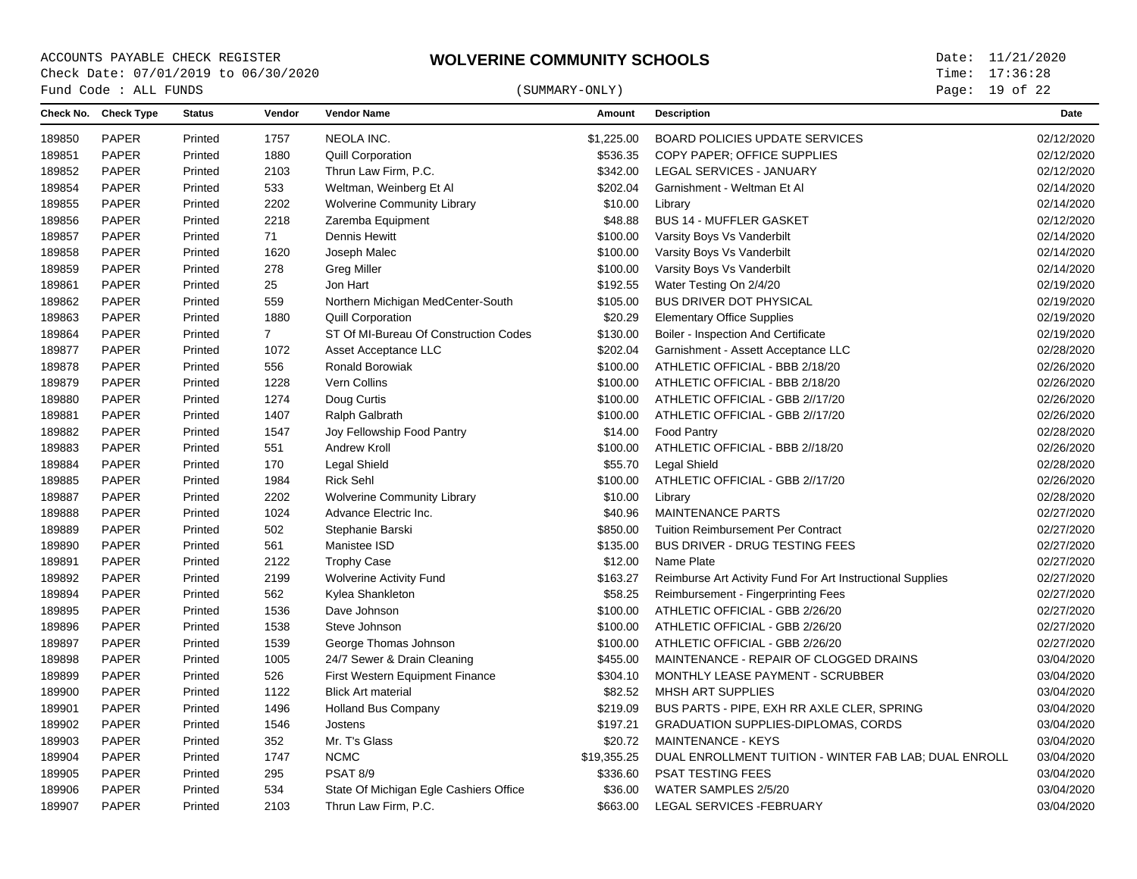# $\begin{array}{cccc}\n\text{Fund Code}: \text{ALL FUNDS}\n\end{array} \tag{SUMMARY-ONLY}$

Page: 19 of 22

| PAPER<br>NEOLA INC.<br>Printed<br>1757<br>\$1,225.00<br><b>BOARD POLICIES UPDATE SERVICES</b><br>189850<br><b>PAPER</b><br>1880<br>\$536.35<br>COPY PAPER; OFFICE SUPPLIES<br>189851<br>Printed<br><b>Quill Corporation</b><br><b>PAPER</b><br>\$342.00<br>189852<br>Printed<br>2103<br>Thrun Law Firm, P.C.<br>LEGAL SERVICES - JANUARY<br>189854<br><b>PAPER</b><br>Printed<br>533<br>Weltman, Weinberg Et Al<br>\$202.04<br>Garnishment - Weltman Et Al<br><b>PAPER</b><br>2202<br>\$10.00<br>189855<br>Printed<br><b>Wolverine Community Library</b><br>Library<br><b>PAPER</b><br>\$48.88<br><b>BUS 14 - MUFFLER GASKET</b><br>189856<br>Printed<br>2218<br>Zaremba Equipment<br>189857<br>PAPER<br>71<br><b>Dennis Hewitt</b><br>\$100.00<br>Printed<br>Varsity Boys Vs Vanderbilt<br>PAPER<br>1620<br>\$100.00<br>189858<br>Printed<br>Joseph Malec<br>Varsity Boys Vs Vanderbilt<br><b>PAPER</b><br>278<br>\$100.00<br>Varsity Boys Vs Vanderbilt<br>189859<br>Printed<br><b>Greg Miller</b><br><b>PAPER</b><br>25<br>Jon Hart<br>\$192.55<br>Water Testing On 2/4/20<br>189861<br>Printed<br><b>PAPER</b><br>559<br>\$105.00<br>BUS DRIVER DOT PHYSICAL<br>189862<br>Printed<br>Northern Michigan MedCenter-South<br>PAPER<br>\$20.29<br>189863<br>1880<br><b>Quill Corporation</b><br><b>Elementary Office Supplies</b><br>Printed<br>$\overline{7}$<br>189864<br><b>PAPER</b><br>Printed<br>ST Of MI-Bureau Of Construction Codes<br>\$130.00<br>Boiler - Inspection And Certificate<br>189877<br><b>PAPER</b><br>1072<br>Asset Acceptance LLC<br>\$202.04<br>Garnishment - Assett Acceptance LLC<br>Printed<br>189878<br><b>PAPER</b><br>556<br>Ronald Borowiak<br>\$100.00<br>ATHLETIC OFFICIAL - BBB 2/18/20<br>Printed<br>PAPER<br>189879<br>Printed<br>1228<br>Vern Collins<br>\$100.00<br>ATHLETIC OFFICIAL - BBB 2/18/20<br>PAPER<br>189880<br>Printed<br>1274<br>Doug Curtis<br>\$100.00<br>ATHLETIC OFFICIAL - GBB 2//17/20<br>PAPER<br>\$100.00<br>ATHLETIC OFFICIAL - GBB 2//17/20<br>189881<br>Printed<br>1407<br>Ralph Galbrath |            |
|---------------------------------------------------------------------------------------------------------------------------------------------------------------------------------------------------------------------------------------------------------------------------------------------------------------------------------------------------------------------------------------------------------------------------------------------------------------------------------------------------------------------------------------------------------------------------------------------------------------------------------------------------------------------------------------------------------------------------------------------------------------------------------------------------------------------------------------------------------------------------------------------------------------------------------------------------------------------------------------------------------------------------------------------------------------------------------------------------------------------------------------------------------------------------------------------------------------------------------------------------------------------------------------------------------------------------------------------------------------------------------------------------------------------------------------------------------------------------------------------------------------------------------------------------------------------------------------------------------------------------------------------------------------------------------------------------------------------------------------------------------------------------------------------------------------------------------------------------------------------------------------------------------------------------------------------------------------------------------------------------------------------------------------------------------|------------|
|                                                                                                                                                                                                                                                                                                                                                                                                                                                                                                                                                                                                                                                                                                                                                                                                                                                                                                                                                                                                                                                                                                                                                                                                                                                                                                                                                                                                                                                                                                                                                                                                                                                                                                                                                                                                                                                                                                                                                                                                                                                         | 02/12/2020 |
|                                                                                                                                                                                                                                                                                                                                                                                                                                                                                                                                                                                                                                                                                                                                                                                                                                                                                                                                                                                                                                                                                                                                                                                                                                                                                                                                                                                                                                                                                                                                                                                                                                                                                                                                                                                                                                                                                                                                                                                                                                                         | 02/12/2020 |
|                                                                                                                                                                                                                                                                                                                                                                                                                                                                                                                                                                                                                                                                                                                                                                                                                                                                                                                                                                                                                                                                                                                                                                                                                                                                                                                                                                                                                                                                                                                                                                                                                                                                                                                                                                                                                                                                                                                                                                                                                                                         | 02/12/2020 |
|                                                                                                                                                                                                                                                                                                                                                                                                                                                                                                                                                                                                                                                                                                                                                                                                                                                                                                                                                                                                                                                                                                                                                                                                                                                                                                                                                                                                                                                                                                                                                                                                                                                                                                                                                                                                                                                                                                                                                                                                                                                         | 02/14/2020 |
|                                                                                                                                                                                                                                                                                                                                                                                                                                                                                                                                                                                                                                                                                                                                                                                                                                                                                                                                                                                                                                                                                                                                                                                                                                                                                                                                                                                                                                                                                                                                                                                                                                                                                                                                                                                                                                                                                                                                                                                                                                                         | 02/14/2020 |
|                                                                                                                                                                                                                                                                                                                                                                                                                                                                                                                                                                                                                                                                                                                                                                                                                                                                                                                                                                                                                                                                                                                                                                                                                                                                                                                                                                                                                                                                                                                                                                                                                                                                                                                                                                                                                                                                                                                                                                                                                                                         | 02/12/2020 |
|                                                                                                                                                                                                                                                                                                                                                                                                                                                                                                                                                                                                                                                                                                                                                                                                                                                                                                                                                                                                                                                                                                                                                                                                                                                                                                                                                                                                                                                                                                                                                                                                                                                                                                                                                                                                                                                                                                                                                                                                                                                         | 02/14/2020 |
|                                                                                                                                                                                                                                                                                                                                                                                                                                                                                                                                                                                                                                                                                                                                                                                                                                                                                                                                                                                                                                                                                                                                                                                                                                                                                                                                                                                                                                                                                                                                                                                                                                                                                                                                                                                                                                                                                                                                                                                                                                                         | 02/14/2020 |
|                                                                                                                                                                                                                                                                                                                                                                                                                                                                                                                                                                                                                                                                                                                                                                                                                                                                                                                                                                                                                                                                                                                                                                                                                                                                                                                                                                                                                                                                                                                                                                                                                                                                                                                                                                                                                                                                                                                                                                                                                                                         | 02/14/2020 |
|                                                                                                                                                                                                                                                                                                                                                                                                                                                                                                                                                                                                                                                                                                                                                                                                                                                                                                                                                                                                                                                                                                                                                                                                                                                                                                                                                                                                                                                                                                                                                                                                                                                                                                                                                                                                                                                                                                                                                                                                                                                         | 02/19/2020 |
|                                                                                                                                                                                                                                                                                                                                                                                                                                                                                                                                                                                                                                                                                                                                                                                                                                                                                                                                                                                                                                                                                                                                                                                                                                                                                                                                                                                                                                                                                                                                                                                                                                                                                                                                                                                                                                                                                                                                                                                                                                                         | 02/19/2020 |
|                                                                                                                                                                                                                                                                                                                                                                                                                                                                                                                                                                                                                                                                                                                                                                                                                                                                                                                                                                                                                                                                                                                                                                                                                                                                                                                                                                                                                                                                                                                                                                                                                                                                                                                                                                                                                                                                                                                                                                                                                                                         | 02/19/2020 |
|                                                                                                                                                                                                                                                                                                                                                                                                                                                                                                                                                                                                                                                                                                                                                                                                                                                                                                                                                                                                                                                                                                                                                                                                                                                                                                                                                                                                                                                                                                                                                                                                                                                                                                                                                                                                                                                                                                                                                                                                                                                         | 02/19/2020 |
|                                                                                                                                                                                                                                                                                                                                                                                                                                                                                                                                                                                                                                                                                                                                                                                                                                                                                                                                                                                                                                                                                                                                                                                                                                                                                                                                                                                                                                                                                                                                                                                                                                                                                                                                                                                                                                                                                                                                                                                                                                                         | 02/28/2020 |
|                                                                                                                                                                                                                                                                                                                                                                                                                                                                                                                                                                                                                                                                                                                                                                                                                                                                                                                                                                                                                                                                                                                                                                                                                                                                                                                                                                                                                                                                                                                                                                                                                                                                                                                                                                                                                                                                                                                                                                                                                                                         | 02/26/2020 |
|                                                                                                                                                                                                                                                                                                                                                                                                                                                                                                                                                                                                                                                                                                                                                                                                                                                                                                                                                                                                                                                                                                                                                                                                                                                                                                                                                                                                                                                                                                                                                                                                                                                                                                                                                                                                                                                                                                                                                                                                                                                         | 02/26/2020 |
|                                                                                                                                                                                                                                                                                                                                                                                                                                                                                                                                                                                                                                                                                                                                                                                                                                                                                                                                                                                                                                                                                                                                                                                                                                                                                                                                                                                                                                                                                                                                                                                                                                                                                                                                                                                                                                                                                                                                                                                                                                                         | 02/26/2020 |
|                                                                                                                                                                                                                                                                                                                                                                                                                                                                                                                                                                                                                                                                                                                                                                                                                                                                                                                                                                                                                                                                                                                                                                                                                                                                                                                                                                                                                                                                                                                                                                                                                                                                                                                                                                                                                                                                                                                                                                                                                                                         | 02/26/2020 |
| PAPER<br>189882<br>Printed<br>1547<br>Joy Fellowship Food Pantry<br>\$14.00<br><b>Food Pantry</b>                                                                                                                                                                                                                                                                                                                                                                                                                                                                                                                                                                                                                                                                                                                                                                                                                                                                                                                                                                                                                                                                                                                                                                                                                                                                                                                                                                                                                                                                                                                                                                                                                                                                                                                                                                                                                                                                                                                                                       | 02/28/2020 |
| 551<br>\$100.00<br>ATHLETIC OFFICIAL - BBB 2//18/20<br>189883<br><b>PAPER</b><br>Printed<br>Andrew Kroll                                                                                                                                                                                                                                                                                                                                                                                                                                                                                                                                                                                                                                                                                                                                                                                                                                                                                                                                                                                                                                                                                                                                                                                                                                                                                                                                                                                                                                                                                                                                                                                                                                                                                                                                                                                                                                                                                                                                                | 02/26/2020 |
| PAPER<br>\$55.70<br>189884<br>Printed<br>170<br>Legal Shield<br>Legal Shield                                                                                                                                                                                                                                                                                                                                                                                                                                                                                                                                                                                                                                                                                                                                                                                                                                                                                                                                                                                                                                                                                                                                                                                                                                                                                                                                                                                                                                                                                                                                                                                                                                                                                                                                                                                                                                                                                                                                                                            | 02/28/2020 |
| <b>PAPER</b><br>189885<br>1984<br><b>Rick Sehl</b><br>\$100.00<br>ATHLETIC OFFICIAL - GBB 2//17/20<br>Printed                                                                                                                                                                                                                                                                                                                                                                                                                                                                                                                                                                                                                                                                                                                                                                                                                                                                                                                                                                                                                                                                                                                                                                                                                                                                                                                                                                                                                                                                                                                                                                                                                                                                                                                                                                                                                                                                                                                                           | 02/26/2020 |
| <b>PAPER</b><br><b>Wolverine Community Library</b><br>\$10.00<br>189887<br>Printed<br>2202<br>Library                                                                                                                                                                                                                                                                                                                                                                                                                                                                                                                                                                                                                                                                                                                                                                                                                                                                                                                                                                                                                                                                                                                                                                                                                                                                                                                                                                                                                                                                                                                                                                                                                                                                                                                                                                                                                                                                                                                                                   | 02/28/2020 |
| <b>PAPER</b><br>189888<br>Printed<br>1024<br>Advance Electric Inc.<br>\$40.96<br><b>MAINTENANCE PARTS</b>                                                                                                                                                                                                                                                                                                                                                                                                                                                                                                                                                                                                                                                                                                                                                                                                                                                                                                                                                                                                                                                                                                                                                                                                                                                                                                                                                                                                                                                                                                                                                                                                                                                                                                                                                                                                                                                                                                                                               | 02/27/2020 |
| <b>PAPER</b><br>502<br>\$850.00<br>189889<br>Printed<br>Stephanie Barski<br><b>Tuition Reimbursement Per Contract</b>                                                                                                                                                                                                                                                                                                                                                                                                                                                                                                                                                                                                                                                                                                                                                                                                                                                                                                                                                                                                                                                                                                                                                                                                                                                                                                                                                                                                                                                                                                                                                                                                                                                                                                                                                                                                                                                                                                                                   | 02/27/2020 |
| PAPER<br>561<br>\$135.00<br><b>BUS DRIVER - DRUG TESTING FEES</b><br>189890<br>Printed<br>Manistee ISD                                                                                                                                                                                                                                                                                                                                                                                                                                                                                                                                                                                                                                                                                                                                                                                                                                                                                                                                                                                                                                                                                                                                                                                                                                                                                                                                                                                                                                                                                                                                                                                                                                                                                                                                                                                                                                                                                                                                                  | 02/27/2020 |
| 189891<br><b>PAPER</b><br>2122<br>\$12.00<br>Name Plate<br>Printed<br><b>Trophy Case</b>                                                                                                                                                                                                                                                                                                                                                                                                                                                                                                                                                                                                                                                                                                                                                                                                                                                                                                                                                                                                                                                                                                                                                                                                                                                                                                                                                                                                                                                                                                                                                                                                                                                                                                                                                                                                                                                                                                                                                                | 02/27/2020 |
| <b>PAPER</b><br>2199<br><b>Wolverine Activity Fund</b><br>\$163.27<br>Reimburse Art Activity Fund For Art Instructional Supplies<br>189892<br>Printed                                                                                                                                                                                                                                                                                                                                                                                                                                                                                                                                                                                                                                                                                                                                                                                                                                                                                                                                                                                                                                                                                                                                                                                                                                                                                                                                                                                                                                                                                                                                                                                                                                                                                                                                                                                                                                                                                                   | 02/27/2020 |
| <b>PAPER</b><br>562<br>\$58.25<br>189894<br>Printed<br>Kylea Shankleton<br>Reimbursement - Fingerprinting Fees                                                                                                                                                                                                                                                                                                                                                                                                                                                                                                                                                                                                                                                                                                                                                                                                                                                                                                                                                                                                                                                                                                                                                                                                                                                                                                                                                                                                                                                                                                                                                                                                                                                                                                                                                                                                                                                                                                                                          | 02/27/2020 |
| PAPER<br>189895<br>1536<br>Dave Johnson<br>\$100.00<br>ATHLETIC OFFICIAL - GBB 2/26/20<br>Printed                                                                                                                                                                                                                                                                                                                                                                                                                                                                                                                                                                                                                                                                                                                                                                                                                                                                                                                                                                                                                                                                                                                                                                                                                                                                                                                                                                                                                                                                                                                                                                                                                                                                                                                                                                                                                                                                                                                                                       | 02/27/2020 |
| PAPER<br>1538<br>189896<br>\$100.00<br>ATHLETIC OFFICIAL - GBB 2/26/20<br>Printed<br>Steve Johnson                                                                                                                                                                                                                                                                                                                                                                                                                                                                                                                                                                                                                                                                                                                                                                                                                                                                                                                                                                                                                                                                                                                                                                                                                                                                                                                                                                                                                                                                                                                                                                                                                                                                                                                                                                                                                                                                                                                                                      | 02/27/2020 |
| PAPER<br>189897<br>Printed<br>1539<br>\$100.00<br>ATHLETIC OFFICIAL - GBB 2/26/20<br>George Thomas Johnson                                                                                                                                                                                                                                                                                                                                                                                                                                                                                                                                                                                                                                                                                                                                                                                                                                                                                                                                                                                                                                                                                                                                                                                                                                                                                                                                                                                                                                                                                                                                                                                                                                                                                                                                                                                                                                                                                                                                              | 02/27/2020 |
| 189898<br><b>PAPER</b><br>Printed<br>1005<br>24/7 Sewer & Drain Cleaning<br>\$455.00<br>MAINTENANCE - REPAIR OF CLOGGED DRAINS                                                                                                                                                                                                                                                                                                                                                                                                                                                                                                                                                                                                                                                                                                                                                                                                                                                                                                                                                                                                                                                                                                                                                                                                                                                                                                                                                                                                                                                                                                                                                                                                                                                                                                                                                                                                                                                                                                                          | 03/04/2020 |
| <b>PAPER</b><br>526<br>First Western Equipment Finance<br>\$304.10<br>189899<br>Printed<br>MONTHLY LEASE PAYMENT - SCRUBBER                                                                                                                                                                                                                                                                                                                                                                                                                                                                                                                                                                                                                                                                                                                                                                                                                                                                                                                                                                                                                                                                                                                                                                                                                                                                                                                                                                                                                                                                                                                                                                                                                                                                                                                                                                                                                                                                                                                             | 03/04/2020 |
| PAPER<br>1122<br>\$82.52<br>MHSH ART SUPPLIES<br><b>Blick Art material</b><br>189900<br>Printed                                                                                                                                                                                                                                                                                                                                                                                                                                                                                                                                                                                                                                                                                                                                                                                                                                                                                                                                                                                                                                                                                                                                                                                                                                                                                                                                                                                                                                                                                                                                                                                                                                                                                                                                                                                                                                                                                                                                                         | 03/04/2020 |
| <b>PAPER</b><br>189901<br>Printed<br>1496<br><b>Holland Bus Company</b><br>\$219.09<br>BUS PARTS - PIPE, EXH RR AXLE CLER, SPRING                                                                                                                                                                                                                                                                                                                                                                                                                                                                                                                                                                                                                                                                                                                                                                                                                                                                                                                                                                                                                                                                                                                                                                                                                                                                                                                                                                                                                                                                                                                                                                                                                                                                                                                                                                                                                                                                                                                       | 03/04/2020 |
| PAPER<br>189902<br>Printed<br>1546<br>\$197.21<br><b>GRADUATION SUPPLIES-DIPLOMAS, CORDS</b><br>Jostens                                                                                                                                                                                                                                                                                                                                                                                                                                                                                                                                                                                                                                                                                                                                                                                                                                                                                                                                                                                                                                                                                                                                                                                                                                                                                                                                                                                                                                                                                                                                                                                                                                                                                                                                                                                                                                                                                                                                                 | 03/04/2020 |
| PAPER<br>352<br>Mr. T's Glass<br>189903<br>Printed<br>\$20.72<br><b>MAINTENANCE - KEYS</b>                                                                                                                                                                                                                                                                                                                                                                                                                                                                                                                                                                                                                                                                                                                                                                                                                                                                                                                                                                                                                                                                                                                                                                                                                                                                                                                                                                                                                                                                                                                                                                                                                                                                                                                                                                                                                                                                                                                                                              | 03/04/2020 |
| PAPER<br><b>NCMC</b><br>189904<br>Printed<br>1747<br>\$19,355.25<br>DUAL ENROLLMENT TUITION - WINTER FAB LAB; DUAL ENROLL                                                                                                                                                                                                                                                                                                                                                                                                                                                                                                                                                                                                                                                                                                                                                                                                                                                                                                                                                                                                                                                                                                                                                                                                                                                                                                                                                                                                                                                                                                                                                                                                                                                                                                                                                                                                                                                                                                                               | 03/04/2020 |
| PSAT 8/9<br>\$336.60<br><b>PSAT TESTING FEES</b><br>189905<br><b>PAPER</b><br>Printed<br>295                                                                                                                                                                                                                                                                                                                                                                                                                                                                                                                                                                                                                                                                                                                                                                                                                                                                                                                                                                                                                                                                                                                                                                                                                                                                                                                                                                                                                                                                                                                                                                                                                                                                                                                                                                                                                                                                                                                                                            | 03/04/2020 |
| <b>PAPER</b><br>534<br>WATER SAMPLES 2/5/20<br>189906<br>Printed<br>State Of Michigan Egle Cashiers Office<br>\$36.00                                                                                                                                                                                                                                                                                                                                                                                                                                                                                                                                                                                                                                                                                                                                                                                                                                                                                                                                                                                                                                                                                                                                                                                                                                                                                                                                                                                                                                                                                                                                                                                                                                                                                                                                                                                                                                                                                                                                   | 03/04/2020 |
| <b>PAPER</b><br>2103<br>\$663.00<br>LEGAL SERVICES - FEBRUARY<br>189907<br>Printed<br>Thrun Law Firm, P.C.                                                                                                                                                                                                                                                                                                                                                                                                                                                                                                                                                                                                                                                                                                                                                                                                                                                                                                                                                                                                                                                                                                                                                                                                                                                                                                                                                                                                                                                                                                                                                                                                                                                                                                                                                                                                                                                                                                                                              |            |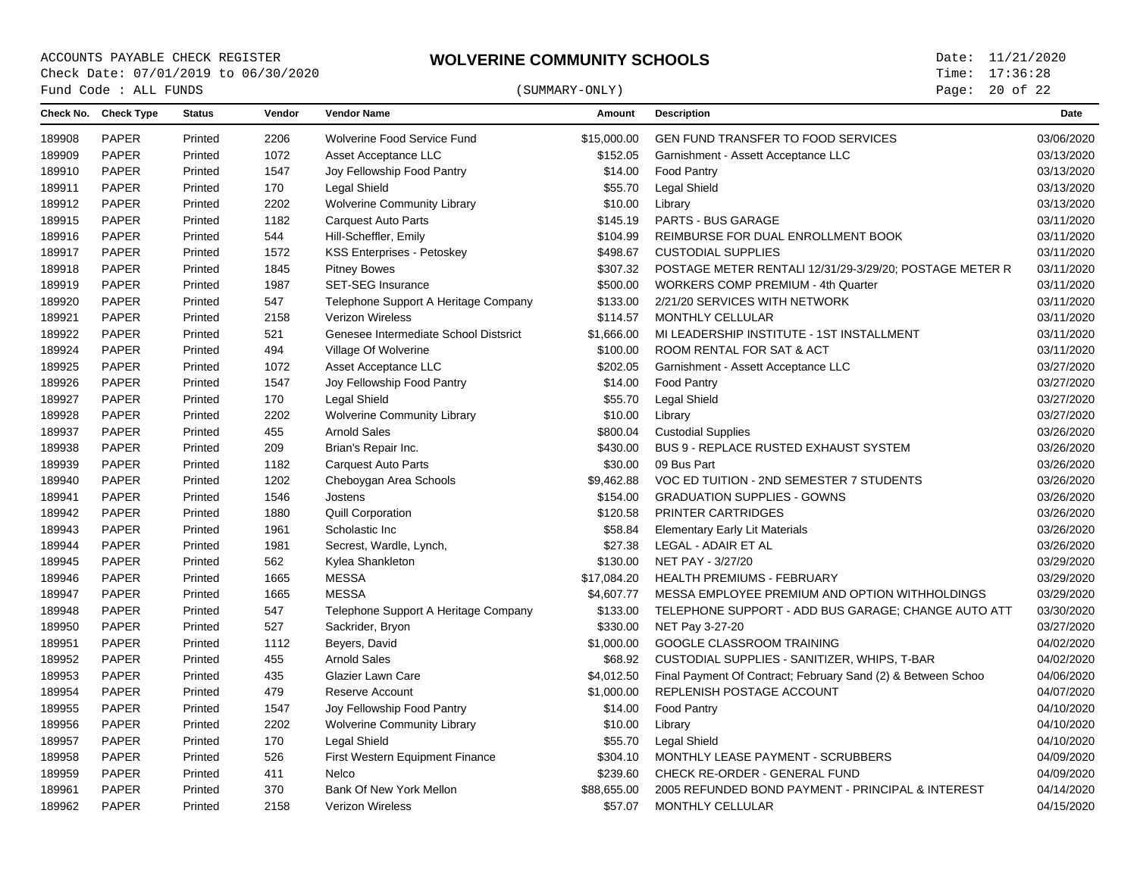Page: 20 of 22

| Check No. Check Type<br><b>Status</b><br>Vendor<br><b>Vendor Name</b><br>Amount<br><b>Description</b><br>Date<br>GEN FUND TRANSFER TO FOOD SERVICES<br><b>PAPER</b><br>Printed<br>2206<br>Wolverine Food Service Fund<br>\$15,000.00<br>PAPER<br>1072<br>Printed<br>Asset Acceptance LLC<br>\$152.05<br>Garnishment - Assett Acceptance LLC<br>PAPER<br>1547<br>\$14.00<br>Printed<br>Joy Fellowship Food Pantry<br><b>Food Pantry</b><br><b>PAPER</b><br>Printed<br>170<br>Legal Shield<br>\$55.70<br>Legal Shield<br>2202<br><b>PAPER</b><br><b>Wolverine Community Library</b><br>\$10.00<br>Printed<br>Library<br>PAPER<br>1182<br>\$145.19<br>PARTS - BUS GARAGE<br>Printed<br><b>Carquest Auto Parts</b><br><b>PAPER</b><br>Printed<br>544<br>Hill-Scheffler, Emily<br>\$104.99<br>REIMBURSE FOR DUAL ENROLLMENT BOOK<br><b>PAPER</b><br>1572<br>\$498.67<br><b>CUSTODIAL SUPPLIES</b><br>Printed<br><b>KSS Enterprises - Petoskey</b><br>PAPER<br>1845<br>\$307.32<br>POSTAGE METER RENTALI 12/31/29-3/29/20; POSTAGE METER R<br>Printed<br><b>Pitney Bowes</b><br><b>PAPER</b><br>Printed<br>1987<br><b>SET-SEG Insurance</b><br>\$500.00<br><b>WORKERS COMP PREMIUM - 4th Quarter</b><br><b>PAPER</b><br>547<br>Telephone Support A Heritage Company<br>\$133.00<br>2/21/20 SERVICES WITH NETWORK<br>Printed<br>PAPER<br>Printed<br>2158<br><b>Verizon Wireless</b><br>\$114.57<br>MONTHLY CELLULAR<br>PAPER<br>Printed<br>521<br>Genesee Intermediate School Distsrict<br>\$1,666.00<br>MI LEADERSHIP INSTITUTE - 1ST INSTALLMENT<br>PAPER<br>494<br>Village Of Wolverine<br>\$100.00<br>ROOM RENTAL FOR SAT & ACT<br>Printed<br>PAPER<br>Printed<br>1072<br>Asset Acceptance LLC<br>\$202.05<br>Garnishment - Assett Acceptance LLC<br>PAPER<br>Printed<br>1547<br>\$14.00<br><b>Food Pantry</b><br>Joy Fellowship Food Pantry<br><b>PAPER</b><br>\$55.70<br><b>Legal Shield</b><br>Printed<br>170<br>Legal Shield<br>PAPER<br>Printed<br>2202<br><b>Wolverine Community Library</b><br>\$10.00<br>Library<br><b>PAPER</b><br>Printed<br>455<br><b>Arnold Sales</b><br>\$800.04<br><b>Custodial Supplies</b><br><b>PAPER</b><br>209<br>Brian's Repair Inc.<br>\$430.00<br><b>BUS 9 - REPLACE RUSTED EXHAUST SYSTEM</b><br>Printed<br>PAPER<br>1182<br>\$30.00<br>09 Bus Part<br>Printed<br><b>Carquest Auto Parts</b><br><b>PAPER</b><br>1202<br>\$9,462.88<br>VOC ED TUITION - 2ND SEMESTER 7 STUDENTS<br>Printed<br>Cheboygan Area Schools<br><b>PAPER</b><br>1546<br><b>GRADUATION SUPPLIES - GOWNS</b><br>Printed<br>Jostens<br>\$154.00<br><b>PAPER</b><br>1880<br>\$120.58<br><b>PRINTER CARTRIDGES</b><br><b>Quill Corporation</b><br>Printed<br>PAPER<br>Printed<br>1961<br>Scholastic Inc<br>\$58.84<br><b>Elementary Early Lit Materials</b><br><b>PAPER</b><br>1981<br>\$27.38<br>LEGAL - ADAIR ET AL<br>Printed<br>Secrest, Wardle, Lynch,<br>PAPER<br>\$130.00<br>NET PAY - 3/27/20<br>562<br>Kylea Shankleton<br>Printed<br><b>PAPER</b><br>Printed<br>1665<br><b>MESSA</b><br>\$17,084.20<br><b>HEALTH PREMIUMS - FEBRUARY</b><br>PAPER<br><b>MESSA</b><br>Printed<br>1665<br>\$4,607.77<br>MESSA EMPLOYEE PREMIUM AND OPTION WITHHOLDINGS<br>PAPER<br>\$133.00<br>547<br>Telephone Support A Heritage Company<br>TELEPHONE SUPPORT - ADD BUS GARAGE; CHANGE AUTO ATT<br>Printed<br>PAPER<br>Printed<br>527<br>Sackrider, Bryon<br>\$330.00<br>NET Pay 3-27-20<br>PAPER<br>1112<br>Printed<br>Beyers, David<br>\$1,000.00<br>GOOGLE CLASSROOM TRAINING<br><b>PAPER</b><br><b>Arnold Sales</b><br>\$68.92<br>CUSTODIAL SUPPLIES - SANITIZER, WHIPS, T-BAR<br>455<br>Printed<br>PAPER<br>435<br>Glazier Lawn Care<br>\$4,012.50<br>Final Payment Of Contract; February Sand (2) & Between Schoo<br>Printed<br>PAPER<br>REPLENISH POSTAGE ACCOUNT<br>Printed<br>479<br><b>Reserve Account</b><br>\$1,000.00<br><b>PAPER</b><br>1547<br>Joy Fellowship Food Pantry<br>\$14.00<br><b>Food Pantry</b><br>Printed<br>PAPER<br>2202<br><b>Wolverine Community Library</b><br>\$10.00<br>Printed<br>Library<br>PAPER<br>170<br>Legal Shield<br>\$55.70<br><b>Legal Shield</b><br>Printed<br><b>PAPER</b><br>MONTHLY LEASE PAYMENT - SCRUBBERS<br>526<br>First Western Equipment Finance<br>\$304.10<br>Printed<br>PAPER<br>411<br>\$239.60<br>CHECK RE-ORDER - GENERAL FUND<br>Printed<br>Nelco<br>370<br>PAPER<br>Bank Of New York Mellon<br>2005 REFUNDED BOND PAYMENT - PRINCIPAL & INTEREST<br>Printed<br>\$88,655.00<br><b>PAPER</b><br>2158<br><b>Verizon Wireless</b><br>\$57.07<br><b>MONTHLY CELLULAR</b><br>Printed |        | Fund Code : ALL FUNDS |  | (SUMMARY-ONLY) | Page: 20 of 22 |            |
|------------------------------------------------------------------------------------------------------------------------------------------------------------------------------------------------------------------------------------------------------------------------------------------------------------------------------------------------------------------------------------------------------------------------------------------------------------------------------------------------------------------------------------------------------------------------------------------------------------------------------------------------------------------------------------------------------------------------------------------------------------------------------------------------------------------------------------------------------------------------------------------------------------------------------------------------------------------------------------------------------------------------------------------------------------------------------------------------------------------------------------------------------------------------------------------------------------------------------------------------------------------------------------------------------------------------------------------------------------------------------------------------------------------------------------------------------------------------------------------------------------------------------------------------------------------------------------------------------------------------------------------------------------------------------------------------------------------------------------------------------------------------------------------------------------------------------------------------------------------------------------------------------------------------------------------------------------------------------------------------------------------------------------------------------------------------------------------------------------------------------------------------------------------------------------------------------------------------------------------------------------------------------------------------------------------------------------------------------------------------------------------------------------------------------------------------------------------------------------------------------------------------------------------------------------------------------------------------------------------------------------------------------------------------------------------------------------------------------------------------------------------------------------------------------------------------------------------------------------------------------------------------------------------------------------------------------------------------------------------------------------------------------------------------------------------------------------------------------------------------------------------------------------------------------------------------------------------------------------------------------------------------------------------------------------------------------------------------------------------------------------------------------------------------------------------------------------------------------------------------------------------------------------------------------------------------------------------------------------------------------------------------------------------------------------------------------------------------------------------------------------------------------------------------------------------------------------------------------------------------------------------------------------------------------------------------------------------------------------------------------------------------------------------------------------------------------------------------------------------------------------------------------------------------------------------------------------------------------------------------------------------------------------------------------------------------------------------------------------------------------------------------------------------------------------------------------------------------------------------------------------------------------------------------|--------|-----------------------|--|----------------|----------------|------------|
|                                                                                                                                                                                                                                                                                                                                                                                                                                                                                                                                                                                                                                                                                                                                                                                                                                                                                                                                                                                                                                                                                                                                                                                                                                                                                                                                                                                                                                                                                                                                                                                                                                                                                                                                                                                                                                                                                                                                                                                                                                                                                                                                                                                                                                                                                                                                                                                                                                                                                                                                                                                                                                                                                                                                                                                                                                                                                                                                                                                                                                                                                                                                                                                                                                                                                                                                                                                                                                                                                                                                                                                                                                                                                                                                                                                                                                                                                                                                                                                                                                                                                                                                                                                                                                                                                                                                                                                                                                                                                                                                                |        |                       |  |                |                |            |
|                                                                                                                                                                                                                                                                                                                                                                                                                                                                                                                                                                                                                                                                                                                                                                                                                                                                                                                                                                                                                                                                                                                                                                                                                                                                                                                                                                                                                                                                                                                                                                                                                                                                                                                                                                                                                                                                                                                                                                                                                                                                                                                                                                                                                                                                                                                                                                                                                                                                                                                                                                                                                                                                                                                                                                                                                                                                                                                                                                                                                                                                                                                                                                                                                                                                                                                                                                                                                                                                                                                                                                                                                                                                                                                                                                                                                                                                                                                                                                                                                                                                                                                                                                                                                                                                                                                                                                                                                                                                                                                                                | 189908 |                       |  |                |                | 03/06/2020 |
|                                                                                                                                                                                                                                                                                                                                                                                                                                                                                                                                                                                                                                                                                                                                                                                                                                                                                                                                                                                                                                                                                                                                                                                                                                                                                                                                                                                                                                                                                                                                                                                                                                                                                                                                                                                                                                                                                                                                                                                                                                                                                                                                                                                                                                                                                                                                                                                                                                                                                                                                                                                                                                                                                                                                                                                                                                                                                                                                                                                                                                                                                                                                                                                                                                                                                                                                                                                                                                                                                                                                                                                                                                                                                                                                                                                                                                                                                                                                                                                                                                                                                                                                                                                                                                                                                                                                                                                                                                                                                                                                                | 189909 |                       |  |                |                | 03/13/2020 |
|                                                                                                                                                                                                                                                                                                                                                                                                                                                                                                                                                                                                                                                                                                                                                                                                                                                                                                                                                                                                                                                                                                                                                                                                                                                                                                                                                                                                                                                                                                                                                                                                                                                                                                                                                                                                                                                                                                                                                                                                                                                                                                                                                                                                                                                                                                                                                                                                                                                                                                                                                                                                                                                                                                                                                                                                                                                                                                                                                                                                                                                                                                                                                                                                                                                                                                                                                                                                                                                                                                                                                                                                                                                                                                                                                                                                                                                                                                                                                                                                                                                                                                                                                                                                                                                                                                                                                                                                                                                                                                                                                | 189910 |                       |  |                |                | 03/13/2020 |
|                                                                                                                                                                                                                                                                                                                                                                                                                                                                                                                                                                                                                                                                                                                                                                                                                                                                                                                                                                                                                                                                                                                                                                                                                                                                                                                                                                                                                                                                                                                                                                                                                                                                                                                                                                                                                                                                                                                                                                                                                                                                                                                                                                                                                                                                                                                                                                                                                                                                                                                                                                                                                                                                                                                                                                                                                                                                                                                                                                                                                                                                                                                                                                                                                                                                                                                                                                                                                                                                                                                                                                                                                                                                                                                                                                                                                                                                                                                                                                                                                                                                                                                                                                                                                                                                                                                                                                                                                                                                                                                                                | 189911 |                       |  |                |                | 03/13/2020 |
|                                                                                                                                                                                                                                                                                                                                                                                                                                                                                                                                                                                                                                                                                                                                                                                                                                                                                                                                                                                                                                                                                                                                                                                                                                                                                                                                                                                                                                                                                                                                                                                                                                                                                                                                                                                                                                                                                                                                                                                                                                                                                                                                                                                                                                                                                                                                                                                                                                                                                                                                                                                                                                                                                                                                                                                                                                                                                                                                                                                                                                                                                                                                                                                                                                                                                                                                                                                                                                                                                                                                                                                                                                                                                                                                                                                                                                                                                                                                                                                                                                                                                                                                                                                                                                                                                                                                                                                                                                                                                                                                                | 189912 |                       |  |                |                | 03/13/2020 |
|                                                                                                                                                                                                                                                                                                                                                                                                                                                                                                                                                                                                                                                                                                                                                                                                                                                                                                                                                                                                                                                                                                                                                                                                                                                                                                                                                                                                                                                                                                                                                                                                                                                                                                                                                                                                                                                                                                                                                                                                                                                                                                                                                                                                                                                                                                                                                                                                                                                                                                                                                                                                                                                                                                                                                                                                                                                                                                                                                                                                                                                                                                                                                                                                                                                                                                                                                                                                                                                                                                                                                                                                                                                                                                                                                                                                                                                                                                                                                                                                                                                                                                                                                                                                                                                                                                                                                                                                                                                                                                                                                | 189915 |                       |  |                |                | 03/11/2020 |
|                                                                                                                                                                                                                                                                                                                                                                                                                                                                                                                                                                                                                                                                                                                                                                                                                                                                                                                                                                                                                                                                                                                                                                                                                                                                                                                                                                                                                                                                                                                                                                                                                                                                                                                                                                                                                                                                                                                                                                                                                                                                                                                                                                                                                                                                                                                                                                                                                                                                                                                                                                                                                                                                                                                                                                                                                                                                                                                                                                                                                                                                                                                                                                                                                                                                                                                                                                                                                                                                                                                                                                                                                                                                                                                                                                                                                                                                                                                                                                                                                                                                                                                                                                                                                                                                                                                                                                                                                                                                                                                                                | 189916 |                       |  |                |                | 03/11/2020 |
|                                                                                                                                                                                                                                                                                                                                                                                                                                                                                                                                                                                                                                                                                                                                                                                                                                                                                                                                                                                                                                                                                                                                                                                                                                                                                                                                                                                                                                                                                                                                                                                                                                                                                                                                                                                                                                                                                                                                                                                                                                                                                                                                                                                                                                                                                                                                                                                                                                                                                                                                                                                                                                                                                                                                                                                                                                                                                                                                                                                                                                                                                                                                                                                                                                                                                                                                                                                                                                                                                                                                                                                                                                                                                                                                                                                                                                                                                                                                                                                                                                                                                                                                                                                                                                                                                                                                                                                                                                                                                                                                                | 189917 |                       |  |                |                | 03/11/2020 |
|                                                                                                                                                                                                                                                                                                                                                                                                                                                                                                                                                                                                                                                                                                                                                                                                                                                                                                                                                                                                                                                                                                                                                                                                                                                                                                                                                                                                                                                                                                                                                                                                                                                                                                                                                                                                                                                                                                                                                                                                                                                                                                                                                                                                                                                                                                                                                                                                                                                                                                                                                                                                                                                                                                                                                                                                                                                                                                                                                                                                                                                                                                                                                                                                                                                                                                                                                                                                                                                                                                                                                                                                                                                                                                                                                                                                                                                                                                                                                                                                                                                                                                                                                                                                                                                                                                                                                                                                                                                                                                                                                | 189918 |                       |  |                |                | 03/11/2020 |
|                                                                                                                                                                                                                                                                                                                                                                                                                                                                                                                                                                                                                                                                                                                                                                                                                                                                                                                                                                                                                                                                                                                                                                                                                                                                                                                                                                                                                                                                                                                                                                                                                                                                                                                                                                                                                                                                                                                                                                                                                                                                                                                                                                                                                                                                                                                                                                                                                                                                                                                                                                                                                                                                                                                                                                                                                                                                                                                                                                                                                                                                                                                                                                                                                                                                                                                                                                                                                                                                                                                                                                                                                                                                                                                                                                                                                                                                                                                                                                                                                                                                                                                                                                                                                                                                                                                                                                                                                                                                                                                                                | 189919 |                       |  |                |                | 03/11/2020 |
|                                                                                                                                                                                                                                                                                                                                                                                                                                                                                                                                                                                                                                                                                                                                                                                                                                                                                                                                                                                                                                                                                                                                                                                                                                                                                                                                                                                                                                                                                                                                                                                                                                                                                                                                                                                                                                                                                                                                                                                                                                                                                                                                                                                                                                                                                                                                                                                                                                                                                                                                                                                                                                                                                                                                                                                                                                                                                                                                                                                                                                                                                                                                                                                                                                                                                                                                                                                                                                                                                                                                                                                                                                                                                                                                                                                                                                                                                                                                                                                                                                                                                                                                                                                                                                                                                                                                                                                                                                                                                                                                                | 189920 |                       |  |                |                | 03/11/2020 |
|                                                                                                                                                                                                                                                                                                                                                                                                                                                                                                                                                                                                                                                                                                                                                                                                                                                                                                                                                                                                                                                                                                                                                                                                                                                                                                                                                                                                                                                                                                                                                                                                                                                                                                                                                                                                                                                                                                                                                                                                                                                                                                                                                                                                                                                                                                                                                                                                                                                                                                                                                                                                                                                                                                                                                                                                                                                                                                                                                                                                                                                                                                                                                                                                                                                                                                                                                                                                                                                                                                                                                                                                                                                                                                                                                                                                                                                                                                                                                                                                                                                                                                                                                                                                                                                                                                                                                                                                                                                                                                                                                | 189921 |                       |  |                |                | 03/11/2020 |
|                                                                                                                                                                                                                                                                                                                                                                                                                                                                                                                                                                                                                                                                                                                                                                                                                                                                                                                                                                                                                                                                                                                                                                                                                                                                                                                                                                                                                                                                                                                                                                                                                                                                                                                                                                                                                                                                                                                                                                                                                                                                                                                                                                                                                                                                                                                                                                                                                                                                                                                                                                                                                                                                                                                                                                                                                                                                                                                                                                                                                                                                                                                                                                                                                                                                                                                                                                                                                                                                                                                                                                                                                                                                                                                                                                                                                                                                                                                                                                                                                                                                                                                                                                                                                                                                                                                                                                                                                                                                                                                                                | 189922 |                       |  |                |                | 03/11/2020 |
|                                                                                                                                                                                                                                                                                                                                                                                                                                                                                                                                                                                                                                                                                                                                                                                                                                                                                                                                                                                                                                                                                                                                                                                                                                                                                                                                                                                                                                                                                                                                                                                                                                                                                                                                                                                                                                                                                                                                                                                                                                                                                                                                                                                                                                                                                                                                                                                                                                                                                                                                                                                                                                                                                                                                                                                                                                                                                                                                                                                                                                                                                                                                                                                                                                                                                                                                                                                                                                                                                                                                                                                                                                                                                                                                                                                                                                                                                                                                                                                                                                                                                                                                                                                                                                                                                                                                                                                                                                                                                                                                                | 189924 |                       |  |                |                | 03/11/2020 |
|                                                                                                                                                                                                                                                                                                                                                                                                                                                                                                                                                                                                                                                                                                                                                                                                                                                                                                                                                                                                                                                                                                                                                                                                                                                                                                                                                                                                                                                                                                                                                                                                                                                                                                                                                                                                                                                                                                                                                                                                                                                                                                                                                                                                                                                                                                                                                                                                                                                                                                                                                                                                                                                                                                                                                                                                                                                                                                                                                                                                                                                                                                                                                                                                                                                                                                                                                                                                                                                                                                                                                                                                                                                                                                                                                                                                                                                                                                                                                                                                                                                                                                                                                                                                                                                                                                                                                                                                                                                                                                                                                | 189925 |                       |  |                |                | 03/27/2020 |
|                                                                                                                                                                                                                                                                                                                                                                                                                                                                                                                                                                                                                                                                                                                                                                                                                                                                                                                                                                                                                                                                                                                                                                                                                                                                                                                                                                                                                                                                                                                                                                                                                                                                                                                                                                                                                                                                                                                                                                                                                                                                                                                                                                                                                                                                                                                                                                                                                                                                                                                                                                                                                                                                                                                                                                                                                                                                                                                                                                                                                                                                                                                                                                                                                                                                                                                                                                                                                                                                                                                                                                                                                                                                                                                                                                                                                                                                                                                                                                                                                                                                                                                                                                                                                                                                                                                                                                                                                                                                                                                                                | 189926 |                       |  |                |                | 03/27/2020 |
|                                                                                                                                                                                                                                                                                                                                                                                                                                                                                                                                                                                                                                                                                                                                                                                                                                                                                                                                                                                                                                                                                                                                                                                                                                                                                                                                                                                                                                                                                                                                                                                                                                                                                                                                                                                                                                                                                                                                                                                                                                                                                                                                                                                                                                                                                                                                                                                                                                                                                                                                                                                                                                                                                                                                                                                                                                                                                                                                                                                                                                                                                                                                                                                                                                                                                                                                                                                                                                                                                                                                                                                                                                                                                                                                                                                                                                                                                                                                                                                                                                                                                                                                                                                                                                                                                                                                                                                                                                                                                                                                                | 189927 |                       |  |                |                | 03/27/2020 |
|                                                                                                                                                                                                                                                                                                                                                                                                                                                                                                                                                                                                                                                                                                                                                                                                                                                                                                                                                                                                                                                                                                                                                                                                                                                                                                                                                                                                                                                                                                                                                                                                                                                                                                                                                                                                                                                                                                                                                                                                                                                                                                                                                                                                                                                                                                                                                                                                                                                                                                                                                                                                                                                                                                                                                                                                                                                                                                                                                                                                                                                                                                                                                                                                                                                                                                                                                                                                                                                                                                                                                                                                                                                                                                                                                                                                                                                                                                                                                                                                                                                                                                                                                                                                                                                                                                                                                                                                                                                                                                                                                | 189928 |                       |  |                |                | 03/27/2020 |
|                                                                                                                                                                                                                                                                                                                                                                                                                                                                                                                                                                                                                                                                                                                                                                                                                                                                                                                                                                                                                                                                                                                                                                                                                                                                                                                                                                                                                                                                                                                                                                                                                                                                                                                                                                                                                                                                                                                                                                                                                                                                                                                                                                                                                                                                                                                                                                                                                                                                                                                                                                                                                                                                                                                                                                                                                                                                                                                                                                                                                                                                                                                                                                                                                                                                                                                                                                                                                                                                                                                                                                                                                                                                                                                                                                                                                                                                                                                                                                                                                                                                                                                                                                                                                                                                                                                                                                                                                                                                                                                                                | 189937 |                       |  |                |                | 03/26/2020 |
|                                                                                                                                                                                                                                                                                                                                                                                                                                                                                                                                                                                                                                                                                                                                                                                                                                                                                                                                                                                                                                                                                                                                                                                                                                                                                                                                                                                                                                                                                                                                                                                                                                                                                                                                                                                                                                                                                                                                                                                                                                                                                                                                                                                                                                                                                                                                                                                                                                                                                                                                                                                                                                                                                                                                                                                                                                                                                                                                                                                                                                                                                                                                                                                                                                                                                                                                                                                                                                                                                                                                                                                                                                                                                                                                                                                                                                                                                                                                                                                                                                                                                                                                                                                                                                                                                                                                                                                                                                                                                                                                                | 189938 |                       |  |                |                | 03/26/2020 |
|                                                                                                                                                                                                                                                                                                                                                                                                                                                                                                                                                                                                                                                                                                                                                                                                                                                                                                                                                                                                                                                                                                                                                                                                                                                                                                                                                                                                                                                                                                                                                                                                                                                                                                                                                                                                                                                                                                                                                                                                                                                                                                                                                                                                                                                                                                                                                                                                                                                                                                                                                                                                                                                                                                                                                                                                                                                                                                                                                                                                                                                                                                                                                                                                                                                                                                                                                                                                                                                                                                                                                                                                                                                                                                                                                                                                                                                                                                                                                                                                                                                                                                                                                                                                                                                                                                                                                                                                                                                                                                                                                | 189939 |                       |  |                |                | 03/26/2020 |
|                                                                                                                                                                                                                                                                                                                                                                                                                                                                                                                                                                                                                                                                                                                                                                                                                                                                                                                                                                                                                                                                                                                                                                                                                                                                                                                                                                                                                                                                                                                                                                                                                                                                                                                                                                                                                                                                                                                                                                                                                                                                                                                                                                                                                                                                                                                                                                                                                                                                                                                                                                                                                                                                                                                                                                                                                                                                                                                                                                                                                                                                                                                                                                                                                                                                                                                                                                                                                                                                                                                                                                                                                                                                                                                                                                                                                                                                                                                                                                                                                                                                                                                                                                                                                                                                                                                                                                                                                                                                                                                                                | 189940 |                       |  |                |                | 03/26/2020 |
|                                                                                                                                                                                                                                                                                                                                                                                                                                                                                                                                                                                                                                                                                                                                                                                                                                                                                                                                                                                                                                                                                                                                                                                                                                                                                                                                                                                                                                                                                                                                                                                                                                                                                                                                                                                                                                                                                                                                                                                                                                                                                                                                                                                                                                                                                                                                                                                                                                                                                                                                                                                                                                                                                                                                                                                                                                                                                                                                                                                                                                                                                                                                                                                                                                                                                                                                                                                                                                                                                                                                                                                                                                                                                                                                                                                                                                                                                                                                                                                                                                                                                                                                                                                                                                                                                                                                                                                                                                                                                                                                                | 189941 |                       |  |                |                | 03/26/2020 |
|                                                                                                                                                                                                                                                                                                                                                                                                                                                                                                                                                                                                                                                                                                                                                                                                                                                                                                                                                                                                                                                                                                                                                                                                                                                                                                                                                                                                                                                                                                                                                                                                                                                                                                                                                                                                                                                                                                                                                                                                                                                                                                                                                                                                                                                                                                                                                                                                                                                                                                                                                                                                                                                                                                                                                                                                                                                                                                                                                                                                                                                                                                                                                                                                                                                                                                                                                                                                                                                                                                                                                                                                                                                                                                                                                                                                                                                                                                                                                                                                                                                                                                                                                                                                                                                                                                                                                                                                                                                                                                                                                | 189942 |                       |  |                |                | 03/26/2020 |
|                                                                                                                                                                                                                                                                                                                                                                                                                                                                                                                                                                                                                                                                                                                                                                                                                                                                                                                                                                                                                                                                                                                                                                                                                                                                                                                                                                                                                                                                                                                                                                                                                                                                                                                                                                                                                                                                                                                                                                                                                                                                                                                                                                                                                                                                                                                                                                                                                                                                                                                                                                                                                                                                                                                                                                                                                                                                                                                                                                                                                                                                                                                                                                                                                                                                                                                                                                                                                                                                                                                                                                                                                                                                                                                                                                                                                                                                                                                                                                                                                                                                                                                                                                                                                                                                                                                                                                                                                                                                                                                                                | 189943 |                       |  |                |                | 03/26/2020 |
|                                                                                                                                                                                                                                                                                                                                                                                                                                                                                                                                                                                                                                                                                                                                                                                                                                                                                                                                                                                                                                                                                                                                                                                                                                                                                                                                                                                                                                                                                                                                                                                                                                                                                                                                                                                                                                                                                                                                                                                                                                                                                                                                                                                                                                                                                                                                                                                                                                                                                                                                                                                                                                                                                                                                                                                                                                                                                                                                                                                                                                                                                                                                                                                                                                                                                                                                                                                                                                                                                                                                                                                                                                                                                                                                                                                                                                                                                                                                                                                                                                                                                                                                                                                                                                                                                                                                                                                                                                                                                                                                                | 189944 |                       |  |                |                | 03/26/2020 |
|                                                                                                                                                                                                                                                                                                                                                                                                                                                                                                                                                                                                                                                                                                                                                                                                                                                                                                                                                                                                                                                                                                                                                                                                                                                                                                                                                                                                                                                                                                                                                                                                                                                                                                                                                                                                                                                                                                                                                                                                                                                                                                                                                                                                                                                                                                                                                                                                                                                                                                                                                                                                                                                                                                                                                                                                                                                                                                                                                                                                                                                                                                                                                                                                                                                                                                                                                                                                                                                                                                                                                                                                                                                                                                                                                                                                                                                                                                                                                                                                                                                                                                                                                                                                                                                                                                                                                                                                                                                                                                                                                | 189945 |                       |  |                |                | 03/29/2020 |
|                                                                                                                                                                                                                                                                                                                                                                                                                                                                                                                                                                                                                                                                                                                                                                                                                                                                                                                                                                                                                                                                                                                                                                                                                                                                                                                                                                                                                                                                                                                                                                                                                                                                                                                                                                                                                                                                                                                                                                                                                                                                                                                                                                                                                                                                                                                                                                                                                                                                                                                                                                                                                                                                                                                                                                                                                                                                                                                                                                                                                                                                                                                                                                                                                                                                                                                                                                                                                                                                                                                                                                                                                                                                                                                                                                                                                                                                                                                                                                                                                                                                                                                                                                                                                                                                                                                                                                                                                                                                                                                                                | 189946 |                       |  |                |                | 03/29/2020 |
|                                                                                                                                                                                                                                                                                                                                                                                                                                                                                                                                                                                                                                                                                                                                                                                                                                                                                                                                                                                                                                                                                                                                                                                                                                                                                                                                                                                                                                                                                                                                                                                                                                                                                                                                                                                                                                                                                                                                                                                                                                                                                                                                                                                                                                                                                                                                                                                                                                                                                                                                                                                                                                                                                                                                                                                                                                                                                                                                                                                                                                                                                                                                                                                                                                                                                                                                                                                                                                                                                                                                                                                                                                                                                                                                                                                                                                                                                                                                                                                                                                                                                                                                                                                                                                                                                                                                                                                                                                                                                                                                                | 189947 |                       |  |                |                | 03/29/2020 |
|                                                                                                                                                                                                                                                                                                                                                                                                                                                                                                                                                                                                                                                                                                                                                                                                                                                                                                                                                                                                                                                                                                                                                                                                                                                                                                                                                                                                                                                                                                                                                                                                                                                                                                                                                                                                                                                                                                                                                                                                                                                                                                                                                                                                                                                                                                                                                                                                                                                                                                                                                                                                                                                                                                                                                                                                                                                                                                                                                                                                                                                                                                                                                                                                                                                                                                                                                                                                                                                                                                                                                                                                                                                                                                                                                                                                                                                                                                                                                                                                                                                                                                                                                                                                                                                                                                                                                                                                                                                                                                                                                | 189948 |                       |  |                |                | 03/30/2020 |
|                                                                                                                                                                                                                                                                                                                                                                                                                                                                                                                                                                                                                                                                                                                                                                                                                                                                                                                                                                                                                                                                                                                                                                                                                                                                                                                                                                                                                                                                                                                                                                                                                                                                                                                                                                                                                                                                                                                                                                                                                                                                                                                                                                                                                                                                                                                                                                                                                                                                                                                                                                                                                                                                                                                                                                                                                                                                                                                                                                                                                                                                                                                                                                                                                                                                                                                                                                                                                                                                                                                                                                                                                                                                                                                                                                                                                                                                                                                                                                                                                                                                                                                                                                                                                                                                                                                                                                                                                                                                                                                                                | 189950 |                       |  |                |                | 03/27/2020 |
|                                                                                                                                                                                                                                                                                                                                                                                                                                                                                                                                                                                                                                                                                                                                                                                                                                                                                                                                                                                                                                                                                                                                                                                                                                                                                                                                                                                                                                                                                                                                                                                                                                                                                                                                                                                                                                                                                                                                                                                                                                                                                                                                                                                                                                                                                                                                                                                                                                                                                                                                                                                                                                                                                                                                                                                                                                                                                                                                                                                                                                                                                                                                                                                                                                                                                                                                                                                                                                                                                                                                                                                                                                                                                                                                                                                                                                                                                                                                                                                                                                                                                                                                                                                                                                                                                                                                                                                                                                                                                                                                                | 189951 |                       |  |                |                | 04/02/2020 |
|                                                                                                                                                                                                                                                                                                                                                                                                                                                                                                                                                                                                                                                                                                                                                                                                                                                                                                                                                                                                                                                                                                                                                                                                                                                                                                                                                                                                                                                                                                                                                                                                                                                                                                                                                                                                                                                                                                                                                                                                                                                                                                                                                                                                                                                                                                                                                                                                                                                                                                                                                                                                                                                                                                                                                                                                                                                                                                                                                                                                                                                                                                                                                                                                                                                                                                                                                                                                                                                                                                                                                                                                                                                                                                                                                                                                                                                                                                                                                                                                                                                                                                                                                                                                                                                                                                                                                                                                                                                                                                                                                | 189952 |                       |  |                |                | 04/02/2020 |
|                                                                                                                                                                                                                                                                                                                                                                                                                                                                                                                                                                                                                                                                                                                                                                                                                                                                                                                                                                                                                                                                                                                                                                                                                                                                                                                                                                                                                                                                                                                                                                                                                                                                                                                                                                                                                                                                                                                                                                                                                                                                                                                                                                                                                                                                                                                                                                                                                                                                                                                                                                                                                                                                                                                                                                                                                                                                                                                                                                                                                                                                                                                                                                                                                                                                                                                                                                                                                                                                                                                                                                                                                                                                                                                                                                                                                                                                                                                                                                                                                                                                                                                                                                                                                                                                                                                                                                                                                                                                                                                                                | 189953 |                       |  |                |                | 04/06/2020 |
|                                                                                                                                                                                                                                                                                                                                                                                                                                                                                                                                                                                                                                                                                                                                                                                                                                                                                                                                                                                                                                                                                                                                                                                                                                                                                                                                                                                                                                                                                                                                                                                                                                                                                                                                                                                                                                                                                                                                                                                                                                                                                                                                                                                                                                                                                                                                                                                                                                                                                                                                                                                                                                                                                                                                                                                                                                                                                                                                                                                                                                                                                                                                                                                                                                                                                                                                                                                                                                                                                                                                                                                                                                                                                                                                                                                                                                                                                                                                                                                                                                                                                                                                                                                                                                                                                                                                                                                                                                                                                                                                                | 189954 |                       |  |                |                | 04/07/2020 |
|                                                                                                                                                                                                                                                                                                                                                                                                                                                                                                                                                                                                                                                                                                                                                                                                                                                                                                                                                                                                                                                                                                                                                                                                                                                                                                                                                                                                                                                                                                                                                                                                                                                                                                                                                                                                                                                                                                                                                                                                                                                                                                                                                                                                                                                                                                                                                                                                                                                                                                                                                                                                                                                                                                                                                                                                                                                                                                                                                                                                                                                                                                                                                                                                                                                                                                                                                                                                                                                                                                                                                                                                                                                                                                                                                                                                                                                                                                                                                                                                                                                                                                                                                                                                                                                                                                                                                                                                                                                                                                                                                | 189955 |                       |  |                |                | 04/10/2020 |
|                                                                                                                                                                                                                                                                                                                                                                                                                                                                                                                                                                                                                                                                                                                                                                                                                                                                                                                                                                                                                                                                                                                                                                                                                                                                                                                                                                                                                                                                                                                                                                                                                                                                                                                                                                                                                                                                                                                                                                                                                                                                                                                                                                                                                                                                                                                                                                                                                                                                                                                                                                                                                                                                                                                                                                                                                                                                                                                                                                                                                                                                                                                                                                                                                                                                                                                                                                                                                                                                                                                                                                                                                                                                                                                                                                                                                                                                                                                                                                                                                                                                                                                                                                                                                                                                                                                                                                                                                                                                                                                                                | 189956 |                       |  |                |                | 04/10/2020 |
|                                                                                                                                                                                                                                                                                                                                                                                                                                                                                                                                                                                                                                                                                                                                                                                                                                                                                                                                                                                                                                                                                                                                                                                                                                                                                                                                                                                                                                                                                                                                                                                                                                                                                                                                                                                                                                                                                                                                                                                                                                                                                                                                                                                                                                                                                                                                                                                                                                                                                                                                                                                                                                                                                                                                                                                                                                                                                                                                                                                                                                                                                                                                                                                                                                                                                                                                                                                                                                                                                                                                                                                                                                                                                                                                                                                                                                                                                                                                                                                                                                                                                                                                                                                                                                                                                                                                                                                                                                                                                                                                                | 189957 |                       |  |                |                | 04/10/2020 |
|                                                                                                                                                                                                                                                                                                                                                                                                                                                                                                                                                                                                                                                                                                                                                                                                                                                                                                                                                                                                                                                                                                                                                                                                                                                                                                                                                                                                                                                                                                                                                                                                                                                                                                                                                                                                                                                                                                                                                                                                                                                                                                                                                                                                                                                                                                                                                                                                                                                                                                                                                                                                                                                                                                                                                                                                                                                                                                                                                                                                                                                                                                                                                                                                                                                                                                                                                                                                                                                                                                                                                                                                                                                                                                                                                                                                                                                                                                                                                                                                                                                                                                                                                                                                                                                                                                                                                                                                                                                                                                                                                | 189958 |                       |  |                |                | 04/09/2020 |
|                                                                                                                                                                                                                                                                                                                                                                                                                                                                                                                                                                                                                                                                                                                                                                                                                                                                                                                                                                                                                                                                                                                                                                                                                                                                                                                                                                                                                                                                                                                                                                                                                                                                                                                                                                                                                                                                                                                                                                                                                                                                                                                                                                                                                                                                                                                                                                                                                                                                                                                                                                                                                                                                                                                                                                                                                                                                                                                                                                                                                                                                                                                                                                                                                                                                                                                                                                                                                                                                                                                                                                                                                                                                                                                                                                                                                                                                                                                                                                                                                                                                                                                                                                                                                                                                                                                                                                                                                                                                                                                                                | 189959 |                       |  |                |                | 04/09/2020 |
|                                                                                                                                                                                                                                                                                                                                                                                                                                                                                                                                                                                                                                                                                                                                                                                                                                                                                                                                                                                                                                                                                                                                                                                                                                                                                                                                                                                                                                                                                                                                                                                                                                                                                                                                                                                                                                                                                                                                                                                                                                                                                                                                                                                                                                                                                                                                                                                                                                                                                                                                                                                                                                                                                                                                                                                                                                                                                                                                                                                                                                                                                                                                                                                                                                                                                                                                                                                                                                                                                                                                                                                                                                                                                                                                                                                                                                                                                                                                                                                                                                                                                                                                                                                                                                                                                                                                                                                                                                                                                                                                                | 189961 |                       |  |                |                | 04/14/2020 |
|                                                                                                                                                                                                                                                                                                                                                                                                                                                                                                                                                                                                                                                                                                                                                                                                                                                                                                                                                                                                                                                                                                                                                                                                                                                                                                                                                                                                                                                                                                                                                                                                                                                                                                                                                                                                                                                                                                                                                                                                                                                                                                                                                                                                                                                                                                                                                                                                                                                                                                                                                                                                                                                                                                                                                                                                                                                                                                                                                                                                                                                                                                                                                                                                                                                                                                                                                                                                                                                                                                                                                                                                                                                                                                                                                                                                                                                                                                                                                                                                                                                                                                                                                                                                                                                                                                                                                                                                                                                                                                                                                | 189962 |                       |  |                |                | 04/15/2020 |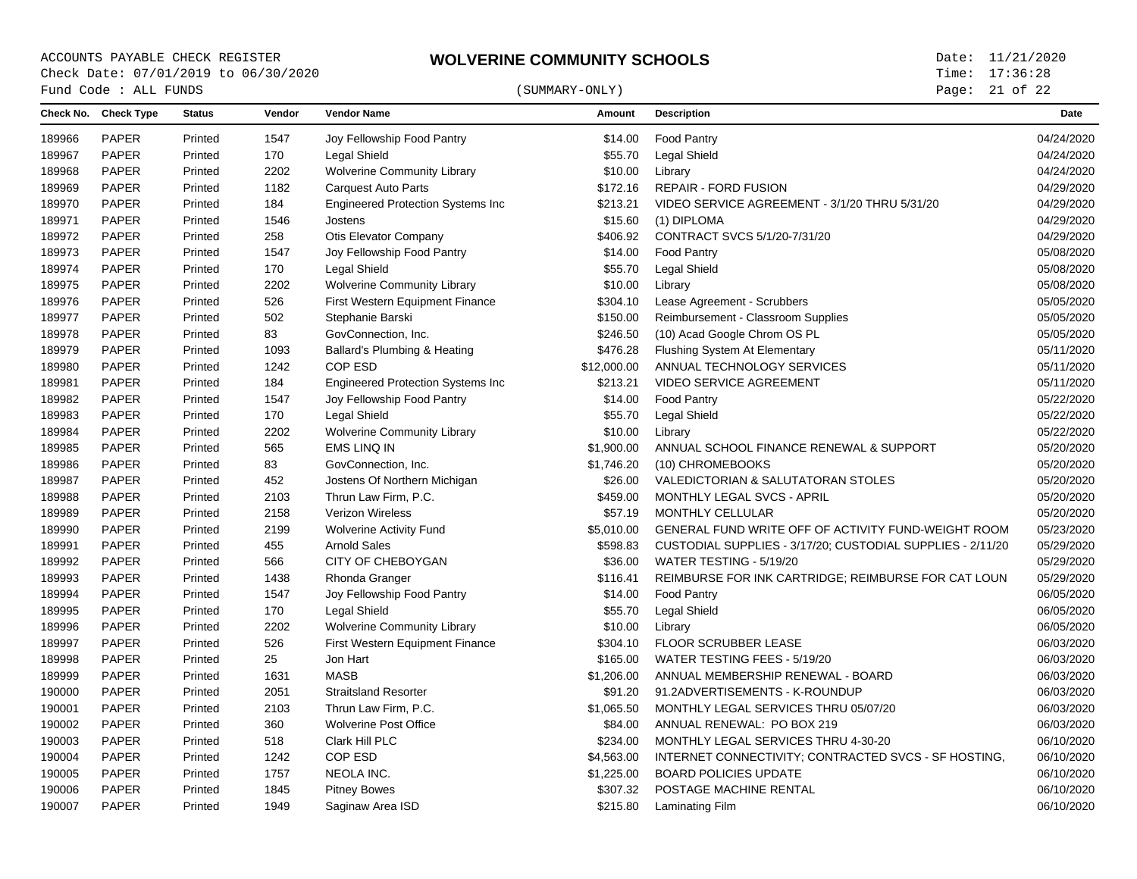Page: 21 of 22

|        | Fund Code : ALL FUNDS |               |        |                                           | (SUMMARY-ONLY) |                                                            | Page: 21 of 22 |
|--------|-----------------------|---------------|--------|-------------------------------------------|----------------|------------------------------------------------------------|----------------|
|        | Check No. Check Type  | <b>Status</b> | Vendor | <b>Vendor Name</b>                        | Amount         | <b>Description</b>                                         | <b>Date</b>    |
| 189966 | <b>PAPER</b>          | Printed       | 1547   | Joy Fellowship Food Pantry                | \$14.00        | Food Pantry                                                | 04/24/2020     |
| 189967 | <b>PAPER</b>          | Printed       | 170    | Legal Shield                              | \$55.70        | Legal Shield                                               | 04/24/2020     |
| 189968 | <b>PAPER</b>          | Printed       | 2202   | <b>Wolverine Community Library</b>        | \$10.00        | Library                                                    | 04/24/2020     |
| 189969 | <b>PAPER</b>          | Printed       | 1182   | <b>Carquest Auto Parts</b>                | \$172.16       | <b>REPAIR - FORD FUSION</b>                                | 04/29/2020     |
| 189970 | <b>PAPER</b>          | Printed       | 184    | <b>Engineered Protection Systems Inc</b>  | \$213.21       | VIDEO SERVICE AGREEMENT - 3/1/20 THRU 5/31/20              | 04/29/2020     |
| 189971 | <b>PAPER</b>          | Printed       | 1546   | Jostens                                   | \$15.60        | (1) DIPLOMA                                                | 04/29/2020     |
| 189972 | <b>PAPER</b>          | Printed       | 258    | Otis Elevator Company                     | \$406.92       | CONTRACT SVCS 5/1/20-7/31/20                               | 04/29/2020     |
| 189973 | <b>PAPER</b>          | Printed       | 1547   | Joy Fellowship Food Pantry                | \$14.00        | <b>Food Pantry</b>                                         | 05/08/2020     |
| 189974 | PAPER                 | Printed       | 170    | Legal Shield                              | \$55.70        | <b>Legal Shield</b>                                        | 05/08/2020     |
| 189975 | <b>PAPER</b>          | Printed       | 2202   | <b>Wolverine Community Library</b>        | \$10.00        | Library                                                    | 05/08/2020     |
| 189976 | <b>PAPER</b>          | Printed       | 526    | First Western Equipment Finance           | \$304.10       | Lease Agreement - Scrubbers                                | 05/05/2020     |
| 189977 | <b>PAPER</b>          | Printed       | 502    | Stephanie Barski                          | \$150.00       | Reimbursement - Classroom Supplies                         | 05/05/2020     |
| 189978 | <b>PAPER</b>          | Printed       | 83     | GovConnection, Inc.                       | \$246.50       | (10) Acad Google Chrom OS PL                               | 05/05/2020     |
| 189979 | <b>PAPER</b>          | Printed       | 1093   | Ballard's Plumbing & Heating              | \$476.28       | Flushing System At Elementary                              | 05/11/2020     |
| 189980 | <b>PAPER</b>          | Printed       | 1242   | COP ESD                                   | \$12,000.00    | ANNUAL TECHNOLOGY SERVICES                                 | 05/11/2020     |
| 189981 | <b>PAPER</b>          | Printed       | 184    | <b>Engineered Protection Systems Inc.</b> | \$213.21       | <b>VIDEO SERVICE AGREEMENT</b>                             | 05/11/2020     |
| 189982 | <b>PAPER</b>          | Printed       | 1547   | Joy Fellowship Food Pantry                | \$14.00        | <b>Food Pantry</b>                                         | 05/22/2020     |
| 189983 | PAPER                 | Printed       | 170    | Legal Shield                              | \$55.70        | Legal Shield                                               | 05/22/2020     |
| 189984 | <b>PAPER</b>          | Printed       | 2202   | <b>Wolverine Community Library</b>        | \$10.00        | Library                                                    | 05/22/2020     |
| 189985 | <b>PAPER</b>          | Printed       | 565    | <b>EMS LINQ IN</b>                        | \$1,900.00     | ANNUAL SCHOOL FINANCE RENEWAL & SUPPORT                    | 05/20/2020     |
| 189986 | <b>PAPER</b>          | Printed       | 83     | GovConnection, Inc.                       | \$1,746.20     | (10) CHROMEBOOKS                                           | 05/20/2020     |
| 189987 | <b>PAPER</b>          | Printed       | 452    | Jostens Of Northern Michigan              | \$26.00        | VALEDICTORIAN & SALUTATORAN STOLES                         | 05/20/2020     |
| 189988 | <b>PAPER</b>          | Printed       | 2103   | Thrun Law Firm, P.C.                      | \$459.00       | MONTHLY LEGAL SVCS - APRIL                                 | 05/20/2020     |
| 189989 | <b>PAPER</b>          | Printed       | 2158   | <b>Verizon Wireless</b>                   | \$57.19        | MONTHLY CELLULAR                                           | 05/20/2020     |
| 189990 | <b>PAPER</b>          | Printed       | 2199   | <b>Wolverine Activity Fund</b>            | \$5,010.00     | GENERAL FUND WRITE OFF OF ACTIVITY FUND-WEIGHT ROOM        | 05/23/2020     |
| 189991 | <b>PAPER</b>          | Printed       | 455    | <b>Arnold Sales</b>                       | \$598.83       | CUSTODIAL SUPPLIES - 3/17/20; CUSTODIAL SUPPLIES - 2/11/20 | 05/29/2020     |
| 189992 | PAPER                 | Printed       | 566    | CITY OF CHEBOYGAN                         | \$36.00        | WATER TESTING - 5/19/20                                    | 05/29/2020     |
| 189993 | <b>PAPER</b>          | Printed       | 1438   | Rhonda Granger                            | \$116.41       | REIMBURSE FOR INK CARTRIDGE; REIMBURSE FOR CAT LOUN        | 05/29/2020     |
| 189994 | <b>PAPER</b>          | Printed       | 1547   | Joy Fellowship Food Pantry                | \$14.00        | <b>Food Pantry</b>                                         | 06/05/2020     |
| 189995 | <b>PAPER</b>          | Printed       | 170    | Legal Shield                              | \$55.70        | <b>Legal Shield</b>                                        | 06/05/2020     |
| 189996 | <b>PAPER</b>          | Printed       | 2202   | <b>Wolverine Community Library</b>        | \$10.00        | Library                                                    | 06/05/2020     |
| 189997 | <b>PAPER</b>          | Printed       | 526    | First Western Equipment Finance           | \$304.10       | FLOOR SCRUBBER LEASE                                       | 06/03/2020     |
| 189998 | <b>PAPER</b>          | Printed       | 25     | Jon Hart                                  | \$165.00       | WATER TESTING FEES - 5/19/20                               | 06/03/2020     |
| 189999 | <b>PAPER</b>          | Printed       | 1631   | <b>MASB</b>                               | \$1,206.00     | ANNUAL MEMBERSHIP RENEWAL - BOARD                          | 06/03/2020     |
| 190000 | <b>PAPER</b>          | Printed       | 2051   | <b>Straitsland Resorter</b>               | \$91.20        | 91.2ADVERTISEMENTS - K-ROUNDUP                             | 06/03/2020     |
| 190001 | PAPER                 | Printed       | 2103   | Thrun Law Firm, P.C.                      | \$1,065.50     | MONTHLY LEGAL SERVICES THRU 05/07/20                       | 06/03/2020     |
| 190002 | <b>PAPER</b>          | Printed       | 360    | <b>Wolverine Post Office</b>              | \$84.00        | ANNUAL RENEWAL: PO BOX 219                                 | 06/03/2020     |
| 190003 | <b>PAPER</b>          | Printed       | 518    | Clark Hill PLC                            | \$234.00       | MONTHLY LEGAL SERVICES THRU 4-30-20                        | 06/10/2020     |
| 190004 | <b>PAPER</b>          | Printed       | 1242   | COP ESD                                   | \$4,563.00     | INTERNET CONNECTIVITY; CONTRACTED SVCS - SF HOSTING,       | 06/10/2020     |
| 190005 | <b>PAPER</b>          | Printed       | 1757   | NEOLA INC.                                | \$1,225.00     | <b>BOARD POLICIES UPDATE</b>                               | 06/10/2020     |
| 190006 | <b>PAPER</b>          | Printed       | 1845   | <b>Pitney Bowes</b>                       | \$307.32       | POSTAGE MACHINE RENTAL                                     | 06/10/2020     |
| 190007 | <b>PAPER</b>          | Printed       | 1949   | Saginaw Area ISD                          | \$215.80       | Laminating Film                                            | 06/10/2020     |
|        |                       |               |        |                                           |                |                                                            |                |